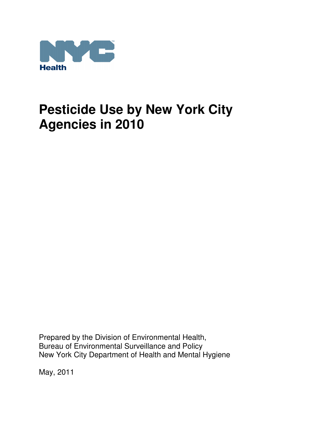

Prepared by the Division of Environmental Health, Bureau of Environmental Surveillance and Policy New York City Department of Health and Mental Hygiene

May, 2011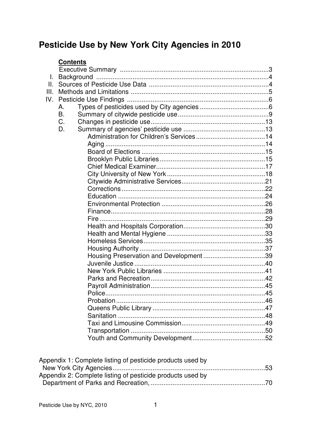## **Contents**

| Τ.   |    |  |
|------|----|--|
| II.  |    |  |
| III. |    |  |
| IV.  |    |  |
|      | Α. |  |
|      | B. |  |
|      | C. |  |
|      | D. |  |
|      |    |  |
|      |    |  |
|      |    |  |
|      |    |  |
|      |    |  |
|      |    |  |
|      |    |  |
|      |    |  |
|      |    |  |
|      |    |  |
|      |    |  |
|      |    |  |
|      |    |  |
|      |    |  |
|      |    |  |
|      |    |  |
|      |    |  |
|      |    |  |
|      |    |  |
|      |    |  |
|      |    |  |
|      |    |  |
|      |    |  |
|      |    |  |
|      |    |  |
|      |    |  |
|      |    |  |
|      |    |  |
|      |    |  |

| Appendix 1: Complete listing of pesticide products used by |  |
|------------------------------------------------------------|--|
|                                                            |  |
| Appendix 2: Complete listing of pesticide products used by |  |
|                                                            |  |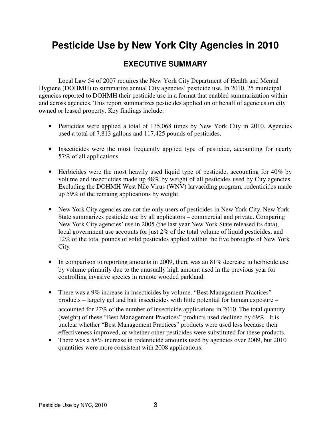## **EXECUTIVE SUMMARY**

Local Law 54 of 2007 requires the New York City Department of Health and Mental Hygiene (DOHMH) to summarize annual City agencies' pesticide use. In 2010, 25 municipal agencies reported to DOHMH their pesticide use in a format that enabled summarization within and across agencies. This report summarizes pesticides applied on or behalf of agencies on city owned or leased property. Key findings include:

- Pesticides were applied a total of 135,068 times by New York City in 2010. Agencies used a total of 7,813 gallons and 117,425 pounds of pesticides.
- Insecticides were the most frequently applied type of pesticide, accounting for nearly 57% of all applications.
- Herbicides were the most heavily used liquid type of pesticide, accounting for 40% by volume and insecticides made up 48% by weight of all pesticides used by City agencies. Excluding the DOHMH West Nile Virus (WNV) larvaciding program, rodenticides made up 59% of the remaing applications by weight.
- New York City agencies are not the only users of pesticides in New York City. New York State summarizes pesticide use by all applicators – commercial and private. Comparing New York City agencies' use in 2005 (the last year New York State released its data), local government use accounts for just 2% of the total volume of liquid pesticides, and 12% of the total pounds of solid pesticides applied within the five boroughs of New York City.
- In comparison to reporting amounts in 2009, there was an 81% decrease in herbicide use by volume primarily due to the unusually high amount used in the previous year for controlling invasive species in remote wooded parkland.
- There was a 9% increase in insecticides by volume. "Best Management Practices" products – largely gel and bait insecticides with little potential for human exposure – accounted for 27% of the number of insecticide applications in 2010. The total quantity (weight) of these "Best Management Practices" products used declined by 69%. It is unclear whether "Best Management Practices" products were used less because their effectiveness improved, or whether other pesticides were substituted for these products.
- There was a 58% increase in rodenticide amounts used by agencies over 2009, but 2010 quantities were more consistent with 2008 applications.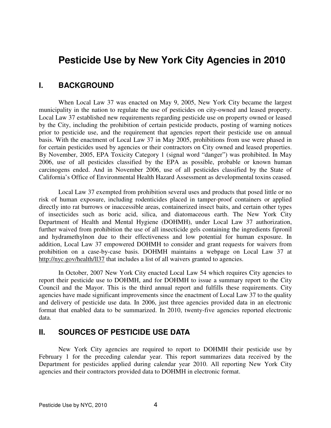## **I. BACKGROUND**

 When Local Law 37 was enacted on May 9, 2005, New York City became the largest municipality in the nation to regulate the use of pesticides on city-owned and leased property. Local Law 37 established new requirements regarding pesticide use on property owned or leased by the City, including the prohibition of certain pesticide products, posting of warning notices prior to pesticide use, and the requirement that agencies report their pesticide use on annual basis. With the enactment of Local Law 37 in May 2005, prohibitions from use were phased in for certain pesticides used by agencies or their contractors on City owned and leased properties. By November, 2005, EPA Toxicity Category 1 (signal word "danger") was prohibited. In May 2006, use of all pesticides classified by the EPA as possible, probable or known human carcinogens ended. And in November 2006, use of all pesticides classified by the State of California's Office of Environmental Health Hazard Assessment as developmental toxins ceased.

 Local Law 37 exempted from prohibition several uses and products that posed little or no risk of human exposure, including rodenticides placed in tamper-proof containers or applied directly into rat burrows or inaccessible areas, containerized insect baits, and certain other types of insecticides such as boric acid, silica, and diatomaceous earth. The New York City Department of Health and Mental Hygiene (DOHMH), under Local Law 37 authorization, further waived from prohibition the use of all insecticide gels containing the ingredients fipronil and hydramethylnon due to their effectiveness and low potential for human exposure. In addition, Local Law 37 empowered DOHMH to consider and grant requests for waivers from prohibition on a case-by-case basis. DOHMH maintains a webpage on Local Law 37 at http://nyc.gov/health/ll37 that includes a list of all waivers granted to agencies.

 In October, 2007 New York City enacted Local Law 54 which requires City agencies to report their pesticide use to DOHMH, and for DOHMH to issue a summary report to the City Council and the Mayor. This is the third annual report and fulfills these requirements. City agencies have made significant improvements since the enactment of Local Law 37 to the quality and delivery of pesticide use data. In 2006, just three agencies provided data in an electronic format that enabled data to be summarized. In 2010, twenty-five agencies reported electronic data.

## **II. SOURCES OF PESTICIDE USE DATA**

 New York City agencies are required to report to DOHMH their pesticide use by February 1 for the preceding calendar year. This report summarizes data received by the Department for pesticides applied during calendar year 2010. All reporting New York City agencies and their contractors provided data to DOHMH in electronic format.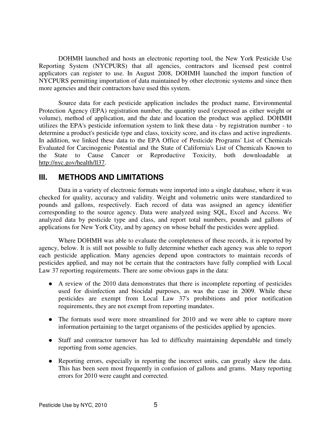DOHMH launched and hosts an electronic reporting tool, the New York Pesticide Use Reporting System (NYCPURS) that all agencies, contractors and licensed pest control applicators can register to use. In August 2008, DOHMH launched the import function of NYCPURS permitting importation of data maintained by other electronic systems and since then more agencies and their contractors have used this system.

 Source data for each pesticide application includes the product name, Environmental Protection Agency (EPA) registration number, the quantity used (expressed as either weight or volume), method of application, and the date and location the product was applied. DOHMH utilizes the EPA's pesticide information system to link these data - by registration number - to determine a product's pesticide type and class, toxicity score, and its class and active ingredients. In addition, we linked these data to the EPA Office of Pesticide Programs' List of Chemicals Evaluated for Carcinogenic Potential and the State of California's List of Chemicals Known to the State to Cause Cancer or Reproductive Toxicity, both downloadable at http://nyc.gov/health/ll37.

## **III. METHODS AND LIMITATIONS**

 Data in a variety of electronic formats were imported into a single database, where it was checked for quality, accuracy and validity. Weight and volumetric units were standardized to pounds and gallons, respectively. Each record of data was assigned an agency identifier corresponding to the source agency. Data were analyzed using SQL, Excel and Access. We analyzed data by pesticide type and class, and report total numbers, pounds and gallons of applications for New York City, and by agency on whose behalf the pesticides were applied.

 Where DOHMH was able to evaluate the completeness of these records, it is reported by agency, below. It is still not possible to fully determine whether each agency was able to report each pesticide application. Many agencies depend upon contractors to maintain records of pesticides applied, and may not be certain that the contractors have fully complied with Local Law 37 reporting requirements. There are some obvious gaps in the data:

- A review of the 2010 data demonstrates that there is incomplete reporting of pesticides used for disinfection and biocidal purposes, as was the case in 2009. While these pesticides are exempt from Local Law 37's prohibitions and prior notification requirements, they are not exempt from reporting mandates.
- The formats used were more streamlined for 2010 and we were able to capture more information pertaining to the target organisms of the pesticides applied by agencies.
- Staff and contractor turnover has led to difficulty maintaining dependable and timely reporting from some agencies.
- Reporting errors, especially in reporting the incorrect units, can greatly skew the data. This has been seen most frequently in confusion of gallons and grams. Many reporting errors for 2010 were caught and corrected.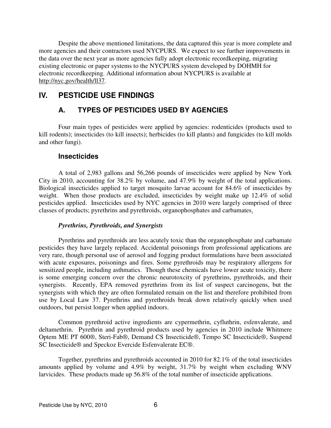Despite the above mentioned limitations, the data captured this year is more complete and more agencies and their contractors used NYCPURS. We expect to see further improvements in the data over the next year as more agencies fully adopt electronic recordkeeping, migrating existing electronic or paper systems to the NYCPURS system developed by DOHMH for electronic recordkeeping. Additional information about NYCPURS is available at http://nyc.gov/health/ll37.

## **IV. PESTICIDE USE FINDINGS**

## **A. TYPES OF PESTICIDES USED BY AGENCIES**

 Four main types of pesticides were applied by agencies: rodenticides (products used to kill rodents); insecticides (to kill insects); herbicides (to kill plants) and fungicides (to kill molds and other fungi).

## **Insecticides**

 A total of 2,983 gallons and 56,266 pounds of insecticides were applied by New York City in 2010, accounting for 38.2% by volume, and 47.9% by weight of the total applications. Biological insecticides applied to target mosquito larvae account for 84.6% of insecticides by weight. When those products are excluded, insecticides by weight make up 12.4% of solid pesticides applied. Insecticides used by NYC agencies in 2010 were largely comprised of three classes of products; pyrethrins and pyrethroids, organophosphates and carbamates.

## *Pyrethrins, Pyrethroids, and Synergists*

 Pyrethrins and pyrethroids are less acutely toxic than the organophosphate and carbamate pesticides they have largely replaced. Accidental poisonings from professional applications are very rare, though personal use of aerosol and fogging product formulations have been associated with acute exposures, poisonings and fires. Some pyrethroids may be respiratory allergens for sensitized people, including asthmatics. Though these chemicals have lower acute toxicity, there is some emerging concern over the chronic neurotoxcity of pyrethrins, pyrethroids, and their synergists. Recently, EPA removed pyrethrins from its list of suspect carcinogens, but the synergists with which they are often formulated remain on the list and therefore prohibited from use by Local Law 37. Pyrethrins and pyrethroids break down relatively quickly when used outdoors, but persist longer when applied indoors.

 Common pyrethroid active ingredients are cypermethrin, cyfluthrin, esfenvalerate, and deltamethrin. Pyrethrin and pyrethroid products used by agencies in 2010 include Whitmere Optem ME PT 600®, Steri-Fab®, Demand CS Insecticide®, Tempo SC Insecticide®, Suspend SC Insecticide® and Speckoz Evercide Esfenvalerate EC®.

 Together, pyrethrins and pyrethroids accounted in 2010 for 82.1% of the total insecticides amounts applied by volume and 4.9% by weight, 31.7% by weight when excluding WNV larvicides. These products made up 56.8% of the total number of insecticide applications.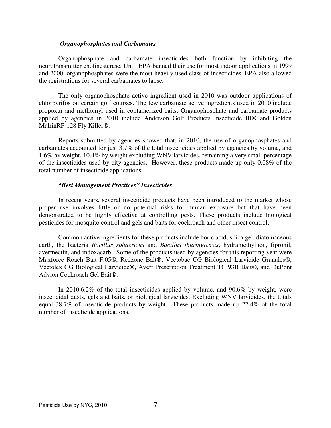#### *Organophosphates and Carbamates*

 Organophosphate and carbamate insecticides both function by inhibiting the neurotransmitter cholinesterase. Until EPA banned their use for most indoor applications in 1999 and 2000, organophosphates were the most heavily used class of insecticides. EPA also allowed the registrations for several carbamates to lapse.

 The only organophosphate active ingredient used in 2010 was outdoor applications of chlorpyrifos on certain golf courses. The few carbamate active ingredients used in 2010 include propoxur and methomyl used in containerized baits. Organophosphate and carbamate products applied by agencies in 2010 include Anderson Golf Products Insecticide III® and Golden MalrinRF-128 Fly Killer®.

 Reports submitted by agencies showed that, in 2010, the use of organophosphates and carbamates accounted for just 3.7% of the total insecticides applied by agencies by volume, and 1.6% by weight, 10.4% by weight excluding WNV larvicides, remaining a very small percentage of the insecticides used by city agencies. However, these products made up only 0.08% of the total number of insecticide applications.

## *"Best Management Practices" Insecticides*

 In recent years, several insecticide products have been introduced to the market whose proper use involves little or no potential risks for human exposure but that have been demonstrated to be highly effective at controlling pests. These products include biological pesticides for mosquito control and gels and baits for cockroach and other insect control.

 Common active ingredients for these products include boric acid, silica gel, diatomaceous earth, the bacteria *Bacillus sphaericus* and *Bacillus thuringiensis*, hydramethylnon, fipronil, avermectin, and indoxacarb. Some of the products used by agencies for this reporting year were Maxforce Roach Bait F.05®, Redzone Bait®, Vectobac CG Biological Larvicide Granules®, Vectolex CG Biological Larvicide®, Avert Prescription Treatment TC 93B Bait®, and DuPont Advion Cockroach Gel Bait®.

 In 2010.6.2% of the total insecticides applied by volume, and 90.6% by weight, were insecticidal dusts, gels and baits, or biological larvicides. Excluding WNV larvicides, the totals equal 38.7% of insecticide products by weight. These products made up 27.4% of the total number of insecticide applications.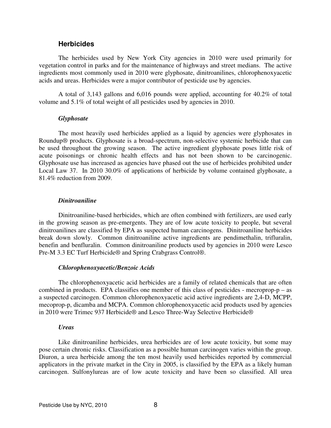## **Herbicides**

 The herbicides used by New York City agencies in 2010 were used primarily for vegetation control in parks and for the maintenance of highways and street medians. The active ingredients most commonly used in 2010 were glyphosate, dinitroanilines, chlorophenoxyacetic acids and ureas. Herbicides were a major contributor of pesticide use by agencies.

 A total of 3,143 gallons and 6,016 pounds were applied, accounting for 40.2% of total volume and 5.1% of total weight of all pesticides used by agencies in 2010.

#### *Glyphosate*

 The most heavily used herbicides applied as a liquid by agencies were glyphosates in Roundup® products. Glyphosate is a broad-spectrum, non-selective systemic herbicide that can be used throughout the growing season. The active ingredient glyphosate poses little risk of acute poisonings or chronic health effects and has not been shown to be carcinogenic. Glyphosate use has increased as agencies have phased out the use of herbicides prohibited under Local Law 37. In 2010 30.0% of applications of herbicide by volume contained glyphosate, a 81.4% reduction from 2009.

#### *Dinitroaniline*

 Dinitroaniline-based herbicides, which are often combined with fertilizers, are used early in the growing season as pre-emergents. They are of low acute toxicity to people, but several dinitroanilines are classified by EPA as suspected human carcinogens. Dinitroaniline herbicides break down slowly. Common dinitroaniline active ingredients are pendimethalin, trifluralin, benefin and benfluralin. Common dinitroaniline products used by agencies in 2010 were Lesco Pre-M 3.3 EC Turf Herbicide® and Spring Crabgrass Control®.

#### *Chlorophenoxyacetic/Benzoic Acids*

 The chlorophenoxyacetic acid herbicides are a family of related chemicals that are often combined in products. EPA classifies one member of this class of pesticides - mecroprop-p – as a suspected carcinogen. Common chlorophenoxyacetic acid active ingredients are 2,4-D, MCPP, mecoprop-p, dicamba and MCPA. Common chlorophenoxyacetic acid products used by agencies in 2010 were Trimec 937 Herbicide® and Lesco Three-Way Selective Herbicide®

#### *Ureas*

 Like dinitroaniline herbicides, urea herbicides are of low acute toxicity, but some may pose certain chronic risks. Classification as a possible human carcinogen varies within the group. Diuron, a urea herbicide among the ten most heavily used herbicides reported by commercial applicators in the private market in the City in 2005, is classified by the EPA as a likely human carcinogen. Sulfonylureas are of low acute toxicity and have been so classified. All urea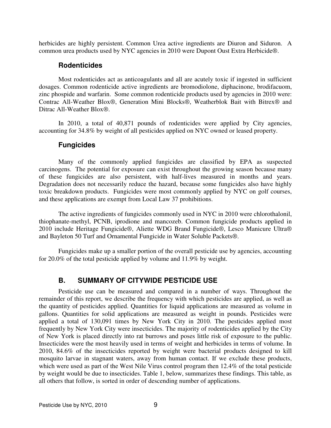herbicides are highly persistent. Common Urea active ingredients are Diuron and Siduron. A common urea products used by NYC agencies in 2010 were Dupont Oust Extra Herbicide®.

## **Rodenticides**

 Most rodenticides act as anticoagulants and all are acutely toxic if ingested in sufficient dosages. Common rodenticide active ingredients are bromodiolone, diphacinone, brodifacuom, zinc phospide and warfarin. Some common rodenticide products used by agencies in 2010 were: Contrac All-Weather Blox®, Generation Mini Blocks®, Weatherblok Bait with Bitrex® and Ditrac All-Weather Blox®.

 In 2010, a total of 40,871 pounds of rodenticides were applied by City agencies, accounting for 34.8% by weight of all pesticides applied on NYC owned or leased property.

## **Fungicides**

 Many of the commonly applied fungicides are classified by EPA as suspected carcinogens. The potential for exposure can exist throughout the growing season because many of these fungicides are also persistent, with half-lives measured in months and years. Degradation does not necessarily reduce the hazard, because some fungicides also have highly toxic breakdown products. Fungicides were most commonly applied by NYC on golf courses, and these applications are exempt from Local Law 37 prohibitions.

 The active ingredients of fungicides commonly used in NYC in 2010 were chlorothalonil, thiophanate-methyl, PCNB, iprodione and mancozeb. Common fungicide products applied in 2010 include Heritage Fungicide®, Aliette WDG Brand Fungicide®, Lesco Manicure Ultra® and Bayleton 50 Turf and Ornamental Fungicide in Water Soluble Packets®.

 Fungicides make up a smaller portion of the overall pesticide use by agencies, accounting for 20.0% of the total pesticide applied by volume and 11.9% by weight.

## **B. SUMMARY OF CITYWIDE PESTICIDE USE**

 Pesticide use can be measured and compared in a number of ways. Throughout the remainder of this report, we describe the frequency with which pesticides are applied, as well as the quantity of pesticides applied. Quantities for liquid applications are measured as volume in gallons. Quantities for solid applications are measured as weight in pounds. Pesticides were applied a total of 130,091 times by New York City in 2010. The pesticides applied most frequently by New York City were insecticides. The majority of rodenticides applied by the City of New York is placed directly into rat burrows and poses little risk of exposure to the public. Insecticides were the most heavily used in terms of weight and herbicides in terms of volume. In 2010, 84.6% of the insecticides reported by weight were bacterial products designed to kill mosquito larvae in stagnant waters, away from human contact. If we exclude these products, which were used as part of the West Nile Virus control program then 12.4% of the total pesticide by weight would be due to insecticides. Table 1, below, summarizes these findings. This table, as all others that follow, is sorted in order of descending number of applications.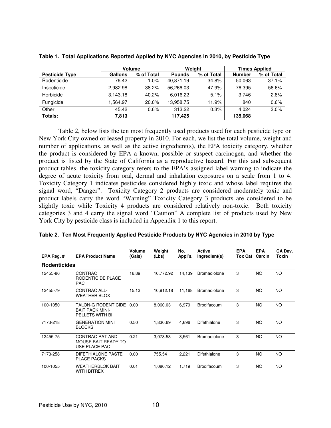|                       |          | Volume     |               | Weight     | <b>Times Applied</b> |            |  |
|-----------------------|----------|------------|---------------|------------|----------------------|------------|--|
| <b>Pesticide Type</b> | Gallons  | % of Total | <b>Pounds</b> | % of Total | <b>Number</b>        | % of Total |  |
| Rodenticide           | 76.42    | 1.0%       | 40.871.19     | 34.8%      | 50.063               | 37.1%      |  |
| Insecticide           | 2,982.98 | 38.2%      | 56,266.03     | 47.9%      | 76.395               | 56.6%      |  |
| Herbicide             | 3,143.18 | 40.2%      | 6.016.22      | 5.1%       | 3.746                | 2.8%       |  |
| Fungicide             | 1.564.97 | 20.0%      | 13,958.75     | l 1.9%     | 840                  | 0.6%       |  |
| Other                 | 45.42    | 0.6%       | 313.22        | 0.3%       | 4.024                | 3.0%       |  |
| Totals:               | 7,813    |            | 117.425       |            | 135,068              |            |  |

|  |  | Table 1. Total Applications Reported Applied by NYC Agencies in 2010, by Pesticide Type |  |  |
|--|--|-----------------------------------------------------------------------------------------|--|--|
|  |  |                                                                                         |  |  |

 Table 2, below lists the ten most frequently used products used for each pesticide type on New York City owned or leased property in 2010. For each, we list the total volume, weight and number of applications, as well as the active ingredient(s), the EPA toxicity category, whether the product is considered by EPA a known, possible or suspect carcinogen, and whether the product is listed by the State of California as a reproductive hazard. For this and subsequent product tables, the toxicity category refers to the EPA's assigned label warning to indicate the degree of acute toxicity from oral, dermal and inhalation exposures on a scale from 1 to 4. Toxicity Category 1 indicates pesticides considered highly toxic and whose label requires the signal word, "Danger". Toxicity Category 2 products are considered moderately toxic and product labels carry the word "Warning" Toxicity Category 3 products are considered to be slightly toxic while Toxicity 4 products are considered relatively non-toxic. Both toxicity categories 3 and 4 carry the signal word "Caution" A complete list of products used by New York City by pesticide class is included in Appendix 1 to this report.

| EPA Reg. $#$        | <b>EPA Product Name</b>                                                 | <b>Volume</b><br>(Gals) | Weight<br>(Lbs) | No.<br>Appl's. | <b>Active</b><br>Ingredient(s) | <b>EPA</b><br><b>Tox Cat</b> | <b>EPA</b><br>Carcin | CA Dev.<br>Toxin |
|---------------------|-------------------------------------------------------------------------|-------------------------|-----------------|----------------|--------------------------------|------------------------------|----------------------|------------------|
| <b>Rodenticides</b> |                                                                         |                         |                 |                |                                |                              |                      |                  |
| 12455-86            | CONTRAC<br>RODENTICIDE PLACE<br><b>PAC</b>                              | 16.89                   | 10,772.92       | 14,139         | <b>Bromadiolone</b>            | 3                            | <b>NO</b>            | <b>NO</b>        |
| 12455-79            | CONTRAC ALL-<br><b>WEATHER BLOX</b>                                     | 15.13                   | 10,912.18       | 11,168         | <b>Bromadiolone</b>            | 3                            | NO.                  | NO.              |
| 100-1050            | <b>TALON-G RODENTICIDE</b><br><b>BAIT PACK MINI-</b><br>PELLETS WITH BI | 0.00                    | 8.060.03        | 6.979          | <b>Brodifacoum</b>             | 3                            | <b>NO</b>            | <b>NO</b>        |
| 7173-218            | <b>GENERATION MINI</b><br><b>BLOCKS</b>                                 | 0.50                    | 1,830.69        | 4,696          | Difethialone                   | 3                            | <b>NO</b>            | <b>NO</b>        |
| 12455-75            | CONTRAC RAT AND<br>MOUSE BAIT READY TO<br>USE PLACE PAC                 | 0.21                    | 3,078.53        | 3,561          | <b>Bromadiolone</b>            | 3                            | <b>NO</b>            | <b>NO</b>        |
| 7173-258            | DIFFTHIALONE PASTE<br><b>PLACE PACKS</b>                                | 0.00                    | 755.54          | 2,221          | Difethialone                   | 3                            | <b>NO</b>            | NO.              |
| 100-1055            | <b>WEATHERBLOK BAIT</b><br><b>WITH BITREX</b>                           | 0.01                    | 1,080.12        | 1,719          | <b>Brodifacoum</b>             | 3                            | <b>NO</b>            | <b>NO</b>        |

#### **Table 2. Ten Most Frequently Applied Pesticide Products by NYC Agencies in 2010 by Type**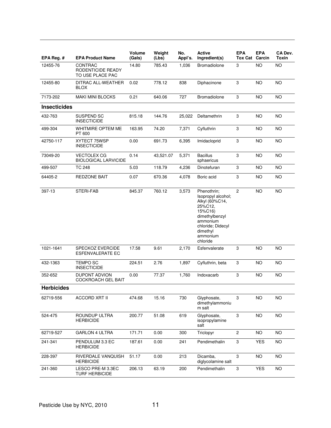| EPA Reg. #          | <b>EPA Product Name</b>                            | <b>Volume</b><br>(Gals) | Weight<br>(Lbs) | No.<br>Appl's. | Active<br>Ingredient(s)                                                                                                                                          | <b>EPA</b><br><b>Tox Cat</b> | <b>EPA</b><br>Carcin | CA Dev.<br>Toxin |
|---------------------|----------------------------------------------------|-------------------------|-----------------|----------------|------------------------------------------------------------------------------------------------------------------------------------------------------------------|------------------------------|----------------------|------------------|
| 12455-76            | CONTRAC<br>RODENTICIDE READY<br>TO USE PLACE PAC   | 14.80                   | 785.43          | 1,036          | Bromadiolone                                                                                                                                                     | 3                            | <b>NO</b>            | <b>NO</b>        |
| 12455-80            | DITRAC ALL-WEATHER<br><b>BLOX</b>                  | 0.02                    | 778.12          | 838            | Diphacinone                                                                                                                                                      | 3                            | <b>NO</b>            | <b>NO</b>        |
| 7173-202            | <b>MAKI MINI BLOCKS</b>                            | 0.21                    | 640.06          | 727            | Bromadiolone                                                                                                                                                     | 3                            | NO                   | <b>NO</b>        |
| <b>Insecticides</b> |                                                    |                         |                 |                |                                                                                                                                                                  |                              |                      |                  |
| 432-763             | SUSPEND SC<br><b>INSECTICIDE</b>                   | 815.18                  | 144.76          | 25,022         | Deltamethrin                                                                                                                                                     | 3                            | NO                   | NO               |
| 499-304             | WHITMIRE OPTEM ME<br>PT 600                        | 163.95                  | 74.20           | 7,371          | Cyfluthrin                                                                                                                                                       | 3                            | <b>NO</b>            | <b>NO</b>        |
| 42750-117           | XYTECT 75WSP<br><b>INSECTICIDE</b>                 | 0.00                    | 691.73          | 6,395          | Imidacloprid                                                                                                                                                     | 3                            | <b>NO</b>            | <b>NO</b>        |
| 73049-20            | <b>VECTOLEX CG</b><br><b>BIOLOGICAL LARVICIDE</b>  | 0.14                    | 43,521.07       | 5,371          | <b>Bacillus</b><br>sphaericus                                                                                                                                    | 3                            | NO                   | <b>NO</b>        |
| 499-507             | <b>TC 248</b>                                      | 5.03                    | 118.79          | 4,236          | Dinotefuran                                                                                                                                                      | 3                            | <b>NO</b>            | <b>NO</b>        |
| 64405-2             | REDZONE BAIT                                       | 0.07                    | 670.36          | 4,078          | Boric acid                                                                                                                                                       | 3                            | NO                   | <b>NO</b>        |
| 397-13              | STERI-FAB                                          | 845.37                  | 760.12          | 3,573          | Phenothrin;<br>Isopropyl alcohol;<br>Alkyl (60%C14,<br>25%C12,<br>15%C16)<br>dimethylbenzyl<br>ammonium<br>chloride; Didecyl<br>dimethyl<br>ammonium<br>chloride | 2                            | NO                   | NO               |
| 1021-1641           | <b>SPECKOZ EVERCIDE</b><br><b>ESFENVALERATE EC</b> | 17.58                   | 9.61            | 2,170          | Esfenvalerate                                                                                                                                                    | 3                            | <b>NO</b>            | <b>NO</b>        |
| 432-1363            | <b>TEMPO SC</b><br><b>INSECTICIDE</b>              | 224.51                  | 2.76            | 1,897          | Cyfluthrin, beta                                                                                                                                                 | 3                            | NO.                  | <b>NO</b>        |
| 352-652             | <b>DUPONT ADVION</b><br><b>COCKROACH GEL BAIT</b>  | 0.00                    | 77.37           | 1,760          | Indoxacarb                                                                                                                                                       | 3                            | NO                   | <b>NO</b>        |
| <b>Herbicides</b>   |                                                    |                         |                 |                |                                                                                                                                                                  |                              |                      |                  |
| 62719-556           | <b>ACCORD XRT II</b>                               | 474.68                  | 15.16           | 730            | Glyphosate,<br>dimethylammoniu<br>m salt                                                                                                                         | 3                            | <b>NO</b>            | <b>NO</b>        |
| 524-475             | ROUNDUP ULTRA<br><b>HERBICIDE</b>                  | 200.77                  | 51.08           | 619            | Glyphosate,<br>isopropylamine<br>salt                                                                                                                            | 3                            | <b>NO</b>            | <b>NO</b>        |
| 62719-527           | <b>GARLON 4 ULTRA</b>                              | 171.71                  | 0.00            | 300            | Triclopyr                                                                                                                                                        | $\mathbf{2}$                 | <b>NO</b>            | NO.              |
| 241-341             | PENDULUM 3.3 EC<br><b>HERBICIDE</b>                | 187.61                  | 0.00            | 241            | Pendimethalin                                                                                                                                                    | 3                            | <b>YES</b>           | <b>NO</b>        |
| 228-397             | RIVERDALE VANQUISH<br><b>HERBICIDE</b>             | 51.17                   | 0.00            | 213            | Dicamba,<br>diglycolamine salt                                                                                                                                   | 3                            | <b>NO</b>            | <b>NO</b>        |
| 241-360             | LESCO PRE-M 3.3EC<br><b>TURF HERBICIDE</b>         | 206.13                  | 63.19           | 200            | Pendimethalin                                                                                                                                                    | 3                            | <b>YES</b>           | <b>NO</b>        |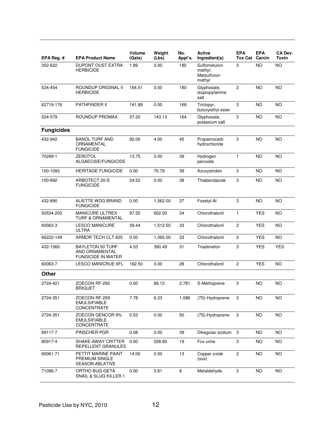| EPA Reg. #        | <b>EPA Product Name</b>                                                | <b>Volume</b><br>(Gals) | Weight<br>(Lbs) | No.<br>Appl's. | <b>Active</b><br>Ingredient(s)                    | <b>EPA</b><br><b>Tox Cat</b> | <b>EPA</b><br>Carcin | CA Dev.<br>Toxin |
|-------------------|------------------------------------------------------------------------|-------------------------|-----------------|----------------|---------------------------------------------------|------------------------------|----------------------|------------------|
| 352-622           | <b>DUPONT OUST EXTRA</b><br><b>HERBICIDE</b>                           | 1.89                    | 0.00            | 185            | Sulfometuron<br>methyl;<br>Metsulfuron-<br>methyl | 3                            | <b>NO</b>            | <b>NO</b>        |
| 524-454           | ROUNDUP ORIGINAL II<br><b>HERBICIDE</b>                                | 164.51                  | 0.00            | 180            | Glyphosate,<br>isopropylamine<br>salt             | $\overline{c}$               | <b>NO</b>            | <b>NO</b>        |
| 62719-176         | PATHFINDER II                                                          | 161.88                  | 0.00            | 168            | Triclopyr,<br>butoxyethyl ester                   | 3                            | <b>NO</b>            | <b>NO</b>        |
| 524-579           | ROUNDUP PROMAX                                                         | 37.20                   | 143.13          | 164            | Glyphosate,<br>potassium salt                     | 3                            | ΝO                   | <b>NO</b>        |
| <b>Fungicides</b> |                                                                        |                         |                 |                |                                                   |                              |                      |                  |
| 432-942           | <b>BANOL TURF AND</b><br>ORNAMENTAL<br><b>FUNGICIDE</b>                | 92.00                   | 4.00            | 45             | Propamocarb<br>hydrochloride                      | 3                            | <b>NO</b>            | <b>NO</b>        |
| 70299-1           | <b>ZEROTOL</b><br>ALGAECIDE/FUNGICIDE                                  | 13.75                   | 0.00            | 39             | Hydrogen<br>peroxide                              | $\mathbf{1}$                 | <b>NO</b>            | <b>NO</b>        |
| 100-1093          | <b>HERITAGE FUNGICIDE</b>                                              | 0.00                    | 70.79           | 39             | Azoxystrobin                                      | 3                            | <b>NO</b>            | <b>NO</b>        |
| 100-892           | ARBOTECT 20-S<br><b>FUNGICIDE</b>                                      | 24.52                   | 0.00            | 38             | Thiabendazole                                     | 3                            | <b>NO</b>            | <b>NO</b>        |
| 432-890           | ALIETTE WDG BRAND<br><b>FUNGICIDE</b>                                  | 0.00                    | 1,562.00        | 37             | Fosetyl-Al                                        | 3                            | NO                   | NO               |
| 50534-202         | <b>MANICURE ULTREX</b><br><b>TURF &amp; ORNAMENTAL</b>                 | 97.50                   | 602.00          | 34             | Chlorothalonil                                    | $\mathbf{1}$                 | <b>YES</b>           | <b>NO</b>        |
| 60063-3           | <b>LESCO MANICURE</b><br><b>ULTRA</b>                                  | 39.44                   | 1,512.50        | 33             | Chlorothalonil                                    | 2                            | <b>YES</b>           | <b>NO</b>        |
| 66222-149         | ARMOR TECH CLT 825                                                     | 0.00                    | 1,065.00        | 33             | Chlorothalonil                                    | $\mathbf{2}$                 | <b>YES</b>           | <b>NO</b>        |
| 432-1360          | <b>BAYLETON 50 TURF</b><br>AND ORNAMENTAL<br><b>FUNGICIDE IN WATER</b> | 4.53                    | 390.49          | 31             | Triadimefon                                       | 3                            | <b>YES</b>           | <b>YES</b>       |
| 60063-7           | <b>LESCO MANICRUE 6FL</b>                                              | 162.50                  | 0.00            | 28             | Chlorothalonil                                    | 2                            | <b>YES</b>           | <b>NO</b>        |
| Other             |                                                                        |                         |                 |                |                                                   |                              |                      |                  |
| 2724-421          | ZOECON RF-292<br><b>BRIQUET</b>                                        | 0.00                    | 89.12           | 2,781          | S-Methoprene                                      | 3                            | <b>NO</b>            | <b>NO</b>        |
| 2724-351          | ZOECON RF-259<br><b>EMULSIFIABLE</b><br>CONCENTRATE                    | 7.78                    | 6.23            | 1,086          | (7S)-Hydroprene                                   | 3                            | <b>NO</b>            | <b>NO</b>        |
| 2724-351          | ZOECON GENCOR 9%<br><b>EMULSIFIABLE</b><br>CONCENTRATE                 | 0.53                    | 0.00            | 50             | (7S)-Hydroprene                                   | 3                            | <b>NO</b>            | <b>NO</b>        |
| 69117-7           | PINSCHER PGR                                                           | 0.08                    | 0.00            | 39             | Dikegulac sodium                                  | 3                            | <b>NO</b>            | <b>NO</b>        |
| 80917-4           | SHAKE-AWAY CRITTER<br>REPELLENT GRANULES                               | 0.00                    | 208.80          | 19             | Fox urine                                         | 3                            | NO.                  | NO.              |
| 60061-71          | PETTIT MARINE PAINT<br>PREMIUM SINGLE<br><b>SEASON ABLATIVE</b>        | 14.00                   | 0.00            | 13             | Copper oxide<br>(ous)                             | $\overline{\mathbf{c}}$      | <b>NO</b>            | <b>NO</b>        |
| 71096-7           | ORTHO BUG-GETA<br>SNAIL & SLUG KILLER 1                                | 0.00                    | 3.81            | 8              | Metaldehyde                                       | 3                            | <b>NO</b>            | <b>NO</b>        |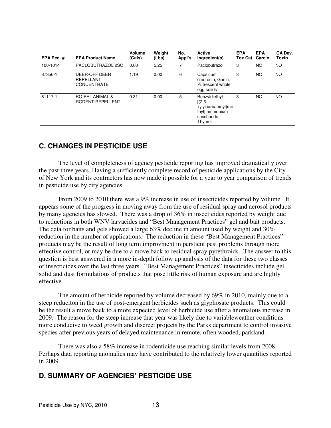| EPA Reg.# | <b>EPA Product Name</b>                          | Volume<br>(Gals) | Weight<br>(Lbs) | No.<br>Appl's. | <b>Active</b><br>Ingredient(s)                                                             | <b>EPA</b><br><b>Tox Cat Carcin</b> | <b>EPA</b> | CA Dev.<br>Toxin |
|-----------|--------------------------------------------------|------------------|-----------------|----------------|--------------------------------------------------------------------------------------------|-------------------------------------|------------|------------------|
| 100-1014  | PACLOBUTRAZOL 2SC                                | 0.00             | 5.25            | 7              | Paclobutrazol                                                                              | 3                                   | <b>NO</b>  | <b>NO</b>        |
| 67356-1   | DEER-OFF DEER<br>REPELLANT<br><b>CONCENTRATE</b> | 1.19             | 0.00            | 6              | Capsicum<br>oleoresin; Garlic;<br>Putrescent whole<br>egg solids                           | 3                                   | <b>NO</b>  | <b>NO</b>        |
| 81117-1   | <b>RO-PEL ANIMAL &amp;</b><br>RODENT REPELLENT   | 0.31             | 0.00            | 5              | Benzyldiethyl<br>$[(2,6 -$<br>xylylcarbamoyl)me<br>thyll ammonium<br>saccharide;<br>Thymol | 3                                   | <b>NO</b>  | <b>NO</b>        |

## **C. CHANGES IN PESTICIDE USE**

 The level of completeness of agency pesticide reporting has improved dramatically over the past three years. Having a sufficiently complete record of pesticide applications by the City of New York and its contractors has now made it possible for a year to year comparison of trends in pesticide use by city agencies.

From 2009 to 2010 there was a 9% increase in use of insecticides reported by volume. It appears some of the progress in moving away from the use of residual spray and aerosol products by many agencies has slowed. There was a drop of 36% in insecticides reported by weight due to reductions in both WNV larvacides and "Best Management Practices" gel and bait products. The data for baits and gels showed a large 63% decline in amount used by weight and 30% reduction in the number of applications. The reduction in these "Best Management Practices" products may be the result of long term improvment in perstient pest problems through more effective control, or may be due to a move back to residual spray pyrethroids. The answer to this question is best answered in a more in-depth follow up analysis of the data for these two classes of insecticides over the last three years. "Best Management Practices" insecticides include gel, solid and dust formulations of products that pose little risk of human exposure and are highly effective.

 The amount of herbicide reported by volume decreased by 69% in 2010, mainly due to a steep reduciton in the use of post-emergent herbicides such as glyphosate products. This could be the result a move back to a more expected level of herbicide use after a anomalous increase in 2009. The reason for the steep increase that year was likely due to variableweather conditions more conducive to weed growth and discreet projects by the Parks department to control invasive species after previous years of delayed maintenance in remote, often wooded, parkland.

 There was also a 58% increase in rodenticide use reaching similar levels from 2008. Perhaps data reporting anomalies may have contributed to the relatively lower quantities reported in 2009.

## **D. SUMMARY OF AGENCIES' PESTICIDE USE**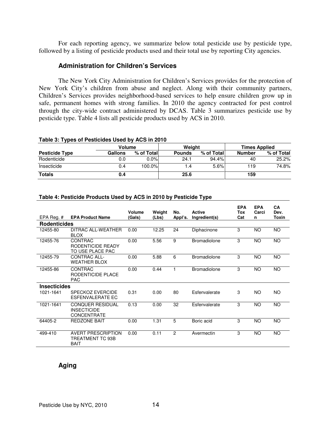For each reporting agency, we summarize below total pesticide use by pesticide type, followed by a listing of pesticide products used and their total use by reporting City agencies.

## **Administration for Children's Services**

The New York City Administration for Children's Services provides for the protection of New York City's children from abuse and neglect. Along with their community partners, Children's Services provides neighborhood-based services to help ensure children grow up in safe, permanent homes with strong families. In 2010 the agency contracted for pest control through the city-wide contract administered by DCAS. Table 3 summarizes pesticide use by pesticide type. Table 4 lists all pesticide products used by ACS in 2010.

#### **Table 3: Types of Pesticides Used by ACS in 2010**

|                       |         | Volume     |               | Weight     | <b>Times Applied</b> |            |  |
|-----------------------|---------|------------|---------------|------------|----------------------|------------|--|
| <b>Pesticide Type</b> | Gallons | % of Total | <b>Pounds</b> | % of Total | <b>Number</b>        | % of Total |  |
| Rodenticide           | 0.0     | $0.0\%$    | 24.1          | 94.4%      | 40                   | 25.2%      |  |
| Insecticide           | 0.4     | 100.0%     | 1.4           | 5.6%       | 119                  | 74.8%      |  |
| <b>Totals</b>         | 0.4     |            | 25.6          |            | 159                  |            |  |

#### **Table 4: Pesticide Products Used by ACS in 2010 by Pesticide Type**

| EPA Reg. #          | <b>EPA Product Name</b>                                             | Volume<br>(Gals) | Weight<br>(Lbs) | No.<br>Appl's. | <b>Active</b><br>Ingredient(s) | <b>EPA</b><br>Tox<br>Cat | <b>EPA</b><br>Carci<br>n | <b>CA</b><br>Dev.<br>Toxin |
|---------------------|---------------------------------------------------------------------|------------------|-----------------|----------------|--------------------------------|--------------------------|--------------------------|----------------------------|
| <b>Rodenticides</b> |                                                                     |                  |                 |                |                                |                          |                          |                            |
| 12455-80            | DITRAC ALL-WEATHER<br><b>BLOX</b>                                   | 0.00             | 12.25           | 24             | Diphacinone                    | 3                        | <b>NO</b>                | <b>NO</b>                  |
| 12455-76            | CONTRAC<br>RODENTICIDE READY<br>TO USE PLACE PAC                    | 0.00             | 5.56            | 9              | <b>Bromadiolone</b>            | 3                        | <b>NO</b>                | <b>NO</b>                  |
| 12455-79            | <b>CONTRAC ALL-</b><br><b>WEATHER BLOX</b>                          | 0.00             | 5.88            | 6              | <b>Bromadiolone</b>            | 3                        | <b>NO</b>                | <b>NO</b>                  |
| 12455-86            | <b>CONTRAC</b><br>RODENTICIDE PLACE<br><b>PAC</b>                   | 0.00             | 0.44            |                | <b>Bromadiolone</b>            | 3                        | <b>NO</b>                | NO.                        |
| <b>Insecticides</b> |                                                                     |                  |                 |                |                                |                          |                          |                            |
| 1021-1641           | <b>SPECKOZ EVERCIDE</b><br>ESFENVALERATE EC                         | 0.31             | 0.00            | 80             | Esfenvalerate                  | 3                        | <b>NO</b>                | <b>NO</b>                  |
| 1021-1641           | <b>CONQUER RESIDUAL</b><br><b>INSECTICIDE</b><br><b>CONCENTRATE</b> | 0.13             | 0.00            | 32             | Esfenvalerate                  | 3                        | <b>NO</b>                | <b>NO</b>                  |
| 64405-2             | <b>REDZONE BAIT</b>                                                 | 0.00             | 1.31            | 5              | Boric acid                     | 3                        | <b>NO</b>                | <b>NO</b>                  |
| 499-410             | <b>AVERT PRESCRIPTION</b><br>TREATMENT TC 93B<br><b>BAIT</b>        | 0.00             | 0.11            | 2              | Avermectin                     | 3                        | <b>NO</b>                | NO.                        |

## **Aging**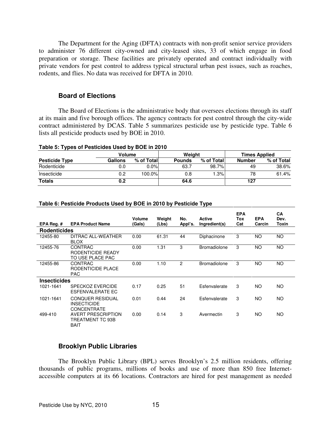The Department for the Aging (DFTA) contracts with non-profit senior service providers to administer 76 different city-owned and city-leased sites, 33 of which engage in food preparation or storage. These facilities are privately operated and contract individually with private vendors for pest control to address typical structural urban pest issues, such as roaches, rodents, and flies. No data was received for DFTA in 2010.

#### **Board of Elections**

The Board of Elections is the administrative body that oversees elections through its staff at its main and five borough offices. The agency contracts for pest control through the city-wide contract administered by DCAS. Table 5 summarizes pesticide use by pesticide type. Table 6 lists all pesticide products used by BOE in 2010.

#### **Table 5: Types of Pesticides Used by BOE in 2010**

| . .                   |               |            |               |            |                      |            |  |
|-----------------------|---------------|------------|---------------|------------|----------------------|------------|--|
|                       | <b>Volume</b> |            | Weiaht        |            | <b>Times Applied</b> |            |  |
| <b>Pesticide Type</b> | Gallons       | % of Total | <b>Pounds</b> | % of Total | <b>Number</b>        | % of Total |  |
| Rodenticide           | 0.0           | $0.0\%$    | 63.7          | 98.7%      | 49                   | 38.6%      |  |
| Insecticide           | 0.2           | $100.0\%$  | 0.8           | 1.3%       | 78                   | 61.4%      |  |
| <b>Totals</b>         | 0.2           |            | 64.6          |            | 127                  |            |  |

### **Table 6: Pesticide Products Used by BOE in 2010 by Pesticide Type**

|                     |                                                                     | Volume | Weight | No.            | <b>Active</b>       | <b>EPA</b><br>Tox | <b>EPA</b> | <b>CA</b><br>Dev. |
|---------------------|---------------------------------------------------------------------|--------|--------|----------------|---------------------|-------------------|------------|-------------------|
| EPA Reg.#           | <b>EPA Product Name</b>                                             | (Gals) | (Lbs)  | Appl's.        | Ingredient(s)       | Cat               | Carcin     | Toxin             |
| <b>Rodenticides</b> |                                                                     |        |        |                |                     |                   |            |                   |
| 12455-80            | DITRAC ALL-WEATHER<br><b>BLOX</b>                                   | 0.00   | 61.31  | 44             | Diphacinone         | 3                 | NO.        | NO.               |
| 12455-76            | CONTRAC<br>RODENTICIDE READY<br>TO USE PLACE PAC                    | 0.00   | 1.31   | 3              | <b>Bromadiolone</b> | 3                 | <b>NO</b>  | <b>NO</b>         |
| 12455-86            | <b>CONTRAC</b><br>RODENTICIDE PLACE<br><b>PAC</b>                   | 0.00   | 1.10   | $\overline{c}$ | <b>Bromadiolone</b> | 3                 | <b>NO</b>  | NO.               |
| <b>Insecticides</b> |                                                                     |        |        |                |                     |                   |            |                   |
| 1021-1641           | <b>SPECKOZ EVERCIDE</b><br>ESFENVALERATE EC                         | 0.17   | 0.25   | 51             | Esfenvalerate       | 3                 | <b>NO</b>  | <b>NO</b>         |
| 1021-1641           | <b>CONQUER RESIDUAL</b><br><b>INSECTICIDE</b><br><b>CONCENTRATE</b> | 0.01   | 0.44   | 24             | Esfenvalerate       | 3                 | NO.        | NO.               |
| 499-410             | <b>AVERT PRESCRIPTION</b><br>TREATMENT TC 93B<br>BAIT               | 0.00   | 0.14   | 3              | Avermectin          | 3                 | NO.        | NO.               |

## **Brooklyn Public Libraries**

The Brooklyn Public Library (BPL) serves Brooklyn's 2.5 million residents, offering thousands of public programs, millions of books and use of more than 850 free Internetaccessible computers at its 66 locations. Contractors are hired for pest management as needed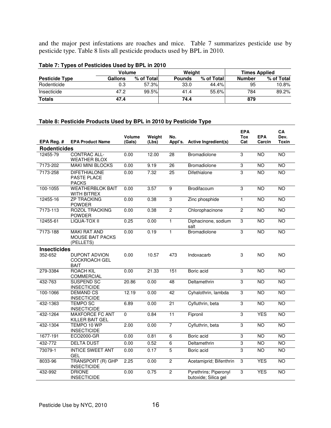and the major pest infestations are roaches and mice. Table 7 summarizes pesticide use by pesticide type. Table 8 lists all pesticide products used by BPL in 2010.

|                       | $1.4410 + 1.1$ , $1.4000$ or $1.4000$ . The second $1.4000$ or $1.4000$ or $1.4000$ or $1.4000$ or $1.4000$ or $1.4000$ or $1.4000$ or $1.4000$ or $1.4000$ or $1.4000$ or $1.4000$ or $1.4000$ or $1.4000$ or $1.4000$ or $1.$ |            |               |            |                      |            |  |  |  |  |  |  |
|-----------------------|---------------------------------------------------------------------------------------------------------------------------------------------------------------------------------------------------------------------------------|------------|---------------|------------|----------------------|------------|--|--|--|--|--|--|
|                       | Volume                                                                                                                                                                                                                          |            | Weight        |            | <b>Times Applied</b> |            |  |  |  |  |  |  |
| <b>Pesticide Type</b> | Gallons                                                                                                                                                                                                                         | % of Total | <b>Pounds</b> | % of Total | <b>Number</b>        | % of Total |  |  |  |  |  |  |
| Rodenticide           | 0.3                                                                                                                                                                                                                             | 57.3%      | 33.0          | 44.4%      | 95                   | 10.8%      |  |  |  |  |  |  |
| Insecticide           | 47.2                                                                                                                                                                                                                            | 99.5%      | 41.4          | 55.6%l     | 784                  | 89.2%      |  |  |  |  |  |  |
| <b>Totals</b>         | 47.4                                                                                                                                                                                                                            |            | 74.4          |            | 879                  |            |  |  |  |  |  |  |

### **Table 7: Types of Pesticides Used by BPL in 2010**

### **Table 8: Pesticide Products Used by BPL in 2010 by Pesticide Type**

|                     |                                                             | Volume | Weight | No.             |                                               | <b>EPA</b><br>Tox | <b>EPA</b>      | CA<br>Dev.      |
|---------------------|-------------------------------------------------------------|--------|--------|-----------------|-----------------------------------------------|-------------------|-----------------|-----------------|
| EPA Reg. #          | <b>EPA Product Name</b>                                     | (Gals) | (Lbs)  | Appl's.         | Active Ingredient(s)                          | Cat               | Carcin          | <b>Toxin</b>    |
| <b>Rodenticides</b> |                                                             |        |        |                 |                                               |                   |                 |                 |
| 12455-79            | <b>CONTRAC ALL-</b><br><b>WEATHER BLOX</b>                  | 0.00   | 12.00  | 28              | <b>Bromadiolone</b>                           | $\overline{3}$    | <b>NO</b>       | N <sub>O</sub>  |
| 7173-202            | <b>MAKI MINI BLOCKS</b>                                     | 0.00   | 9.19   | $\overline{26}$ | Bromadiolone                                  | 3                 | <b>NO</b>       | <b>NO</b>       |
| 7173-258            | <b>DIFETHIALONE</b><br><b>PASTE PLACE</b><br><b>PACKS</b>   | 0.00   | 7.32   | 25              | Difethialone                                  | 3                 | <b>NO</b>       | <b>NO</b>       |
| 100-1055            | <b>WEATHERBLOK BAIT</b><br><b>WITH BITREX</b>               | 0.00   | 3.57   | 9               | Brodifacoum                                   | 3                 | NO              | <b>NO</b>       |
| 12455-16            | <b>ZP TRACKING</b><br><b>POWDER</b>                         | 0.00   | 0.38   | 3               | Zinc phosphide                                | 1                 | N <sub>O</sub>  | NO              |
| 7173-113            | <b>ROZOL TRACKING</b><br><b>POWDER</b>                      | 0.00   | 0.38   | $\overline{2}$  | Chlorophacinone                               | $\mathbf{2}$      | <b>NO</b>       | N <sub>O</sub>  |
| 12455-61            | <b>LIQUA-TOX II</b>                                         | 0.25   | 0.00   | $\mathbf{1}$    | Diphacinone, sodium<br>salt                   | 3                 | <b>NO</b>       | <b>NO</b>       |
| 7173-188            | <b>MAKI RAT AND</b><br><b>MOUSE BAIT PACKS</b><br>(PELLETS) | 0.00   | 0.19   | $\mathbf{1}$    | Bromadiolone                                  | $\overline{3}$    | <b>NO</b>       | <b>NO</b>       |
| <b>Insecticides</b> |                                                             |        |        |                 |                                               |                   |                 |                 |
| 352-652             | <b>DUPONT ADVION</b><br><b>COCKROACH GEL</b><br><b>BAIT</b> | 0.00   | 10.57  | 473             | Indoxacarb                                    | 3                 | <b>NO</b>       | <b>NO</b>       |
| 279-3384            | <b>ROACH KIL</b><br><b>COMMERCIAL</b>                       | 0.00   | 21.33  | 151             | Boric acid                                    | $\overline{3}$    | NO              | N <sub>O</sub>  |
| 432-763             | <b>SUSPEND SC</b><br><b>INSECTICIDE</b>                     | 20.86  | 0.00   | 48              | Deltamethrin                                  | 3                 | <b>NO</b>       | <b>NO</b>       |
| 100-1066            | <b>DEMAND CS</b><br><b>INSECTICIDE</b>                      | 12.19  | 0.00   | 42              | Cyhalothrin, lambda                           | 3                 | NO              | <b>NO</b>       |
| 432-1363            | <b>TEMPO SC</b><br><b>INSECTICIDE</b>                       | 6.89   | 0.00   | 21              | Cyfluthrin, beta                              | 3                 | <b>NO</b>       | <b>NO</b>       |
| 432-1264            | <b>MAXFORCE FC ANT</b><br>KILLER BAIT GEL                   | 0      | 0.84   | $\overline{11}$ | Fipronil                                      | 3                 | <b>YES</b>      | <b>NO</b>       |
| 432-1304            | TEMPO 10 WP<br><b>INSECTICIDE</b>                           | 2.00   | 0.00   | $\overline{7}$  | Cyfluthrin, beta                              | 3                 | <b>NO</b>       | <b>NO</b>       |
| 1677-191            | ECO2000-GR                                                  | 0.00   | 0.81   | $\overline{6}$  | Boric acid                                    | 3                 | <b>NO</b>       | N <sub>O</sub>  |
| 432-772             | <b>DELTA DUST</b>                                           | 0.00   | 0.52   | $\overline{6}$  | Deltamethrin                                  | $\overline{3}$    | $\overline{NO}$ | N <sub>O</sub>  |
| 73079-1             | <b>INTICE SWEET ANT</b><br><b>GEL</b>                       | 0.00   | 0.17   | $\overline{5}$  | Boric acid                                    | $\overline{3}$    | <b>NO</b>       | NO              |
| 8033-96             | <b>TRANSPORT (R) GHP</b><br><b>INSECTICIDE</b>              | 2.25   | 0.00   | $\overline{2}$  | Acetamiprid; Bifenthrin                       | $\mathbf 3$       | <b>YES</b>      | NO              |
| 432-992             | <b>DRIONE</b><br><b>INSECTICIDE</b>                         | 0.00   | 0.75   | $\overline{2}$  | Pyrethrins; Piperonyl<br>butoxide; Silica gel | 3                 | <b>YES</b>      | $\overline{NO}$ |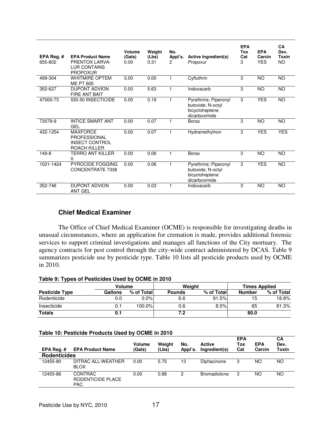| EPA Reg. $#$<br>655-802 | <b>EPA Product Name</b><br><b>PRENTOX LARVA-</b><br><b>LUR CONTAINS</b><br><b>PROPOXUR</b> | Volume<br>(Gals)<br>0.00 | Weight<br>(Lbs)<br>0.31 | No.<br>Appl's.<br>2 | Active Ingredient(s)<br>Propoxur                                              | <b>EPA</b><br>Tox<br>Cat<br>3 | <b>EPA</b><br>Carcin<br><b>YES</b> | <b>CA</b><br>Dev.<br>Toxin<br><b>NO</b> |
|-------------------------|--------------------------------------------------------------------------------------------|--------------------------|-------------------------|---------------------|-------------------------------------------------------------------------------|-------------------------------|------------------------------------|-----------------------------------------|
| 499-304                 | <b>WHITMIRE OPTEM</b><br><b>ME PT 600</b>                                                  | 3.00                     | 0.00                    | 1                   | Cyfluthrin                                                                    | 3                             | <b>NO</b>                          | <b>NO</b>                               |
| 352-627                 | <b>DUPONT ADVION</b><br><b>FIRE ANT BAIT</b>                                               | 0.00                     | 5.63                    | 1                   | Indoxacarb                                                                    | 3                             | NO.                                | <b>NO</b>                               |
| 47000-73                | SSI-50 INSECTICIDE                                                                         | 0.00                     | 0.19                    | 1                   | Pyrethrins; Piperonyl<br>butoxide; N-octyl<br>bicycloheptene<br>dicarboximide | 3                             | <b>YES</b>                         | <b>NO</b>                               |
| 73079-9                 | <b>INTICE SMART ANT</b><br>GEL                                                             | 0.00                     | 0.07                    | 1                   | Borax                                                                         | 3                             | <b>NO</b>                          | <b>NO</b>                               |
| 432-1254                | <b>MAXFORCE</b><br><b>PROFESSIONAL</b><br><b>INSECT CONTROL</b><br>ROACH KILLER            | 0.00                     | 0.07                    | 1                   | Hydramethylnon                                                                | 3                             | <b>YES</b>                         | <b>YES</b>                              |
| 149-8                   | <b>TERRO ANT KILLER</b><br>Ш                                                               | 0.00                     | 0.06                    | 1                   | Borax                                                                         | 3                             | <b>NO</b>                          | <b>NO</b>                               |
| 1021-1424               | <b>PYROCIDE FOGGING</b><br>CONCENTRATE 7338                                                | 0.00                     | 0.06                    | 1                   | Pyrethrins; Piperonyl<br>butoxide; N-octyl<br>bicycloheptene<br>dicarboximide | 3                             | <b>YES</b>                         | <b>NO</b>                               |
| 352-746                 | <b>DUPONT ADVION</b><br><b>ANT GEL</b>                                                     | 0.00                     | 0.03                    | 1                   | Indoxacarb                                                                    | 3                             | <b>NO</b>                          | <b>NO</b>                               |

## **Chief Medical Examiner**

The Office of Chief Medical Examiner (OCME) is responsible for investigating deaths in unusual circumstances, where an application for cremation is made, provides additional forensic services to support criminal investigations and manages all functions of the City mortuary. The agency contracts for pest control through the city-wide contract administered by DCAS. Table 9 summarizes pesticide use by pesticide type. Table 10 lists all pesticide products used by OCME in 2010.

**Table 9: Types of Pesticides Used by OCME in 2010** 

| - -                   |                |            |               |            |                      |            |  |
|-----------------------|----------------|------------|---------------|------------|----------------------|------------|--|
|                       | Volume         |            |               | Weight     | <b>Times Applied</b> |            |  |
| <b>Pesticide Type</b> | <b>Gallons</b> | % of Total | <b>Pounds</b> | % of Total | Number               | % of Total |  |
| Rodenticide           | 0.0            | $0.0\%$    | 6.6           | 91.5%      | 15                   | 18.8%      |  |
| Insecticide           | 0.1            | 100.0%     | 0.6           | 8.5%       | 65                   | 81.3%      |  |
| <b>Totals</b>         | 0.1            |            | 7.2           |            | 80.0                 |            |  |

#### **Table 10: Pesticide Products Used by OCME in 2010**

| EPA Reg.#           | <b>EPA Product Name</b>                           | <b>Volume</b><br>(Gals) | Weight<br>(Lbs) | No.<br>Appl's. | Active<br>Ingredient(s) | <b>EPA</b><br>Tox<br>Cat | <b>EPA</b><br>Carcin | СA<br>Dev.<br>Toxin |
|---------------------|---------------------------------------------------|-------------------------|-----------------|----------------|-------------------------|--------------------------|----------------------|---------------------|
| <b>Rodenticides</b> |                                                   |                         |                 |                |                         |                          |                      |                     |
| 12455-80            | DITRAC ALL-WEATHER<br><b>BLOX</b>                 | 0.00                    | 5.75            | 13             | Diphacinone             | 3                        | NΟ                   | NO                  |
| 12455-86            | <b>CONTRAC</b><br>RODENTICIDE PLACE<br><b>PAC</b> | 0.00                    | 0.88            | 2              | <b>Bromadiolone</b>     | 3                        | NO.                  | NO                  |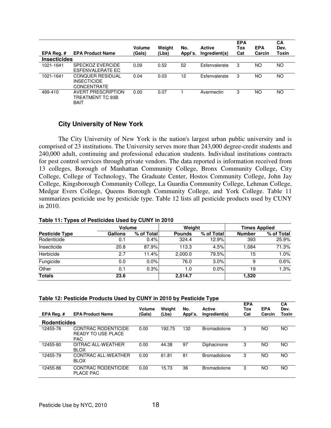| EPA Reg.#<br><b>Insecticides</b> | <b>EPA Product Name</b>                                      | Volume<br>(Gals) | Weight<br>(Lbs) | No.<br>Appl's. | <b>Active</b><br>Ingredient(s) | <b>EPA</b><br>Tox<br>Cat | <b>EPA</b><br>Carcin | СA<br>Dev.<br>Toxin |
|----------------------------------|--------------------------------------------------------------|------------------|-----------------|----------------|--------------------------------|--------------------------|----------------------|---------------------|
| 1021-1641                        | SPECKOZ EVERCIDE<br>ESFENVALERATE EC                         | 0.09             | 0.52            | 52             | Esfenvalerate                  | 3                        | ΝO                   | NO                  |
| 1021-1641                        | <b>CONQUER RESIDUAL</b><br><b>INSECTICIDE</b><br>CONCENTRATE | 0.04             | 0.03            | 12             | Esfenvalerate                  | 3                        | ΝO                   | NO                  |
| 499-410                          | AVERT PRESCRIPTION<br>TREATMENT TC 93B<br><b>BAIT</b>        | 0.00             | 0.07            |                | Avermectin                     | 3                        | ΝO                   | NO                  |

## **City University of New York**

The City University of New York is the nation's largest urban public university and is comprised of 23 institutions. The University serves more than 243,000 degree-credit students and 240,000 adult, continuing and professional education students. Individual institutions contracts for pest control services through private vendors. The data reported is information received from 13 colleges, Borough of Manhattan Community College, Bronx Community College, City College, College of Technology, The Graduate Center, Hostos Community College, John Jay College, Kingsborough Community College, La Guardia Community College, Lehman College, Medgar Evers College, Queens Borough Community College, and York College. Table 11 summarizes pesticide use by pesticide type. Table 12 lists all pesticide products used by CUNY in 2010.

#### **Table 11: Types of Pesticides Used by CUNY in 2010**

|                       | <b>Volume</b>  |            | Weight        |            | <b>Times Applied</b> |            |  |
|-----------------------|----------------|------------|---------------|------------|----------------------|------------|--|
| <b>Pesticide Type</b> | <b>Gallons</b> | % of Total | <b>Pounds</b> | % of Total | <b>Number</b>        | % of Total |  |
| Rodenticide           | 0.1            | 0.4%       | 324.4         | 12.9%      | 393                  | 25.9%      |  |
| Insecticide           | 20.8           | 87.9%      | 113.3         | 4.5%       | 1.084                | 71.3%      |  |
| Herbicide             | 2.7            | 11.4%      | 2.000.0       | 79.5%      | 15                   | 1.0%       |  |
| Fungicide             | 0.0            | 0.0%       | 76.0          | 3.0%       | 9                    | 0.6%       |  |
| Other                 | 0.1            | 0.3%       | 1.0           | $0.0\%$    | 19                   | 1.3%       |  |
| <b>Totals</b>         | 23.6           |            | 2,514.7       |            | 1,520                |            |  |

| EPA Reg.#           | <b>EPA Product Name</b>                                        | Volume<br>(Gals) | Weight<br>(Lbs) | No.<br>Appl's. | <b>Active</b><br>Ingredient(s) | <b>EPA</b><br>Tox<br>Cat | <b>EPA</b><br>Carcin | СA<br>Dev.<br>Toxin |  |  |
|---------------------|----------------------------------------------------------------|------------------|-----------------|----------------|--------------------------------|--------------------------|----------------------|---------------------|--|--|
|                     |                                                                |                  |                 |                |                                |                          |                      |                     |  |  |
| <b>Rodenticides</b> |                                                                |                  |                 |                |                                |                          |                      |                     |  |  |
| 12455-76            | CONTRAC RODENTICIDE<br><b>READY TO USE PLACE</b><br><b>PAC</b> | 0.00             | 192.75          | 132            | Bromadiolone                   | 3                        | ΝO                   | ΝO                  |  |  |
| 12455-80            | <b>DITRAC ALL-WEATHER</b><br><b>BLOX</b>                       | 0.00             | 44.38           | 97             | Diphacinone                    | 3                        | ΝO                   | NO.                 |  |  |
| 12455-79            | CONTRAC ALL-WEATHER<br><b>BLOX</b>                             | 0.00             | 61.81           | 81             | Bromadiolone                   | 3                        | ΝO                   | ΝO                  |  |  |
| 12455-86            | CONTRAC RODENTICIDE<br><b>PLACE PAC</b>                        | 0.00             | 15.73           | 36             | Bromadiolone                   | 3                        | ΝO                   | ΝO                  |  |  |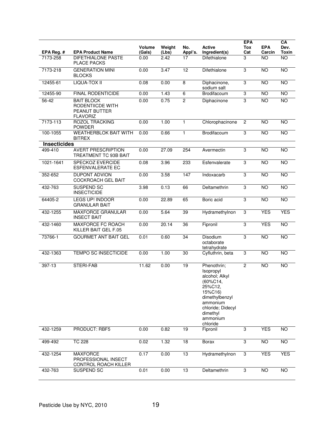| EPA Reg. #          | <b>EPA Product Name</b>                                                   | <b>Volume</b><br>(Gals) | Weight<br>(Lbs) | No.<br>Appl's.  | Active<br>Ingredient(s)                                                                                                                                             | <b>EPA</b><br><b>Tox</b><br>Cat | <b>EPA</b><br>Carcin | CA<br>Dev.<br><b>Toxin</b> |
|---------------------|---------------------------------------------------------------------------|-------------------------|-----------------|-----------------|---------------------------------------------------------------------------------------------------------------------------------------------------------------------|---------------------------------|----------------------|----------------------------|
| 7173-258            | <b>DIFETHIALONE PASTE</b><br><b>PLACE PACKS</b>                           | 0.00                    | 2.42            | 17              | <b>Difethialone</b>                                                                                                                                                 | 3                               | ΝO                   | <b>NO</b>                  |
| 7173-218            | <b>GENERATION MINI</b><br><b>BLOCKS</b>                                   | 0.00                    | 3.47            | 12              | Difethialone                                                                                                                                                        | 3                               | <b>NO</b>            | $\overline{NO}$            |
| 12455-61            | LIQUA-TOX II                                                              | 0.08                    | 0.00            | 8               | Diphacinone,<br>sodium salt                                                                                                                                         | 3                               | <b>NO</b>            | $\overline{NO}$            |
| 12455-90            | <b>FINAL RODENTICIDE</b>                                                  | 0.00                    | 1.43            | 6               | Brodifacoum                                                                                                                                                         | $\overline{3}$                  | $\overline{10}$      | $\overline{NO}$            |
| 56-42               | <b>BAIT BLOCK</b><br>RODENTIICDE WITH<br>PEANUT BUTTER<br><b>FLAVORIZ</b> | 0.00                    | 0.75            | $\overline{2}$  | Diphacinone                                                                                                                                                         | 3                               | <b>NO</b>            | <b>NO</b>                  |
| 7173-113            | <b>ROZOL TRACKING</b><br><b>POWDER</b>                                    | 0.00                    | 1.00            | $\mathbf{1}$    | Chlorophacinone                                                                                                                                                     | $\overline{c}$                  | NO                   | <b>NO</b>                  |
| 100-1055            | <b>WEATHERBLOK BAIT WITH</b><br><b>BITREX</b>                             | 0.00                    | 0.66            | $\mathbf{1}$    | Brodifacoum                                                                                                                                                         | 3                               | <b>NO</b>            | $\overline{NO}$            |
| <b>Insecticides</b> |                                                                           |                         |                 |                 |                                                                                                                                                                     |                                 |                      |                            |
| 499-410             | <b>AVERT PRESCRIPTION</b><br>TREATMENT TC 93B BAIT                        | 0.00                    | 27.09           | 254             | Avermectin                                                                                                                                                          | 3                               | <b>NO</b>            | <b>NO</b>                  |
| 1021-1641           | SPECKOZ EVERCIDE<br><b>ESFENVALERATE EC</b>                               | 0.08                    | 3.96            | 233             | Esfenvalerate                                                                                                                                                       | 3                               | $\overline{NO}$      | $\overline{NO}$            |
| 352-652             | <b>DUPONT ADVION</b><br><b>COCKROACH GEL BAIT</b>                         | 0.00                    | 3.58            | 147             | Indoxacarb                                                                                                                                                          | $\overline{3}$                  | <b>NO</b>            | <b>NO</b>                  |
| 432-763             | <b>SUSPEND SC</b><br><b>INSECTICIDE</b>                                   | 3.98                    | 0.13            | 66              | Deltamethrin                                                                                                                                                        | 3                               | N <sub>O</sub>       | <b>NO</b>                  |
| 64405-2             | <b>LEGS UP! INDOOR</b><br><b>GRANULAR BAIT</b>                            | 0.00                    | 22.89           | 65              | Boric acid                                                                                                                                                          | 3                               | <b>NO</b>            | <b>NO</b>                  |
| 432-1255            | <b>MAXFORCE GRANULAR</b><br><b>INSECT BAIT</b>                            | 0.00                    | 5.64            | 39              | Hydramethylnon                                                                                                                                                      | $\overline{3}$                  | <b>YES</b>           | <b>YES</b>                 |
| 432-1460            | <b>MAXFORCE FC ROACH</b><br>KILLER BAIT GEL F.05                          | 0.00                    | 20.14           | 36              | Fipronil                                                                                                                                                            | 3                               | <b>YES</b>           | <b>NO</b>                  |
| 73766-1             | <b>GOURMET ANT BAIT GEL</b>                                               | 0.01                    | 0.60            | 34              | Disodium<br>octaborate<br>tetrahydrate                                                                                                                              | 3                               | <b>NO</b>            | $\overline{NO}$            |
| 432-1363            | <b>TEMPO SC INSECTICIDE</b>                                               | 0.00                    | 1.00            | 30              | Cyfluthrin, beta                                                                                                                                                    | 3                               | <b>NO</b>            | <b>NO</b>                  |
| 397-13              | STERI-FAB                                                                 | 11.62                   | 0.00            | $\overline{19}$ | Phenothrin;<br>Isopropyl<br>alcohol; Alkyl<br>(60%C14,<br>25%C12,<br>15%C16)<br>dimethylbenzyl<br>ammonium<br>chloride; Didecyl<br>dimethyl<br>ammonium<br>chloride | $\overline{2}$                  | $\overline{NO}$      | $\overline{NO}$            |
| 432-1259            | PRODUCT: RBF5                                                             | 0.00                    | 0.82            | $\overline{19}$ | Fipronil                                                                                                                                                            | 3                               | <b>YES</b>           | NO                         |
| 499-492             | <b>TC 228</b>                                                             | 0.02                    | 1.32            | $\overline{18}$ | <b>Borax</b>                                                                                                                                                        | $\overline{3}$                  | <b>NO</b>            | <b>NO</b>                  |
| 432-1254            | <b>MAXFORCE</b><br>PROFESSIONAL INSECT<br>CONTROL ROACH KILLER            | 0.17                    | 0.00            | 13              | Hydramethylnon                                                                                                                                                      | 3                               | <b>YES</b>           | <b>YES</b>                 |
| 432-763             | SUSPEND SC                                                                | 0.01                    | 0.00            | 13              | Deltamethrin                                                                                                                                                        | $\ensuremath{\mathsf{3}}$       | <b>NO</b>            | <b>NO</b>                  |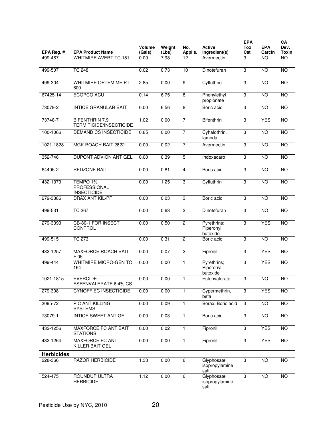| EPA Reg. #        | <b>EPA Product Name</b>                          | <b>Volume</b><br>(Gals) | Weight<br>(Lbs) | No.<br>Appl's. | Active<br>Ingredient(s)               | <b>EPA</b><br>Tox<br>Cat | <b>EPA</b><br>Carcin | CA<br>Dev.<br><b>Toxin</b> |
|-------------------|--------------------------------------------------|-------------------------|-----------------|----------------|---------------------------------------|--------------------------|----------------------|----------------------------|
| 499-467           | <b>WHITMIRE AVERT TC 181</b>                     | 0.00                    | 7.98            | 12             | Avermectin                            | 3                        | <b>NO</b>            | <b>NO</b>                  |
| 499-507           | <b>TC 248</b>                                    | 0.02                    | 0.73            | 10             | Dinotefuran                           | 3                        | <b>NO</b>            | <b>NO</b>                  |
| 499-304           | WHITMIRE OPTEM ME PT<br>600                      | 2.85                    | 0.00            | 9              | Cyfluthrin                            | 3                        | $\overline{NO}$      | <b>NO</b>                  |
| 67425-14          | ECOPCO ACU                                       | 0.14                    | 6.75            | 8              | Phenylethyl<br>propionate             | 3                        | <b>NO</b>            | <b>NO</b>                  |
| 73079-2           | <b>INTICE GRANULAR BAIT</b>                      | 0.00                    | 6.56            | 8              | Boric acid                            | 3                        | <b>NO</b>            | NO                         |
| 73748-7           | <b>BIFENTHRIN 7.9</b><br>TERMITICIDE/INSECTICIDE | 1.02                    | 0.00            | 7              | Bifenthrin                            | 3                        | <b>YES</b>           | NO                         |
| 100-1066          | DEMAND CS INSECTICIDE                            | 0.85                    | 0.00            | 7              | Cyhalothrin,<br>lambda                | 3                        | <b>NO</b>            | <b>NO</b>                  |
| 1021-1828         | MGK ROACH BAIT 2822                              | 0.00                    | 0.02            | 7              | Avermectin                            | 3                        | <b>NO</b>            | NO                         |
| 352-746           | DUPONT ADVION ANT GEL                            | 0.00                    | 0.39            | 5              | Indoxacarb                            | 3                        | NO                   | NO                         |
| 64405-2           | <b>REDZONE BAIT</b>                              | 0.00                    | 0.81            | 4              | Boric acid                            | 3                        | <b>NO</b>            | <b>NO</b>                  |
| 432-1373          | TEMPO 1%<br>PROFESSIONAL<br><b>INSECTICIDE</b>   | 0.00                    | 1.25            | 3              | Cyfluthrin                            | 3                        | $\overline{NO}$      | $\overline{NO}$            |
| 279-3386          | DRAX ANT KIL-PF                                  | 0.00                    | 0.03            | 3              | Boric acid                            | 3                        | <b>NO</b>            | NO                         |
| 499-531           | <b>TC 267</b>                                    | 0.00                    | 0.63            | $\overline{c}$ | Dinotefuran                           | 3                        | <b>NO</b>            | <b>NO</b>                  |
| 279-3393          | CB-80-1 FOR INSECT<br>CONTROL                    | 0.00                    | 0.50            | $\overline{c}$ | Pyrethrins;<br>Piperonyl<br>butoxide  | 3                        | <b>YES</b>           | NO                         |
| 499-515           | <b>TC 273</b>                                    | 0.00                    | 0.31            | $\overline{c}$ | Boric acid                            | 3                        | <b>NO</b>            | <b>NO</b>                  |
| 432-1257          | <b>MAXFORCE ROACH BAIT</b><br>F.05               | 0.00                    | 0.07            | $\overline{2}$ | Fipronil                              | 3                        | <b>YES</b>           | NO                         |
| 499-444           | <b>WHITMIRE MICRO-GEN TC</b><br>164              | 0.00                    | 0.00            | $\mathbf{1}$   | Pyrethrins;<br>Piperonyl<br>butoxide  | 3                        | <b>YES</b>           | <b>NO</b>                  |
| 1021-1815         | <b>EVERCIDE</b><br>ESFENVALERATE 6.4% CS         | 0.00                    | 0.00            | $\mathbf{1}$   | Esfenvalerate                         | 3                        | <b>NO</b>            | <b>NO</b>                  |
| 279-3081          | <b>CYNOFF EC INSECTICIDE</b>                     | 0.00                    | 0.00            | 1              | Cypermethrin,<br>beta                 | 3                        | <b>YES</b>           | NO                         |
| 3095-72           | <b>PIC ANT KILLING</b><br><b>SYSTEMS</b>         | 0.00                    | 0.09            | $\mathbf{1}$   | Borax; Boric acid                     | 3                        | <b>NO</b>            | <b>NO</b>                  |
| 73079-1           | <b>INTICE SWEET ANT GEL</b>                      | 0.00                    | 0.03            | $\mathbf{1}$   | Boric acid                            | 3                        | $\overline{NO}$      | NO                         |
| 432-1256          | MAXFORCE FC ANT BAIT<br><b>STATIONS</b>          | 0.00                    | 0.02            | 1              | Fipronil                              | 3                        | <b>YES</b>           | NO                         |
| 432-1264          | <b>MAXFORCE FC ANT</b><br>KILLER BAIT GEL        | 0.00                    | 0.00            | 1              | Fipronil                              | 3                        | <b>YES</b>           | <b>NO</b>                  |
| <b>Herbicides</b> |                                                  |                         |                 |                |                                       |                          |                      |                            |
| 228-366           | <b>RAZOR HERBICIDE</b>                           | 1.33                    | 0.00            | 6              | Glyphosate,<br>isopropylamine<br>salt | 3                        | <b>NO</b>            | <b>NO</b>                  |
| 524-475           | ROUNDUP ULTRA<br><b>HERBICIDE</b>                | 1.12                    | 0.00            | 6              | Glyphosate,<br>isopropylamine<br>salt | 3                        | <b>NO</b>            | $\overline{NO}$            |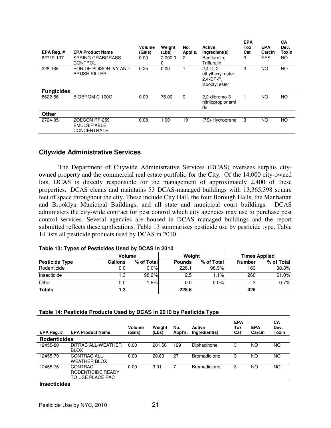| EPA Reg. #                   | <b>EPA Product Name</b>                                    | Volume<br>(Gals) | Weight<br>(Lbs) | No.<br>Appl's. | Active<br>Ingredient(s)                                             | <b>EPA</b><br>Tox<br>Cat | <b>EPA</b><br>Carcin | <b>CA</b><br>Dev.<br>Toxin |
|------------------------------|------------------------------------------------------------|------------------|-----------------|----------------|---------------------------------------------------------------------|--------------------------|----------------------|----------------------------|
| 62719-137                    | <b>SPRING CRABGRASS</b><br>CONTROL                         | 0.00             | 2.000.0<br>0    | 2              | Benfluralin:<br>Trifluralin                                         | 3                        | <b>YES</b>           | NO.                        |
| 228-186                      | <b>BONIDE POISON IVY AND</b><br><b>BRUSH KILLER</b>        | 0.25             | 0.00            |                | $2.4 - D.2 -$<br>ethylhexyl ester;<br>$2.4-DP-P.$<br>isooctyl ester | 3                        | <b>NO</b>            | <b>NO</b>                  |
| <b>Fungicides</b><br>8622-56 | BIOBROM C-100G                                             | 0.00             | 76.00           | 9              | 2.2-dibromo-3-<br>nitrilopropionami<br>de                           |                          | <b>NO</b>            | <b>NO</b>                  |
| <b>Other</b>                 |                                                            |                  |                 |                |                                                                     |                          |                      |                            |
| 2724-351                     | ZOECON RF-259<br><b>EMULSIFIABLE</b><br><b>CONCENTRATE</b> | 0.08             | 1.00            | 19             | (7S)-Hydroprene                                                     | 3                        | <b>NO</b>            | <b>NO</b>                  |

### **Citywide Administrative Services**

 The Department of Citywide Administrative Services (DCAS) oversees surplus cityowned property and the commercial real estate portfolio for the City. Of the 14,000 city-owned lots, DCAS is directly responsible for the management of approximately 2,400 of these properties. DCAS cleans and maintains 53 DCAS-managed buildings with 13,365,398 square feet of space throughout the city. These include City Hall, the four Borough Halls, the Manhattan and Brooklyn Municipal Buildings, and all state and municipal court buildings. DCAS administers the city-wide contract for pest control which city agencies may use to purchase pest control services. Several agencies are housed in DCAS managed buildings and the report submitted reflects these applications. Table 13 summarizes pesticide use by pesticide type. Table 14 lists all pesticide products used by DCAS in 2010.

#### **Table 13: Types of Pesticides Used by DCAS in 2010**

|                       | Volume  |            | Weight        |            | <b>Times Applied</b> |            |  |
|-----------------------|---------|------------|---------------|------------|----------------------|------------|--|
| <b>Pesticide Type</b> | Gallons | % of Total | <b>Pounds</b> | % of Total | <b>Number</b>        | % of Total |  |
| Rodenticide           | 0.0     | $0.0\%$    | 226.1         | 98.9%      | 163                  | 38.3%      |  |
| Insecticide           | 1.3     | 98.2%      | 2.5           | 1.1%       | 260                  | 61.0%      |  |
| Other                 | 0.0     | .8%        | 0.0           | 0.0%       | ົ                    | 0.7%       |  |
| <b>Totals</b>         | 1.3     |            | 228.6         |            | 426                  |            |  |

#### **Table 14: Pesticide Products Used by DCAS in 2010 by Pesticide Type**

| EPA Rea. #          | <b>EPA Product Name</b>                          | Volume<br>(Gals) | Weight<br>(Lbs) | No.<br>Appl's. | Active<br>Ingredient(s) | <b>EPA</b><br>Tox<br>Cat | <b>EPA</b><br>Carcin | СA<br>Dev.<br><b>Toxin</b> |
|---------------------|--------------------------------------------------|------------------|-----------------|----------------|-------------------------|--------------------------|----------------------|----------------------------|
| <b>Rodenticides</b> |                                                  |                  |                 |                |                         |                          |                      |                            |
| 12455-80            | DITRAC ALL-WEATHER<br><b>BLOX</b>                | 0.00             | 201.56          | 129            | Diphacinone             | 3                        | NΟ                   | NO.                        |
| 12455-79            | CONTRAC ALL-<br><b>WEATHER BLOX</b>              | 0.00             | 20.63           | 27             | <b>Bromadiolone</b>     | 3                        | ΝO                   | ΝO                         |
| 12455-76            | CONTRAC<br>RODENTICIDE READY<br>TO USE PLACE PAC | 0.00             | 3.91            |                | <b>Bromadiolone</b>     | 3                        | NΟ                   | NO.                        |

#### **Insecticides**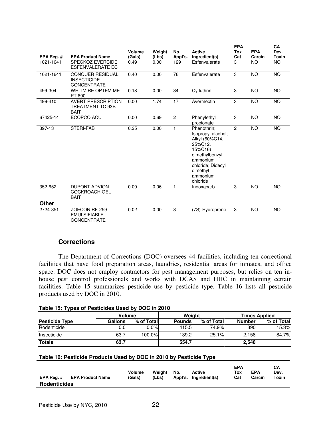| EPA Reg.#<br>1021-1641 | <b>EPA Product Name</b><br><b>SPECKOZ EVERCIDE</b><br><b>ESFENVALERATE EC</b> | Volume<br>(Gals)<br>0.49 | Weight<br>(Lbs)<br>0.00 | No.<br>Appl's.<br>129 | <b>Active</b><br>Ingredient(s)<br>Esfenvalerate                                                                                                                  | <b>EPA</b><br>Tox<br>Cat<br>3 | <b>EPA</b><br>Carcin<br><b>NO</b> | CA<br>Dev.<br>Toxin<br>NO. |
|------------------------|-------------------------------------------------------------------------------|--------------------------|-------------------------|-----------------------|------------------------------------------------------------------------------------------------------------------------------------------------------------------|-------------------------------|-----------------------------------|----------------------------|
| 1021-1641              | <b>CONQUER RESIDUAL</b><br><b>INSECTICIDE</b><br><b>CONCENTRATE</b>           | 0.40                     | 0.00                    | 76                    | Esfenvalerate                                                                                                                                                    | 3                             | <b>NO</b>                         | <b>NO</b>                  |
| 499-304                | WHITMIRE OPTEM ME<br>PT 600                                                   | 0.18                     | 0.00                    | 34                    | Cyfluthrin                                                                                                                                                       | 3                             | <b>NO</b>                         | <b>NO</b>                  |
| 499-410                | <b>AVERT PRESCRIPTION</b><br>TREATMENT TC 93B<br><b>BAIT</b>                  | 0.00                     | 1.74                    | 17                    | Avermectin                                                                                                                                                       | 3                             | <b>NO</b>                         | <b>NO</b>                  |
| 67425-14               | ECOPCO ACU                                                                    | 0.00                     | 0.69                    | $\overline{2}$        | Phenylethyl<br>propionate                                                                                                                                        | 3                             | <b>NO</b>                         | <b>NO</b>                  |
| 397-13                 | STERI-FAB                                                                     | 0.25                     | 0.00                    | $\mathbf{1}$          | Phenothrin:<br>Isopropyl alcohol;<br>Alkyl (60%C14,<br>25%C12.<br>15%C16)<br>dimethylbenzyl<br>ammonium<br>chloride; Didecyl<br>dimethyl<br>ammonium<br>chloride | $\overline{2}$                | <b>NO</b>                         | <b>NO</b>                  |
| 352-652                | <b>DUPONT ADVION</b><br><b>COCKROACH GEL</b><br><b>BAIT</b>                   | 0.00                     | 0.06                    | 1                     | Indoxacarb                                                                                                                                                       | 3                             | <b>NO</b>                         | <b>NO</b>                  |
| Other<br>2724-351      | ZOECON RF-259<br><b>EMULSIFIABLE</b><br><b>CONCENTRATE</b>                    | 0.02                     | 0.00                    | 3                     | (7S)-Hydroprene                                                                                                                                                  | 3                             | <b>NO</b>                         | <b>NO</b>                  |

## **Corrections**

 The Department of Corrections (DOC) oversees 44 facilities, including ten correctional facilities that have food preparation areas, laundries, residential areas for inmates, and office space. DOC does not employ contractors for pest management purposes, but relies on ten inhouse pest control professionals and works with DCAS and HHC in maintaining certain facilities. Table 15 summarizes pesticide use by pesticide type. Table 16 lists all pesticide products used by DOC in 2010.

| Table 15: Types of Pesticides Used by DOC in 2010 |  |  |
|---------------------------------------------------|--|--|
|---------------------------------------------------|--|--|

|                       |         | Volume     |               | Weight     | <b>Times Applied</b> |            |  |
|-----------------------|---------|------------|---------------|------------|----------------------|------------|--|
| <b>Pesticide Type</b> | Gallons | % of Total | <b>Pounds</b> | % of Total | Number               | % of Total |  |
| Rodenticide           | 0.0     | $0.0\%$    | 415.5         | 74.9%l     | 390                  | 15.3%      |  |
| Insecticide           | 63.7    | 100.0%     | 139.2         | 25.1%      | 2.158                | 84.7%      |  |
| <b>Totals</b>         | 63.7    |            | 554.7         |            | 2,548                |            |  |

### **Table 16: Pesticide Products Used by DOC in 2010 by Pesticide Type**

| EPA Reg. #          | <b>EPA Product Name</b> | Volume<br>(Gals) | Weiaht<br>(Lbs) | No. | Active<br>Appl's. Ingredient(s) | <b>EPA</b><br>Tox<br>Cat | <b>EPA</b><br>Carcin | CА<br>Dev.<br>Toxin |
|---------------------|-------------------------|------------------|-----------------|-----|---------------------------------|--------------------------|----------------------|---------------------|
| <b>Rodenticides</b> |                         |                  |                 |     |                                 |                          |                      |                     |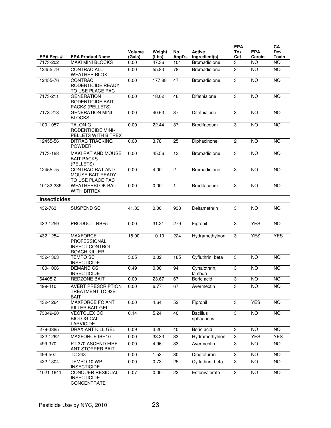|                     |                                                                                 |                  |                 |                |                               | <b>EPA</b>     |                      | CA              |
|---------------------|---------------------------------------------------------------------------------|------------------|-----------------|----------------|-------------------------------|----------------|----------------------|-----------------|
| EPA Reg.#           | <b>EPA Product Name</b>                                                         | Volume<br>(Gals) | Weight<br>(Lbs) | No.<br>Appl's. | Active<br>Ingredient(s)       | Tox<br>Cat     | <b>EPA</b><br>Carcin | Dev.<br>Toxin   |
| 7173-202            | <b>MAKI MINI BLOCKS</b>                                                         | 0.00             | 47.36           | 104            | <b>Bromadiolone</b>           | 3              | ΝO                   | NO.             |
| 12455-79            | CONTRAC ALL-<br><b>WEATHER BLOX</b>                                             | 0.00             | 55.83           | 78             | Bromadiolone                  | 3              | <b>NO</b>            | $\overline{NO}$ |
| 12455-76            | <b>CONTRAC</b><br>RODENTICIDE READY<br>TO USE PLACE PAC                         | 0.00             | 177.88          | 47             | Bromadiolone                  | 3              | $\overline{NO}$      | $\overline{NO}$ |
| 7173-211            | <b>GENERATION</b><br>RODENTICIDE BAIT<br>PACKS (PELLETS)                        | 0.00             | 18.02           | 46             | Difethialone                  | 3              | <b>NO</b>            | <b>NO</b>       |
| 7173-218            | <b>GENERATION MINI</b><br><b>BLOCKS</b>                                         | 0.00             | 40.63           | 37             | Difethialone                  | 3              | <b>NO</b>            | <b>NO</b>       |
| 100-1057            | <b>TALON-G</b><br><b>RODENTICIDE MINI-</b><br>PELLETS WITH BITREX               | 0.00             | 22.44           | 37             | Brodifacoum                   | 3              | $\overline{NO}$      | <b>NO</b>       |
| 12455-56            | <b>DITRAC TRACKING</b><br><b>POWDER</b>                                         | 0.00             | 3.78            | 25             | Diphacinone                   | $\overline{2}$ | <b>NO</b>            | <b>NO</b>       |
| 7173-188            | MAKI RAT AND MOUSE<br><b>BAIT PACKS</b><br>(PELLETS)                            | 0.00             | 45.56           | 13             | Bromadiolone                  | 3              | <b>NO</b>            | <b>NO</b>       |
| 12455-75            | <b>CONTRAC RAT AND</b><br><b>MOUSE BAIT READY</b><br>TO USE PLACE PAC           | 0.00             | 4.00            | $\overline{c}$ | Bromadiolone                  | 3              | <b>NO</b>            | <b>NO</b>       |
| 10182-339           | <b>WEATHERBLOK BAIT</b><br><b>WITH BITREX</b>                                   | 0.00             | 0.00            | $\mathbf{1}$   | Brodifacoum                   | 3              | <b>NO</b>            | <b>NO</b>       |
| <b>Insecticides</b> |                                                                                 |                  |                 |                |                               |                |                      |                 |
| 432-763             | SUSPEND SC                                                                      | 41.83            | 0.00            | 933            | Deltamethrin                  | 3              | NO.                  | <b>NO</b>       |
| 432-1259            | PRODUCT: RBF5                                                                   | 0.00             | 31.21           | 279            | Fipronil                      | 3              | <b>YES</b>           | <b>NO</b>       |
| 432-1254            | <b>MAXFORCE</b><br><b>PROFESSIONAL</b><br><b>INSECT CONTROL</b><br>ROACH KILLER | 18.00            | 10.10           | 224            | Hydramethylnon                | 3              | <b>YES</b>           | <b>YES</b>      |
| 432-1363            | <b>TEMPO SC</b><br><b>INSECTICIDE</b>                                           | 3.05             | 0.02            | 185            | Cyfluthrin, beta              | 3              | <b>NO</b>            | <b>NO</b>       |
| 100-1066            | <b>DEMAND CS</b><br><b>INSECTICIDE</b>                                          | 0.49             | 0.00            | 94             | Cyhalothrin,<br>lambda        | 3              | <b>NO</b>            | <b>NO</b>       |
| 64405-2             | <b>REDZONE BAIT</b>                                                             | 0.00             | 23.67           | 67             | Boric acid                    | 3              | <b>NO</b>            | <b>NO</b>       |
| 499-410             | <b>AVERT PRESCRIPTION</b><br>TREATMENT TC 93B<br><b>BAIT</b>                    | 0.00             | 6.77            | 67             | Avermectin                    | 3              | NO.                  | NO.             |
| 432-1264            | <b>MAXFORCE FC ANT</b><br>KILLER BAIT GEL                                       | 0.00             | 4.64            | 52             | Fipronil                      | 3              | <b>YES</b>           | <b>NO</b>       |
| 73049-20            | <b>VECTOLEX CG</b><br><b>BIOLOGICAL</b><br><b>LARVICIDE</b>                     | 0.14             | 5.24            | 40             | <b>Bacillus</b><br>sphaericus | 3              | $\overline{NO}$      | NO <sub>1</sub> |
| 279-3385            | DRAX ANT KILL GEL                                                               | 0.09             | 3.20            | 40             | Boric acid                    | 3              | NO                   | $\overline{NO}$ |
| 432-1262            | <b>MAXFORCE IBH10</b>                                                           | 0.00             | 38.33           | 33             | Hydramethylnon                | 3              | <b>YES</b>           | <b>YES</b>      |
| 499-370             | PT 370 ASCEND FIRE<br>ANT STOPPER BAIT                                          | 0.00             | 4.96            | 33             | Avermectin                    | 3              | NO.                  | NO.             |
| 499-507             | <b>TC 248</b>                                                                   | 0.00             | 1.53            | 30             | Dinotefuran                   | 3              | <b>NO</b>            | NO              |
| 432-1304            | TEMPO 10 WP<br><b>INSECTICIDE</b>                                               | 0.00             | 0.73            | 25             | Cyfluthrin, beta              | 3              | NO                   | $\overline{NO}$ |
| 1021-1641           | <b>CONQUER RESIDUAL</b><br><b>INSECTICIDE</b><br>CONCENTRATE                    | 0.07             | 0.00            | 22             | Esfenvalerate                 | $\overline{3}$ | NO <sub>1</sub>      | NO <sub>1</sub> |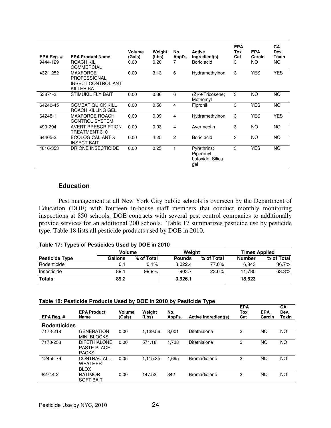| EPA Reg. #<br>9444-129 | <b>EPA Product Name</b><br>ROACH KIL<br><b>COMMERCIAL</b>                               | Volume<br>(Gals)<br>0.00 | Weight<br>(Lbs)<br>0.20 | No.<br>Appl's. | <b>Active</b><br>Ingredient(s)<br>Boric acid        | <b>EPA</b><br>Tox<br>Cat<br>3 | <b>EPA</b><br>Carcin<br>NO. | <b>CA</b><br>Dev.<br>Toxin<br>NO. |
|------------------------|-----------------------------------------------------------------------------------------|--------------------------|-------------------------|----------------|-----------------------------------------------------|-------------------------------|-----------------------------|-----------------------------------|
| 432-1252               | <b>MAXFORCE</b><br><b>PROFESSIONAL</b><br><b>INSECT CONTROL ANT</b><br><b>KILLER BA</b> | 0.00                     | 3.13                    | 6              | Hydramethylnon                                      | 3                             | <b>YES</b>                  | <b>YES</b>                        |
| 53871-3                | <b>STIMUKIL FLY BAIT</b>                                                                | 0.00                     | 0.36                    | 6              | (Z)-9-Tricosene;<br>Methomvl                        | 3                             | <b>NO</b>                   | <b>NO</b>                         |
| 64240-45               | <b>COMBAT QUICK KILL</b><br>ROACH KILLING GEL                                           | 0.00                     | 0.50                    | 4              | Fipronil                                            | 3                             | <b>YES</b>                  | <b>NO</b>                         |
| 64248-1                | <b>MAXFORCE ROACH</b><br><b>CONTROL SYSTEM</b>                                          | 0.00                     | 0.09                    | 4              | Hydramethylnon                                      | 3                             | <b>YES</b>                  | <b>YES</b>                        |
| 499-294                | <b>AVERT PRESCRIPTION</b><br>TREATMENT 310                                              | 0.00                     | 0.03                    | 4              | Avermectin                                          | 3                             | <b>NO</b>                   | <b>NO</b>                         |
| 64405-2                | ECOLOGICAL ANT &<br><b>INSECT BAIT</b>                                                  | 0.00                     | 4.25                    | $\mathcal{P}$  | Boric acid                                          | 3                             | <b>NO</b>                   | <b>NO</b>                         |
| 4816-353               | DRIONE INSECTICIDE                                                                      | 0.00                     | 0.25                    |                | Pyrethrins;<br>Piperonyl<br>butoxide: Silica<br>gel | 3                             | <b>YES</b>                  | <b>NO</b>                         |

## **Education**

 Pest management at all New York City public schools is overseen by the Department of Education (DOE) with fourteen in-house staff members that conduct monthly monitoring inspections at 850 schools. DOE contracts with several pest control companies to additionally provide services for an additional 200 schools. Table 17 summarizes pesticide use by pesticide type. Table 18 lists all pesticide products used by DOE in 2010.

|  |  |  |  | Table 17: Types of Pesticides Used by DOE in 2010 |
|--|--|--|--|---------------------------------------------------|
|--|--|--|--|---------------------------------------------------|

|                       | Volume  |            | Weight        |            | <b>Times Applied</b> |            |  |
|-----------------------|---------|------------|---------------|------------|----------------------|------------|--|
| <b>Pesticide Type</b> | Gallons | % of Total | <b>Pounds</b> | % of Total | <b>Number</b>        | % of Total |  |
| Rodenticide           | 0.1     | 0.1%       | 3.022.4       | 77.0%      | 6.843                | 36.7%      |  |
| Insecticide           | 89.1    | 99.9%      | 903.7         | 23.0%      | 11.780               | 63.3%      |  |
| <b>Totals</b>         | 89.2    |            | 3.926.1       |            | 18.623               |            |  |

| Table 18: Pesticide Products Used by DOE in 2010 by Pesticide Type |  |  |  |
|--------------------------------------------------------------------|--|--|--|
|                                                                    |  |  |  |

| EPA Reg.#           | <b>EPA Product</b><br>Name                                | Volume<br>(Gals) | Weight<br>(Lbs) | No.<br>Appl's. | Active Ingredient(s) | <b>EPA</b><br>Tox<br>Cat | <b>EPA</b><br>Carcin | СA<br>Dev.<br>Toxin |
|---------------------|-----------------------------------------------------------|------------------|-----------------|----------------|----------------------|--------------------------|----------------------|---------------------|
| <b>Rodenticides</b> |                                                           |                  |                 |                |                      |                          |                      |                     |
| 7173-218            | <b>GENERATION</b><br><b>MINI BLOCKS</b>                   | 0.00             | 1,139.56        | 3,001          | Difethialone         | 3                        | <b>NO</b>            | <b>NO</b>           |
| 7173-258            | <b>DIFETHIALONE</b><br><b>PASTE PLACE</b><br><b>PACKS</b> | 0.00             | 571.18          | 1,738          | Difethialone         | 3                        | <b>NO</b>            | <b>NO</b>           |
| 12455-79            | CONTRAC ALL-<br>WEATHER<br><b>BLOX</b>                    | 0.05             | 1.115.35        | 1,695          | <b>Bromadiolone</b>  | 3                        | ΝO                   | NO                  |
| 82744-2             | <b>RATIMOR</b><br><b>SOFT BAIT</b>                        | 0.00             | 147.53          | 342            | <b>Bromadiolone</b>  | 3                        | ΝO                   | <b>NO</b>           |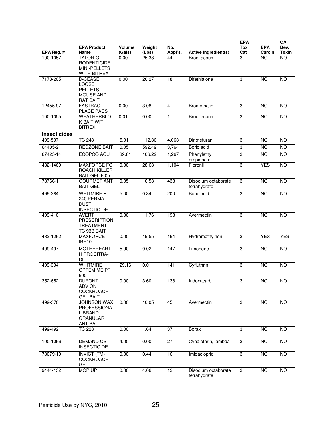| EPA Reg. #          | <b>EPA Product</b><br>Name                                                                | Volume<br>(Gals) | Weight<br>(Lbs) | No.<br>Appl's.   | Active Ingredient(s)                | <b>EPA</b><br>Tox<br>Cat | <b>EPA</b><br>Carcin | CA<br>Dev.<br><b>Toxin</b> |
|---------------------|-------------------------------------------------------------------------------------------|------------------|-----------------|------------------|-------------------------------------|--------------------------|----------------------|----------------------------|
| 100-1057            | <b>TALON-G</b><br><b>RODENTICIDE</b><br>MINI-PELLETS<br>WITH BITREX                       | 0.00             | 25.38           | 44               | Brodifacoum                         | 3                        | <b>NO</b>            | <b>NO</b>                  |
| 7173-205            | <b>D-CEASE</b><br>LOOSE<br><b>PELLETS</b><br><b>MOUSE AND</b><br><b>RAT BAIT</b>          | 0.00             | 20.27           | 18               | Difethialone                        | 3                        | <b>NO</b>            | <b>NO</b>                  |
| 12455-97            | <b>FASTRAC</b><br><b>PLACE PACS</b>                                                       | 0.00             | 3.08            | $\overline{4}$   | Bromethalin                         | 3                        | <b>NO</b>            | NO                         |
| 100-1055            | <b>WEATHERBLO</b><br>K BAIT WITH<br><b>BITREX</b>                                         | 0.01             | 0.00            | 1                | Brodifacoum                         | $\overline{3}$           | <b>NO</b>            | <b>NO</b>                  |
| <b>Insecticides</b> |                                                                                           |                  |                 |                  |                                     |                          |                      |                            |
| 499-507             | <b>TC 248</b>                                                                             | 5.01             | 112.36          | 4,063            | Dinotefuran                         | 3                        | <b>NO</b>            | <b>NO</b>                  |
| 64405-2             | <b>REDZONE BAIT</b>                                                                       | 0.05             | 592.49          | 3,764            | Boric acid                          | 3                        | <b>NO</b>            | <b>NO</b>                  |
| 67425-14            | ECOPCO ACU                                                                                | 39.61            | 106.22          | 1,267            | Phenylethyl<br>propionate           | 3                        | <b>NO</b>            | <b>NO</b>                  |
| 432-1460            | <b>MAXFORCE FC</b><br>ROACH KILLER<br>BAIT GEL F.05                                       | 0.00             | 28.63           | 1,104            | Fipronil                            | 3                        | <b>YES</b>           | $\overline{NO}$            |
| 73766-1             | <b>GOURMET ANT</b><br><b>BAIT GEL</b>                                                     | 0.05             | 10.53           | 433              | Disodium octaborate<br>tetrahydrate | 3                        | <b>NO</b>            | <b>NO</b>                  |
| 499-384             | <b>WHITMIRE PT</b><br>240 PERMA-<br><b>DUST</b><br><b>INSECTICIDE</b>                     | 5.00             | 0.34            | 200              | Boric acid                          | $\overline{3}$           | N <sub>O</sub>       | $\overline{NO}$            |
| 499-410             | <b>AVERT</b><br><b>PRESCRIPTION</b><br><b>TREATMENT</b><br>TC 93B BAIT                    | 0.00             | 11.76           | 193              | Avermectin                          | 3                        | <b>NO</b>            | <b>NO</b>                  |
| 432-1262            | <b>MAXFORCE</b><br><b>IBH10</b>                                                           | 0.00             | 19.55           | 164              | Hydramethylnon                      | 3                        | <b>YES</b>           | <b>YES</b>                 |
| 499-497             | <b>MOTHEREART</b><br><b>H PROCITRA-</b><br>DL                                             | 5.90             | 0.02            | 147              | Limonene                            | 3                        | <b>NO</b>            | <b>NO</b>                  |
| 499-304             | <b>WHITMIRE</b><br>OPTEM ME PT<br>600                                                     | 29.16            | 0.01            | $\overline{141}$ | Cyfluthrin                          | $\overline{3}$           | NO                   | NO                         |
| 352-652             | <b>DUPONT</b><br><b>ADVION</b><br><b>COCKROACH</b><br><b>GEL BAIT</b>                     | 0.00             | 3.60            | 138              | Indoxacarb                          | 3                        | <b>NO</b>            | <b>NO</b>                  |
| 499-370             | <b>JOHNSON WAX</b><br><b>PROFESSIONA</b><br>L BRAND<br><b>GRANULAR</b><br><b>ANT BAIT</b> | 0.00             | 10.05           | 45               | Avermectin                          | 3                        | NO                   | <b>NO</b>                  |
| 499-492             | <b>TC 228</b>                                                                             | 0.00             | 1.64            | 37               | Borax                               | 3                        | NO                   | NO                         |
| 100-1066            | <b>DEMAND CS</b><br><b>INSECTICIDE</b>                                                    | 4.00             | 0.00            | 27               | Cyhalothrin, lambda                 | 3                        | <b>NO</b>            | NO                         |
| 73079-10            | <b>INVICT (TM)</b><br><b>COCKROACH</b><br><b>GEL</b>                                      | 0.00             | 0.44            | 16               | Imidacloprid                        | 3                        | <b>NO</b>            | <b>NO</b>                  |
| 9444-132            | MOP UP                                                                                    | 0.00             | 4.06            | 12               | Disodium octaborate<br>tetrahydrate | 3                        | <b>NO</b>            | <b>NO</b>                  |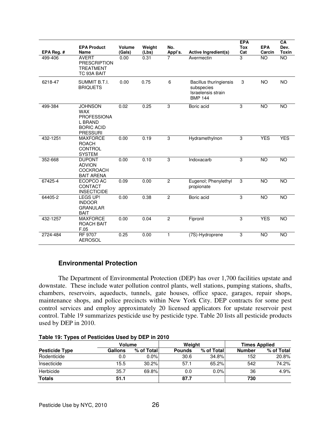| EPA Reg. # | <b>EPA Product</b><br><b>Name</b>                                                                     | Volume<br>(Gals) | Weight<br>(Lbs) | No.<br>Appl's. | <b>Active Ingredient(s)</b>                                                  | <b>EPA</b><br><b>Tox</b><br>Cat | <b>EPA</b><br>Carcin | CA<br>Dev.<br><b>Toxin</b> |
|------------|-------------------------------------------------------------------------------------------------------|------------------|-----------------|----------------|------------------------------------------------------------------------------|---------------------------------|----------------------|----------------------------|
| 499-406    | <b>AVERT</b><br><b>PRESCRIPTION</b><br><b>TREATMENT</b><br>TC 93A BAIT                                | 0.00             | 0.31            | 7              | Avermectin                                                                   | 3                               | NO                   | <b>NO</b>                  |
| 6218-47    | SUMMIT B.T.I.<br><b>BRIQUETS</b>                                                                      | 0.00             | 0.75            | 6              | Bacillus thuringiensis<br>subspecies<br>Israelensis strain<br><b>BMP 144</b> | 3                               | <b>NO</b>            | <b>NO</b>                  |
| 499-384    | <b>JOHNSON</b><br><b>WAX</b><br><b>PROFESSIONA</b><br>L BRAND<br><b>BORIC ACID</b><br><b>PRESSURI</b> | 0.02             | 0.25            | 3              | Boric acid                                                                   | $\overline{3}$                  | <b>NO</b>            | <b>NO</b>                  |
| 432-1251   | <b>MAXFORCE</b><br><b>ROACH</b><br><b>CONTROL</b><br><b>SYSTEM</b>                                    | 0.00             | 0.19            | 3              | Hydramethylnon                                                               | 3                               | <b>YES</b>           | <b>YES</b>                 |
| 352-668    | <b>DUPONT</b><br><b>ADVION</b><br><b>COCKROACH</b><br><b>BAIT ARENA</b>                               | 0.00             | 0.10            | 3              | Indoxacarb                                                                   | 3                               | NO                   | <b>NO</b>                  |
| 67425-4    | ECOPCO AC<br>CONTACT<br><b>INSECTICIDE</b>                                                            | 0.09             | 0.00            | $\overline{2}$ | Eugenol; Phenylethyl<br>propionate                                           | 3                               | NO                   | NO                         |
| 64405-2    | LEGS UP!<br><b>INDOOR</b><br><b>GRANULAR</b><br><b>BAIT</b>                                           | 0.00             | 0.38            | $\overline{c}$ | Boric acid                                                                   | 3                               | <b>NO</b>            | <b>NO</b>                  |
| 432-1257   | <b>MAXFORCE</b><br><b>ROACH BAIT</b><br>F.05                                                          | 0.00             | 0.04            | $\overline{2}$ | Fipronil                                                                     | 3                               | <b>YES</b>           | <b>NO</b>                  |
| 2724-484   | RF 9707<br><b>AEROSOL</b>                                                                             | 0.25             | 0.00            | 1              | (7S)-Hydroprene                                                              | 3                               | <b>NO</b>            | <b>NO</b>                  |

## **Environmental Protection**

 The Department of Environmental Protection (DEP) has over 1,700 facilities upstate and downstate. These include water pollution control plants, well stations, pumping stations, shafts, chambers, reservoirs, aqueducts, tunnels, gate houses, office space, garages, repair shops, maintenance shops, and police precincts within New York City. DEP contracts for some pest control services and employ approximately 20 licensed applicators for upstate reservoir pest control. Table 19 summarizes pesticide use by pesticide type. Table 20 lists all pesticide products used by DEP in 2010.

| . .                   |         |            |               |            |                      |            |  |  |  |  |  |
|-----------------------|---------|------------|---------------|------------|----------------------|------------|--|--|--|--|--|
|                       | Volume  |            | Weight        |            | <b>Times Applied</b> |            |  |  |  |  |  |
| <b>Pesticide Type</b> | Gallons | % of Total | <b>Pounds</b> | % of Total | <b>Number</b>        | % of Total |  |  |  |  |  |
| Rodenticide           | 0.0     | $0.0\%$    | 30.6          | 34.8%      | 152                  | 20.8%      |  |  |  |  |  |
| Insecticide           | 15.5    | 30.2%      | 57.1          | 65.2%      | 542                  | 74.2%      |  |  |  |  |  |
| Herbicide             | 35.7    | 69.8%      | 0.0           | $0.0\%$    | 36                   | 4.9%       |  |  |  |  |  |
| <b>Totals</b>         | 51.1    |            | 87.7          |            | 730                  |            |  |  |  |  |  |

**Table 19: Types of Pesticides Used by DEP in 2010**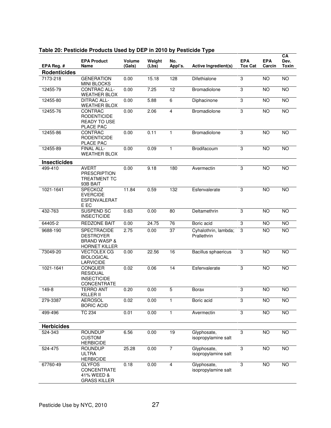| EPA Reg. #          | <b>EPA Product</b><br>Name                                                                | Volume<br>(Gals) | Weight<br>(Lbs) | No.<br>Appl's.  | Active Ingredient(s)                | <b>EPA</b><br><b>Tox Cat</b> | <b>EPA</b><br>Carcin | CA<br>Dev.<br><b>Toxin</b> |
|---------------------|-------------------------------------------------------------------------------------------|------------------|-----------------|-----------------|-------------------------------------|------------------------------|----------------------|----------------------------|
| <b>Rodenticides</b> |                                                                                           |                  |                 |                 |                                     |                              |                      |                            |
| 7173-218            | <b>GENERATION</b><br><b>MINI BLOCKS</b>                                                   | 0.00             | 15.18           | 128             | Difethialone                        | 3                            | <b>NO</b>            | <b>NO</b>                  |
| 12455-79            | <b>CONTRAC ALL-</b><br>WEATHER BLOX                                                       | 0.00             | 7.25            | 12              | <b>Bromadiolone</b>                 | 3                            | <b>NO</b>            | <b>NO</b>                  |
| 12455-80            | <b>DITRAC ALL-</b><br><b>WEATHER BLOX</b>                                                 | 0.00             | 5.88            | 6               | Diphacinone                         | 3                            | <b>NO</b>            | NO                         |
| 12455-76            | CONTRAC<br><b>RODENTICIDE</b><br><b>READY TO USE</b><br>PLACE PAC                         | 0.00             | 2.06            | 4               | Bromadiolone                        | 3                            | <b>NO</b>            | <b>NO</b>                  |
| 12455-86            | CONTRAC<br><b>RODENTICIDE</b><br>PLACE PAC                                                | 0.00             | 0.11            | 1               | Bromadiolone                        | 3                            | <b>NO</b>            | <b>NO</b>                  |
| 12455-89            | FINAL ALL-<br><b>WEATHER BLOX</b>                                                         | 0.00             | 0.09            | 1               | Brodifacoum                         | 3                            | <b>NO</b>            | <b>NO</b>                  |
| <b>Insecticides</b> |                                                                                           |                  |                 |                 |                                     |                              |                      |                            |
| 499-410             | <b>AVERT</b><br><b>PRESCRIPTION</b><br><b>TREATMENT TC</b><br>93B BAIT                    | 0.00             | 9.18            | 180             | Avermectin                          | 3                            | <b>NO</b>            | <b>NO</b>                  |
| 1021-1641           | SPECKOZ<br><b>EVERCIDE</b><br><b>ESFENVALERAT</b><br>E EC                                 | 11.84            | 0.59            | 132             | Esfenvalerate                       | 3                            | <b>NO</b>            | <b>NO</b>                  |
| 432-763             | SUSPEND SC<br><b>INSECTICIDE</b>                                                          | 0.63             | 0.00            | 80              | Deltamethrin                        | 3                            | <b>NO</b>            | <b>NO</b>                  |
| 64405-2             | <b>REDZONE BAIT</b>                                                                       | 0.00             | 24.75           | $\overline{76}$ | Boric acid                          | 3                            | <b>NO</b>            | NO                         |
| 9688-190            | <b>SPECTRACIDE</b><br><b>DESTROYER</b><br><b>BRAND WASP &amp;</b><br><b>HORNET KILLER</b> | 2.75             | 0.00            | 37              | Cyhalothrin, lambda;<br>Prallethrin | 3                            | <b>NO</b>            | <b>NO</b>                  |
| 73049-20            | <b>VECTOLEX CG</b><br><b>BIOLOGICAL</b><br><b>LARVICIDE</b>                               | 0.00             | 22.56           | 16              | Bacillus sphaericus                 | 3                            | $\overline{NO}$      | NO                         |
| 1021-1641           | <b>CONQUER</b><br><b>RESIDUAL</b><br><b>INSECTICIDE</b><br>CONCENTRATE                    | 0.02             | 0.06            | 14              | Esfenvalerate                       | 3                            | <b>NO</b>            | <b>NO</b>                  |
| 149-8               | <b>TERRO ANT</b><br>KILLER II                                                             | 0.20             | 0.00            | 5               | <b>Borax</b>                        | 3                            | <b>NO</b>            | <b>NO</b>                  |
| 279-3387            | <b>AEROSOL</b><br><b>BORIC ACID</b>                                                       | 0.02             | 0.00            | 1               | Boric acid                          | 3                            | $\overline{N}$       | $\overline{NO}$            |
| 499-496             | <b>TC 234</b>                                                                             | 0.01             | 0.00            | 1               | Avermectin                          | 3                            | $\overline{NO}$      | $\overline{NO}$            |
| <b>Herbicides</b>   |                                                                                           |                  |                 |                 |                                     |                              |                      |                            |
| 524-343             | <b>ROUNDUP</b><br><b>CUSTOM</b><br><b>HERBICIDE</b>                                       | 6.56             | 0.00            | 19              | Glyphosate,<br>isopropylamine salt  | 3                            | $\overline{NO}$      | $\overline{NO}$            |
| 524-475             | <b>ROUNDUP</b><br><b>ULTRA</b><br><b>HERBICIDE</b>                                        | 25.28            | 0.00            | $\overline{7}$  | Glyphosate,<br>isopropylamine salt  | 3                            | <b>NO</b>            | NO                         |
| 67760-49            | <b>GLYFOS</b><br>CONCENTRATE<br>41% WEED &<br><b>GRASS KILLER</b>                         | 0.18             | 0.00            | 4               | Glyphosate,<br>isopropylamine salt  | 3                            | $\overline{NO}$      | $\overline{NO}$            |

## **Table 20: Pesticide Products Used by DEP in 2010 by Pesticide Type**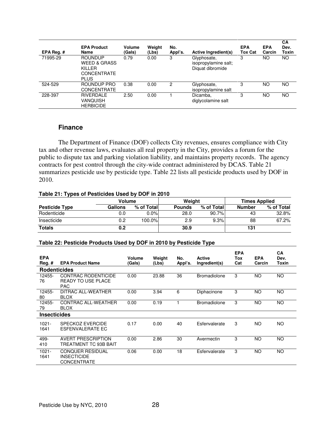| EPA Reg. $#$ | <b>EPA Product</b><br>Name                                                        | Volume<br>(Gals) | Weight<br>(Lbs) | No.<br>Appl's. | Active Ingredient(s)                                    | <b>EPA</b><br><b>Tox Cat</b> | <b>EPA</b><br>Carcin | CA<br>Dev.<br>Toxin |
|--------------|-----------------------------------------------------------------------------------|------------------|-----------------|----------------|---------------------------------------------------------|------------------------------|----------------------|---------------------|
| 71995-29     | <b>ROUNDUP</b><br><b>WEED &amp; GRASS</b><br>KILLER<br>CONCENTRATE<br><b>PLUS</b> | 0.79             | 0.00            | 3              | Glyphosate,<br>isopropylamine salt;<br>Diquat dibromide | 3                            | NO.                  | ΝO                  |
| 524-529      | ROUNDUP PRO<br><b>CONCENTRATE</b>                                                 | 0.38             | 0.00            | 2              | Glyphosate,<br>isopropylamine salt                      | 3                            | ΝO                   | NO.                 |
| 228-397      | RIVERDALE<br>VANQUISH<br><b>HERBICIDE</b>                                         | 2.50             | 0.00            |                | Dicamba,<br>diglycolamine salt                          | 3                            | ΝO                   | <b>NO</b>           |

## **Finance**

 The Department of Finance (DOF) collects City revenues, ensures compliance with City tax and other revenue laws, evaluates all real property in the City, provides a forum for the public to dispute tax and parking violation liability, and maintains property records. The agency contracts for pest control through the city-wide contract administered by DCAS. Table 21 summarizes pesticide use by pesticide type. Table 22 lists all pesticide products used by DOF in 2010.

#### **Table 21: Types of Pesticides Used by DOF in 2010**

| Volume                |         |             | Weight        |            | <b>Times Applied</b> |            |  |
|-----------------------|---------|-------------|---------------|------------|----------------------|------------|--|
| <b>Pesticide Type</b> | Gallons | % of Totall | <b>Pounds</b> | % of Total | <b>Number</b>        | % of Total |  |
| Rodenticide           | 0.0     | $0.0\%$     | 28.0          | 90.7%      | 43                   | 32.8%      |  |
| Insecticide           | 0.2     | 100.0%      | 2.9           | 9.3%       | 88                   | 67.2%      |  |
| <b>Totals</b>         | 0.2     |             | 30.9          |            | 131                  |            |  |

### **Table 22: Pesticide Products Used by DOF in 2010 by Pesticide Type**

| <b>EPA</b><br>$Reg.$ # | <b>EPA Product Name</b>                                             | Volume<br>(Gals) | Weight<br>(Lbs) | No.<br>Appl's. | Active<br>Ingredient(s) | <b>EPA</b><br>Tox<br>Cat | <b>EPA</b><br>Carcin | <b>CA</b><br>Dev.<br>Toxin |
|------------------------|---------------------------------------------------------------------|------------------|-----------------|----------------|-------------------------|--------------------------|----------------------|----------------------------|
| <b>Rodenticides</b>    |                                                                     |                  |                 |                |                         |                          |                      |                            |
| 12455-<br>76           | CONTRAC RODENTICIDE<br><b>READY TO USE PLACE</b><br><b>PAC</b>      | 0.00             | 23.88           | 36             | <b>Bromadiolone</b>     | 3                        | <b>NO</b>            | <b>NO</b>                  |
| 12455-<br>80           | DITRAC ALL-WEATHER<br><b>BLOX</b>                                   | 0.00             | 3.94            | 6              | Diphacinone             | 3                        | <b>NO</b>            | <b>NO</b>                  |
| 12455-<br>79           | CONTRAC ALL-WEATHER<br><b>BLOX</b>                                  | 0.00             | 0.19            |                | <b>Bromadiolone</b>     | 3                        | <b>NO</b>            | <b>NO</b>                  |
| <b>Insecticides</b>    |                                                                     |                  |                 |                |                         |                          |                      |                            |
| $1021 -$<br>1641       | <b>SPECKOZ EVERCIDE</b><br>ESFENVALERATE EC                         | 0.17             | 0.00            | 40             | Esfenvalerate           | 3                        | <b>NO</b>            | NO.                        |
| 499-<br>410            | <b>AVERT PRESCRIPTION</b><br>TREATMENT TC 93B BAIT                  | 0.00             | 2.86            | 30             | Avermectin              | 3                        | <b>NO</b>            | <b>NO</b>                  |
| $1021 -$<br>1641       | <b>CONQUER RESIDUAL</b><br><b>INSECTICIDE</b><br><b>CONCENTRATE</b> | 0.06             | 0.00            | 18             | Esfenvalerate           | 3                        | <b>NO</b>            | <b>NO</b>                  |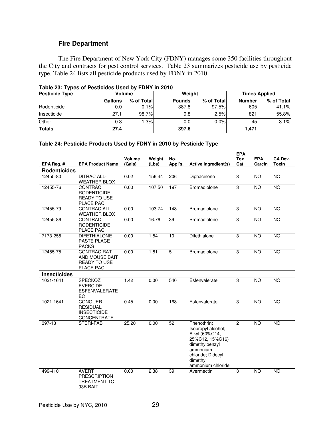## **Fire Department**

 The Fire Department of New York City (FDNY) manages some 350 facilities throughout the City and contracts for pest control services. Table 23 summarizes pesticide use by pesticide type. Table 24 lists all pesticide products used by FDNY in 2010.

|                       | Table 23: Types of Pesticides Used by FDNY In 2010 |            |               |            |                      |            |  |  |  |  |  |  |  |
|-----------------------|----------------------------------------------------|------------|---------------|------------|----------------------|------------|--|--|--|--|--|--|--|
| <b>Pesticide Type</b> | Volume                                             |            | Weight        |            | <b>Times Applied</b> |            |  |  |  |  |  |  |  |
|                       | <b>Gallons</b>                                     | % of Total | <b>Pounds</b> | % of Total | <b>Number</b>        | % of Total |  |  |  |  |  |  |  |
| Rodenticide           | 0.0                                                | 0.1%       | 387.8         | 97.5%      | 605                  | 41.1%      |  |  |  |  |  |  |  |
| Insecticide           | 27.1                                               | 98.7%      | 9.8           | 2.5%       | 821                  | 55.8%      |  |  |  |  |  |  |  |
| Other                 | 0.3                                                | 1.3%       | 0.0           | 0.0%       | 45                   | 3.1%       |  |  |  |  |  |  |  |
| <b>Totals</b>         | 27.4                                               |            | 397.6         |            | 1,471                |            |  |  |  |  |  |  |  |

## **Table 23: Types of Pesticides Used by FDNY in 2010**

## **Table 24: Pesticide Products Used by FDNY in 2010 by Pesticide Type**

|                     |                                                                               | Volume | Weight | No.            |                                                                                                                                                            | <b>EPA</b><br><b>Tox</b> | <b>EPA</b>      | CA Dev.      |
|---------------------|-------------------------------------------------------------------------------|--------|--------|----------------|------------------------------------------------------------------------------------------------------------------------------------------------------------|--------------------------|-----------------|--------------|
| EPA Reg. #          | <b>EPA Product Name</b>                                                       | (Gals) | (Lbs)  | Appl's.        | <b>Active Ingredient(s)</b>                                                                                                                                | Cat                      | Carcin          | <b>Toxin</b> |
| <b>Rodenticides</b> |                                                                               |        |        |                |                                                                                                                                                            |                          |                 |              |
| 12455-80            | <b>DITRAC ALL-</b><br><b>WEATHER BLOX</b>                                     | 0.02   | 156.44 | 206            | Diphacinone                                                                                                                                                | 3                        | <b>NO</b>       | <b>NO</b>    |
| 12455-76            | CONTRAC<br><b>RODENTICIDE</b><br><b>READY TO USE</b><br>PLACE PAC             | 0.00   | 107.50 | 197            | Bromadiolone                                                                                                                                               | 3                        | <b>NO</b>       | <b>NO</b>    |
| 12455-79            | <b>CONTRAC ALL-</b><br><b>WEATHER BLOX</b>                                    | 0.00   | 103.74 | 148            | Bromadiolone                                                                                                                                               | 3                        | <b>NO</b>       | <b>NO</b>    |
| 12455-86            | CONTRAC<br><b>RODENTICIDE</b><br>PLACE PAC                                    | 0.00   | 16.76  | 39             | <b>Bromadiolone</b>                                                                                                                                        | 3                        | <b>NO</b>       | <b>NO</b>    |
| 7173-258            | <b>DIFETHIALONE</b><br>PASTE PLACE<br><b>PACKS</b>                            | 0.00   | 1.54   | 10             | Difethialone                                                                                                                                               | 3                        | $\overline{NO}$ | <b>NO</b>    |
| 12455-75            | <b>CONTRAC RAT</b><br>AND MOUSE BAIT<br><b>READY TO USE</b><br>PLACE PAC      | 0.00   | 1.81   | $\overline{5}$ | Bromadiolone                                                                                                                                               | 3                        | <b>NO</b>       | <b>NO</b>    |
| <b>Insecticides</b> |                                                                               |        |        |                |                                                                                                                                                            |                          |                 |              |
| 1021-1641           | <b>SPECKOZ</b><br><b>EVERCIDE</b><br>ESFENVALERATE<br>EC                      | 1.42   | 0.00   | 540            | Esfenvalerate                                                                                                                                              | 3                        | <b>NO</b>       | <b>NO</b>    |
| 1021-1641           | <b>CONQUER</b><br><b>RESIDUAL</b><br><b>INSECTICIDE</b><br><b>CONCENTRATE</b> | 0.45   | 0.00   | 168            | Esfenvalerate                                                                                                                                              | 3                        | <b>NO</b>       | <b>NO</b>    |
| 397-13              | STERI-FAB                                                                     | 25.20  | 0.00   | 52             | Phenothrin:<br>Isopropyl alcohol;<br>Alkyl (60%C14,<br>25%C12, 15%C16)<br>dimethylbenzyl<br>ammonium<br>chloride; Didecyl<br>dimethyl<br>ammonium chloride | $\overline{c}$           | <b>NO</b>       | <b>NO</b>    |
| 499-410             | <b>AVERT</b><br><b>PRESCRIPTION</b><br><b>TREATMENT TC</b><br>93B BAIT        | 0.00   | 2.38   | 39             | Avermectin                                                                                                                                                 | 3                        | <b>NO</b>       | NO           |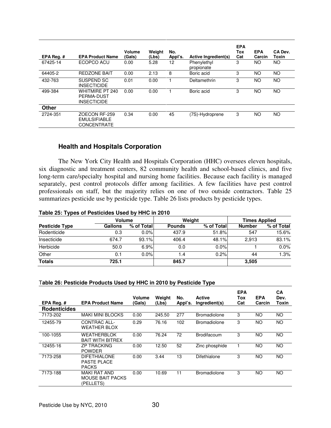| EPA Reg.# | <b>EPA Product Name</b>                                    | Volume<br>(Gals) | Weight<br>(Lbs) | No.<br>Appl's. | Active Ingredient(s)      | <b>EPA</b><br>Tox<br>Cat | <b>EPA</b><br>Carcin | CA Dev.<br>Toxin |
|-----------|------------------------------------------------------------|------------------|-----------------|----------------|---------------------------|--------------------------|----------------------|------------------|
| 67425-14  | ECOPCO ACU                                                 | 0.00             | 5.28            | 12             | Phenylethyl<br>propionate | 3                        | NO.                  | NO.              |
| 64405-2   | <b>REDZONE BAIT</b>                                        | 0.00             | 2.13            | 8              | Boric acid                | 3                        | <b>NO</b>            | <b>NO</b>        |
| 432-763   | SUSPEND SC<br><b>INSECTICIDE</b>                           | 0.01             | 0.00            |                | Deltamethrin              | 3                        | NO                   | <b>NO</b>        |
| 499-384   | WHITMIRF PT 240<br>PERMA-DUST<br><b>INSECTICIDE</b>        | 0.00             | 0.00            |                | Boric acid                | 3                        | <b>NO</b>            | <b>NO</b>        |
| Other     |                                                            |                  |                 |                |                           |                          |                      |                  |
| 2724-351  | ZOECON RF-259<br><b>EMULSIFIABLE</b><br><b>CONCENTRATE</b> | 0.34             | 0.00            | 45             | (7S)-Hydroprene           | 3                        | <b>NO</b>            | NO.              |

## **Health and Hospitals Corporation**

 The New York City Health and Hospitals Corporation (HHC) oversees eleven hospitals, six diagnostic and treatment centers, 82 community health and school-based clinics, and five long-term care/specialty hospital and nursing home facilities. Because each facility is managed separately, pest control protocols differ among facilities. A few facilities have pest control professionals on staff, but the majority relies on one of two outside contractors. Table 25 summarizes pesticide use by pesticide type. Table 26 lists products by pesticide types.

#### **Table 25: Types of Pesticides Used by HHC in 2010**

|                       | Volume         |            |               | Weight     | <b>Times Applied</b> |            |  |
|-----------------------|----------------|------------|---------------|------------|----------------------|------------|--|
| <b>Pesticide Type</b> | <b>Gallons</b> | % of Total | <b>Pounds</b> | % of Total | <b>Number</b>        | % of Total |  |
| Rodenticide           | 0.3            | $0.0\%$    | 437.9         | 51.8%      | 547                  | 15.6%      |  |
| Insecticide           | 674.7          | 93.1%      | 406.4         | 48.1%      | 2.913                | 83.1%      |  |
| Herbicide             | 50.0           | 6.9%       | 0.0           | $0.0\%$    |                      | $0.0\%$    |  |
| Other                 | 0.1            | $0.0\%$    | 1.4           | 0.2%       | 44                   | 1.3%       |  |
| <b>Totals</b>         | 725.1          |            | 845.7         |            | 3,505                |            |  |

#### T**able 26: Pesticide Products Used by HHC in 2010 by Pesticide Type**

|                     |                                                             | Volume | Weight | No.     | Active              | <b>EPA</b><br>Tox | <b>EPA</b> | CА<br>Dev. |
|---------------------|-------------------------------------------------------------|--------|--------|---------|---------------------|-------------------|------------|------------|
| EPA Reg. #          | <b>EPA Product Name</b>                                     | (Gals) | (Lbs)  | Appl's. | Ingredient(s)       | Cat               | Carcin     | Toxin      |
| <b>Rodenticides</b> |                                                             |        |        |         |                     |                   |            |            |
| 7173-202            | <b>MAKI MINI BLOCKS</b>                                     | 0.00   | 245.50 | 277     | <b>Bromadiolone</b> | 3                 | <b>NO</b>  | <b>NO</b>  |
| 12455-79            | CONTRAC ALL-<br>WEATHER BLOX                                | 0.29   | 76.16  | 102     | <b>Bromadiolone</b> | 3                 | NO.        | <b>NO</b>  |
| 100-1055            | <b>WEATHERBLOK</b><br><b>BAIT WITH BITREX</b>               | 0.00   | 76.24  | 72      | Brodifacoum         | 3                 | <b>NO</b>  | <b>NO</b>  |
| 12455-16            | <b>ZP TRACKING</b><br><b>POWDER</b>                         | 0.00   | 12.50  | 52      | Zinc phosphide      |                   | NO.        | NO.        |
| 7173-258            | <b>DIFETHIALONE</b><br><b>PASTE PLACE</b><br><b>PACKS</b>   | 0.00   | 3.44   | 13      | Difethialone        | 3                 | <b>NO</b>  | <b>NO</b>  |
| 7173-188            | <b>MAKI RAT AND</b><br><b>MOUSE BAIT PACKS</b><br>(PELLETS) | 0.00   | 10.69  | 11      | <b>Bromadiolone</b> | 3                 | NO.        | NO         |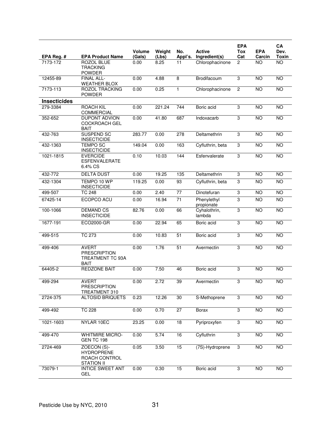|                     |                                                                        |                         |                 |                  |                                | <b>EPA</b>     |                      | CA                   |
|---------------------|------------------------------------------------------------------------|-------------------------|-----------------|------------------|--------------------------------|----------------|----------------------|----------------------|
| EPA Reg. #          | <b>EPA Product Name</b>                                                | <b>Volume</b><br>(Gals) | Weight<br>(Lbs) | No.<br>Appl's.   | <b>Active</b><br>Ingredient(s) | Tox<br>Cat     | <b>EPA</b><br>Carcin | Dev.<br><b>Toxin</b> |
| 7173-172            | <b>ROZOL BLUE</b><br><b>TRACKING</b><br><b>POWDER</b>                  | 0.00                    | 8.25            | 11               | Chlorophacinone                | $\overline{2}$ | <b>NO</b>            | <b>NO</b>            |
| 12455-89            | <b>FINAL ALL-</b><br><b>WEATHER BLOX</b>                               | 0.00                    | 4.88            | $\overline{8}$   | Brodifacoum                    | 3              | $\overline{10}$      | <b>NO</b>            |
| 7173-113            | <b>ROZOL TRACKING</b><br><b>POWDER</b>                                 | 0.00                    | 0.25            | $\mathbf{1}$     | Chlorophacinone                | $\overline{2}$ | $\overline{NO}$      | $\overline{NO}$      |
| <b>Insecticides</b> |                                                                        |                         |                 |                  |                                |                |                      |                      |
| 279-3384            | <b>ROACH KIL</b><br>COMMERCIAL                                         | 0.00                    | 221.24          | 744              | Boric acid                     | 3              | <b>NO</b>            | <b>NO</b>            |
| 352-652             | <b>DUPONT ADVION</b><br><b>COCKROACH GEL</b><br><b>BAIT</b>            | 0.00                    | 41.80           | 687              | Indoxacarb                     | 3              | $\overline{NO}$      | <b>NO</b>            |
| 432-763             | <b>SUSPEND SC</b><br><b>INSECTICIDE</b>                                | 283.77                  | 0.00            | $\overline{278}$ | Deltamethrin                   | 3              | $\overline{NO}$      | $\overline{NO}$      |
| 432-1363            | <b>TEMPO SC</b><br><b>INSECTICIDE</b>                                  | 149.04                  | 0.00            | 163              | Cyfluthrin, beta               | 3              | <b>NO</b>            | $\overline{NO}$      |
| 1021-1815           | <b>EVERCIDE</b><br><b>ESFENVALERATE</b><br>6.4% CS                     | 0.10                    | 10.03           | 144              | Esfenvalerate                  | 3              | <b>NO</b>            | <b>NO</b>            |
| 432-772             | <b>DELTA DUST</b>                                                      | 0.00                    | 19.25           | 135              | Deltamethrin                   | 3              | <b>NO</b>            | <b>NO</b>            |
| 432-1304            | TEMPO 10 WP<br><b>INSECTICIDE</b>                                      | 119.25                  | 0.00            | 93               | Cyfluthrin, beta               | $\overline{3}$ | <b>NO</b>            | <b>NO</b>            |
| 499-507             | <b>TC 248</b>                                                          | 0.00                    | 2.40            | $\overline{77}$  | Dinotefuran                    | 3              | <b>NO</b>            | <b>NO</b>            |
| 67425-14            | ECOPCO ACU                                                             | 0.00                    | 16.94           | $\overline{71}$  | Phenylethyl<br>propionate      | 3              | <b>NO</b>            | <b>NO</b>            |
| 100-1066            | <b>DEMAND CS</b><br><b>INSECTICIDE</b>                                 | 82.76                   | 0.00            | 66               | Cyhalothrin,<br>lambda         | $\overline{3}$ | <b>NO</b>            | <b>NO</b>            |
| 1677-191            | ECO2000-GR                                                             | 0.00                    | 22.94           | 65               | Boric acid                     | 3              | $\overline{NO}$      | <b>NO</b>            |
| 499-515             | <b>TC 273</b>                                                          | 0.00                    | 10.83           | 51               | Boric acid                     | $\overline{3}$ | <b>NO</b>            | <b>NO</b>            |
| 499-406             | <b>AVERT</b><br><b>PRESCRIPTION</b><br>TREATMENT TC 93A<br><b>BAIT</b> | 0.00                    | 1.76            | $\overline{51}$  | Avermectin                     | 3              | <b>NO</b>            | <b>NO</b>            |
| 64405-2             | <b>REDZONE BAIT</b>                                                    | 0.00                    | 7.50            | 46               | Boric acid                     | 3              | <b>NO</b>            | <b>NO</b>            |
| 499-294             | <b>AVERT</b><br><b>PRESCRIPTION</b><br>TREATMENT 310                   | 0.00                    | 2.72            | 39               | Avermectin                     | 3              | <b>NO</b>            | <b>NO</b>            |
| 2724-375            | <b>ALTOSID BRIQUETS</b>                                                | 0.23                    | 12.26           | 30               | S-Methoprene                   | $\overline{3}$ | <b>NO</b>            | <b>NO</b>            |
| 499-492             | <b>TC 228</b>                                                          | 0.00                    | 0.70            | 27               | Borax                          | $\overline{3}$ | <b>NO</b>            | <b>NO</b>            |
| 1021-1603           | NYLAR 10EC                                                             | 23.25                   | 0.00            | 18               | Pyriproxyfen                   | 3              | $\overline{NO}$      | <b>NO</b>            |
| 499-470             | <b>WHITMIRE MICRO-</b><br><b>GEN TC 198</b>                            | 0.00                    | 5.74            | 16               | Cyfluthrin                     | 3              | $\overline{NO}$      | $\overline{NO}$      |
| 2724-469            | ZOECON (S)-<br><b>HYDROPRENE</b><br>ROACH CONTROL<br><b>STATION II</b> | 0.05                    | 3.50            | 15               | (7S)-Hydroprene                | 3              | <b>NO</b>            | $\overline{NO}$      |
| 73079-1             | <b>INTICE SWEET ANT</b><br>GEL                                         | 0.00                    | 0.30            | 15               | Boric acid                     | 3              | <b>NO</b>            | NO                   |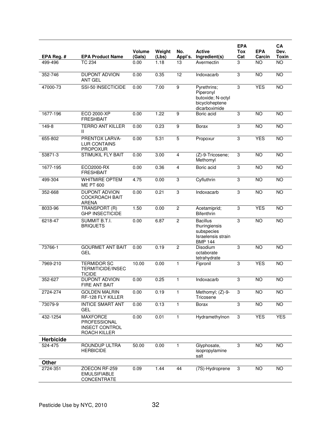|            |                                                                                 |                  |                 |                |                                                                                        | <b>EPA</b>     |                      | CA              |
|------------|---------------------------------------------------------------------------------|------------------|-----------------|----------------|----------------------------------------------------------------------------------------|----------------|----------------------|-----------------|
| EPA Req. # | <b>EPA Product Name</b>                                                         | Volume<br>(Gals) | Weight<br>(Lbs) | No.<br>Appl's. | <b>Active</b><br>Ingredient(s)                                                         | Tox<br>Cat     | <b>EPA</b><br>Carcin | Dev.<br>Toxin   |
| 499-496    | <b>TC 234</b>                                                                   | 0.00             | 1.18            | 13             | Avermectin                                                                             | 3              | <b>NO</b>            | <b>NO</b>       |
| 352-746    | <b>DUPONT ADVION</b><br>ANT GEL                                                 | 0.00             | 0.35            | 12             | Indoxacarb                                                                             | 3              | <b>NO</b>            | <b>NO</b>       |
| 47000-73   | SSI-50 INSECTICIDE                                                              | 0.00             | 7.00            | $\overline{9}$ | Pyrethrins;<br>Piperonyl<br>butoxide; N-octyl<br>bicycloheptene<br>dicarboximide       | 3              | <b>YES</b>           | <b>NO</b>       |
| 1677-196   | <b>ECO 2000-XP</b><br><b>FRESHBAIT</b>                                          | 0.00             | 1.22            | $\overline{9}$ | Boric acid                                                                             | 3              | NO                   | $\overline{NO}$ |
| 149-8      | <b>TERRO ANT KILLER</b><br>Ш                                                    | 0.00             | 0.23            | 9              | <b>Borax</b>                                                                           | 3              | <b>NO</b>            | <b>NO</b>       |
| 655-802    | PRENTOX LARVA-<br><b>LUR CONTAINS</b><br><b>PROPOXUR</b>                        | 0.00             | 5.31            | $\overline{5}$ | Propoxur                                                                               | 3              | <b>YES</b>           | <b>NO</b>       |
| 53871-3    | <b>STIMUKIL FLY BAIT</b>                                                        | 0.00             | 3.00            | $\overline{4}$ | (Z)-9-Tricosene;<br>Methomyl                                                           | 3              | <b>NO</b>            | <b>NO</b>       |
| 1677-195   | ECO2000-RX<br><b>FRESHBAIT</b>                                                  | 0.00             | 0.36            | $\overline{4}$ | Boric acid                                                                             | 3              | <b>NO</b>            | <b>NO</b>       |
| 499-304    | <b>WHITMIRE OPTEM</b><br><b>ME PT 600</b>                                       | 4.75             | 0.00            | 3              | Cyfluthrin                                                                             | 3              | $\overline{NO}$      | $\overline{NO}$ |
| 352-668    | <b>DUPONT ADVION</b><br><b>COCKROACH BAIT</b><br>ARENA                          | 0.00             | 0.21            | 3              | Indoxacarb                                                                             | 3              | $\overline{NO}$      | <b>NO</b>       |
| 8033-96    | TRANSPORT (R)<br><b>GHP INSECTICIDE</b>                                         | 1.50             | 0.00            | $\overline{c}$ | Acetamiprid;<br><b>Bifenthrin</b>                                                      | 3              | <b>YES</b>           | <b>NO</b>       |
| 6218-47    | <b>SUMMIT B.T.I.</b><br><b>BRIQUETS</b>                                         | 0.00             | 6.87            | $\overline{2}$ | <b>Bacillus</b><br>thuringiensis<br>subspecies<br>Israelensis strain<br><b>BMP 144</b> | 3              | $\overline{NO}$      | <b>NO</b>       |
| 73766-1    | <b>GOURMET ANT BAIT</b><br><b>GEL</b>                                           | 0.00             | 0.19            | $\overline{2}$ | <b>Disodium</b><br>octaborate<br>tetrahydrate                                          | 3              | $\overline{NO}$      | $\overline{NO}$ |
| 7969-210   | <b>TERMIDOR SC</b><br>TERMITICIDE/INSEC<br>TICIDE                               | 10.00            | 0.00            | $\mathbf{1}$   | Fipronil                                                                               | 3              | <b>YES</b>           | <b>NO</b>       |
| 352-627    | <b>DUPONT ADVION</b><br>FIRE ANT BAIT                                           | 0.00             | 0.25            | $\mathbf{1}$   | Indoxacarb                                                                             | 3              | <b>NO</b>            | $\overline{NO}$ |
| 2724-274   | <b>GOLDEN MALRIN</b><br>RF-128 FLY KILLER                                       | 0.00             | 0.19            | 1              | Methomyl; (Z)-9-<br>Tricosene                                                          | 3              | $\overline{NO}$      | <b>NO</b>       |
| 73079-9    | <b>INTICE SMART ANT</b><br><b>GEL</b>                                           | 0.00             | 0.13            | $\mathbf{1}$   | <b>Borax</b>                                                                           | $\overline{3}$ | NO <sub>1</sub>      | $\overline{NO}$ |
| 432-1254   | <b>MAXFORCE</b><br><b>PROFESSIONAL</b><br><b>INSECT CONTROL</b><br>ROACH KILLER | 0.00             | 0.01            | 1              | Hydramethylnon                                                                         | 3              | <b>YES</b>           | <b>YES</b>      |
| Herbicide  |                                                                                 |                  |                 |                |                                                                                        |                |                      |                 |
| 524-475    | ROUNDUP ULTRA<br><b>HERBICIDE</b>                                               | 50.00            | 0.00            | $\mathbf{1}$   | Glyphosate,<br>isopropylamine<br>salt                                                  | 3              | <b>NO</b>            | <b>NO</b>       |
| Other      |                                                                                 |                  |                 |                |                                                                                        |                |                      |                 |
| 2724-351   | ZOECON RF-259<br><b>EMULSIFIABLE</b><br>CONCENTRATE                             | 0.09             | 1.44            | 44             | (7S)-Hydroprene                                                                        | 3              | <b>NO</b>            | NO              |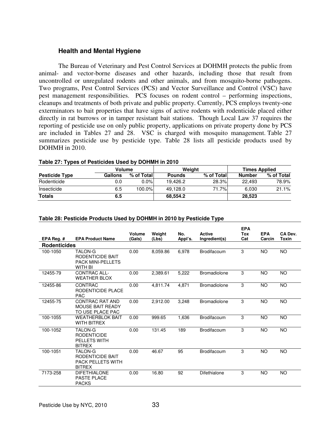## **Health and Mental Hygiene**

 The Bureau of Veterinary and Pest Control Services at DOHMH protects the public from animal- and vector-borne diseases and other hazards, including those that result from uncontrolled or unregulated rodents and other animals, and from mosquito-borne pathogens. Two programs, Pest Control Services (PCS) and Vector Surveillance and Control (VSC) have pest management responsibilities. PCS focuses on rodent control – performing inspections, cleanups and treatments of both private and public property. Currently, PCS employs twenty-one exterminators to bait properties that have signs of active rodents with rodenticide placed either directly in rat burrows or in tamper resistant bait stations. Though Local Law 37 requires the reporting of pesticide use on only public property, applications on private property done by PCS are included in Tables 27 and 28. VSC is charged with mosquito management. Table 27 summarizes pesticide use by pesticide type. Table 28 lists all pesticide products used by DOHMH in 2010.

|                       | <b>Volume</b> |            | Weiaht        |            | <b>Times Applied</b> |            |  |
|-----------------------|---------------|------------|---------------|------------|----------------------|------------|--|
| <b>Pesticide Type</b> | Gallons       | % of Total | <b>Pounds</b> | % of Total | Number               | % of Total |  |
| Rodenticide           | 0.0           | $0.0\%$    | 19.426.2      | 28.3%      | 22.493               | 78.9%      |  |
| Insecticide           | 6.5           | 100.0%     | 49.128.0      | 71.7%l     | 6.030                | 21.1%      |  |
| <b>Totals</b>         | 6.5           |            | 68.554.2      |            | 28,523               |            |  |

#### **Table 27: Types of Pesticides Used by DOHMH in 2010**

#### **Table 28: Pesticide Products Used by DOHMH in 2010 by Pesticide Type**

|                     |                                                                                 |                  |                 |                |                                | <b>EPA</b> |                      |                  |
|---------------------|---------------------------------------------------------------------------------|------------------|-----------------|----------------|--------------------------------|------------|----------------------|------------------|
| EPA Reg. $#$        | <b>EPA Product Name</b>                                                         | Volume<br>(Gals) | Weight<br>(Lbs) | No.<br>Appl's. | <b>Active</b><br>Ingredient(s) | Tox<br>Cat | <b>EPA</b><br>Carcin | CA Dev.<br>Toxin |
| <b>Rodenticides</b> |                                                                                 |                  |                 |                |                                |            |                      |                  |
| 100-1050            | TALON-G<br>RODENTICIDE BAIT<br><b>PACK MINI-PELLETS</b><br><b>WITH BI</b>       | 0.00             | 8,059.86        | 6,978          | Brodifacoum                    | 3          | <b>NO</b>            | <b>NO</b>        |
| 12455-79            | <b>CONTRAC ALL-</b><br><b>WEATHER BLOX</b>                                      | 0.00             | 2,389.61        | 5,222          | <b>Bromadiolone</b>            | 3          | <b>NO</b>            | <b>NO</b>        |
| 12455-86            | CONTRAC<br>RODENTICIDE PLACE<br><b>PAC</b>                                      | 0.00             | 4,811.74        | 4,871          | <b>Bromadiolone</b>            | 3          | <b>NO</b>            | NO               |
| 12455-75            | <b>CONTRAC RAT AND</b><br><b>MOUSE BAIT READY</b><br>TO USE PLACE PAC           | 0.00             | 2,912.00        | 3,248          | <b>Bromadiolone</b>            | 3          | <b>NO</b>            | <b>NO</b>        |
| 100-1055            | <b>WEATHERBLOK BAIT</b><br><b>WITH BITREX</b>                                   | 0.00             | 999.65          | 1,636          | Brodifacoum                    | 3          | <b>NO</b>            | <b>NO</b>        |
| 100-1052            | <b>TALON-G</b><br><b>RODENTICIDE</b><br><b>PELLETS WITH</b><br><b>BITREX</b>    | 0.00             | 131.45          | 189            | Brodifacoum                    | 3          | <b>NO</b>            | <b>NO</b>        |
| 100-1051            | <b>TALON-G</b><br>RODENTICIDE BAIT<br><b>PACK PELLETS WITH</b><br><b>BITREX</b> | 0.00             | 46.67           | 95             | Brodifacoum                    | 3          | <b>NO</b>            | NO.              |
| 7173-258            | <b>DIFETHIALONE</b><br><b>PASTE PLACE</b><br><b>PACKS</b>                       | 0.00             | 16.80           | 92             | Difethialone                   | 3          | <b>NO</b>            | <b>NO</b>        |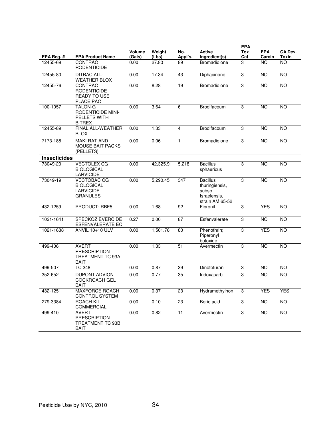|                     |                                                                                    |                  |                 |                 |                                                                                | <b>EPA</b>     |                      |                  |
|---------------------|------------------------------------------------------------------------------------|------------------|-----------------|-----------------|--------------------------------------------------------------------------------|----------------|----------------------|------------------|
| EPA Reg. #          | <b>EPA Product Name</b>                                                            | Volume<br>(Gals) | Weight<br>(Lbs) | No.<br>Appl's.  | Active<br>Ingredient(s)                                                        | Tox<br>Cat     | <b>EPA</b><br>Carcin | CA Dev.<br>Toxin |
| 12455-69            | CONTRAC<br><b>RODENTICIDE</b>                                                      | 0.00             | 27.80           | 89              | <b>Bromadiolone</b>                                                            | 3              | <b>NO</b>            | <b>NO</b>        |
| 12455-80            | <b>DITRAC ALL-</b><br><b>WEATHER BLOX</b>                                          | 0.00             | 17.34           | 43              | Diphacinone                                                                    | 3              | <b>NO</b>            | <b>NO</b>        |
| 12455-76            | CONTRAC<br><b>RODENTICIDE</b><br><b>READY TO USE</b><br>PLACE PAC                  | 0.00             | 8.28            | 19              | Bromadiolone                                                                   | 3              | <b>NO</b>            | <b>NO</b>        |
| 100-1057            | <b>TALON-G</b><br><b>RODENTICIDE MINI-</b><br><b>PELLETS WITH</b><br><b>BITREX</b> | 0.00             | 3.64            | 6               | Brodifacoum                                                                    | 3              | <b>NO</b>            | <b>NO</b>        |
| 12455-89            | FINAL ALL-WEATHER<br><b>BLOX</b>                                                   | 0.00             | 1.33            | $\overline{4}$  | Brodifacoum                                                                    | 3              | <b>NO</b>            | <b>NO</b>        |
| 7173-188            | <b>MAKI RAT AND</b><br><b>MOUSE BAIT PACKS</b><br>(PELLETS)                        | 0.00             | 0.06            | 1               | Bromadiolone                                                                   | 3              | <b>NO</b>            | <b>NO</b>        |
| <b>Insecticides</b> |                                                                                    |                  |                 |                 |                                                                                |                |                      |                  |
| 73049-20            | <b>VECTOLEX CG</b><br><b>BIOLOGICAL</b><br><b>LARVICIDE</b>                        | 0.00             | 42,325.91       | 5,218           | <b>Bacillus</b><br>sphaericus                                                  | 3              | $\overline{NO}$      | <b>NO</b>        |
| 73049-19            | <b>VECTOBAC CG</b><br><b>BIOLOGICAL</b><br><b>LARVICIDE</b><br><b>GRANULES</b>     | 0.00             | 5,290.45        | 347             | <b>Bacillus</b><br>thuringiensis,<br>subsp.<br>Israelensis.<br>strain AM 65-52 | 3              | <b>NO</b>            | <b>NO</b>        |
| 432-1259            | PRODUCT: RBF5                                                                      | 0.00             | 1.68            | 92              | Fipronil                                                                       | $\sqrt{3}$     | <b>YES</b>           | <b>NO</b>        |
| 1021-1641           | <b>SPECKOZ EVERCIDE</b><br><b>ESFENVALERATE EC</b>                                 | 0.27             | 0.00            | 87              | Esfenvalerate                                                                  | 3              | <b>NO</b>            | <b>NO</b>        |
| 1021-1688           | <b>ANVIL 10+10 ULV</b>                                                             | 0.00             | 1,501.76        | 80              | Phenothrin;<br>Piperonyl<br>butoxide                                           | 3              | <b>YES</b>           | <b>NO</b>        |
| 499-406             | <b>AVERT</b><br><b>PRESCRIPTION</b><br>TREATMENT TC 93A<br><b>BAIT</b>             | 0.00             | 1.33            | 51              | Avermectin                                                                     | 3              | <b>NO</b>            | <b>NO</b>        |
| 499-507             | <b>TC 248</b>                                                                      | 0.00             | 0.87            | 39              | Dinotefuran                                                                    | 3              | <b>NO</b>            | <b>NO</b>        |
| 352-652             | <b>DUPONT ADVION</b><br><b>COCKROACH GEL</b><br><b>BAIT</b>                        | 0.00             | 0.77            | 35              | Indoxacarb                                                                     | 3              | <b>NO</b>            | <b>NO</b>        |
| 432-1251            | <b>MAXFORCE ROACH</b><br>CONTROL SYSTEM                                            | 0.00             | 0.37            | 23              | Hydramethylnon                                                                 | $\mathbf 3$    | <b>YES</b>           | <b>YES</b>       |
| 279-3384            | <b>ROACH KIL</b><br><b>COMMERCIAL</b>                                              | 0.00             | 0.10            | $\overline{23}$ | Boric acid                                                                     | $\overline{3}$ | $\overline{10}$      | <b>NO</b>        |
| 499-410             | AVERT<br><b>PRESCRIPTION</b><br>TREATMENT TC 93B<br><b>BAIT</b>                    | 0.00             | 0.82            | $\overline{11}$ | Avermectin                                                                     | $\overline{3}$ | NO                   | $\overline{NO}$  |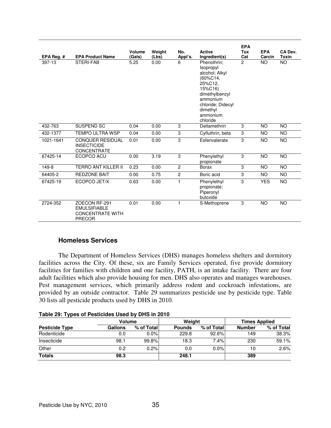| EPA Reg. # | <b>EPA Product Name</b>                                                          | Volume<br>(Gals) | Weight<br>(Lbs) | No.<br>Appl's. | <b>Active</b><br>Ingredient(s)                                                                                                                                      | <b>EPA</b><br>Tox<br>Cat | <b>EPA</b><br>Carcin | CA Dev.<br><b>Toxin</b> |
|------------|----------------------------------------------------------------------------------|------------------|-----------------|----------------|---------------------------------------------------------------------------------------------------------------------------------------------------------------------|--------------------------|----------------------|-------------------------|
| 397-13     | STERI-FAB                                                                        | 5.25             | 0.00            | 6              | Phenothrin:<br>Isopropyl<br>alcohol; Alkyl<br>(60%C14,<br>25%C12.<br>15%C16)<br>dimethylbenzyl<br>ammonium<br>chloride; Didecyl<br>dimethyl<br>ammonium<br>chloride | $\overline{2}$           | <b>NO</b>            | <b>NO</b>               |
| 432-763    | SUSPEND SC                                                                       | 0.04             | 0.00            | 3              | Deltamethrin                                                                                                                                                        | 3                        | <b>NO</b>            | <b>NO</b>               |
| 432-1377   | <b>TEMPO ULTRA WSP</b>                                                           | 0.04             | 0.00            | 3              | Cyfluthrin, beta                                                                                                                                                    | 3                        | <b>NO</b>            | <b>NO</b>               |
| 1021-1641  | <b>CONQUER RESIDUAL</b><br><b>INSECTICIDE</b><br><b>CONCENTRATE</b>              | 0.01             | 0.00            | 3              | Esfenvalerate                                                                                                                                                       | 3                        | <b>NO</b>            | NO                      |
| 67425-14   | ECOPCO ACU                                                                       | 0.00             | 3.19            | 3              | Phenylethyl<br>propionate                                                                                                                                           | 3                        | <b>NO</b>            | <b>NO</b>               |
| 149-8      | <b>TERRO ANT KILLER II</b>                                                       | 0.23             | 0.00            | 2              | <b>Borax</b>                                                                                                                                                        | 3                        | <b>NO</b>            | <b>NO</b>               |
| 64405-2    | <b>REDZONE BAIT</b>                                                              | 0.00             | 0.75            | $\overline{2}$ | Boric acid                                                                                                                                                          | 3                        | <b>NO</b>            | <b>NO</b>               |
| 67425-19   | ECOPCO JET/X                                                                     | 0.63             | 0.00            | 1              | Phenylethyl<br>propionate;<br>Piperonyl<br>butoxide                                                                                                                 | 3                        | <b>YES</b>           | <b>NO</b>               |
| 2724-352   | ZOECON RF-291<br><b>EMULSIFIABLE</b><br><b>CONCENTRATE WITH</b><br><b>PRECOR</b> | 0.01             | 0.00            | 1              | S-Methoprene                                                                                                                                                        | 3                        | <b>NO</b>            | <b>NO</b>               |

# **Homeless Services**

 The Department of Homeless Services (DHS) manages homeless shelters and dormitory facilities across the City. Of these, six are Family Services operated, five provide dormitory facilities for families with children and one facility, PATH, is an intake facility. There are four adult facilities which also provide housing for men. DHS also operates and manages warehouses. Pest management services, which primarily address rodent and cockroach infestations, are provided by an outside contractor. Table 29 summarizes pesticide use by pesticide type. Table 30 lists all pesticide products used by DHS in 2010.

| Table 29: Types of Pesticides Used by DHS in 2010 |  |  |  |
|---------------------------------------------------|--|--|--|
|---------------------------------------------------|--|--|--|

|                       | Volume  |            | Weight        |            | <b>Times Applied</b> |            |  |
|-----------------------|---------|------------|---------------|------------|----------------------|------------|--|
| <b>Pesticide Type</b> | Gallons | % of Total | <b>Pounds</b> | % of Total | <b>Number</b>        | % of Total |  |
| Rodenticide           | 0.0     | $0.0\%$    | 229.8         | 92.6%      | 149                  | 38.3%      |  |
| Insecticide           | 98.1    | 99.8%      | 18.3          | 7.4%       | 230                  | 59.1%      |  |
| Other                 | 0.2     | 0.2%       | 0.0           | 0.0%       | 10                   | 2.6%       |  |
| <b>Totals</b>         | 98.3    |            | 248.1         |            | 389                  |            |  |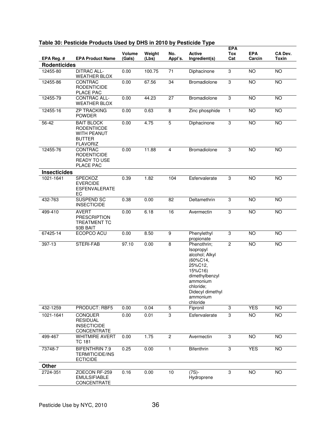|                     |                                                                                                   |                  |                 |                |                                                                                                                                                                        | <b>EPA</b>     |                      |                         |
|---------------------|---------------------------------------------------------------------------------------------------|------------------|-----------------|----------------|------------------------------------------------------------------------------------------------------------------------------------------------------------------------|----------------|----------------------|-------------------------|
| EPA Reg. #          | <b>EPA Product Name</b>                                                                           | Volume<br>(Gals) | Weight<br>(Lbs) | No.<br>Appl's. | Active<br>Ingredient(s)                                                                                                                                                | Tox<br>Cat     | <b>EPA</b><br>Carcin | CA Dev.<br><b>Toxin</b> |
| <b>Rodenticides</b> |                                                                                                   |                  |                 |                |                                                                                                                                                                        |                |                      |                         |
| 12455-80            | <b>DITRAC ALL-</b><br><b>WEATHER BLOX</b>                                                         | 0.00             | 100.75          | 71             | Diphacinone                                                                                                                                                            | 3              | <b>NO</b>            | <b>NO</b>               |
| 12455-86            | CONTRAC<br><b>RODENTICIDE</b><br>PLACE PAC                                                        | 0.00             | 67.56           | 34             | Bromadiolone                                                                                                                                                           | 3              | <b>NO</b>            | <b>NO</b>               |
| 12455-79            | CONTRAC ALL-<br><b>WEATHER BLOX</b>                                                               | 0.00             | 44.23           | 27             | Bromadiolone                                                                                                                                                           | $\overline{3}$ | <b>NO</b>            | $\overline{NO}$         |
| 12455-16            | <b>ZP TRACKING</b><br><b>POWDER</b>                                                               | 0.00             | 0.63            | 8              | Zinc phosphide                                                                                                                                                         | $\mathbf{1}$   | <b>NO</b>            | <b>NO</b>               |
| 56-42               | <b>BAIT BLOCK</b><br><b>RODENTIICDE</b><br><b>WITH PEANUT</b><br><b>BUTTER</b><br><b>FLAVORIZ</b> | 0.00             | 4.75            | $\overline{5}$ | Diphacinone                                                                                                                                                            | 3              | $\overline{NO}$      | $\overline{NO}$         |
| 12455-76            | CONTRAC<br><b>RODENTICIDE</b><br><b>READY TO USE</b><br>PLACE PAC                                 | 0.00             | 11.88           | 4              | Bromadiolone                                                                                                                                                           | 3              | <b>NO</b>            | <b>NO</b>               |
| <b>Insecticides</b> |                                                                                                   |                  |                 |                |                                                                                                                                                                        |                |                      |                         |
| 1021-1641           | <b>SPECKOZ</b><br><b>EVERCIDE</b><br><b>ESFENVALERATE</b><br>EC                                   | 0.39             | 1.82            | 104            | Esfenvalerate                                                                                                                                                          | 3              | <b>NO</b>            | <b>NO</b>               |
| 432-763             | SUSPEND SC<br><b>INSECTICIDE</b>                                                                  | 0.38             | 0.00            | 82             | Deltamethrin                                                                                                                                                           | 3              | <b>NO</b>            | <b>NO</b>               |
| 499-410             | <b>AVERT</b><br><b>PRESCRIPTION</b><br><b>TREATMENT TC</b><br>93B BAIT                            | 0.00             | 6.18            | 16             | Avermectin                                                                                                                                                             | $\overline{3}$ | <b>NO</b>            | <b>NO</b>               |
| 67425-14            | ECOPCO ACU                                                                                        | 0.00             | 8.50            | $\overline{9}$ | Phenylethyl<br>propionate                                                                                                                                              | 3              | <b>NO</b>            | <b>NO</b>               |
| 397-13              | <b>STERI-FAB</b>                                                                                  | 97.10            | 0.00            | $\overline{8}$ | Phenothrin;<br>Isopropyl<br>alcohol; Alkyl<br>$(60\%C14,$<br>25%C12,<br>15%C16)<br>dimethylbenzyl<br>ammonium<br>chloride;<br>Didecyl dimethyl<br>ammonium<br>chloride | $\overline{2}$ | <b>NO</b>            | <b>NO</b>               |
| 432-1259            | <b>PRODUCT: RBF5</b>                                                                              | 0.00             | 0.04            | $\overline{5}$ | Fipronil                                                                                                                                                               | $\overline{3}$ | <b>YES</b>           | <b>NO</b>               |
| 1021-1641           | <b>CONQUER</b><br><b>RESIDUAL</b><br><b>INSECTICIDE</b><br>CONCENTRATE                            | 0.00             | 0.01            | 3              | Esfenvalerate                                                                                                                                                          | 3              | <b>NO</b>            | <b>NO</b>               |
| 499-467             | <b>WHITMIRE AVERT</b><br><b>TC 181</b>                                                            | 0.00             | 1.75            | $\overline{2}$ | Avermectin                                                                                                                                                             | 3              | <b>NO</b>            | <b>NO</b>               |
| 73748-7             | <b>BIFENTHRIN 7.9</b><br><b>TERMITICIDE/INS</b><br><b>ECTICIDE</b>                                | 0.25             | 0.00            | 1              | Bifenthrin                                                                                                                                                             | 3              | <b>YES</b>           | NO                      |
| Other               |                                                                                                   |                  |                 |                |                                                                                                                                                                        |                |                      |                         |
| 2724-351            | ZOECON RF-259<br><b>EMULSIFIABLE</b><br>CONCENTRATE                                               | 0.16             | 0.00            | 10             | $(7S) -$<br>Hydroprene                                                                                                                                                 | 3              | $\overline{NO}$      | <b>NO</b>               |

### **Table 30: Pesticide Products Used by DHS in 2010 by Pesticide Type**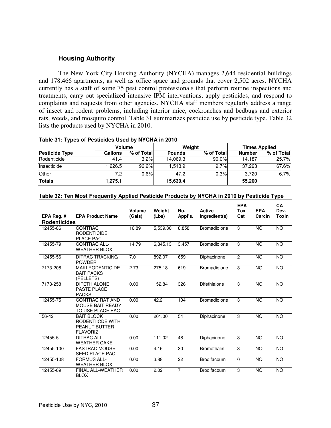### **Housing Authority**

 The New York City Housing Authority (NYCHA) manages 2,644 residential buildings and 178,466 apartments, as well as office space and grounds that cover 2,502 acres. NYCHA currently has a staff of some 75 pest control professionals that perform routine inspections and treatments, carry out specialized intensive IPM interventions, apply pesticides, and respond to complaints and requests from other agencies. NYCHA staff members regularly address a range of insect and rodent problems, including interior mice, cockroaches and bedbugs and exterior rats, weeds, and mosquito control. Table 31 summarizes pesticide use by pesticide type. Table 32 lists the products used by NYCHA in 2010.

### **Table 31: Types of Pesticides Used by NYCHA in 2010**

|                       | <b>Volume</b>  |            |               | Weight     | <b>Times Applied</b> |            |  |
|-----------------------|----------------|------------|---------------|------------|----------------------|------------|--|
| <b>Pesticide Type</b> | <b>Gallons</b> | % of Total | <b>Pounds</b> | % of Total | <b>Number</b>        | % of Total |  |
| Rodenticide           | 41.4           | 3.2%       | 14.069.3      | 90.0%      | 14.187               | 25.7%      |  |
| Insecticide           | .226.5         | 96.2%      | 1.513.9       | 9.7%       | 37.293               | 67.6%      |  |
| Other                 | 7.2            | 0.6%       | 47.2          | 0.3%       | 3.720                | 6.7%       |  |
| <b>Totals</b>         | 1,275.1        |            | 15.630.4      |            | 55,200               |            |  |

#### T**able 32: Ten Most Frequently Applied Pesticide Products by NYCHA in 2010 by Pesticide Type**

**EPA** 

 $\sim$   $\sim$ 

|                     |                                                                                  | Volume | Weight   | No.            | <b>Active</b>       | EPA<br>Tox | <b>EPA</b> | UΑ<br>Dev. |
|---------------------|----------------------------------------------------------------------------------|--------|----------|----------------|---------------------|------------|------------|------------|
| EPA Reg.#           | <b>EPA Product Name</b>                                                          | (Gals) | (Lbs)    | Appl's.        | Ingredient(s)       | Cat        | Carcin     | Toxin      |
| <b>Rodenticides</b> |                                                                                  |        |          |                |                     |            |            |            |
| 12455-86            | <b>CONTRAC</b><br><b>RODENTICIDE</b><br>PLACE PAC                                | 16.89  | 5.539.30 | 8.858          | Bromadiolone        | 3          | <b>NO</b>  | <b>NO</b>  |
| 12455-79            | CONTRAC ALL-<br><b>WEATHER BLOX</b>                                              | 14.79  | 6,845.13 | 3,457          | <b>Bromadiolone</b> | 3          | <b>NO</b>  | <b>NO</b>  |
| 12455-56            | <b>DITRAC TRACKING</b><br><b>POWDER</b>                                          | 7.01   | 892.07   | 659            | Diphacinone         | 2          | <b>NO</b>  | <b>NO</b>  |
| 7173-208            | <b>MAKI RODENTICIDE</b><br><b>BAIT PACKS</b><br>(PELLETS)                        | 2.73   | 275.18   | 619            | Bromadiolone        | 3          | <b>NO</b>  | <b>NO</b>  |
| 7173-258            | <b>DIFETHIALONE</b><br><b>PASTE PLACE</b><br><b>PACKS</b>                        | 0.00   | 152.84   | 326            | Difethialone        | 3          | <b>NO</b>  | <b>NO</b>  |
| 12455-75            | <b>CONTRAC RAT AND</b><br><b>MOUSE BAIT READY</b><br>TO USE PLACE PAC            | 0.00   | 42.21    | 104            | Bromadiolone        | 3          | <b>NO</b>  | <b>NO</b>  |
| 56-42               | <b>BAIT BLOCK</b><br>RODENTIICDE WITH<br><b>PEANUT BUTTER</b><br><b>FLAVORIZ</b> | 0.00   | 201.00   | 54             | Diphacinone         | 3          | <b>NO</b>  | <b>NO</b>  |
| 12455-5             | <b>DITRAC ALL-</b><br><b>WEATHER CAKE</b>                                        | 0.00   | 111.02   | 48             | Diphacinone         | 3          | <b>NO</b>  | <b>NO</b>  |
| 12455-100           | <b>FASTRAC MOUSE</b><br><b>SEED PLACE PAC</b>                                    | 0.00   | 4.16     | 30             | Bromethalin         | 3          | <b>NO</b>  | <b>NO</b>  |
| 12455-108           | <b>FORMUS ALL-</b><br><b>WEATHER BLOX</b>                                        | 0.00   | 3.88     | 22             | <b>Brodifacoum</b>  | 0          | <b>NO</b>  | <b>NO</b>  |
| 12455-89            | <b>FINAL ALL-WEATHER</b><br><b>BLOX</b>                                          | 0.00   | 2.02     | $\overline{7}$ | Brodifacoum         | 3          | <b>NO</b>  | <b>NO</b>  |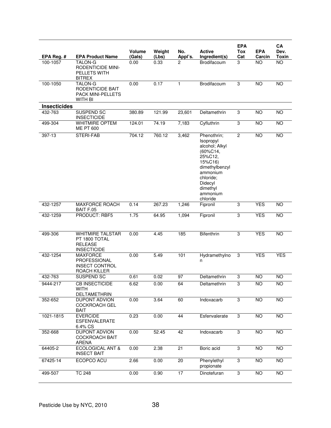|                     |                                                                                  |                         |                 |                |                                                                                                                                                                        | <b>EPA</b>                |                      | CA                   |
|---------------------|----------------------------------------------------------------------------------|-------------------------|-----------------|----------------|------------------------------------------------------------------------------------------------------------------------------------------------------------------------|---------------------------|----------------------|----------------------|
| EPA Reg. #          | <b>EPA Product Name</b>                                                          | <b>Volume</b><br>(Gals) | Weight<br>(Lbs) | No.<br>Appl's. | <b>Active</b><br>Ingredient(s)                                                                                                                                         | Tox<br>Cat                | <b>EPA</b><br>Carcin | Dev.<br><b>Toxin</b> |
| 100-1057            | <b>TALON-G</b><br><b>RODENTICIDE MINI-</b><br>PELLETS WITH<br><b>BITREX</b>      | 0.00                    | 0.33            | 2              | Brodifacoum                                                                                                                                                            | 3                         | <b>NO</b>            | $\overline{NO}$      |
| 100-1050            | TALON-G<br><b>RODENTICIDE BAIT</b><br>PACK MINI-PELLETS<br>WITH BI               | 0.00                    | 0.17            | $\mathbf{1}$   | Brodifacoum                                                                                                                                                            | 3                         | <b>NO</b>            | <b>NO</b>            |
| <b>Insecticides</b> |                                                                                  |                         |                 |                |                                                                                                                                                                        |                           |                      |                      |
| 432-763             | SUSPEND SC<br><b>INSECTICIDE</b>                                                 | 380.89                  | 121.99          | 23,601         | Deltamethrin                                                                                                                                                           | 3                         | <b>NO</b>            | <b>NO</b>            |
| 499-304             | <b>WHITMIRE OPTEM</b><br><b>ME PT 600</b>                                        | 124.01                  | 74.19           | 7,183          | Cyfluthrin                                                                                                                                                             | 3                         | <b>NO</b>            | $\overline{NO}$      |
| 397-13              | STERI-FAB                                                                        | 704.12                  | 760.12          | 3,462          | Phenothrin;<br>Isopropyl<br>alcohol; Alkyl<br>(60%C14,<br>25%C12,<br>15%C16)<br>dimethylbenzyl<br>ammonium<br>chloride:<br>Didecyl<br>dimethyl<br>ammonium<br>chloride | $\overline{2}$            | <b>NO</b>            | NO                   |
| 432-1257            | <b>MAXFORCE ROACH</b><br>BAIT F.05                                               | 0.14                    | 267.23          | 1,246          | Fipronil                                                                                                                                                               | $\overline{3}$            | <b>YES</b>           | <b>NO</b>            |
| 432-1259            | PRODUCT: RBF5                                                                    | 1.75                    | 64.95           | 1,094          | Fipronil                                                                                                                                                               | $\overline{3}$            | <b>YES</b>           | <b>NO</b>            |
| 499-306             | <b>WHITMIRE TALSTAR</b><br>PT 1800 TOTAL<br><b>RELEASE</b><br><b>INSECTICIDE</b> | 0.00                    | 4.45            | 185            | Bifenthrin                                                                                                                                                             | 3                         | <b>YES</b>           | <b>NO</b>            |
| 432-1254            | <b>MAXFORCE</b><br>PROFESSIONAL<br><b>INSECT CONTROL</b><br>ROACH KILLER         | 0.00                    | 5.49            | 101            | Hydramethylno<br>n                                                                                                                                                     | 3                         | <b>YES</b>           | <b>YES</b>           |
| 432-763             | SUSPEND SC                                                                       | 0.61                    | 0.02            | 97             | Deltamethrin                                                                                                                                                           | $\ensuremath{\mathsf{3}}$ | <b>NO</b>            | <b>NO</b>            |
| 9444-217            | <b>CB INSECTICIDE</b><br>WITH<br>DELTAMETHRIN                                    | 6.62                    | 0.00            | 64             | Deltamethrin                                                                                                                                                           | $\overline{3}$            | NO <sub></sub>       | <b>NO</b>            |
| 352-652             | <b>DUPONT ADVION</b><br><b>COCKROACH GEL</b><br><b>BAIT</b>                      | 0.00                    | 3.64            | 60             | Indoxacarb                                                                                                                                                             | $\overline{3}$            | $\overline{3}$       | NO                   |
| 1021-1815           | <b>EVERCIDE</b><br><b>ESFENVALERATE</b><br>6.4% CS                               | 0.23                    | 0.00            | 44             | Esfenvalerate                                                                                                                                                          | $\overline{3}$            | $\overline{3}$       | <b>NO</b>            |
| 352-668             | <b>DUPONT ADVION</b><br>COCKROACH BAIT<br><b>ARENA</b>                           | 0.00                    | 52.45           | 42             | Indoxacarb                                                                                                                                                             | 3                         | $\overline{3}$       | <b>NO</b>            |
| 64405-2             | <b>ECOLOGICAL ANT &amp;</b><br><b>INSECT BAIT</b>                                | 0.00                    | 2.38            | 21             | Boric acid                                                                                                                                                             | 3                         | <b>NO</b>            | <b>NO</b>            |
| 67425-14            | ECOPCO ACU                                                                       | 2.66                    | 0.00            | 20             | Phenylethyl<br>propionate                                                                                                                                              | 3                         | $\overline{NO}$      | NO                   |
| 499-507             | <b>TC 248</b>                                                                    | 0.00                    | 0.90            | 17             | Dinotefuran                                                                                                                                                            | $\overline{3}$            | <b>NO</b>            | <b>NO</b>            |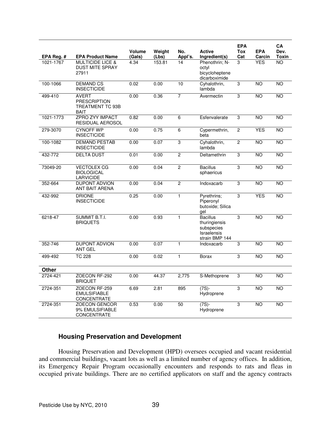|                         | <b>EPA Product Name</b>                                                | <b>Volume</b>  | Weight<br>(Lbs) | No.<br>Appl's. | <b>Active</b>                                                                          | <b>EPA</b><br><b>Tox</b><br>Cat | <b>EPA</b><br>Carcin | CA<br>Dev.<br>Toxin |
|-------------------------|------------------------------------------------------------------------|----------------|-----------------|----------------|----------------------------------------------------------------------------------------|---------------------------------|----------------------|---------------------|
| EPA Reg. #<br>1021-1767 | <b>MULTICIDE LICE &amp;</b><br><b>DUST MITE SPRAY</b><br>27911         | (Gals)<br>4.34 | 153.81          | 14             | Ingredient(s)<br>Phenothrin; N-<br>octyl<br>bicycloheptene<br>dicarboximide            | 3                               | <b>YES</b>           | N <sub>O</sub>      |
| 100-1066                | <b>DEMAND CS</b><br><b>INSECTICIDE</b>                                 | 0.02           | 0.00            | 10             | Cyhalothrin,<br>lambda                                                                 | 3                               | $\overline{NO}$      | <b>NO</b>           |
| 499-410                 | <b>AVERT</b><br><b>PRESCRIPTION</b><br>TREATMENT TC 93B<br><b>BAIT</b> | 0.00           | 0.36            | 7              | Avermectin                                                                             | 3                               | <b>NO</b>            | <b>NO</b>           |
| 1021-1773               | <b>ZPRO ZYY IMPACT</b><br><b>RESIDUAL AEROSOL</b>                      | 0.82           | 0.00            | $\overline{6}$ | Esfenvalerate                                                                          | 3                               | <b>NO</b>            | <b>NO</b>           |
| 279-3070                | <b>CYNOFF WP</b><br><b>INSECTICIDE</b>                                 | 0.00           | 0.75            | 6              | Cypermethrin,<br>beta                                                                  | $\overline{c}$                  | <b>YES</b>           | <b>NO</b>           |
| 100-1082                | <b>DEMAND PESTAB</b><br><b>INSECTICIDE</b>                             | 0.00           | 0.07            | $\overline{3}$ | Cyhalothrin,<br>lambda                                                                 | $\overline{2}$                  | <b>NO</b>            | N <sub>O</sub>      |
| 432-772                 | <b>DELTA DUST</b>                                                      | 0.01           | 0.00            | $\overline{2}$ | Deltamethrin                                                                           | 3                               | <b>NO</b>            | <b>NO</b>           |
| 73049-20                | <b>VECTOLEX CG</b><br><b>BIOLOGICAL</b><br><b>LARVICIDE</b>            | 0.00           | 0.04            | $\overline{c}$ | <b>Bacillus</b><br>sphaericus                                                          | 3                               | <b>NO</b>            | <b>NO</b>           |
| 352-664                 | <b>DUPONT ADVION</b><br>ANT BAIT ARENA                                 | 0.00           | 0.04            | $\overline{2}$ | Indoxacarb                                                                             | 3                               | <b>NO</b>            | <b>NO</b>           |
| 432-992                 | <b>DRIONE</b><br><b>INSECTICIDE</b>                                    | 0.25           | 0.00            | $\overline{1}$ | Pyrethrins;<br>Piperonyl<br>butoxide; Silica<br>gel                                    | 3                               | <b>YES</b>           | <b>NO</b>           |
| 6218-47                 | SUMMIT B.T.I.<br><b>BRIQUETS</b>                                       | 0.00           | 0.93            | $\mathbf{1}$   | <b>Bacillus</b><br>thuringiensis<br>subspecies<br><b>Israelensis</b><br>strain BMP 144 | $\overline{3}$                  | <b>NO</b>            | <b>NO</b>           |
| 352-746                 | <b>DUPONT ADVION</b><br><b>ANT GEL</b>                                 | 0.00           | 0.07            | $\mathbf{1}$   | Indoxacarb                                                                             | 3                               | <b>NO</b>            | <b>NO</b>           |
| 499-492                 | <b>TC 228</b>                                                          | 0.00           | 0.02            | $\mathbf{1}$   | <b>Borax</b>                                                                           | 3                               | <b>NO</b>            | <b>NO</b>           |
| Other                   |                                                                        |                |                 |                |                                                                                        |                                 |                      |                     |
| 2724-421                | ZOECON RF-292<br><b>BRIQUET</b>                                        | 0.00           | 44.37           | 2,775          | S-Methoprene                                                                           | 3                               | <b>NO</b>            | <b>NO</b>           |
| 2724-351                | ZOECON RF-259<br><b>EMULSIFIABLE</b><br>CONCENTRATE                    | 6.69           | 2.81            | 895            | $(7S)$ -<br>Hydroprene                                                                 | 3                               | <b>NO</b>            | <b>NO</b>           |
| 2724-351                | <b>ZOECON GENCOR</b><br>9% EMULSIFIABLE<br>CONCENTRATE                 | 0.53           | 0.00            | 50             | (7S)-<br>Hydroprene                                                                    | 3                               | <b>NO</b>            | <b>NO</b>           |

# **Housing Preservation and Development**

 Housing Preservation and Development (HPD) oversees occupied and vacant residential and commercial buildings, vacant lots as well as a limited number of agency offices. In addition, its Emergency Repair Program occasionally encounters and responds to rats and fleas in occupied private buildings. There are no certified applicators on staff and the agency contracts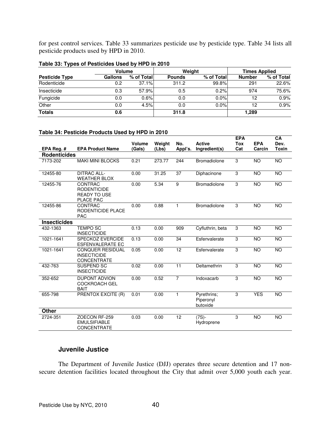for pest control services. Table 33 summarizes pesticide use by pesticide type. Table 34 lists all pesticide products used by HPD in 2010.

| - -                   |         |            |               |            |                      |            |  |
|-----------------------|---------|------------|---------------|------------|----------------------|------------|--|
|                       | Volume  |            |               | Weight     | <b>Times Applied</b> |            |  |
| <b>Pesticide Type</b> | Gallons | % of Total | <b>Pounds</b> | % of Total | <b>Number</b>        | % of Total |  |
| Rodenticide           | 0.2     | 37.1%      | 311.2         | 99.8%      | 291                  | 22.6%      |  |
| Insecticide           | 0.3     | 57.9%      | 0.5           | 0.2%       | 974                  | 75.6%      |  |
| Fungicide             | 0.0     | 0.6%       | 0.0           | 0.0%       | 12                   | 0.9%       |  |
| Other                 | 0.0     | 4.5%       | 0.0           | $0.0\%$    | 12                   | 0.9%       |  |
| <b>Totals</b>         | 0.6     |            | 311.8         |            | 1,289                |            |  |

**Table 33: Types of Pesticides Used by HPD in 2010** 

### **Table 34: Pesticide Products Used by HPD in 2010**

|                     |                                                                                 |                  |                 |                |                                      | <b>EPA</b>        |                      | CA                   |
|---------------------|---------------------------------------------------------------------------------|------------------|-----------------|----------------|--------------------------------------|-------------------|----------------------|----------------------|
| EPA Reg. #          | <b>EPA Product Name</b>                                                         | Volume<br>(Gals) | Weight<br>(Lbs) | No.<br>Appl's. | <b>Active</b><br>Ingredient(s)       | <b>Tox</b><br>Cat | <b>EPA</b><br>Carcin | Dev.<br><b>Toxin</b> |
| <b>Rodenticides</b> |                                                                                 |                  |                 |                |                                      |                   |                      |                      |
|                     |                                                                                 |                  |                 |                |                                      |                   |                      |                      |
| 7173-202            | <b>MAKI MINI BLOCKS</b>                                                         | 0.21             | 273.77          | 244            | <b>Bromadiolone</b>                  | 3                 | <b>NO</b>            | <b>NO</b>            |
| 12455-80            | <b>DITRAC ALL-</b><br><b>WEATHER BLOX</b>                                       | 0.00             | 31.25           | 37             | Diphacinone                          | 3                 | <b>NO</b>            | <b>NO</b>            |
| 12455-76            | <b>CONTRAC</b><br><b>RODENTICIDE</b><br><b>READY TO USE</b><br><b>PLACE PAC</b> | 0.00             | 5.34            | 9              | <b>Bromadiolone</b>                  | 3                 | <b>NO</b>            | <b>NO</b>            |
| 12455-86            | CONTRAC<br>RODENTICIDE PLACE<br><b>PAC</b>                                      | 0.00             | 0.88            | 1              | Bromadiolone                         | 3                 | <b>NO</b>            | <b>NO</b>            |
| <b>Insecticides</b> |                                                                                 |                  |                 |                |                                      |                   |                      |                      |
| 432-1363            | <b>TEMPO SC</b><br><b>INSECTICIDE</b>                                           | 0.13             | 0.00            | 909            | Cyfluthrin, beta                     | 3                 | <b>NO</b>            | <b>NO</b>            |
| 1021-1641           | <b>SPECKOZ EVERCIDE</b><br><b>ESFENVALERATE EC</b>                              | 0.13             | 0.00            | 34             | Esfenvalerate                        | 3                 | <b>NO</b>            | <b>NO</b>            |
| 1021-1641           | <b>CONQUER RESIDUAL</b><br><b>INSECTICIDE</b><br><b>CONCENTRATE</b>             | 0.05             | 0.00            | 12             | Esfenvalerate                        | 3                 | <b>NO</b>            | <b>NO</b>            |
| 432-763             | SUSPEND SC<br><b>INSECTICIDE</b>                                                | 0.02             | 0.00            | 11             | Deltamethrin                         | 3                 | <b>NO</b>            | <b>NO</b>            |
| 352-652             | <b>DUPONT ADVION</b><br><b>COCKROACH GEL</b><br><b>BAIT</b>                     | 0.00             | 0.52            | $\overline{7}$ | Indoxacarb                           | 3                 | <b>NO</b>            | <b>NO</b>            |
| 655-798             | <b>PRENTOX EXCITE (R)</b>                                                       | 0.01             | 0.00            | 1              | Pyrethrins;<br>Piperonyl<br>butoxide | 3                 | <b>YES</b>           | $\overline{NO}$      |
| <b>Other</b>        |                                                                                 |                  |                 |                |                                      |                   |                      |                      |
| 2724-351            | ZOECON RF-259<br><b>EMULSIFIABLE</b><br><b>CONCENTRATE</b>                      | 0.03             | 0.00            | 12             | $(7S)$ -<br>Hydroprene               | 3                 | <b>NO</b>            | <b>NO</b>            |

### **Juvenile Justice**

 The Department of Juvenile Justice (DJJ) operates three secure detention and 17 nonsecure detention facilities located throughout the City that admit over 5,000 youth each year.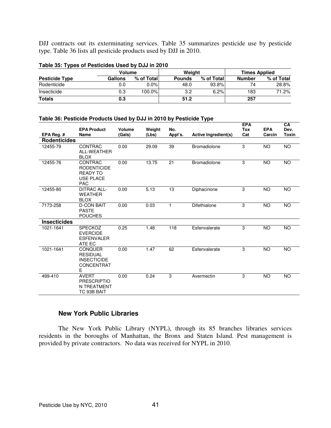DJJ contracts out its exterminating services. Table 35 summarizes pesticide use by pesticide type. Table 36 lists all pesticide products used by DJJ in 2010.

|                       | Volume  |            | Weight        |            | <b>Times Applied</b> |            |  |  |  |  |  |  |
|-----------------------|---------|------------|---------------|------------|----------------------|------------|--|--|--|--|--|--|
| <b>Pesticide Type</b> | Gallons | % of Total | <b>Pounds</b> | % of Total | Number               | % of Total |  |  |  |  |  |  |
| Rodenticide           | 0.0     | $0.0\%$    | 48.0          | 93.8%      |                      | 28.8%      |  |  |  |  |  |  |
| Insecticide           | 0.3     | 100.0%     | 3.2           | 6.2%       | 183                  | 71.2%      |  |  |  |  |  |  |
| <b>Totals</b>         | 0.3     |            | 51.2          |            | 257                  |            |  |  |  |  |  |  |

### **Table 35: Types of Pesticides Used by DJJ in 2010**

### **Table 36: Pesticide Products Used by DJJ in 2010 by Pesticide Type**

|                     | <b>EPA Product</b>                                                                 | Volume | Weight | No.     |                             | <b>EPA</b><br><b>Tox</b> | <b>EPA</b> | CA<br>Dev.   |
|---------------------|------------------------------------------------------------------------------------|--------|--------|---------|-----------------------------|--------------------------|------------|--------------|
| EPA Reg. #          | Name                                                                               | (Gals) | (Lbs)  | Appl's. | <b>Active Ingredient(s)</b> | Cat                      | Carcin     | <b>Toxin</b> |
| <b>Rodenticides</b> |                                                                                    |        |        |         |                             |                          |            |              |
| 12455-79            | CONTRAC<br>ALL-WEATHER<br><b>BLOX</b>                                              | 0.00   | 29.09  | 39      | <b>Bromadiolone</b>         | 3                        | <b>NO</b>  | <b>NO</b>    |
| 12455-76            | CONTRAC<br><b>RODENTICIDE</b><br><b>READY TO</b><br><b>USE PLACE</b><br><b>PAC</b> | 0.00   | 13.75  | 21      | <b>Bromadiolone</b>         | 3                        | <b>NO</b>  | NO           |
| 12455-80            | <b>DITRAC ALL-</b><br><b>WEATHER</b><br><b>BLOX</b>                                | 0.00   | 5.13   | 13      | Diphacinone                 | 3                        | <b>NO</b>  | <b>NO</b>    |
| 7173-258            | <b>D-CON BAIT</b><br><b>PASTE</b><br><b>POUCHES</b>                                | 0.00   | 0.03   | 1       | Difethialone                | 3                        | <b>NO</b>  | <b>NO</b>    |
| <b>Insecticides</b> |                                                                                    |        |        |         |                             |                          |            |              |
| 1021-1641           | <b>SPECKOZ</b><br><b>EVERCIDE</b><br><b>ESFENVALER</b><br>ATE EC                   | 0.25   | 1.48   | 118     | Esfenvalerate               | 3                        | <b>NO</b>  | <b>NO</b>    |
| 1021-1641           | <b>CONQUER</b><br><b>RESIDUAL</b><br><b>INSECTICIDE</b><br>CONCENTRAT<br>Е         | 0.00   | 1.47   | 62      | Esfenvalerate               | 3                        | <b>NO</b>  | <b>NO</b>    |
| 499-410             | <b>AVERT</b><br><b>PRESCRIPTIO</b><br>N TREATMENT<br>TC 93B BAIT                   | 0.00   | 0.24   | 3       | Avermectin                  | 3                        | <b>NO</b>  | <b>NO</b>    |

# **New York Public Libraries**

 The New York Public Library (NYPL), through its 85 branches libraries services residents in the boroughs of Manhattan, the Bronx and Staten Island. Pest management is provided by private contractors. No data was received for NYPL in 2010.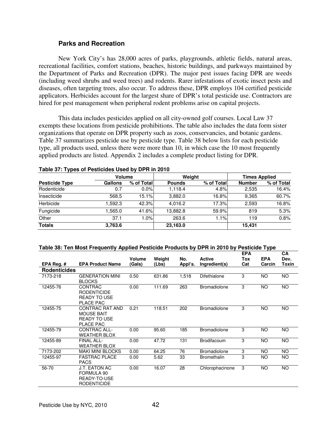### **Parks and Recreation**

 New York City's has 28,000 acres of parks, playgrounds, athletic fields, natural areas, recreational facilities, comfort stations, beaches, historic buildings, and parkways maintained by the Department of Parks and Recreation (DPR). The major pest issues facing DPR are weeds (including weed shrubs and weed trees) and rodents. Rarer infestations of exotic insect pests and diseases, often targeting trees, also occur. To address these, DPR employs 104 certified pesticide applicators. Herbicides account for the largest share of DPR's total pesticide use. Contractors are hired for pest management when peripheral rodent problems arise on capital projects.

This data includes pesticides applied on all city-owned golf courses. Local Law 37 exempts these locations from pesticide prohibitions. The table also includes the data form sister organizations that operate on DPR property such as zoos, conservancies, and botanic gardens. Table 37 summarizes pesticide use by pesticide type. Table 38 below lists for each pesticide type, all products used, unless there were more than 10, in which case the 10 most frequently applied products are listed. Appendix 2 includes a complete product listing for DPR.

|                       | Volume  |            | Weight        |            | <b>Times Applied</b> |            |  |
|-----------------------|---------|------------|---------------|------------|----------------------|------------|--|
| <b>Pesticide Type</b> | Gallons | % of Total | <b>Pounds</b> | % of Total | <b>Number</b>        | % of Total |  |
| Rodenticide           | 0.7     | $0.0\%$    | 1.118.4       | 4.8%       | 2,535                | 16.4%      |  |
| Insecticide           | 568.5   | 15.1%      | 3.882.0       | 16.8%      | 9.365                | 60.7%      |  |
| Herbicide             | .592.3  | 42.3%      | 4.016.2       | 17.3%      | 2.593                | 16.8%      |  |
| Fungicide             | .565.0  | 41.6%      | 13,882.8      | 59.9%l     | 819                  | 5.3%       |  |
| Other                 | 37.1    | 1.0%       | 263.6         | 1.1%       | 119                  | 0.8%       |  |
| <b>Totals</b>         | 3,763.6 |            | 23,163.0      |            | 15,431               |            |  |

### **Table 37: Types of Pesticides Used by DPR in 2010**

#### **Table 38: Ten Most Frequently Applied Pesticide Products by DPR in 2010 by Pesticide Type**

|                     |                                                                          | Volume | Weight | No.     | <b>Active</b>       | <b>EPA</b><br>Tox | <b>EPA</b> | CA<br>Dev. |
|---------------------|--------------------------------------------------------------------------|--------|--------|---------|---------------------|-------------------|------------|------------|
| EPA Reg. $#$        | <b>EPA Product Name</b>                                                  | (Gals) | (Lbs)  | Appl's. | Ingredient(s)       | Cat               | Carcin     | Toxin      |
| <b>Rodenticides</b> |                                                                          |        |        |         |                     |                   |            |            |
| 7173-218            | <b>GENERATION MINI</b><br><b>BLOCKS</b>                                  | 0.50   | 631.86 | 1,518   | Difethialone        | 3                 | <b>NO</b>  | <b>NO</b>  |
| 12455-76            | CONTRAC<br><b>RODENTICIDE</b><br><b>READY TO USE</b><br>PLACE PAC        | 0.00   | 111.69 | 263     | <b>Bromadiolone</b> | 3                 | NO.        | <b>NO</b>  |
| 12455-75            | CONTRAC RAT AND<br><b>MOUSE BAIT</b><br><b>READY TO USE</b><br>PLACE PAC | 0.21   | 118.51 | 202     | <b>Bromadiolone</b> | 3                 | <b>NO</b>  | <b>NO</b>  |
| 12455-79            | CONTRAC ALL-<br><b>WEATHER BLOX</b>                                      | 0.00   | 95.60  | 185     | <b>Bromadiolone</b> | 3                 | <b>NO</b>  | <b>NO</b>  |
| 12455-89            | <b>FINAL ALL-</b><br><b>WEATHER BLOX</b>                                 | 0.00   | 47.72  | 131     | <b>Brodifacoum</b>  | 3                 | <b>NO</b>  | <b>NO</b>  |
| 7173-202            | <b>MAKI MINI BLOCKS</b>                                                  | 0.00   | 64.25  | 76      | <b>Bromadiolone</b> | 3                 | NO         | <b>NO</b>  |
| 12455-97            | <b>FASTRAC PLACE</b><br><b>PACS</b>                                      | 0.00   | 5.62   | 33      | <b>Bromethalin</b>  | 3                 | NO         | NO.        |
| 56-70               | J.T. EATON AC<br>FORMULA 90<br>READY-TO-USE<br><b>RODENTICIDE</b>        | 0.00   | 16.07  | 28      | Chlorophacinone     | 3                 | NO         | <b>NO</b>  |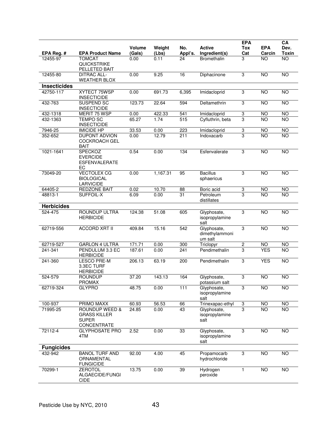| EPA Reg. #          | <b>EPA Product Name</b>                                                         | <b>Volume</b><br>(Gals) | Weight<br>(Lbs) | No.<br>Appl's.   | <b>Active</b><br>Ingredient(s)           | <b>EPA</b><br>Tox<br>Cat | <b>EPA</b><br>Carcin | CA<br>Dev.<br>Toxin |
|---------------------|---------------------------------------------------------------------------------|-------------------------|-----------------|------------------|------------------------------------------|--------------------------|----------------------|---------------------|
| 12455-97            | <b>TOMCAT</b><br>QUICKSTRIKE<br>PELLETED BAIT                                   | 0.00                    | 0.11            | 24               | <b>Bromethalin</b>                       | 3                        | NO                   | NO                  |
| 12455-80            | <b>DITRAC ALL-</b><br><b>WEATHER BLOX</b>                                       | 0.00                    | 9.25            | 16               | Diphacinone                              | $\overline{3}$           | <b>NO</b>            | <b>NO</b>           |
| <b>Insecticides</b> |                                                                                 |                         |                 |                  |                                          |                          |                      |                     |
| 42750-117           | XYTECT 75WSP<br><b>INSECTICIDE</b>                                              | 0.00                    | 691.73          | 6,395            | Imidacloprid                             | 3                        | <b>NO</b>            | NO                  |
| 432-763             | <b>SUSPEND SC</b><br><b>INSECTICIDE</b>                                         | 123.73                  | 22.64           | 594              | Deltamethrin                             | 3                        | <b>NO</b>            | N <sub>O</sub>      |
| 432-1318            | MERIT 75 WSP                                                                    | 0.00                    | 422.33          | 541              | Imidacloprid                             | $\overline{3}$           | <b>NO</b>            | <b>NO</b>           |
| 432-1363            | <b>TEMPO SC</b><br><b>INSECTICIDE</b>                                           | 65.27                   | 1.74            | $\overline{515}$ | Cyfluthrin, beta                         | $\overline{3}$           | $\overline{NO}$      | N <sub>O</sub>      |
| 7946-25             | <b>IMICIDE HP</b>                                                               | 33.53                   | 0.00            | 223              | Imidacloprid                             | $\overline{3}$           | <b>NO</b>            | NO                  |
| 352-652             | DUPONT ADVION<br><b>COCKROACH GEL</b><br><b>BAIT</b>                            | 0.00                    | 12.79           | 211              | Indoxacarb                               | $\overline{3}$           | <b>NO</b>            | <b>NO</b>           |
| 1021-1641           | SPECKOZ<br><b>EVERCIDE</b><br><b>ESFENVALERATE</b><br>EC                        | 0.54                    | 0.00            | 134              | Esfenvalerate                            | 3                        | $\overline{NO}$      | NO                  |
| 73049-20            | <b>VECTOLEX CG</b><br><b>BIOLOGICAL</b><br><b>LARVICIDE</b>                     | 0.00                    | 1,167.31        | 95               | <b>Bacillus</b><br>sphaericus            | 3                        | <b>NO</b>            | <b>NO</b>           |
| 64405-2             | <b>REDZONE BAIT</b>                                                             | 0.02                    | 10.70           | 88               | Boric acid                               | 3                        | <b>NO</b>            | <b>NO</b>           |
| 48813-1             | SUFFOIL-X                                                                       | 6.09                    | 0.00            | 31               | Petroleum<br>distillates                 | 3                        | <b>NO</b>            | NO                  |
| <b>Herbicides</b>   |                                                                                 |                         |                 |                  |                                          |                          |                      |                     |
| 524-475             | <b>ROUNDUP ULTRA</b><br><b>HERBICIDE</b>                                        | 124.38                  | 51.08           | 605              | Glyphosate,<br>isopropylamine<br>salt    | 3                        | <b>NO</b>            | <b>NO</b>           |
| 62719-556           | <b>ACCORD XRT II</b>                                                            | 409.84                  | 15.16           | 542              | Glyphosate,<br>dimethylammoni<br>um salt | $\overline{3}$           | <b>NO</b>            | <b>NO</b>           |
| 62719-527           | <b>GARLON 4 ULTRA</b>                                                           | 171.71                  | 0.00            | 300              | Triclopyr                                | $\overline{2}$           | <b>NO</b>            | NO                  |
| 241-341             | PENDULUM 3.3 EC<br><b>HERBICIDE</b>                                             | 187.61                  | 0.00            | 241              | Pendimethalin                            | 3                        | <b>YES</b>           | NO                  |
| 241-360             | <b>LESCO PRE-M</b><br>3.3EC TURF<br><b>HERBICIDE</b>                            | 206.13                  | 63.19           | 200              | Pendimethalin                            | $\overline{3}$           | <b>YES</b>           | <b>NO</b>           |
| 524-579             | <b>ROUNDUP</b><br><b>PROMAX</b>                                                 | 37.20                   | 143.13          | 164              | Glyphosate,<br>potassium sait            | 3                        | $\overline{NO}$      | NO                  |
| 62719-324           | <b>GLYPRO</b>                                                                   | 48.75                   | 0.00            | 111              | Glyphosate,<br>isopropylamine<br>salt    | 3                        | $\overline{N}$       | NO                  |
| 100-937             | PRIMO MAXX                                                                      | 60.93                   | 56.53           | 66               | Trinexapac-ethyl                         | 3                        | <b>NO</b>            | <b>NO</b>           |
| 71995-25            | <b>ROUNDUP WEED &amp;</b><br><b>GRASS KILLER</b><br><b>SUPER</b><br>CONCENTRATE | 24.85                   | 0.00            | 43               | Glyphosate,<br>isopropylamine<br>salt    | 3                        | <b>NO</b>            | <b>NO</b>           |
| 72112-4             | <b>GLYPHOSATE PRO</b><br>4TM                                                    | 2.52                    | 0.00            | 33               | Glyphosate,<br>isopropylamine<br>salt    | 3                        | $\overline{NO}$      | <b>NO</b>           |
| <b>Fungicides</b>   |                                                                                 |                         |                 |                  |                                          |                          |                      |                     |
| 432-942             | <b>BANOL TURF AND</b><br>ORNAMENTAL<br><b>FUNGICIDE</b>                         | 92.00                   | 4.00            | 45               | Propamocarb<br>hydrochloride             | 3                        | $\overline{NO}$      | <b>NO</b>           |
| 70299-1             | <b>ZEROTOL</b><br>ALGAECIDE/FUNGI<br>CIDE                                       | 13.75                   | 0.00            | 39               | Hydrogen<br>peroxide                     | $\mathbf{1}$             | $\overline{NO}$      | $\overline{NO}$     |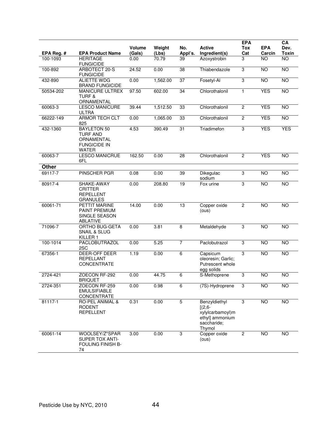| EPA Reg. #   | <b>EPA Product Name</b>                                                                    | <b>Volume</b><br>(Gals) | Weight<br>(Lbs) | No.<br>Appl's.  | <b>Active</b><br>Ingredient(s)                                                             | <b>EPA</b><br>Tox<br>Cat | <b>EPA</b><br>Carcin | CA<br>Dev.<br>Toxin |
|--------------|--------------------------------------------------------------------------------------------|-------------------------|-----------------|-----------------|--------------------------------------------------------------------------------------------|--------------------------|----------------------|---------------------|
| 100-1093     | <b>HERITAGE</b><br><b>FUNGICIDE</b>                                                        | 0.00                    | 70.79           | 39              | Azoxystrobin                                                                               | 3                        | <b>NO</b>            | <b>NO</b>           |
| 100-892      | ARBOTECT 20-S<br><b>FUNGICIDE</b>                                                          | 24.52                   | 0.00            | $\overline{38}$ | Thiabendazole                                                                              | $\overline{3}$           | <b>NO</b>            | <b>NO</b>           |
| 432-890      | <b>ALIETTE WDG</b><br><b>BRAND FUNGICIDE</b>                                               | 0.00                    | 1,562.00        | $\overline{37}$ | Fosetyl-Al                                                                                 | 3                        | $\overline{NO}$      | <b>NO</b>           |
| 50534-202    | <b>MANICURE ULTREX</b><br><b>TURF &amp;</b><br>ORNAMENTAL                                  | 97.50                   | 602.00          | 34              | Chlorothalonil                                                                             | $\mathbf{1}$             | <b>YES</b>           | <b>NO</b>           |
| 60063-3      | <b>LESCO MANICURE</b><br><b>ULTRA</b>                                                      | 39.44                   | 1,512.50        | 33              | Chlorothalonil                                                                             | $\overline{c}$           | <b>YES</b>           | $\overline{NO}$     |
| 66222-149    | <b>ARMOR TECH CLT</b><br>825                                                               | 0.00                    | 1,065.00        | 33              | Chlorothalonil                                                                             | $\overline{2}$           | <b>YES</b>           | <b>NO</b>           |
| 432-1360     | <b>BAYLETON 50</b><br><b>TURF AND</b><br>ORNAMENTAL<br><b>FUNGICIDE IN</b><br><b>WATER</b> | 4.53                    | 390.49          | $\overline{31}$ | Triadimefon                                                                                | 3                        | <b>YES</b>           | <b>YES</b>          |
| 60063-7      | <b>LESCO MANICRUE</b><br>6FL                                                               | 162.50                  | 0.00            | 28              | Chlorothalonil                                                                             | $\overline{c}$           | <b>YES</b>           | <b>NO</b>           |
| <b>Other</b> |                                                                                            |                         |                 |                 |                                                                                            |                          |                      |                     |
| 69117-7      | <b>PINSCHER PGR</b>                                                                        | 0.08                    | 0.00            | 39              | Dikegulac<br>sodium                                                                        | 3                        | <b>NO</b>            | $\overline{NO}$     |
| 80917-4      | SHAKE-AWAY<br><b>CRITTER</b><br><b>REPELLENT</b><br><b>GRANULES</b>                        | 0.00                    | 208.80          | 19              | Fox urine                                                                                  | 3                        | <b>NO</b>            | <b>NO</b>           |
| 60061-71     | <b>PETTIT MARINE</b><br>PAINT PREMIUM<br>SINGLE SEASON<br>ABLATIVE                         | 14.00                   | 0.00            | 13              | Copper oxide<br>(ous)                                                                      | $\overline{2}$           | <b>NO</b>            | $\overline{NO}$     |
| 71096-7      | ORTHO BUG-GETA<br><b>SNAIL &amp; SLUG</b><br>KILLER 1                                      | 0.00                    | 3.81            | 8               | Metaldehyde                                                                                | 3                        | <b>NO</b>            | <b>NO</b>           |
| 100-1014     | PACLOBUTRAZOL<br>2SC                                                                       | 0.00                    | 5.25            | $\overline{7}$  | Paclobutrazol                                                                              | 3                        | <b>NO</b>            | NO                  |
| 67356-1      | DEER-OFF DEER<br><b>REPELLANT</b><br><b>CONCENTRATE</b>                                    | 1.19                    | 0.00            | $\overline{6}$  | Capsicum<br>oleoresin; Garlic;<br>Putrescent whole<br>egg solids                           | 3                        | <b>NO</b>            | $\overline{NO}$     |
| 2724-421     | ZOECON RF-292<br><b>BRIQUET</b>                                                            | 0.00                    | 44.75           | 6               | S-Methoprene                                                                               | 3                        | $\overline{NO}$      | NO                  |
| 2724-351     | ZOECON RF-259<br><b>EMULSIFIABLE</b><br>CONCENTRATE                                        | 0.00                    | 0.98            | 6               | (7S)-Hydroprene                                                                            | 3                        | <b>NO</b>            | <b>NO</b>           |
| 81117-1      | RO-PEL ANIMAL &<br><b>RODENT</b><br><b>REPELLENT</b>                                       | 0.31                    | 0.00            | $\overline{5}$  | Benzyldiethyl<br>$[(2,6 -$<br>xylylcarbamoyl)m<br>ethyl] ammonium<br>saccharide;<br>Thymol | 3                        | <b>NO</b>            | $\overline{NO}$     |
| 60061-14     | WOOLSEY/Z*SPAR<br><b>SUPER TOX ANTI-</b><br>FOULING FINISH B-<br>74                        | 3.00                    | 0.00            | 3               | Copper oxide<br>(ous)                                                                      | $\overline{c}$           | <b>NO</b>            | <b>NO</b>           |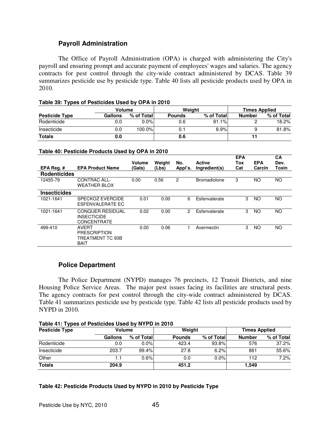# **Payroll Administration**

 The Office of Payroll Administration (OPA) is charged with administering the City's payroll and ensuring prompt and accurate payment of employees' wages and salaries. The agency contracts for pest control through the city-wide contract administered by DCAS. Table 39 summarizes pesticide use by pesticide type. Table 40 lists all pesticide products used by OPA in 2010.

| Table 39: Types of Pesticides Used by OPA in 2010 |  |  |  |
|---------------------------------------------------|--|--|--|
|---------------------------------------------------|--|--|--|

|                       | Volume  |            |               | Weiaht     | <b>Times Applied</b> |            |  |
|-----------------------|---------|------------|---------------|------------|----------------------|------------|--|
| <b>Pesticide Type</b> | Gallons | % of Total | <b>Pounds</b> | % of Total | Number               | % of Total |  |
| Rodenticide           | 0.0     | $0.0\%$    | 0.6           | 91.1%      |                      | 18.2%      |  |
| Insecticide           | 0.0     | 100.0%     | 0.1           | 8.9%       |                      | 81.8%      |  |
| <b>Totals</b>         | 0.0     |            | 0.6           |            |                      |            |  |

| EPA Reg. $#$        | <b>EPA Product Name</b>                                                | <b>Volume</b><br>(Gals) | Weight<br>(Lbs) | No.<br>Appl's. | <b>Active</b><br>Ingredient(s) | <b>EPA</b><br>Tox<br>Cat | <b>EPA</b><br>Carcin | CA<br>Dev.<br>Toxin |
|---------------------|------------------------------------------------------------------------|-------------------------|-----------------|----------------|--------------------------------|--------------------------|----------------------|---------------------|
| <b>Rodenticides</b> |                                                                        |                         |                 |                |                                |                          |                      |                     |
| 12455-79            | CONTRAC ALL-<br><b>WEATHER BLOX</b>                                    | 0.00                    | 0.56            | 2              | Bromadiolone                   | 3                        | NO                   | <b>NO</b>           |
| <b>Insecticides</b> |                                                                        |                         |                 |                |                                |                          |                      |                     |
| 1021-1641           | SPECKOZ EVERCIDE<br>ESFENVALERATE EC                                   | 0.01                    | 0.00            | 6              | Esfenvalerate                  | 3                        | NO                   | NO.                 |
| 1021-1641           | <b>CONQUER RESIDUAL</b><br><b>INSECTICIDE</b><br><b>CONCENTRATE</b>    | 0.02                    | 0.00            | 2              | Esfenvalerate                  | 3                        | NO                   | NO                  |
| 499-410             | <b>AVERT</b><br><b>PRESCRIPTION</b><br>TREATMENT TC 93B<br><b>BAIT</b> | 0.00                    | 0.06            |                | Avermectin                     | 3                        | NO                   | <b>NO</b>           |

# **Police Department**

 The Police Department (NYPD) manages 76 precincts, 12 Transit Districts, and nine Housing Police Service Areas. The major pest issues facing its facilities are structural pests. The agency contracts for pest control through the city-wide contract administered by DCAS. Table 41 summarizes pesticide use by pesticide type. Table 42 lists all pesticide products used by NYPD in 2010.

**Table 41: Types of Pesticides Used by NYPD in 2010** 

| <b>Pesticide Type</b> | <b>Volume</b>  |            | Weight        |            | <b>Times Applied</b> |            |  |
|-----------------------|----------------|------------|---------------|------------|----------------------|------------|--|
|                       | <b>Gallons</b> | % of Total | <b>Pounds</b> | % of Total | <b>Number</b>        | % of Total |  |
| Rodenticide           | 0.0            | $0.0\%$    | 423.4         | 93.8%      | 576                  | 37.2%      |  |
| Insecticide           | 203.7          | 99.4%      | 27.8          | 6.2%       | 861                  | 55.6%      |  |
| Other                 |                | 0.6%       | 0.0           | 0.0%       | 112                  | 7.2%       |  |
| <b>Totals</b>         | 204.9          |            | 451.2         |            | 1,549                |            |  |

**Table 42: Pesticide Products Used by NYPD in 2010 by Pesticide Type**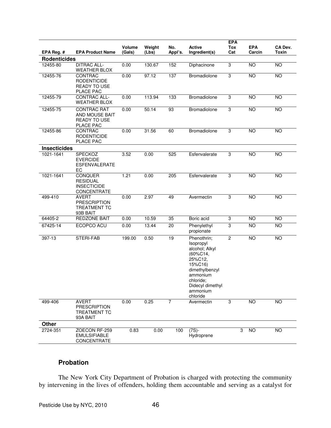|                     |                                                                          | Volume | Weight | No.     | <b>Active</b>                                                                                                                                                       | <b>EPA</b><br>Tox | <b>EPA</b>     | CA Dev.         |
|---------------------|--------------------------------------------------------------------------|--------|--------|---------|---------------------------------------------------------------------------------------------------------------------------------------------------------------------|-------------------|----------------|-----------------|
| EPA Reg. #          | <b>EPA Product Name</b>                                                  | (Gals) | (Lbs)  | Appl's. | Ingredient(s)                                                                                                                                                       | Cat               | Carcin         | <b>Toxin</b>    |
| <b>Rodenticides</b> |                                                                          |        |        |         |                                                                                                                                                                     |                   |                |                 |
| 12455-80            | <b>DITRAC ALL-</b><br><b>WEATHER BLOX</b>                                | 0.00   | 130.67 | 152     | Diphacinone                                                                                                                                                         | 3                 | <b>NO</b>      | <b>NO</b>       |
| 12455-76            | CONTRAC<br><b>RODENTICIDE</b><br><b>READY TO USE</b><br>PLACE PAC        | 0.00   | 97.12  | 137     | Bromadiolone                                                                                                                                                        | 3                 | <b>NO</b>      | <b>NO</b>       |
| 12455-79            | <b>CONTRAC ALL-</b><br><b>WEATHER BLOX</b>                               | 0.00   | 113.94 | 133     | Bromadiolone                                                                                                                                                        | 3                 | <b>NO</b>      | <b>NO</b>       |
| 12455-75            | <b>CONTRAC RAT</b><br>AND MOUSE BAIT<br><b>READY TO USE</b><br>PLACE PAC | 0.00   | 50.14  | 93      | Bromadiolone                                                                                                                                                        | 3                 | NO             | $\overline{NO}$ |
| 12455-86            | CONTRAC<br><b>RODENTICIDE</b><br>PLACE PAC                               | 0.00   | 31.56  | 60      | Bromadiolone                                                                                                                                                        | $\overline{3}$    | <b>NO</b>      | <b>NO</b>       |
| <b>Insecticides</b> |                                                                          |        |        |         |                                                                                                                                                                     |                   |                |                 |
| 1021-1641           | SPECKOZ<br><b>EVERCIDE</b><br><b>ESFENVALERATE</b><br>EC                 | 3.52   | 0.00   | 525     | Esfenvalerate                                                                                                                                                       | $\overline{3}$    | <b>NO</b>      | <b>NO</b>       |
| 1021-1641           | <b>CONQUER</b><br><b>RESIDUAL</b><br><b>INSECTICIDE</b><br>CONCENTRATE   | 1.21   | 0.00   | 205     | Esfenvalerate                                                                                                                                                       | 3                 | <b>NO</b>      | <b>NO</b>       |
| 499-410             | <b>AVERT</b><br><b>PRESCRIPTION</b><br><b>TREATMENT TC</b><br>93B BAIT   | 0.00   | 2.97   | 49      | Avermectin                                                                                                                                                          | 3                 | <b>NO</b>      | <b>NO</b>       |
| 64405-2             | <b>REDZONE BAIT</b>                                                      | 0.00   | 10.59  | 35      | Boric acid                                                                                                                                                          | 3                 | <b>NO</b>      | <b>NO</b>       |
| 67425-14            | ECOPCO ACU                                                               | 0.00   | 13.44  | 20      | Phenylethyl<br>propionate                                                                                                                                           | 3                 | N <sub>O</sub> | $\overline{NO}$ |
| 397-13              | STERI-FAB                                                                | 199.00 | 0.50   | 19      | Phenothrin;<br>Isopropyl<br>alcohol; Alkyl<br>(60%C14,<br>25%C12,<br>15%C16)<br>dimethylbenzyl<br>ammonium<br>chloride;<br>Didecyl dimethyl<br>ammonium<br>chloride | $\overline{c}$    | NO             | <b>NO</b>       |
| 499-406             | <b>AVERT</b><br><b>PRESCRIPTION</b><br><b>TREATMENT TC</b><br>93A BAIT   | 0.00   | 0.25   | 7       | Avermectin                                                                                                                                                          | 3                 | NO             | $\overline{NO}$ |
| <b>Other</b>        |                                                                          |        |        |         |                                                                                                                                                                     |                   |                |                 |
| 2724-351            | ZOECON RF-259<br><b>EMULSIFIABLE</b><br>CONCENTRATE                      | 0.83   | 0.00   | 100     | $(7S)$ -<br>Hydroprene                                                                                                                                              | 3                 | <b>NO</b>      | <b>NO</b>       |

# **Probation**

 The New York City Department of Probation is charged with protecting the community by intervening in the lives of offenders, holding them accountable and serving as a catalyst for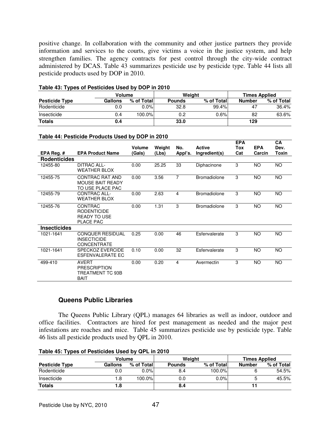positive change. In collaboration with the community and other justice partners they provide information and services to the courts, give victims a voice in the justice system, and help strengthen families. The agency contracts for pest control through the city-wide contract administered by DCAS. Table 43 summarizes pesticide use by pesticide type. Table 44 lists all pesticide products used by DOP in 2010.

| <b>Volume</b>         |         |            |        | Weiaht     | <b>Times Applied</b> |            |  |
|-----------------------|---------|------------|--------|------------|----------------------|------------|--|
| <b>Pesticide Type</b> | Gallons | % of Total | Pounds | % of Total | <b>Number</b>        | % of Total |  |
| Rodenticide           | 0.0     | $0.0\%$    | 32.8   | 99.4%      | 47                   | 36.4%      |  |
| Insecticide           | 0.4     | 100.0%     | 0.2    | 0.6%       | 82                   | 63.6%      |  |
| <b>Totals</b>         | 0.4     |            | 33.0   |            | 129                  |            |  |

#### **Table 43: Types of Pesticides Used by DOP in 2010**

#### **Table 44: Pesticide Products Used by DOP in 2010**

|                     |                                                                                 | Volume | Weight | No.            | <b>Active</b>       | <b>EPA</b><br>Tox | <b>EPA</b> | CA<br>Dev. |
|---------------------|---------------------------------------------------------------------------------|--------|--------|----------------|---------------------|-------------------|------------|------------|
| EPA Reg. $#$        | <b>EPA Product Name</b>                                                         | (Gals) | (Lbs)  | Appl's.        | Ingredient(s)       | Cat               | Carcin     | Toxin      |
| <b>Rodenticides</b> |                                                                                 |        |        |                |                     |                   |            |            |
| 12455-80            | <b>DITRAC ALL-</b><br><b>WEATHER BLOX</b>                                       | 0.00   | 25.25  | 33             | Diphacinone         | 3                 | NO.        | <b>NO</b>  |
| 12455-75            | CONTRAC RAT AND<br><b>MOUSE BAIT READY</b><br>TO USE PLACE PAC                  | 0.00   | 3.56   | $\overline{7}$ | <b>Bromadiolone</b> | 3                 | NO.        | <b>NO</b>  |
| 12455-79            | <b>CONTRAC ALL-</b><br><b>WEATHER BLOX</b>                                      | 0.00   | 2.63   | 4              | <b>Bromadiolone</b> | 3                 | NO.        | <b>NO</b>  |
| 12455-76            | <b>CONTRAC</b><br><b>RODENTICIDE</b><br><b>READY TO USE</b><br><b>PLACE PAC</b> | 0.00   | 1.31   | 3              | <b>Bromadiolone</b> | 3                 | NO.        | <b>NO</b>  |
| <b>Insecticides</b> |                                                                                 |        |        |                |                     |                   |            |            |
| 1021-1641           | <b>CONQUER RESIDUAL</b><br><b>INSECTICIDE</b><br><b>CONCENTRATE</b>             | 0.25   | 0.00   | 46             | Esfenvalerate       | 3                 | NO.        | <b>NO</b>  |
| 1021-1641           | <b>SPECKOZ EVERCIDE</b><br><b>ESFENVALERATE EC</b>                              | 0.10   | 0.00   | 32             | Esfenvalerate       | 3                 | <b>NO</b>  | <b>NO</b>  |
| 499-410             | AVERT<br><b>PRESCRIPTION</b><br>TREATMENT TC 93B<br><b>BAIT</b>                 | 0.00   | 0.20   | 4              | Avermectin          | 3                 | NO.        | <b>NO</b>  |

### **Queens Public Libraries**

The Queens Public Library (QPL) manages 64 libraries as well as indoor, outdoor and office facilities. Contractors are hired for pest management as needed and the major pest infestations are roaches and mice. Table 45 summarizes pesticide use by pesticide type. Table 46 lists all pesticide products used by QPL in 2010.

|  | Table 45: Types of Pesticides Used by QPL in 2010 |  |  |
|--|---------------------------------------------------|--|--|
|--|---------------------------------------------------|--|--|

|                       | Volume  |            |               | Weiaht     | <b>Times Applied</b> |            |  |
|-----------------------|---------|------------|---------------|------------|----------------------|------------|--|
| <b>Pesticide Type</b> | Gallons | % of Total | <b>Pounds</b> | % of Total | <b>Number</b>        | % of Total |  |
| Rodenticide           | 0.0     | $0.0\%$    | 8.4           | 100.0%     |                      | 54.5%      |  |
| Insecticide           | 8. ا    | 100.0%     | 0.0           | 0.0%       | h                    | 45.5%      |  |
| <b>Totals</b>         | 8. ا    |            | 8.4           |            |                      |            |  |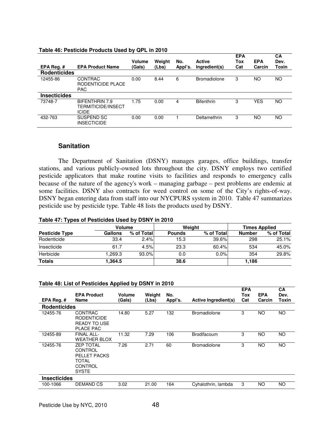| EPA Req.#           | <b>EPA Product Name</b>                              | <b>Volume</b><br>(Gals) | Weight<br>(Lbs) | No.<br>Appl's. | <b>Active</b><br>Ingredient(s) | <b>EPA</b><br>Tox<br>Cat | <b>EPA</b><br>Carcin | CA<br>Dev.<br>Toxin |
|---------------------|------------------------------------------------------|-------------------------|-----------------|----------------|--------------------------------|--------------------------|----------------------|---------------------|
| <b>Rodenticides</b> |                                                      |                         |                 |                |                                |                          |                      |                     |
| 12455-86            | <b>CONTRAC</b><br>RODENTICIDE PLACE<br><b>PAC</b>    | 0.00                    | 8.44            | 6              | <b>Bromadiolone</b>            | 3                        | ΝO                   | NO                  |
| <b>Insecticides</b> |                                                      |                         |                 |                |                                |                          |                      |                     |
| 73748-7             | BIFENTHRIN 7.9<br>TERMITICIDE/INSECT<br><b>ICIDE</b> | 1.75                    | 0.00            | 4              | <b>Bifenthrin</b>              | 3                        | <b>YES</b>           | <b>NO</b>           |
| 432-763             | SUSPEND SC<br><b>INSECTICIDE</b>                     | 0.00                    | 0.00            |                | Deltamethrin                   | 3                        | ΝO                   | NO                  |

#### **Table 46: Pesticide Products Used by QPL in 2010**

### **Sanitation**

 The Department of Sanitation (DSNY) manages garages, office buildings, transfer stations, and various publicly-owned lots throughout the city. DSNY employs two certified pesticide applicators that make routine visits to facilities and responds to emergency calls because of the nature of the agency's work – managing garbage – pest problems are endemic at some facilities. DSNY also contracts for weed control on some of the City's rights-of-way. DSNY began entering data from staff into our NYCPURS system in 2010. Table 47 summarizes pesticide use by pesticide type. Table 48 lists the products used by DSNY.

#### **Table 47: Types of Pesticides Used by DSNY in 2010**

|                       | Volume  |            | Weiaht        |            | <b>Times Applied</b> |            |  |
|-----------------------|---------|------------|---------------|------------|----------------------|------------|--|
| <b>Pesticide Type</b> | Gallons | % of Total | <b>Pounds</b> | % of Total | <b>Number</b>        | % of Total |  |
| Rodenticide           | 33.4    | 2.4%       | 15.3          | 39.6%l     | 298                  | 25.1%      |  |
| Insecticide           | 61.7    | 4.5%       | 23.3          | 60.4%      | 534                  | 45.0%      |  |
| Herbicide             | .269.3  | 93.0%      | 0.0           | $0.0\%$    | 354                  | 29.8%      |  |
| <b>Totals</b>         | 1,364.5 |            | 38.6          |            | 1,186                |            |  |

#### **Table 48: List of Pesticides Applied by DSNY in 2010**

|                     | <b>EPA Product</b>                                                              | <b>Volume</b> | Weight | No.     |                             | <b>EPA</b><br>Tox | <b>EPA</b> | CA<br>Dev. |
|---------------------|---------------------------------------------------------------------------------|---------------|--------|---------|-----------------------------|-------------------|------------|------------|
| EPA Reg.#           | Name                                                                            | (Gals)        | (Lbs)  | Appl's. | <b>Active Ingredient(s)</b> | Cat               | Carcin     | Toxin      |
| <b>Rodenticides</b> |                                                                                 |               |        |         |                             |                   |            |            |
| 12455-76            | <b>CONTRAC</b><br><b>RODENTICIDE</b><br><b>READY TO USE</b><br>PLACE PAC        | 14.80         | 5.27   | 132     | <b>Bromadiolone</b>         | 3                 | NO.        | <b>NO</b>  |
| 12455-89            | FINAL ALL-<br><b>WEATHER BLOX</b>                                               | 11.32         | 7.29   | 106     | <b>Brodifacoum</b>          | 3                 | NO.        | <b>NO</b>  |
| 12455-76            | <b>ZEP TOTAL</b><br>CONTROL<br>PELLET PACKS<br>TOTAL<br>CONTROL<br><b>SYSTE</b> | 7.26          | 2.71   | 60      | <b>Bromadiolone</b>         | 3                 | <b>NO</b>  | <b>NO</b>  |
| <b>Insecticides</b> |                                                                                 |               |        |         |                             |                   |            |            |
| 100-1066            | <b>DEMAND CS</b>                                                                | 3.02          | 21.00  | 164     | Cyhalothrin, lambda         | 3                 | NO.        | NO.        |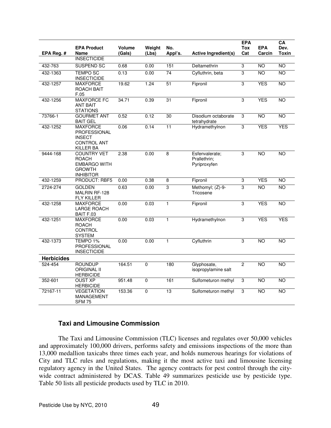| EPA Reg.#         | <b>EPA Product</b><br>Name                                                                     | <b>Volume</b><br>(Gals) | Weight<br>(Lbs) | No.<br>Appl's.  | <b>Active Ingredient(s)</b>                    | <b>EPA</b><br>Tox<br>Cat | <b>EPA</b><br>Carcin | CA<br>Dev.<br><b>Toxin</b> |
|-------------------|------------------------------------------------------------------------------------------------|-------------------------|-----------------|-----------------|------------------------------------------------|--------------------------|----------------------|----------------------------|
|                   | <b>INSECTICIDE</b><br><b>SUSPEND SC</b>                                                        |                         |                 |                 |                                                |                          |                      | <b>NO</b>                  |
| 432-763           |                                                                                                | 0.68                    | 0.00            | 151             | Deltamethrin                                   | 3                        | <b>NO</b>            |                            |
| 432-1363          | <b>TEMPO SC</b><br><b>INSECTICIDE</b>                                                          | 0.13                    | 0.00            | $\overline{74}$ | Cyfluthrin, beta                               | 3                        | <b>NO</b>            | <b>NO</b>                  |
| 432-1257          | <b>MAXFORCE</b><br>ROACH BAIT<br>F.05                                                          | 19.62                   | 1.24            | 51              | Fipronil                                       | $\overline{3}$           | <b>YES</b>           | <b>NO</b>                  |
| 432-1256          | <b>MAXFORCE FC</b><br><b>ANT BAIT</b><br><b>STATIONS</b>                                       | 34.71                   | 0.39            | 31              | Fipronil                                       | 3                        | <b>YES</b>           | <b>NO</b>                  |
| 73766-1           | <b>GOURMET ANT</b><br><b>BAIT GEL</b>                                                          | 0.52                    | 0.12            | 30              | Disodium octaborate<br>tetrahydrate            | 3                        | $\overline{NO}$      | <b>NO</b>                  |
| 432-1252          | <b>MAXFORCE</b><br>PROFESSIONAL<br><b>INSECT</b><br><b>CONTROL ANT</b><br>KILLER BA            | 0.06                    | 0.14            | 11              | Hydramethylnon                                 | 3                        | <b>YES</b>           | <b>YES</b>                 |
| 9444-168          | <b>COUNTRY VET</b><br><b>ROACH</b><br><b>EMBARGO WITH</b><br><b>GROWTH</b><br><b>INHIBITOR</b> | 2.38                    | 0.00            | 8               | Esfenvalerate;<br>Prallethrin;<br>Pyriproxyfen | 3                        | <b>NO</b>            | <b>NO</b>                  |
| 432-1259          | <b>PRODUCT: RBF5</b>                                                                           | 0.00                    | 0.38            | 8               | Fipronil                                       | 3                        | <b>YES</b>           | $\overline{NO}$            |
| 2724-274          | <b>GOLDEN</b><br>MALRIN RF-128<br><b>FLY KILLER</b>                                            | 0.63                    | 0.00            | 3               | Methomyl; (Z)-9-<br>Tricosene                  | $\overline{3}$           | <b>NO</b>            | <b>NO</b>                  |
| 432-1258          | <b>MAXFORCE</b><br>LARGE ROACH<br>BAIT F.03                                                    | 0.00                    | 0.03            | $\mathbf{1}$    | Fipronil                                       | 3                        | <b>YES</b>           | <b>NO</b>                  |
| 432-1251          | <b>MAXFORCE</b><br><b>ROACH</b><br><b>CONTROL</b><br><b>SYSTEM</b>                             | 0.00                    | 0.03            | $\mathbf{1}$    | Hydramethylnon                                 | $\overline{3}$           | <b>YES</b>           | <b>YES</b>                 |
| 432-1373          | TEMPO 1%<br><b>PROFESSIONAL</b><br><b>INSECTICIDE</b>                                          | 0.00                    | 0.00            | $\mathbf{1}$    | Cyfluthrin                                     | 3                        | <b>NO</b>            | <b>NO</b>                  |
| <b>Herbicides</b> |                                                                                                |                         |                 |                 |                                                |                          |                      |                            |
| 524-454           | <b>ROUNDUP</b><br><b>ORIGINAL II</b><br><b>HERBICIDE</b>                                       | 164.51                  | $\Omega$        | 180             | Glyphosate,<br>isopropylamine salt             | $\overline{c}$           | <b>NO</b>            | <b>NO</b>                  |
| 352-601           | <b>OUST XP</b><br><b>HERBICIDE</b>                                                             | 951.48                  | $\mathbf 0$     | 161             | Sulfometuron methyl                            | 3                        | $\overline{NO}$      | <b>NO</b>                  |
| 72167-11          | <b>VEGETATION</b><br>MANAGEMENT<br><b>SFM 75</b>                                               | 153.36                  | $\mathbf 0$     | 13              | Sulfometuron methyl                            | 3                        | <b>NO</b>            | <b>NO</b>                  |

# **Taxi and Limousine Commission**

 The Taxi and Limousine Commission (TLC) licenses and regulates over 50,000 vehicles and approximately 100,000 drivers, performs safety and emissions inspections of the more than 13,000 medallion taxicabs three times each year, and holds numerous hearings for violations of City and TLC rules and regulations, making it the most active taxi and limousine licensing regulatory agency in the United States. The agency contracts for pest control through the citywide contract administered by DCAS. Table 49 summarizes pesticide use by pesticide type. Table 50 lists all pesticide products used by TLC in 2010.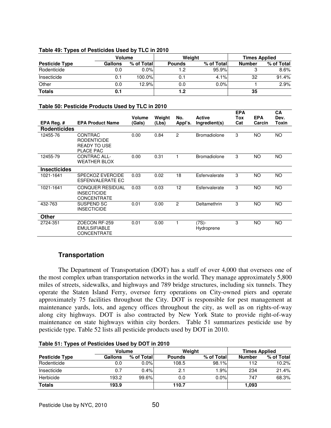|                       | Volume  |            | Weiaht        |            | <b>Times Applied</b> |            |  |
|-----------------------|---------|------------|---------------|------------|----------------------|------------|--|
| <b>Pesticide Type</b> | Gallons | % of Total | <b>Pounds</b> | % of Total | <b>Number</b>        | % of Total |  |
| Rodenticide           | 0.0     | $0.0\%$    | 1.2           | 95.9%      |                      | 8.6%       |  |
| Insecticide           | 0.1     | 100.0%     | 0.1           | 4.1%       | 32                   | 91.4%      |  |
| Other                 | 0.0     | 12.9%      | 0.0           | 0.0%       |                      | 2.9%       |  |
| <b>Totals</b>         |         |            | 1.2           |            | 35                   |            |  |

### **Table 49: Types of Pesticides Used by TLC in 2010**

#### **Table 50: Pesticide Products Used by TLC in 2010**

|                     |                                                                          | <b>Volume</b> | Weight | No.            | <b>Active</b>       | <b>EPA</b><br>Tox | <b>EPA</b> | CА<br>Dev. |
|---------------------|--------------------------------------------------------------------------|---------------|--------|----------------|---------------------|-------------------|------------|------------|
| EPA Reg. $#$        | <b>EPA Product Name</b>                                                  | (Gals)        | (Lbs)  | Appl's.        | Ingredient(s)       | Cat               | Carcin     | Toxin      |
| <b>Rodenticides</b> |                                                                          |               |        |                |                     |                   |            |            |
| 12455-76            | <b>CONTRAC</b><br><b>RODENTICIDE</b><br><b>READY TO USE</b><br>PLACE PAC | 0.00          | 0.84   | $\overline{c}$ | <b>Bromadiolone</b> | 3                 | NO.        | <b>NO</b>  |
| 12455-79            | <b>CONTRAC ALL-</b><br><b>WEATHER BLOX</b>                               | 0.00          | 0.31   |                | <b>Bromadiolone</b> | 3                 | ΝO         | <b>NO</b>  |
| <b>Insecticides</b> |                                                                          |               |        |                |                     |                   |            |            |
| 1021-1641           | SPECKOZ EVERCIDE<br><b>ESFENVALERATE EC</b>                              | 0.03          | 0.02   | 18             | Esfenvalerate       | 3                 | <b>NO</b>  | <b>NO</b>  |
| 1021-1641           | <b>CONQUER RESIDUAL</b><br><b>INSECTICIDE</b><br><b>CONCENTRATE</b>      | 0.03          | 0.03   | 12             | Esfenvalerate       | 3                 | NO.        | <b>NO</b>  |
| 432-763             | SUSPEND SC<br><b>INSECTICIDE</b>                                         | 0.01          | 0.00   | 2              | Deltamethrin        | 3                 | NO.        | <b>NO</b>  |
| Other               |                                                                          |               |        |                |                     |                   |            |            |
| 2724-351            | ZOECON RF-259<br><b>EMULSIFIABLE</b><br><b>CONCENTRATE</b>               | 0.01          | 0.00   | 1              | (7S)-<br>Hydroprene | 3                 | <b>NO</b>  | <b>NO</b>  |

# **Transportation**

The Department of Transportation (DOT) has a staff of over 4,000 that oversees one of the most complex urban transportation networks in the world. They manage approximately 5,800 miles of streets, sidewalks, and highways and 789 bridge structures, including six tunnels. They operate the Staten Island Ferry, oversee ferry operations on City-owned piers and operate approximately 75 facilities throughout the City. DOT is responsible for pest management at maintenance yards, lots, and agency offices throughout the city, as well as on rights-of-way along city highways. DOT is also contracted by New York State to provide right-of-way maintenance on state highways within city borders. Table 51 summarizes pesticide use by pesticide type. Table 52 lists all pesticide products used by DOT in 2010.

|                       | <b>TADIC UT. TYPCS OFF CSHORCS OSCA DY DOT IN EVID</b> |            |               |            |                      |            |  |  |  |  |  |  |  |
|-----------------------|--------------------------------------------------------|------------|---------------|------------|----------------------|------------|--|--|--|--|--|--|--|
|                       | Volume                                                 |            |               | Weight     | <b>Times Applied</b> |            |  |  |  |  |  |  |  |
| <b>Pesticide Type</b> | Gallons                                                | % of Total | <b>Pounds</b> | % of Total | <b>Number</b>        | % of Total |  |  |  |  |  |  |  |
| Rodenticide           | 0.0                                                    | $0.0\%$    | 108.5         | 98.1%      | 112                  | 10.2%      |  |  |  |  |  |  |  |
| Insecticide           | 0.7                                                    | 0.4%       | 2.1           | 1.9%       | 234                  | 21.4%      |  |  |  |  |  |  |  |
| Herbicide             | 193.2                                                  | $99.6\%$   | 0.0           | 0.0%       | 747                  | 68.3%      |  |  |  |  |  |  |  |
| <b>Totals</b>         | 193.9                                                  |            | 110.7         |            | 1,093                |            |  |  |  |  |  |  |  |

# **Table 51: Types of Pesticides Used by DOT in 2010**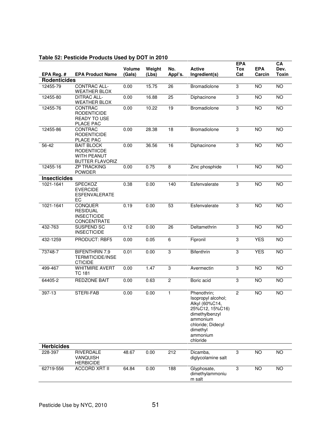| EPA Reg. $#$        | <b>EPA Product Name</b>                                                          | <b>Volume</b><br>(Gals) | Weight<br>(Lbs) | No.<br>Appl's. | <b>Active</b><br>Ingredient(s)                                                                                                                                | <b>EPA</b><br><b>Tox</b><br>Cat | <b>EPA</b><br>Carcin | CA<br>Dev.<br><b>Toxin</b> |
|---------------------|----------------------------------------------------------------------------------|-------------------------|-----------------|----------------|---------------------------------------------------------------------------------------------------------------------------------------------------------------|---------------------------------|----------------------|----------------------------|
| <b>Rodenticides</b> |                                                                                  |                         |                 |                |                                                                                                                                                               |                                 |                      |                            |
| 12455-79            | CONTRAC ALL-<br><b>WEATHER BLOX</b>                                              | 0.00                    | 15.75           | 26             | Bromadiolone                                                                                                                                                  | 3                               | NO                   | NO                         |
| 12455-80            | <b>DITRAC ALL-</b><br><b>WEATHER BLOX</b>                                        | 0.00                    | 16.88           | 25             | Diphacinone                                                                                                                                                   | 3                               | <b>NO</b>            | <b>NO</b>                  |
| 12455-76            | CONTRAC<br><b>RODENTICIDE</b><br><b>READY TO USE</b><br>PLACE PAC                | 0.00                    | 10.22           | 19             | <b>Bromadiolone</b>                                                                                                                                           | 3                               | <b>NO</b>            | NO                         |
| 12455-86            | <b>CONTRAC</b><br><b>RODENTICIDE</b><br>PLACE PAC                                | 0.00                    | 28.38           | 18             | Bromadiolone                                                                                                                                                  | 3                               | <b>NO</b>            | <b>NO</b>                  |
| 56-42               | <b>BAIT BLOCK</b><br>RODENTIICDE<br><b>WITH PEANUT</b><br><b>BUTTER FLAVORIZ</b> | 0.00                    | 36.56           | 16             | Diphacinone                                                                                                                                                   | 3                               | <b>NO</b>            | <b>NO</b>                  |
| 12455-16            | <b>ZP TRACKING</b><br><b>POWDER</b>                                              | 0.00                    | 0.75            | 8              | Zinc phosphide                                                                                                                                                | $\mathbf{1}$                    | <b>NO</b>            | <b>NO</b>                  |
| <b>Insecticides</b> |                                                                                  |                         |                 |                |                                                                                                                                                               |                                 |                      |                            |
| 1021-1641           | <b>SPECKOZ</b><br><b>EVERCIDE</b><br><b>ESFENVALERATE</b><br>ЕC                  | 0.38                    | 0.00            | 140            | Esfenvalerate                                                                                                                                                 | 3                               | <b>NO</b>            | <b>NO</b>                  |
| 1021-1641           | <b>CONQUER</b><br><b>RESIDUAL</b><br><b>INSECTICIDE</b><br><b>CONCENTRATE</b>    | 0.19                    | 0.00            | 53             | Esfenvalerate                                                                                                                                                 | 3                               | NO                   | $\overline{NO}$            |
| 432-763             | SUSPEND SC<br><b>INSECTICIDE</b>                                                 | 0.12                    | 0.00            | 26             | Deltamethrin                                                                                                                                                  | 3                               | <b>NO</b>            | <b>NO</b>                  |
| 432-1259            | PRODUCT: RBF5                                                                    | 0.00                    | 0.05            | $\,6$          | Fipronil                                                                                                                                                      | 3                               | <b>YES</b>           | <b>NO</b>                  |
| 73748-7             | <b>BIFENTHRIN 7.9</b><br><b>TERMITICIDE/INSE</b><br><b>CTICIDE</b>               | 0.01                    | 0.00            | 3              | Bifenthrin                                                                                                                                                    | 3                               | <b>YES</b>           | <b>NO</b>                  |
| 499-467             | <b>WHITMIRE AVERT</b><br><b>TC 181</b>                                           | 0.00                    | 1.47            | 3              | Avermectin                                                                                                                                                    | 3                               | NO                   | NO                         |
| 64405-2             | <b>REDZONE BAIT</b>                                                              | 0.00                    | 0.63            | $\overline{c}$ | Boric acid                                                                                                                                                    | 3                               | <b>NO</b>            | <b>NO</b>                  |
| 397-13              | STERI-FAB                                                                        | 0.00                    | 0.00            | $\mathbf{1}$   | Phenothrin;<br>Isopropyl alcohol;<br>Alkyl (60%C14,<br>25%C12, 15%C16)<br>dimethylbenzyl<br>ammonium<br>chloride; Didecyl<br>dimethyl<br>ammonium<br>chloride | 2                               | $\overline{10}$      | $\overline{10}$            |
| <b>Herbicides</b>   |                                                                                  |                         |                 |                |                                                                                                                                                               |                                 |                      |                            |
| 228-397             | RIVERDALE<br><b>VANQUISH</b><br><b>HERBICIDE</b>                                 | 48.67                   | 0.00            | 212            | Dicamba,<br>diglycolamine salt                                                                                                                                | 3                               | <b>NO</b>            | <b>NO</b>                  |
| 62719-556           | <b>ACCORD XRT II</b>                                                             | 64.84                   | 0.00            | 188            | Glyphosate,<br>dimethylammoniu<br>m salt                                                                                                                      | 3                               | <b>NO</b>            | <b>NO</b>                  |

# **Table 52: Pesticide Products Used by DOT in 2010**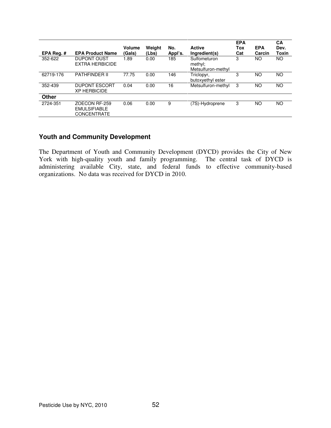| EPA Reg. $#$ | <b>EPA Product Name</b>                                    | Volume<br>(Gals) | Weight<br>(Lbs) | No.<br>Appl's. | <b>Active</b><br>Ingredient(s)                | <b>EPA</b><br>Tox<br>Cat | <b>EPA</b><br>Carcin | CA<br>Dev.<br>Toxin |
|--------------|------------------------------------------------------------|------------------|-----------------|----------------|-----------------------------------------------|--------------------------|----------------------|---------------------|
| 352-622      | <b>DUPONT OUST</b><br><b>EXTRA HERBICIDE</b>               | 1.89             | 0.00            | 185            | Sulfometuron<br>methyl:<br>Metsulfuron-methyl | 3                        | NΟ                   | NO.                 |
| 62719-176    | <b>PATHFINDER II</b>                                       | 77.75            | 0.00            | 146            | Triclopyr,<br>butoxyethyl ester               | 3                        | NO                   | <b>NO</b>           |
| 352-439      | <b>DUPONT ESCORT</b><br><b>XP HERBICIDE</b>                | 0.04             | 0.00            | 16             | Metsulfuron-methyl                            | 3                        | NO                   | <b>NO</b>           |
| Other        |                                                            |                  |                 |                |                                               |                          |                      |                     |
| 2724-351     | ZOECON RF-259<br><b>EMULSIFIABLE</b><br><b>CONCENTRATE</b> | 0.06             | 0.00            | 9              | (7S)-Hydroprene                               | 3                        | NO                   | NO.                 |

# **Youth and Community Development**

The Department of Youth and Community Development (DYCD) provides the City of New York with high-quality youth and family programming. The central task of DYCD is administering available City, state, and federal funds to effective community-based organizations. No data was received for DYCD in 2010.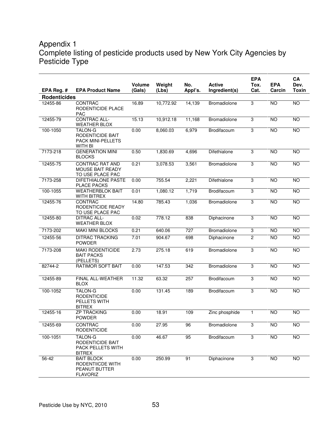# Appendix 1 Complete listing of pesticide products used by New York City Agencies by Pesticide Type

|                     |                                                                                  | <b>Volume</b> | Weight    | No.     | <b>Active</b>       | <b>EPA</b><br>Tox. | <b>EPA</b>      | <b>CA</b><br>Dev. |
|---------------------|----------------------------------------------------------------------------------|---------------|-----------|---------|---------------------|--------------------|-----------------|-------------------|
| EPA Reg. #          | <b>EPA Product Name</b>                                                          | (Gals)        | (Lbs)     | Appl's. | Ingredient(s)       | Cat.               | Carcin          | <b>Toxin</b>      |
| <b>Rodenticides</b> |                                                                                  |               |           |         |                     |                    |                 |                   |
| 12455-86            | <b>CONTRAC</b><br>RODENTICIDE PLACE<br><b>PAC</b>                                | 16.89         | 10,772.92 | 14,139  | Bromadiolone        | 3                  | <b>NO</b>       | <b>NO</b>         |
| 12455-79            | <b>CONTRAC ALL-</b><br><b>WEATHER BLOX</b>                                       | 15.13         | 10,912.18 | 11,168  | Bromadiolone        | $\overline{3}$     | <b>NO</b>       | <b>NO</b>         |
| 100-1050            | <b>TALON-G</b><br>RODENTICIDE BAIT<br><b>PACK MINI-PELLETS</b><br>WITH BI        | 0.00          | 8,060.03  | 6,979   | Brodifacoum         | 3                  | <b>NO</b>       | NO                |
| 7173-218            | <b>GENERATION MINI</b><br><b>BLOCKS</b>                                          | 0.50          | 1,830.69  | 4,696   | Difethialone        | 3                  | <b>NO</b>       | <b>NO</b>         |
| 12455-75            | <b>CONTRAC RAT AND</b><br><b>MOUSE BAIT READY</b><br>TO USE PLACE PAC            | 0.21          | 3,078.53  | 3,561   | Bromadiolone        | 3                  | NO              | NO                |
| 7173-258            | <b>DIFETHIALONE PASTE</b><br>PLACE PACKS                                         | 0.00          | 755.54    | 2,221   | Difethialone        | 3                  | N <sub>O</sub>  | NO                |
| 100-1055            | <b>WEATHERBLOK BAIT</b><br>WITH BITREX                                           | 0.01          | 1,080.12  | 1,719   | Brodifacoum         | $\overline{3}$     | <b>NO</b>       | NO <sub>1</sub>   |
| 12455-76            | CONTRAC<br>RODENTICIDE READY<br>TO USE PLACE PAC                                 | 14.80         | 785.43    | 1,036   | Bromadiolone        | 3                  | <b>NO</b>       | <b>NO</b>         |
| 12455-80            | <b>DITRAC ALL-</b><br><b>WEATHER BLOX</b>                                        | 0.02          | 778.12    | 838     | Diphacinone         | 3                  | <b>NO</b>       | <b>NO</b>         |
| 7173-202            | <b>MAKI MINI BLOCKS</b>                                                          | 0.21          | 640.06    | 727     | <b>Bromadiolone</b> | 3                  | <b>NO</b>       | <b>NO</b>         |
| 12455-56            | <b>DITRAC TRACKING</b><br><b>POWDER</b>                                          | 7.01          | 904.67    | 698     | Diphacinone         | $\overline{2}$     | <b>NO</b>       | <b>NO</b>         |
| 7173-208            | <b>MAKI RODENTICIDE</b><br><b>BAIT PACKS</b><br>(PELLETS)                        | 2.73          | 275.18    | 619     | Bromadiolone        | 3                  | <b>NO</b>       | <b>NO</b>         |
| 82744-2             | <b>RATIMOR SOFT BAIT</b>                                                         | 0.00          | 147.53    | 342     | Bromadiolone        | 3                  | <b>NO</b>       | <b>NO</b>         |
| 12455-89            | FINAL ALL-WEATHER<br><b>BLOX</b>                                                 | 11.32         | 63.32     | 257     | Brodifacoum         | 3                  | $\overline{NO}$ | NO                |
| 100-1052            | <b>TALON-G</b><br><b>RODENTICIDE</b><br>PELLETS WITH<br><b>BITREX</b>            | 0.00          | 131.45    | 189     | Brodifacoum         | 3                  | $\overline{10}$ | <b>NO</b>         |
| 12455-16            | <b>ZP TRACKING</b><br><b>POWDER</b>                                              | 0.00          | 18.91     | 109     | Zinc phosphide      | 1                  | <b>NO</b>       | <b>NO</b>         |
| 12455-69            | <b>CONTRAC</b><br><b>RODENTICIDE</b>                                             | 0.00          | 27.95     | 96      | Bromadiolone        | 3                  | <b>NO</b>       | <b>NO</b>         |
| 100-1051            | TALON-G<br>RODENTICIDE BAIT<br>PACK PELLETS WITH<br><b>BITREX</b>                | 0.00          | 46.67     | 95      | Brodifacoum         | $\overline{3}$     | NO <sub>1</sub> | <b>NO</b>         |
| 56-42               | <b>BAIT BLOCK</b><br>RODENTIICDE WITH<br><b>PEANUT BUTTER</b><br><b>FLAVORIZ</b> | 0.00          | 250.99    | 91      | Diphacinone         | 3                  | <b>NO</b>       | <b>NO</b>         |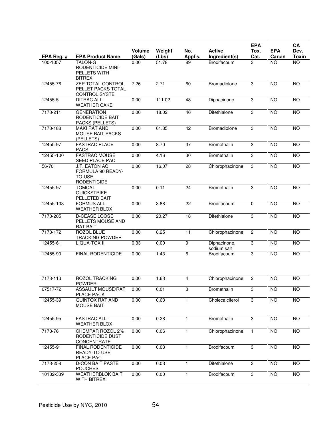| EPA Reg. # | <b>EPA Product Name</b>                                              | Volume<br>(Gals) | Weight         | No.             | <b>Active</b><br>Ingredient(s) | <b>EPA</b><br>Tox.<br>Cat. | <b>EPA</b><br>Carcin | CA<br>Dev.<br><b>Toxin</b> |
|------------|----------------------------------------------------------------------|------------------|----------------|-----------------|--------------------------------|----------------------------|----------------------|----------------------------|
| 100-1057   | TALON-G<br><b>RODENTICIDE MINI-</b><br>PELLETS WITH<br><b>BITREX</b> | 0.00             | (Lbs)<br>51.78 | Appl's.<br>89   | Brodifacoum                    | 3                          | <b>NO</b>            | <b>NO</b>                  |
| 12455-76   | ZEP TOTAL CONTROL<br>PELLET PACKS TOTAL<br>CONTROL SYSTE             | 7.26             | 2.71           | 60              | Bromadiolone                   | $\overline{3}$             | <b>NO</b>            | <b>NO</b>                  |
| 12455-5    | <b>DITRAC ALL-</b><br><b>WEATHER CAKE</b>                            | 0.00             | 111.02         | 48              | Diphacinone                    | 3                          | <b>NO</b>            | NO                         |
| 7173-211   | <b>GENERATION</b><br>RODENTICIDE BAIT<br>PACKS (PELLETS)             | 0.00             | 18.02          | 46              | Difethialone                   | 3                          | $\overline{NO}$      | NO                         |
| 7173-188   | <b>MAKI RAT AND</b><br><b>MOUSE BAIT PACKS</b><br>(PELLETS)          | 0.00             | 61.85          | 42              | Bromadiolone                   | 3                          | $\overline{NO}$      | <b>NO</b>                  |
| 12455-97   | <b>FASTRAC PLACE</b><br><b>PACS</b>                                  | 0.00             | 8.70           | $\overline{37}$ | Bromethalin                    | 3                          | <b>NO</b>            | $\overline{10}$            |
| 12455-100  | <b>FASTRAC MOUSE</b><br>SEED PLACE PAC                               | 0.00             | 4.16           | 30              | Bromethalin                    | 3                          | <b>NO</b>            | NO                         |
| $56 - 70$  | J.T. EATON AC<br>FORMULA 90 READY-<br>TO-USE<br><b>RODENTICIDE</b>   | 0.00             | 16.07          | 28              | Chlorophacinone                | $\overline{3}$             | $\overline{NO}$      | NO                         |
| 12455-97   | <b>TOMCAT</b><br><b>QUICKSTRIKE</b><br>PELLETED BAIT                 | 0.00             | 0.11           | 24              | Bromethalin                    | 3                          | <b>NO</b>            | NO                         |
| 12455-108  | <b>FORMUS ALL-</b><br><b>WEATHER BLOX</b>                            | 0.00             | 3.88           | 22              | Brodifacoum                    | 0                          | <b>NO</b>            | <b>NO</b>                  |
| 7173-205   | D-CEASE LOOSE<br>PELLETS MOUSE AND<br><b>RAT BAIT</b>                | 0.00             | 20.27          | 18              | Difethialone                   | 3                          | $\overline{NO}$      | <b>NO</b>                  |
| 7173-172   | ROZOL BLUE<br><b>TRACKING POWDER</b>                                 | 0.00             | 8.25           | 11              | Chlorophacinone                | $\overline{2}$             | <b>NO</b>            | <b>NO</b>                  |
| 12455-61   | LIQUA-TOX II                                                         | 0.33             | 0.00           | $\overline{9}$  | Diphacinone,<br>sodium salt    | 3                          | <b>NO</b>            | <b>NO</b>                  |
| 12455-90   | <b>FINAL RODENTICIDE</b>                                             | 0.00             | 1.43           | 6               | Brodifacoum                    | $\overline{3}$             | $\overline{NO}$      | NO                         |
| 7173-113   | <b>ROZOL TRACKING</b><br>POWDER                                      | 0.00             | 1.63           | $\overline{4}$  | Chlorophacinone                | $\overline{2}$             | <b>NO</b>            | <b>NO</b>                  |
| 67517-72   | <b>ASSAULT MOUSE/RAT</b><br>PLACE PACK                               | 0.00             | 0.01           | 3               | Bromethalin                    | $\overline{3}$             | <b>NO</b>            | <b>NO</b>                  |
| 12455-39   | QUINTOX RAT AND<br><b>MOUSE BAIT</b>                                 | 0.00             | 0.63           | 1               | Cholecalciferol                | $\overline{3}$             | <b>NO</b>            | <b>NO</b>                  |
| 12455-95   | <b>FASTRAC ALL-</b><br><b>WEATHER BLOX</b>                           | 0.00             | 0.28           | 1               | Bromethalin                    | $\overline{3}$             | <b>NO</b>            | NO <sub>1</sub>            |
| 7173-76    | CHEMPAR ROZOL 2%<br>RODENTICIDE DUST<br><b>CONCENTRATE</b>           | 0.00             | 0.06           | 1               | Chlorophacinone                | $\mathbf{1}$               | <b>NO</b>            | NO                         |
| 12455-91   | <b>FINAL RODENTICIDE</b><br>READY-TO-USE<br>PLACE PAC                | 0.00             | 0.03           | 1               | Brodifacoum                    | 3                          | <b>NO</b>            | NO <sub>1</sub>            |
| 7173-258   | <b>D-CON BAIT PASTE</b><br><b>POUCHES</b>                            | 0.00             | 0.03           | 1               | Difethialone                   | 3                          | $\overline{NO}$      | NO <sub>1</sub>            |
| 10182-339  | <b>WEATHERBLOK BAIT</b><br>WITH BITREX                               | 0.00             | 0.00           | 1               | Brodifacoum                    | $\overline{3}$             | <b>NO</b>            | <b>NO</b>                  |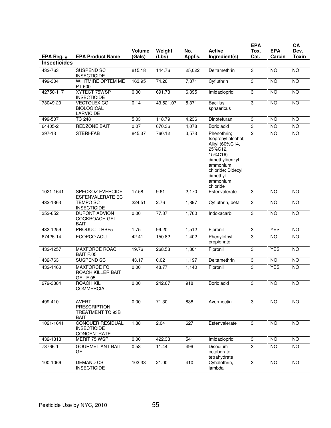|                     |                                                                        | <b>Volume</b> | Weight    | No.     | <b>Active</b>                                                                                                                                                    | <b>EPA</b><br>Tox.        | <b>EPA</b>      | CA<br>Dev.      |
|---------------------|------------------------------------------------------------------------|---------------|-----------|---------|------------------------------------------------------------------------------------------------------------------------------------------------------------------|---------------------------|-----------------|-----------------|
| EPA Reg. #          | <b>EPA Product Name</b>                                                | (Gals)        | (Lbs)     | Appl's. | Ingredient(s)                                                                                                                                                    | Cat.                      | Carcin          | <b>Toxin</b>    |
| <b>Insecticides</b> |                                                                        |               |           |         |                                                                                                                                                                  |                           |                 |                 |
| 432-763             | <b>SUSPEND SC</b><br><b>INSECTICIDE</b>                                | 815.18        | 144.76    | 25,022  | Deltamethrin                                                                                                                                                     | 3                         | NO              | $\overline{NO}$ |
| 499-304             | <b>WHITMIRE OPTEM ME</b><br>PT 600                                     | 163.95        | 74.20     | 7,371   | Cyfluthrin                                                                                                                                                       | $\overline{3}$            | <b>NO</b>       | <b>NO</b>       |
| 42750-117           | XYTECT 75WSP<br><b>INSECTICIDE</b>                                     | 0.00          | 691.73    | 6,395   | Imidacloprid                                                                                                                                                     | 3                         | NO              | $\overline{NO}$ |
| 73049-20            | <b>VECTOLEX CG</b><br><b>BIOLOGICAL</b><br><b>LARVICIDE</b>            | 0.14          | 43,521.07 | 5,371   | <b>Bacillus</b><br>sphaericus                                                                                                                                    | 3                         | <b>NO</b>       | <b>NO</b>       |
| 499-507             | <b>TC 248</b>                                                          | 5.03          | 118.79    | 4,236   | Dinotefuran                                                                                                                                                      | $\ensuremath{\mathsf{3}}$ | <b>NO</b>       | <b>NO</b>       |
| 64405-2             | <b>REDZONE BAIT</b>                                                    | 0.07          | 670.36    | 4,078   | Boric acid                                                                                                                                                       | $\overline{3}$            | NO <sub>1</sub> | <b>NO</b>       |
| 397-13              | <b>STERI-FAB</b>                                                       | 845.37        | 760.12    | 3,573   | Phenothrin;<br>Isopropyl alcohol;<br>Alkyl (60%C14,<br>25%C12.<br>15%C16)<br>dimethylbenzyl<br>ammonium<br>chloride; Didecyl<br>dimethyl<br>ammonium<br>chloride | $\overline{c}$            | N <sub>O</sub>  | NO              |
| 1021-1641           | <b>SPECKOZ EVERCIDE</b><br><b>ESFENVALERATE EC</b>                     | 17.58         | 9.61      | 2,170   | Esfenvalerate                                                                                                                                                    | 3                         | <b>NO</b>       | $\overline{NO}$ |
| 432-1363            | <b>TEMPO SC</b><br><b>INSECTICIDE</b>                                  | 224.51        | 2.76      | 1,897   | Cyfluthrin, beta                                                                                                                                                 | 3                         | <b>NO</b>       | <b>NO</b>       |
| 352-652             | <b>DUPONT ADVION</b><br>COCKROACH GEL<br><b>BAIT</b>                   | 0.00          | 77.37     | 1,760   | Indoxacarb                                                                                                                                                       | $\overline{3}$            | <b>NO</b>       | <b>NO</b>       |
| 432-1259            | PRODUCT: RBF5                                                          | 1.75          | 99.20     | 1,512   | Fipronil                                                                                                                                                         | $\ensuremath{\mathsf{3}}$ | <b>YES</b>      | <b>NO</b>       |
| 67425-14            | <b>ECOPCO ACU</b>                                                      | 42.41         | 150.82    | 1,402   | Phenylethyl<br>propionate                                                                                                                                        | 3                         | NO <sub>1</sub> | <b>NO</b>       |
| 432-1257            | <b>MAXFORCE ROACH</b><br>BAIT F.05                                     | 19.76         | 268.58    | 1,301   | Fipronil                                                                                                                                                         | 3                         | <b>YES</b>      | $\overline{NO}$ |
| 432-763             | <b>SUSPEND SC</b>                                                      | 43.17         | 0.02      | 1,197   | Deltamethrin                                                                                                                                                     | 3                         | NO              | $\overline{NO}$ |
| 432-1460            | <b>MAXFORCE FC</b><br>ROACH KILLER BAIT<br><b>GEL F.05</b>             | 0.00          | 48.77     | 1,140   | Fipronil                                                                                                                                                         | $\overline{3}$            | <b>YES</b>      | <b>NO</b>       |
| 279-3384            | <b>ROACH KIL</b><br>COMMERCIAL                                         | 0.00          | 242.67    | 918     | Boric acid                                                                                                                                                       | 3                         | NO              | NO              |
| 499-410             | <b>AVERT</b><br><b>PRESCRIPTION</b><br>TREATMENT TC 93B<br><b>BAIT</b> | 0.00          | 71.30     | 838     | Avermectin                                                                                                                                                       | $\overline{3}$            | NO              | <b>NO</b>       |
| 1021-1641           | <b>CONQUER RESIDUAL</b><br><b>INSECTICIDE</b><br>CONCENTRATE           | 1.88          | 2.04      | 627     | Esfenvalerate                                                                                                                                                    | 3                         | <b>NO</b>       | <b>NO</b>       |
| 432-1318            | MERIT 75 WSP                                                           | 0.00          | 422.33    | 541     | Imidacloprid                                                                                                                                                     | 3                         | NO              | <b>NO</b>       |
| 73766-1             | <b>GOURMET ANT BAIT</b><br><b>GEL</b>                                  | 0.58          | 11.44     | 499     | Disodium<br>octaborate<br>tetrahydrate                                                                                                                           | $\overline{3}$            | <b>NO</b>       | $\overline{NO}$ |
| 100-1066            | <b>DEMAND CS</b><br><b>INSECTICIDE</b>                                 | 103.33        | 21.00     | 410     | Cyhalothrin,<br>lambda                                                                                                                                           | $\overline{3}$            | $\overline{N}$  | NO <sub>1</sub> |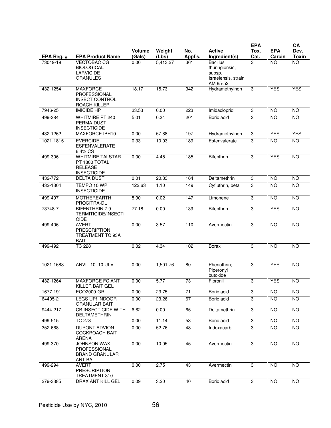|            |                                                                                  | Volume | Weight            | No.     | <b>Active</b>                                                                  | <b>EPA</b><br>Tox. | <b>EPA</b>      | CA<br>Dev.      |
|------------|----------------------------------------------------------------------------------|--------|-------------------|---------|--------------------------------------------------------------------------------|--------------------|-----------------|-----------------|
| EPA Reg. # | <b>EPA Product Name</b>                                                          | (Gals) | (Lbs)             | Appl's. | Ingredient(s)                                                                  | Cat.               | Carcin          | <b>Toxin</b>    |
| 73049-19   | <b>VECTOBAC CG</b><br><b>BIOLOGICAL</b><br><b>LARVICIDE</b><br><b>GRANULES</b>   | 0.00   | 5,413.27          | 361     | <b>Bacillus</b><br>thuringiensis,<br>subsp.<br>Israelensis, strain<br>AM 65-52 | 3                  | <b>NO</b>       | <b>NO</b>       |
| 432-1254   | <b>MAXFORCE</b><br>PROFESSIONAL<br><b>INSECT CONTROL</b><br>ROACH KILLER         | 18.17  | 15.73             | 342     | Hydramethylnon                                                                 | 3                  | <b>YES</b>      | <b>YES</b>      |
| 7946-25    | <b>IMICIDE HP</b>                                                                | 33.53  | 0.00              | 223     | Imidacloprid                                                                   | 3                  | <b>NO</b>       | <b>NO</b>       |
| 499-384    | <b>WHITMIRE PT 240</b><br>PERMA-DUST<br><b>INSECTICIDE</b>                       | 5.01   | 0.34              | 201     | Boric acid                                                                     | 3                  | $\overline{NO}$ | <b>NO</b>       |
| 432-1262   | MAXFORCE IBH10                                                                   | 0.00   | $\frac{1}{57.88}$ | 197     | Hydramethylnon                                                                 | $\overline{3}$     | <b>YES</b>      | <b>YES</b>      |
| 1021-1815  | <b>EVERCIDE</b><br><b>ESFENVALERATE</b><br>6.4% CS                               | 0.33   | 10.03             | 189     | Esfenvalerate                                                                  | 3                  | <b>NO</b>       | <b>NO</b>       |
| 499-306    | <b>WHITMIRE TALSTAR</b><br>PT 1800 TOTAL<br><b>RELEASE</b><br><b>INSECTICIDE</b> | 0.00   | 4.45              | 185     | <b>Bifenthrin</b>                                                              | 3                  | <b>YES</b>      | <b>NO</b>       |
| 432-772    | <b>DELTA DUST</b>                                                                | 0.01   | 20.33             | 164     | Deltamethrin                                                                   | 3                  | <b>NO</b>       | <b>NO</b>       |
| 432-1304   | TEMPO 10 WP<br><b>INSECTICIDE</b>                                                | 122.63 | 1.10              | 149     | Cyfluthrin, beta                                                               | 3                  | $\overline{NO}$ | $\overline{NO}$ |
| 499-497    | <b>MOTHEREARTH</b><br>PROCITRA-DL                                                | 5.90   | 0.02              | 147     | Limonene                                                                       | 3                  | <b>NO</b>       | $\overline{NO}$ |
| 73748-7    | <b>BIFENTHRIN 7.9</b><br><b>TERMITICIDE/INSECTI</b><br><b>CIDE</b>               | 77.18  | 0.00              | 139     | Bifenthrin                                                                     | $\overline{3}$     | <b>YES</b>      | <b>NO</b>       |
| 499-406    | <b>AVERT</b><br><b>PRESCRIPTION</b><br>TREATMENT TC 93A<br><b>BAIT</b>           | 0.00   | 3.57              | 110     | Avermectin                                                                     | 3                  | $\overline{NO}$ | $\overline{NO}$ |
| 499-492    | <b>TC 228</b>                                                                    | 0.02   | 4.34              | 102     | Borax                                                                          | 3                  | <b>NO</b>       | <b>NO</b>       |
| 1021-1688  | <b>ANVIL 10+10 ULV</b>                                                           | 0.00   | 1,501.76          | 80      | Phenothrin;<br>Piperonyl<br>butoxide                                           | 3                  | <b>YES</b>      | <b>NO</b>       |
| 432-1264   | <b>MAXFORCE FC ANT</b><br>KILLER BAIT GEL                                        | 0.00   | 5.77              | 73      | Fipronil                                                                       | 3                  | <b>YES</b>      | <b>NO</b>       |
| 1677-191   | ECO2000-GR                                                                       | 0.00   | 23.75             | 71      | Boric acid                                                                     | 3                  | NO.             | <b>NO</b>       |
| 64405-2    | LEGS UP! INDOOR<br><b>GRANULAR BAIT</b>                                          | 0.00   | 23.26             | 67      | Boric acid                                                                     | $\overline{3}$     | <b>NO</b>       | <b>NO</b>       |
| 9444-217   | <b>CB INSECTICIDE WITH</b><br>DELTAMETHRIN                                       | 6.62   | 0.00              | 65      | Deltamethrin                                                                   | 3                  | <b>NO</b>       | <b>NO</b>       |
| 499-515    | TC 273                                                                           | 0.00   | 11.14             | 53      | Boric acid                                                                     | 3                  | <b>NO</b>       | <b>NO</b>       |
| 352-668    | <b>DUPONT ADVION</b><br><b>COCKROACH BAIT</b><br><b>ARENA</b>                    | 0.00   | 52.76             | 48      | Indoxacarb                                                                     | $\overline{3}$     | <b>NO</b>       | <b>NO</b>       |
| 499-370    | <b>JOHNSON WAX</b><br>PROFESSIONAL<br><b>BRAND GRANULAR</b><br>ANT BAIT          | 0.00   | 10.05             | 45      | Avermectin                                                                     | 3                  | <b>NO</b>       | <b>NO</b>       |
| 499-294    | <b>AVERT</b><br><b>PRESCRIPTION</b><br>TREATMENT 310                             | 0.00   | 2.75              | 43      | Avermectin                                                                     | 3                  | <b>NO</b>       | <b>NO</b>       |
| 279-3385   | DRAX ANT KILL GEL                                                                | 0.09   | 3.20              | 40      | Boric acid                                                                     | 3                  | <b>NO</b>       | <b>NO</b>       |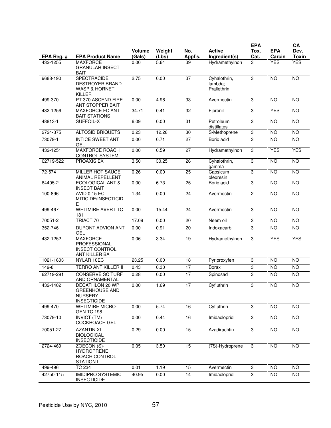|            |                                                                                    |                         |                 |                 |                                        | <b>EPA</b>     |                      | CA                   |
|------------|------------------------------------------------------------------------------------|-------------------------|-----------------|-----------------|----------------------------------------|----------------|----------------------|----------------------|
| EPA Reg. # | <b>EPA Product Name</b>                                                            | <b>Volume</b><br>(Gals) | Weight<br>(Lbs) | No.<br>Appl's.  | <b>Active</b><br>Ingredient(s)         | Tox.<br>Cat.   | <b>EPA</b><br>Carcin | Dev.<br><b>Toxin</b> |
| 432-1255   | <b>MAXFORCE</b><br><b>GRANULAR INSECT</b><br><b>BAIT</b>                           | 0.00                    | 5.64            | 39              | Hydramethylnon                         | 3              | <b>YES</b>           | <b>YES</b>           |
| 9688-190   | <b>SPECTRACIDE</b><br><b>DESTROYER BRAND</b><br><b>WASP &amp; HORNET</b><br>KILLER | 2.75                    | 0.00            | $\overline{37}$ | Cyhalothrin,<br>lambda:<br>Prallethrin | 3              | <b>NO</b>            | <b>NO</b>            |
| 499-370    | PT 370 ASCEND FIRE<br>ANT STOPPER BAIT                                             | 0.00                    | 4.96            | 33              | Avermectin                             | 3              | <b>NO</b>            | <b>NO</b>            |
| 432-1256   | <b>MAXFORCE FC ANT</b><br><b>BAIT STATIONS</b>                                     | 34.71                   | 0.41            | 32              | Fipronil                               | 3              | <b>YES</b>           | <b>NO</b>            |
| 48813-1    | SUFFOIL-X                                                                          | 6.09                    | 0.00            | $\overline{31}$ | Petroleum<br>distillates               | 3              | N <sub>O</sub>       | <b>NO</b>            |
| 2724-375   | <b>ALTOSID BRIQUETS</b>                                                            | 0.23                    | 12.26           | 30              | S-Methoprene                           | 3              | <b>NO</b>            | <b>NO</b>            |
| 73079-1    | <b>INTICE SWEET ANT</b><br>GEL                                                     | 0.00                    | 0.71            | $\overline{27}$ | Boric acid                             | 3              | <b>NO</b>            | <b>NO</b>            |
| 432-1251   | <b>MAXFORCE ROACH</b><br>CONTROL SYSTEM                                            | 0.00                    | 0.59            | $\overline{27}$ | Hydramethylnon                         | 3              | <b>YES</b>           | <b>YES</b>           |
| 62719-522  | <b>PROAXIS EX</b>                                                                  | 3.50                    | 30.25           | 26              | Cyhalothrin,<br>gamma                  | 3              | <b>NO</b>            | <b>NO</b>            |
| 72-574     | <b>MILLER HOT SAUCE</b><br>ANIMAL REPELLENT                                        | 0.26                    | 0.00            | $\overline{25}$ | Capsicum<br>oleoresin                  | 3              | N <sub>O</sub>       | NO                   |
| 64405-2    | <b>ECOLOGICAL ANT &amp;</b><br><b>INSECT BAIT</b>                                  | 0.00                    | 6.73            | 25              | Boric acid                             | 3              | <b>NO</b>            | <b>NO</b>            |
| 100-896    | <b>AVID 0.15 EC</b><br>MITICIDE/INSECTICID<br>Е                                    | 1.34                    | 0.00            | 24              | Avermectin                             | 2              | N <sub>O</sub>       | NO                   |
| 499-467    | <b>WHITMIRE AVERT TC</b><br>181                                                    | 0.00                    | 15.44           | 24              | Avermectin                             | 3              | <b>NO</b>            | <b>NO</b>            |
| 70051-2    | TRIACT 70                                                                          | 17.09                   | 0.00            | 20              | Neem oil                               | 3              | <b>NO</b>            | $\overline{NO}$      |
| 352-746    | <b>DUPONT ADVION ANT</b><br><b>GEL</b>                                             | 0.00                    | 0.91            | 20              | Indoxacarb                             | 3              | <b>NO</b>            | <b>NO</b>            |
| 432-1252   | <b>MAXFORCE</b><br>PROFESSIONAL<br><b>INSECT CONTROL</b><br><b>ANT KILLER BA</b>   | 0.06                    | 3.34            | 19              | Hydramethylnon                         | 3              | <b>YES</b>           | <b>YES</b>           |
| 1021-1603  | NYLAR 10EC                                                                         | 23.25                   | 0.00            | 18              | Pyriproxyfen                           | 3              | <b>NO</b>            | <b>NO</b>            |
| 149-8      | <b>TERRO ANT KILLER II</b>                                                         | 0.43                    | 0.30            | 17              | <b>Borax</b>                           | 3              | <b>NO</b>            | <b>NO</b>            |
| 62719-291  | <b>CONSERVE SC TURF</b><br>AND ORNAMENTAL                                          | 0.28                    | 0.00            | 17              | Spinosad                               | 3              | <b>NO</b>            | <b>NO</b>            |
| 432-1402   | DECATHLON 20 WP<br><b>GREENHOUSE AND</b><br><b>NURSERY</b><br><b>INSECTICIDE</b>   | 0.00                    | 1.69            | 17              | Cyfluthrin                             | 3              | NO                   | <b>NO</b>            |
| 499-470    | <b>WHITMIRE MICRO-</b><br><b>GEN TC 198</b>                                        | 0.00                    | 5.74            | 16              | Cyfluthrin                             | 3              | <b>NO</b>            | $\overline{NO}$      |
| 73079-10   | <b>INVICT (TM)</b><br><b>COCKROACH GEL</b>                                         | 0.00                    | 0.44            | 16              | Imidacloprid                           | 3              | NO                   | NO <sub>1</sub>      |
| 70051-27   | <b>AZANTIN XL</b><br><b>BIOLOGICAL</b><br><b>INSECTICIDE</b>                       | 0.29                    | 0.00            | 15              | Azadirachtin                           | $\overline{3}$ | NO                   | $\overline{NO}$      |
| 2724-469   | ZOECON (S)-<br><b>HYDROPRENE</b><br>ROACH CONTROL<br><b>STATION II</b>             | 0.05                    | 3.50            | 15              | (7S)-Hydroprene                        | $\overline{3}$ | NO                   | <b>NO</b>            |
| 499-496    | <b>TC 234</b>                                                                      | 0.01                    | 1.19            | 15              | Avermectin                             | 3              | <b>NO</b>            | <b>NO</b>            |
| 42750-115  | <b>IMIDIPRO SYSTEMIC</b><br><b>INSECTICIDE</b>                                     | $\overline{40.95}$      | 0.00            | $\overline{14}$ | Imidacloprid                           | 3              | $\overline{N}$       | $\overline{10}$      |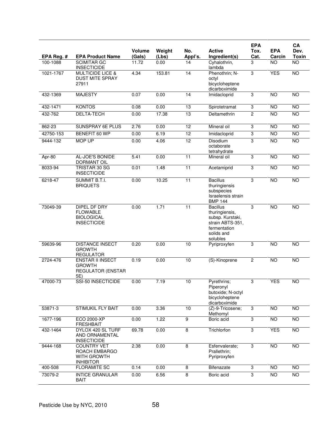| EPA Reg. # | <b>EPA Product Name</b>                                                           | <b>Volume</b><br>(Gals) | Weight<br>(Lbs) | No.<br>Appl's.  | <b>Active</b><br>Ingredient(s)                                                                                      | <b>EPA</b><br>Tox.<br>Cat. | <b>EPA</b><br>Carcin | CA<br>Dev.<br><b>Toxin</b> |
|------------|-----------------------------------------------------------------------------------|-------------------------|-----------------|-----------------|---------------------------------------------------------------------------------------------------------------------|----------------------------|----------------------|----------------------------|
| 100-1088   | <b>SCIMITAR GC</b><br><b>INSECTICIDE</b>                                          | 11.72                   | 0.00            | 14              | Cyhalothrin,<br>lambda                                                                                              | 3                          | <b>NO</b>            | $\overline{NO}$            |
| 1021-1767  | <b>MULTICIDE LICE &amp;</b><br><b>DUST MITE SPRAY</b><br>27911                    | 4.34                    | 153.81          | $\overline{14}$ | Phenothrin; N-<br>octyl<br>bicycloheptene<br>dicarboximide                                                          | 3                          | <b>YES</b>           | <b>NO</b>                  |
| 432-1369   | <b>MAJESTY</b>                                                                    | 0.07                    | 0.00            | 14              | Imidacloprid                                                                                                        | 3                          | <b>NO</b>            | <b>NO</b>                  |
| 432-1471   | <b>KONTOS</b>                                                                     | 0.08                    | 0.00            | 13              | Spirotetramat                                                                                                       | 3                          | <b>NO</b>            | <b>NO</b>                  |
| 432-762    | <b>DELTA-TECH</b>                                                                 | 0.00                    | 17.38           | 13              | Deltamethrin                                                                                                        | $\overline{2}$             | <b>NO</b>            | <b>NO</b>                  |
| 862-23     | <b>SUNSPRAY 6E PLUS</b>                                                           | 2.76                    | 0.00            | 12              | Mineral oil                                                                                                         | 3                          | <b>NO</b>            | <b>NO</b>                  |
| 42750-153  | BENEFIT 60 WP                                                                     | 0.00                    | 6.19            | $\overline{12}$ | Imidacloprid                                                                                                        | $\overline{3}$             | N <sub>O</sub>       | $\overline{NO}$            |
| 9444-132   | <b>MOP UP</b>                                                                     | 0.00                    | 4.06            | $\overline{12}$ | Disodium<br>octaborate<br>tetrahydrate                                                                              | 3                          | N <sub>O</sub>       | <b>NO</b>                  |
| Apr-80     | AL-JOE'S BONIDE<br><b>DORMANT OIL</b>                                             | 5.41                    | 0.00            | 11              | Mineral oil                                                                                                         | 3                          | <b>NO</b>            | <b>NO</b>                  |
| 8033-94    | TRISTAR 30 SG<br><b>INSECTICIDE</b>                                               | 0.01                    | 1.48            | $\overline{11}$ | Acetamiprid                                                                                                         | 3                          | <b>NO</b>            | <b>NO</b>                  |
| 6218-47    | <b>SUMMIT B.T.I.</b><br><b>BRIQUETS</b>                                           | 0.00                    | 10.25           | 11              | <b>Bacillus</b><br>thuringiensis<br>subspecies<br>Israelensis strain<br><b>BMP 144</b>                              | 3                          | N <sub>O</sub>       | NO                         |
| 73049-39   | <b>DIPEL DF DRY</b><br><b>FLOWABLE</b><br><b>BIOLOGICAL</b><br><b>INSECTICIDE</b> | 0.00                    | 1.71            | 11              | <b>Bacillus</b><br>thuringiensis,<br>subsp. Kurstaki,<br>strain ABTS-351,<br>fermentation<br>solids and<br>solubles | 3                          | <b>NO</b>            | <b>NO</b>                  |
| 59639-96   | <b>DISTANCE INSECT</b><br><b>GROWTH</b><br><b>REGULATOR</b>                       | 0.20                    | 0.00            | 10              | Pyriproxyfen                                                                                                        | 3                          | N <sub>O</sub>       | $\overline{10}$            |
| 2724-476   | <b>ENSTAR II INSECT</b><br><b>GROWTH</b><br><b>REGULATOR (ENSTAR</b><br>5E)       | 0.19                    | 0.00            | 10              | (S)-Kinoprene                                                                                                       | $\overline{2}$             | <b>NO</b>            | <b>NO</b>                  |
| 47000-73   | SSI-50 INSECTICIDE                                                                | 0.00                    | 7.19            | 10              | Pyrethrins:<br>Piperonyl<br>butoxide; N-octyl<br>bicycloheptene<br>dicarboximide                                    | 3                          | <b>YES</b>           | <b>NO</b>                  |
| 53871-3    | <b>STIMUKIL FLY BAIT</b>                                                          | 0.00                    | 3.36            | 10              | (Z)-9-Tricosene;<br>Methomyl                                                                                        | 3                          | NO                   | NO                         |
| 1677-196   | <b>ECO 2000-XP</b><br><b>FRESHBAIT</b>                                            | 0.00                    | 1.22            | $\overline{9}$  | Boric acid                                                                                                          | 3                          | <b>NO</b>            | <b>NO</b>                  |
| 432-1464   | DYLOX 420 SL TURF<br>AND ORNAMENTAL<br><b>INSECTICIDE</b>                         | 69.78                   | 0.00            | 8               | Trichlorfon                                                                                                         | 3                          | <b>YES</b>           | NO                         |
| 9444-168   | <b>COUNTRY VET</b><br>ROACH EMBARGO<br><b>WITH GROWTH</b><br><b>INHIBITOR</b>     | 2.38                    | 0.00            | 8               | Esfenvalerate;<br>Prallethrin:<br>Pyriproxyfen                                                                      | 3                          | <b>NO</b>            | <b>NO</b>                  |
| 400-508    | <b>FLORAMITE SC</b>                                                               | 0.14                    | 0.00            | 8               | Bifenazate                                                                                                          | 3                          | <b>NO</b>            | NO                         |
| 73079-2    | <b>INTICE GRANULAR</b><br><b>BAIT</b>                                             | 0.00                    | 6.56            | $\overline{8}$  | Boric acid                                                                                                          | $\overline{3}$             | NO                   | <b>NO</b>                  |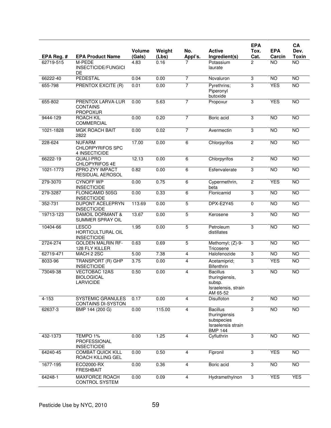|            |                                                           |                         |                 |                |                                                                                        | <b>EPA</b>     |                      | CA                   |
|------------|-----------------------------------------------------------|-------------------------|-----------------|----------------|----------------------------------------------------------------------------------------|----------------|----------------------|----------------------|
| EPA Reg. # | <b>EPA Product Name</b>                                   | <b>Volume</b><br>(Gals) | Weight<br>(Lbs) | No.<br>Appl's. | <b>Active</b><br>Ingredient(s)                                                         | Tox.<br>Cat.   | <b>EPA</b><br>Carcin | Dev.<br><b>Toxin</b> |
| 62719-515  | M-PEDE<br>INSECTICIDE/FUNGICI<br>DE                       | 4.83                    | 0.16            |                | Potassium<br>laurate                                                                   | 2              | <b>NO</b>            | <b>NO</b>            |
| 66222-40   | <b>PEDESTAL</b>                                           | 0.04                    | 0.00            | $\overline{7}$ | Novaluron                                                                              | 3              | $\overline{10}$      | $\overline{10}$      |
| 655-798    | <b>PRENTOX EXCITE (R)</b>                                 | 0.01                    | 0.00            | $\overline{7}$ | Pyrethrins;<br>Piperonyl<br>butoxide                                                   | 3              | <b>YES</b>           | <b>NO</b>            |
| 655-802    | PRENTOX LARVA-LUR<br><b>CONTAINS</b><br><b>PROPOXUR</b>   | 0.00                    | 5.63            | $\overline{7}$ | Propoxur                                                                               | 3              | <b>YES</b>           | $\overline{10}$      |
| 9444-129   | <b>ROACH KIL</b><br><b>COMMERCIAL</b>                     | 0.00                    | 0.20            | $\overline{7}$ | Boric acid                                                                             | 3              | <b>NO</b>            | $\overline{10}$      |
| 1021-1828  | <b>MGK ROACH BAIT</b><br>2822                             | 0.00                    | 0.02            | $\overline{7}$ | Avermectin                                                                             | 3              | <b>NO</b>            | <b>NO</b>            |
| 228-624    | <b>NUFARM</b><br><b>CHLORPYRIFOS SPC</b><br>4 INSECTICIDE | 17.00                   | 0.00            | 6              | Chlorpyrifos                                                                           | $\overline{c}$ | $\overline{10}$      | <b>NO</b>            |
| 66222-19   | QUALI-PRO<br>CHLOPYRIFOS 4E                               | 12.13                   | 0.00            | 6              | Chlorpyrifos                                                                           | $\mathbf{2}$   | N <sub>O</sub>       | NO                   |
| 1021-1773  | ZPRO ZYY IMPACT<br>RESIDUAL AEROSOL                       | 0.82                    | 0.00            | 6              | Esfenvalerate                                                                          | 3              | <b>NO</b>            | <b>NO</b>            |
| 279-3070   | <b>CYNOFF WP</b><br><b>INSECTICIDE</b>                    | 0.00                    | 0.75            | 6              | Cypermethrin,<br>beta                                                                  | $\overline{c}$ | <b>YES</b>           | <b>NO</b>            |
| 279-3287   | FLONICAMID 50SG<br><b>INSECTICIDE</b>                     | 0.00                    | 0.33            | 6              | Flonicamid                                                                             | 3              | <b>NO</b>            | <b>NO</b>            |
| 352-731    | <b>DUPONT ACELEPRYN</b><br><b>INSECTICIDE</b>             | 113.69                  | 0.00            | 5              | DPX-E2Y45                                                                              | $\mathbf 0$    | <b>NO</b>            | <b>NO</b>            |
| 19713-123  | <b>DAMOIL DORMANT &amp;</b><br>SUMMER SPRAY OIL           | 13.67                   | 0.00            | 5              | Kerosene                                                                               | 3              | <b>NO</b>            | <b>NO</b>            |
| 10404-66   | <b>LESCO</b><br>HORTICULTURAL OIL<br><b>INSECTICIDE</b>   | 1.95                    | 0.00            | 5              | Petroleum<br>distillates                                                               | 3              | $\overline{10}$      | $\overline{10}$      |
| 2724-274   | <b>GOLDEN MALRIN RF-</b><br>128 FLY KILLER                | 0.63                    | 0.69            | 5              | Methomyl; (Z)-9-<br>Tricosene                                                          | 3              | N <sub>O</sub>       | NO                   |
| 62719-471  | MACH 2 2SC                                                | 5.00                    | 7.38            | 4              | Halofenozide                                                                           | 3              | <b>NO</b>            | <b>NO</b>            |
| 8033-96    | TRANSPORT (R) GHP<br><b>INSECTICIDE</b>                   | 3.75                    | 0.00            | 4              | Acetamiprid;<br><b>Bifenthrin</b>                                                      | 3              | <b>YES</b>           | NO                   |
| 73049-38   | <b>VECTOBAC 12AS</b><br><b>BIOLOGICAL</b><br>LARVICIDE    | 0.50                    | 0.00            | 4              | <b>Bacillus</b><br>thuringiensis,<br>subsp.<br>Israelensis, strain<br>AM 65-52         | 3              | <b>NO</b>            | <b>NO</b>            |
| $4 - 153$  | <b>SYSTEMIC GRANULES</b><br>CONTAINS DI-SYSTON            | 0.17                    | 0.00            | 4              | Disulfoton                                                                             | $\overline{2}$ | NO                   | NO                   |
| 62637-3    | BMP 144 (200 G)                                           | 0.00                    | 115.00          | 4              | <b>Bacillus</b><br>thuringiensis<br>subspecies<br>Israelensis strain<br><b>BMP 144</b> | 3              | NO                   | <b>NO</b>            |
| 432-1373   | TEMPO 1%<br>PROFESSIONAL<br><b>INSECTICIDE</b>            | 0.00                    | 1.25            | 4              | Cyfluthrin                                                                             | 3              | <b>NO</b>            | <b>NO</b>            |
| 64240-45   | <b>COMBAT QUICK KILL</b><br>ROACH KILLING GEL             | 0.00                    | 0.50            | 4              | Fipronil                                                                               | 3              | <b>YES</b>           | <b>NO</b>            |
| 1677-195   | ECO2000-RX<br><b>FRESHBAIT</b>                            | 0.00                    | 0.36            | 4              | Boric acid                                                                             | 3              | <b>NO</b>            | NO                   |
| 64248-1    | MAXFORCE ROACH<br><b>CONTROL SYSTEM</b>                   | 0.00                    | 0.09            | 4              | Hydramethylnon                                                                         | 3              | <b>YES</b>           | <b>YES</b>           |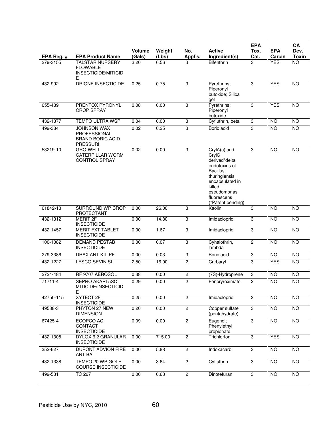|            |                                                                                  |                  |                 |                |                                                                                                                                                                             | <b>EPA</b>     |                      | CA                   |
|------------|----------------------------------------------------------------------------------|------------------|-----------------|----------------|-----------------------------------------------------------------------------------------------------------------------------------------------------------------------------|----------------|----------------------|----------------------|
| EPA Reg. # | <b>EPA Product Name</b>                                                          | Volume<br>(Gals) | Weight<br>(Lbs) | No.<br>Appl's. | <b>Active</b><br>Ingredient(s)                                                                                                                                              | Tox.<br>Cat.   | <b>EPA</b><br>Carcin | Dev.<br><b>Toxin</b> |
| 279-3155   | <b>TALSTAR NURSERY</b><br><b>FLOWABLE</b>                                        | 3.20             | 6.56            | 3              | <b>Bifenthrin</b>                                                                                                                                                           | 3              | <b>YES</b>           | $\overline{NO}$      |
|            | INSECTICIDE/MITICID<br>E                                                         |                  |                 |                |                                                                                                                                                                             |                |                      |                      |
| 432-992    | <b>DRIONE INSECTICIDE</b>                                                        | 0.25             | 0.75            | 3              | Pyrethrins;<br>Piperonyl<br>butoxide; Silica<br>gel                                                                                                                         | 3              | <b>YES</b>           | <b>NO</b>            |
| 655-489    | PRENTOX PYRONYL<br><b>CROP SPRAY</b>                                             | 0.08             | 0.00            | 3              | Pyrethrins;<br>Piperonyl<br>butoxide                                                                                                                                        | 3              | <b>YES</b>           | NO                   |
| 432-1377   | TEMPO ULTRA WSP                                                                  | 0.04             | 0.00            | $\overline{3}$ | Cyfluthrin, beta                                                                                                                                                            | $\overline{3}$ | <b>NO</b>            | <b>NO</b>            |
| 499-384    | <b>JOHNSON WAX</b><br>PROFESSIONAL<br><b>BRAND BORIC ACID</b><br><b>PRESSURI</b> | 0.02             | 0.25            | 3              | Boric acid                                                                                                                                                                  | 3              | $\overline{NO}$      | $\overline{NO}$      |
| 53219-10   | <b>GRO-WELL</b><br><b>CATERPILLAR WORM</b><br><b>CONTROL SPRAY</b>               | 0.02             | 0.00            | 3              | CrylA(c) and<br>CrylC<br>derived*delta<br>endotoxins of<br><b>Bacillus</b><br>thuringiensis<br>encapsulated in<br>killed<br>pseudomonas<br>fluorescens<br>(*Patent pending) | 3              | <b>NO</b>            | <b>NO</b>            |
| 61842-18   | <b>SURROUND WP CROP</b><br>PROTECTANT                                            | 0.00             | 26.00           | 3              | Kaolin                                                                                                                                                                      | $\overline{3}$ | NO                   | <b>NO</b>            |
| 432-1312   | <b>MERIT 2F</b><br><b>INSECTICIDE</b>                                            | 0.00             | 14.80           | 3              | Imidacloprid                                                                                                                                                                | 3              | <b>NO</b>            | $\overline{NO}$      |
| 432-1457   | <b>MERIT FXT TABLET</b><br><b>INSECTICIDE</b>                                    | 0.00             | 1.67            | $\overline{3}$ | Imidacloprid                                                                                                                                                                | 3              | <b>NO</b>            | <b>NO</b>            |
| 100-1082   | <b>DEMAND PESTAB</b><br><b>INSECTICIDE</b>                                       | 0.00             | 0.07            | 3              | Cyhalothrin,<br>lambda                                                                                                                                                      | $\overline{c}$ | <b>NO</b>            | <b>NO</b>            |
| 279-3386   | <b>DRAX ANT KIL-PF</b>                                                           | 0.00             | 0.03            | 3              | Boric acid                                                                                                                                                                  | $\overline{3}$ | <b>NO</b>            | <b>NO</b>            |
| 432-1227   | <b>LESCO SEVIN SL</b>                                                            | 2.50             | 16.00           | $\overline{2}$ | Carbaryl                                                                                                                                                                    | $\overline{3}$ | <b>YES</b>           | <b>NO</b>            |
| 2724-484   | RF 9707 AEROSOL                                                                  | 0.38             | 0.00            | $\overline{c}$ | (7S)-Hydroprene                                                                                                                                                             | 3              | <b>NO</b>            | NO                   |
| 71711-4    | SEPRO AKARI 5SC<br>MITICIDE/INSECTICID<br>Е                                      | 0.29             | 0.00            | 2              | Fenpryroximate                                                                                                                                                              | 2              | <b>NO</b>            | <b>NO</b>            |
| 42750-115  | XYTECT 2F<br><b>INSECTICIDE</b>                                                  | 0.25             | 0.00            | $\overline{2}$ | Imidacloprid                                                                                                                                                                | $\overline{3}$ | <b>NO</b>            | <b>NO</b>            |
| 49538-3    | PHYTON 27 NEW<br><b>DIMENSION</b>                                                | 0.20             | 0.00            | $\overline{2}$ | Copper sulfate<br>(pentahydrate)                                                                                                                                            | $\overline{3}$ | $\overline{NO}$      | N <sub>O</sub>       |
| 67425-4    | ECOPCO AC<br>CONTACT<br><b>INSECTICIDE</b>                                       | 0.09             | 0.00            | $\overline{2}$ | Eugenol;<br>Phenylethyl<br>propionate                                                                                                                                       | $\overline{3}$ | <b>NO</b>            | <b>NO</b>            |
| 432-1308   | DYLOX 6.2 GRANULAR<br><b>INSECTICIDE</b>                                         | 0.00             | 715.00          | $\overline{2}$ | Trichlorfon                                                                                                                                                                 | $\overline{3}$ | <b>YES</b>           | $\overline{NO}$      |
| 352-627    | DUPONT ADVION FIRE<br><b>ANT BAIT</b>                                            | 0.00             | 5.88            | $\overline{2}$ | Indoxacarb                                                                                                                                                                  | $\overline{3}$ | $\overline{NO}$      | $\overline{N}$       |
| 432-1338   | TEMPO 20 WP GOLF<br><b>COURSE INSECTICIDE</b>                                    | 0.00             | 3.64            | $\overline{2}$ | Cyfluthrin                                                                                                                                                                  | $\overline{3}$ | <b>NO</b>            | <b>NO</b>            |
| 499-531    | <b>TC 267</b>                                                                    | 0.00             | 0.63            | $\overline{2}$ | Dinotefuran                                                                                                                                                                 | $\overline{3}$ | $\overline{NO}$      | $\overline{N}$       |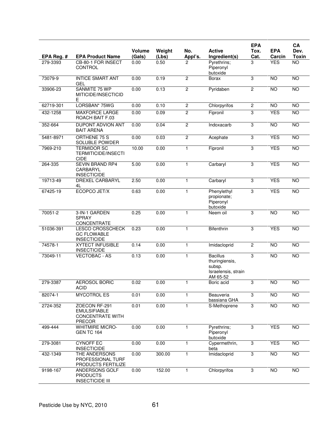|            |                                                                                  |                         |                 |                |                                                                                | <b>EPA</b>     |                      | CA                   |
|------------|----------------------------------------------------------------------------------|-------------------------|-----------------|----------------|--------------------------------------------------------------------------------|----------------|----------------------|----------------------|
| EPA Reg. # | <b>EPA Product Name</b>                                                          | <b>Volume</b><br>(Gals) | Weight<br>(Lbs) | No.<br>Appl's. | <b>Active</b><br>Ingredient(s)                                                 | Tox.<br>Cat.   | <b>EPA</b><br>Carcin | Dev.<br><b>Toxin</b> |
| 279-3393   | CB-80-1 FOR INSECT<br><b>CONTROL</b>                                             | 0.00                    | 0.50            | 2              | Pyrethrins;<br>Piperonyl<br>butoxide                                           | 3              | <b>YES</b>           | $\overline{NO}$      |
| 73079-9    | <b>INTICE SMART ANT</b><br><b>GEL</b>                                            | 0.00                    | 0.19            | $\overline{c}$ | Borax                                                                          | 3              | <b>NO</b>            | <b>NO</b>            |
| 33906-23   | SANMITE 75 WP<br>MITICIDE/INSECTICID<br>Ε                                        | 0.00                    | 0.13            | $\overline{c}$ | Pyridaben                                                                      | $\overline{c}$ | $\overline{NO}$      | NO                   |
| 62719-301  | LORSBAN* 75WG                                                                    | 0.00                    | 0.10            | $\overline{c}$ | Chlorpyrifos                                                                   | $\overline{2}$ | <b>NO</b>            | $\overline{10}$      |
| 432-1258   | <b>MAXFORCE LARGE</b><br>ROACH BAIT F.03                                         | 0.00                    | 0.09            | $\overline{c}$ | Fipronil                                                                       | 3              | <b>YES</b>           | $\overline{NO}$      |
| 352-664    | <b>DUPONT ADVION ANT</b><br><b>BAIT ARENA</b>                                    | 0.00                    | 0.04            | $\overline{c}$ | Indoxacarb                                                                     | 3              | $\overline{NO}$      | $\overline{NO}$      |
| 5481-8971  | ORTHENE 75 S<br>SOLUBLE POWDER                                                   | 0.00                    | 0.03            | $\overline{2}$ | Acephate                                                                       | 3              | <b>YES</b>           | <b>NO</b>            |
| 7969-210   | <b>TERMIDOR SC</b><br><b>TERMITICIDE/INSECTI</b><br><b>CIDE</b>                  | 10.00                   | 0.00            | 1              | Fipronil                                                                       | $\sqrt{3}$     | <b>YES</b>           | $\overline{NO}$      |
| 264-335    | <b>SEVIN BRAND RP4</b><br>CARBARYL<br><b>INSECTICIDE</b>                         | 5.00                    | 0.00            | 1              | Carbaryl                                                                       | $\overline{3}$ | <b>YES</b>           | <b>NO</b>            |
| 19713-49   | <b>DREXEL CARBARYL</b><br>4L                                                     | 2.50                    | 0.00            | $\mathbf{1}$   | Carbaryl                                                                       | 3              | <b>YES</b>           | $\overline{NO}$      |
| 67425-19   | ECOPCO JET/X                                                                     | 0.63                    | 0.00            | $\mathbf{1}$   | Phenylethyl<br>propionate;<br>Piperonyl<br>butoxide                            | 3              | <b>YES</b>           | <b>NO</b>            |
| 70051-2    | 3-IN-1 GARDEN<br><b>SPRAY</b><br>CONCENTRATE                                     | 0.25                    | 0.00            | 1              | Neem oil                                                                       | 3              | <b>NO</b>            | <b>NO</b>            |
| 51036-391  | LESCO CROSSCHECK<br><b>GC FLOWABLE</b><br><b>INSECTICIDE</b>                     | 0.23                    | 0.00            | 1              | Bifenthrin                                                                     | 3              | <b>YES</b>           | <b>NO</b>            |
| 74578-1    | <b>XYTECT INFUSIBLE</b><br><b>INSECTICIDE</b>                                    | 0.14                    | 0.00            | $\mathbf{1}$   | Imidacloprid                                                                   | $\overline{c}$ | <b>NO</b>            | $\overline{NO}$      |
| 73049-11   | <b>VECTOBAC - AS</b>                                                             | 0.13                    | 0.00            | 1              | <b>Bacillus</b><br>thuringiensis,<br>subsp.<br>Israelensis, strain<br>AM 65-52 | 3              | <b>NO</b>            | <b>NO</b>            |
| 279-3387   | <b>AEROSOL BORIC</b><br><b>ACID</b>                                              | 0.02                    | 0.00            | 1              | Boric acid                                                                     | 3              | NO.                  | <b>NO</b>            |
| 82074-1    | <b>MYCOTROL ES</b>                                                               | 0.01                    | 0.00            | 1              | Beauveria<br>bassiana GHA                                                      | 3              | $\overline{NO}$      | NO                   |
| 2724-352   | ZOECON RF-291<br><b>EMULSIFIABLE</b><br><b>CONCENTRATE WITH</b><br><b>PRECOR</b> | 0.01                    | 0.00            | 1              | S-Methoprene                                                                   | 3              | NO                   | NO                   |
| 499-444    | <b>WHITMIRE MICRO-</b><br><b>GEN TC 164</b>                                      | 0.00                    | 0.00            | 1              | Pyrethrins;<br>Piperonyl<br>butoxide                                           | 3              | <b>YES</b>           | <b>NO</b>            |
| 279-3081   | <b>CYNOFF EC</b><br><b>INSECTICIDE</b>                                           | 0.00                    | 0.00            | 1              | Cypermethrin,<br>beta                                                          | 3              | <b>YES</b>           | <b>NO</b>            |
| 432-1349   | THE ANDERSONS<br>PROFESSIONAL TURF<br>PRODUCTS FERTILIZE                         | 0.00                    | 300.00          | 1              | Imidacloprid                                                                   | 3              | <b>NO</b>            | <b>NO</b>            |
| 9198-167   | ANDERSONS GOLF<br><b>PRODUCTS</b><br><b>INSECTICIDE III</b>                      | 0.00                    | 152.00          | 1              | Chlorpyrifos                                                                   | 3              | $\overline{NO}$      | $\overline{NO}$      |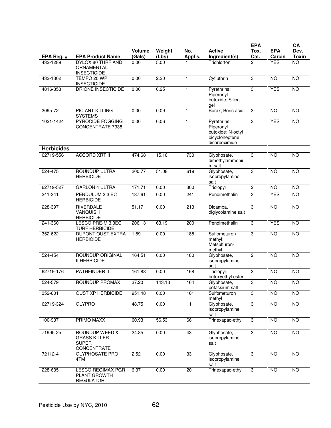|                   |                                                                      |                         |                 |                   |                                                                                  | <b>EPA</b>     |                      | CA                   |
|-------------------|----------------------------------------------------------------------|-------------------------|-----------------|-------------------|----------------------------------------------------------------------------------|----------------|----------------------|----------------------|
| EPA Reg. #        | <b>EPA Product Name</b>                                              | <b>Volume</b><br>(Gals) | Weight<br>(Lbs) | No.<br>Appl's.    | <b>Active</b><br>Ingredient(s)                                                   | Tox.<br>Cat.   | <b>EPA</b><br>Carcin | Dev.<br><b>Toxin</b> |
| 432-1289          | DYLOX 80 TURF AND<br>ORNAMENTAL<br><b>INSECTICIDE</b>                | 0.00                    | 5.00            |                   | Trichlorfon                                                                      | 2              | <b>YES</b>           | $\overline{NO}$      |
| 432-1302          | TEMPO 20 WP<br><b>INSECTICIDE</b>                                    | 0.00                    | 2.20            | 1                 | Cyfluthrin                                                                       | 3              | <b>NO</b>            | <b>NO</b>            |
| 4816-353          | DRIONE INSECTICIDE                                                   | 0.00                    | 0.25            |                   | Pyrethrins;<br>Piperonyl<br>butoxide; Silica<br>ael                              | 3              | <b>YES</b>           | N <sub>O</sub>       |
| 3095-72           | <b>PIC ANT KILLING</b><br><b>SYSTEMS</b>                             | 0.00                    | 0.09            | 1                 | Borax; Boric acid                                                                | 3              | <b>NO</b>            | <b>NO</b>            |
| 1021-1424         | PYROCIDE FOGGING<br>CONCENTRATE 7338                                 | 0.00                    | 0.06            | 1                 | Pyrethrins;<br>Piperonyl<br>butoxide; N-octyl<br>bicycloheptene<br>dicarboximide | 3              | <b>YES</b>           | N <sub>O</sub>       |
| <b>Herbicides</b> |                                                                      |                         |                 |                   |                                                                                  |                |                      |                      |
| 62719-556         | <b>ACCORD XRT II</b>                                                 | 474.68                  | 15.16           | 730               | Glyphosate,<br>dimethylammoniu<br>m salt                                         | 3              | <b>NO</b>            | N <sub>O</sub>       |
| 524-475           | <b>ROUNDUP ULTRA</b><br><b>HERBICIDE</b>                             | 200.77                  | 51.08           | 619               | Glyphosate,<br>isopropylamine<br>salt                                            | $\overline{3}$ | <b>NO</b>            | <b>NO</b>            |
| 62719-527         | <b>GARLON 4 ULTRA</b>                                                | 171.71                  | 0.00            | 300               | Triclopyr                                                                        | 2              | <b>NO</b>            | <b>NO</b>            |
| 241-341           | PENDULUM 3.3 EC<br><b>HERBICIDE</b>                                  | 187.61                  | 0.00            | 241               | Pendimethalin                                                                    | 3              | <b>YES</b>           | <b>NO</b>            |
| 228-397           | <b>RIVERDALE</b><br>VANQUISH<br><b>HERBICIDE</b>                     | 51.17                   | 0.00            | 213               | Dicamba,<br>diglycolamine salt                                                   | 3              | <b>NO</b>            | <b>NO</b>            |
| 241-360           | LESCO PRE-M 3.3EC<br><b>TURF HERBICIDE</b>                           | 206.13                  | 63.19           | 200               | Pendimethalin                                                                    | 3              | <b>YES</b>           | <b>NO</b>            |
| 352-622           | <b>DUPONT OUST EXTRA</b><br><b>HERBICIDE</b>                         | 1.89                    | 0.00            | 185               | Sulfometuron<br>methyl;<br>Metsulfuron-<br>methyl                                | 3              | $\overline{NO}$      | <b>NO</b>            |
| 524-454           | <b>ROUNDUP ORIGINAL</b><br><b>II HERBICIDE</b>                       | 164.51                  | 0.00            | 180               | Glyphosate,<br>isopropylamine<br>salt                                            | $\overline{c}$ | <b>NO</b>            | <b>NO</b>            |
| 62719-176         | PATHFINDER II                                                        | 161.88                  | 0.00            | 168               | Triclopyr,<br>butoxyethyl ester                                                  | 3              | N <sub>O</sub>       | N <sub>O</sub>       |
| 524-579           | ROUNDUP PROMAX                                                       | 37.20                   | 143.13          | 164               | Glyphosate,<br>potassium salt                                                    | 3              | <b>NO</b>            | <b>NO</b>            |
| 352-601           | <b>OUST XP HERBICIDE</b>                                             | 951.48                  | 0.00            | 161               | Sulfometuron<br>methyl                                                           | 3              | NO                   | N <sub>O</sub>       |
| 62719-324         | <b>GLYPRO</b>                                                        | 48.75                   | 0.00            | $\frac{111}{111}$ | Glyphosate,<br>isopropylamine<br>salt                                            | 3              | <b>NO</b>            | $\overline{N}$       |
| 100-937           | PRIMO MAXX                                                           | 60.93                   | 56.53           | 66                | Trinexapac-ethyl                                                                 | 3              | <b>NO</b>            | NO                   |
| 71995-25          | ROUNDUP WEED &<br><b>GRASS KILLER</b><br><b>SUPER</b><br>CONCENTRATE | 24.85                   | 0.00            | 43                | Glyphosate,<br>isopropylamine<br>salt                                            | 3              | NO                   | <b>NO</b>            |
| 72112-4           | <b>GLYPHOSATE PRO</b><br>4TM                                         | 2.52                    | 0.00            | 33                | Glyphosate,<br>isopropylamine<br>salt                                            | 3              | NO                   | NO                   |
| 228-635           | <b>LESCO REGIMAX PGR</b><br>PLANT GROWTH<br><b>REGULATOR</b>         | 6.37                    | 0.00            | 20                | Trinexapac-ethyl                                                                 | 3              | NO                   | $\overline{N}$       |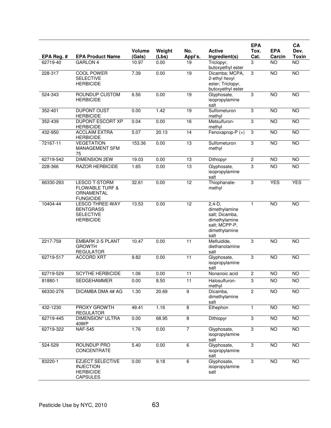|            |                                                                                      |                  |                 |                 | <b>Active</b>                                                                                          | <b>EPA</b>     | <b>EPA</b>      | CA<br>Dev.      |
|------------|--------------------------------------------------------------------------------------|------------------|-----------------|-----------------|--------------------------------------------------------------------------------------------------------|----------------|-----------------|-----------------|
| EPA Reg. # | <b>EPA Product Name</b>                                                              | Volume<br>(Gals) | Weight<br>(Lbs) | No.<br>Appl's.  | Ingredient(s)                                                                                          | Tox.<br>Cat.   | Carcin          | <b>Toxin</b>    |
| 62719-40   | <b>GARLON 4</b>                                                                      | 10.97            | 0.00            | 19              | Triclopyr,<br>butoxyethyl ester                                                                        | 3              | <b>NO</b>       | $\overline{NO}$ |
| 228-317    | <b>COOL POWER</b><br><b>SELECTIVE</b><br><b>HERBICIDE</b>                            | 7.39             | 0.00            | 19              | Dicamba; MCPA,<br>2-ethyl hexyl<br>ester; Triclopyr,<br>butoxyethyl ester                              | 3              | <b>NO</b>       | <b>NO</b>       |
| 524-343    | ROUNDUP CUSTOM<br><b>HERBICIDE</b>                                                   | 6.56             | 0.00            | 19              | Glyphosate,<br>isopropylamine<br>salt                                                                  | 3              | <b>NO</b>       | NO              |
| 352-401    | <b>DUPONT OUST</b><br><b>HERBICIDE</b>                                               | 0.00             | 1.42            | $\overline{19}$ | Sulfometuron<br>methyl                                                                                 | 3              | <b>NO</b>       | <b>NO</b>       |
| 352-439    | <b>DUPONT ESCORT XP</b><br><b>HERBICIDE</b>                                          | 0.04             | 0.00            | 16              | Metsulfuron-<br>methyl                                                                                 | 3              | <b>NO</b>       | NO              |
| 432-950    | <b>ACCLAIM EXTRA</b><br><b>HERBICIDE</b>                                             | 5.07             | 20.13           | 14              | Fenoxaprop-P $(+)$                                                                                     | 3              | <b>NO</b>       | <b>NO</b>       |
| 72167-11   | <b>VEGETATION</b><br><b>MANAGEMENT SFM</b><br>75                                     | 153.36           | 0.00            | 13              | Sulfometuron<br>methyl                                                                                 | 3              | N <sub>O</sub>  | NO              |
| 62719-542  | <b>DIMENSION 2EW</b>                                                                 | 19.03            | 0.00            | 13              | Dithiopyr                                                                                              | $\overline{2}$ | <b>NO</b>       | $\overline{NO}$ |
| 228-366    | <b>RAZOR HERBICIDE</b>                                                               | 1.65             | 0.00            | 13              | Glyphosate,<br>isopropylamine<br>salt                                                                  | 3              | <b>NO</b>       | <b>NO</b>       |
| 66330-293  | <b>LESCO T-STORM</b><br><b>FLOWABLE TURF &amp;</b><br>ORNAMENTAL<br><b>FUNGICIDE</b> | 32.61            | 0.00            | $\overline{12}$ | Thiophanate-<br>methyl                                                                                 | 3              | <b>YES</b>      | <b>YES</b>      |
| 10404-44   | <b>LESCO THREE-WAY</b><br><b>BENTGRASS</b><br><b>SELECTIVE</b><br><b>HERBICIDE</b>   | 13.53            | 0.00            | $\overline{12}$ | $2,4-D,$<br>dimethylamine<br>salt; Dicamba,<br>dimethylamine<br>salt; MCPP-P,<br>dimethylamine<br>salt | $\mathbf{1}$   | <b>NO</b>       | <b>NO</b>       |
| 2217-759   | <b>EMBARK 2-S PLANT</b><br><b>GROWTH</b><br><b>REGULATOR</b>                         | 10.47            | 0.00            | 11              | Mefluidide,<br>diethanolamine<br>salt                                                                  | 3              | $\overline{10}$ | N <sub>O</sub>  |
| 62719-517  | <b>ACCORD XRT</b>                                                                    | 9.82             | 0.00            | 11              | Glyphosate,<br>isopropylamine<br>salt                                                                  | 3              | <b>NO</b>       | <b>NO</b>       |
| 62719-529  | <b>SCYTHE HERBICIDE</b>                                                              | 1.06             | 0.00            | 11              | Nonanoic acid                                                                                          | $\overline{c}$ | <b>NO</b>       | <b>NO</b>       |
| 81880-1    | <b>SEDGEHAMMER</b>                                                                   | 0.00             | 8.50            | 11              | Halosulfuron-<br>methyl                                                                                | 3              | <b>NO</b>       | $\overline{NO}$ |
| 66330-276  | DICAMBA DMA 4# AG                                                                    | 1.30             | 20.69           | $\overline{9}$  | Dicamba,<br>dimethylamine<br>salt                                                                      | $\overline{2}$ | <b>NO</b>       | <b>NO</b>       |
| 432-1230   | PROXY GROWTH<br><b>REGULATOR</b>                                                     | 49.41            | 1.16            | 8               | Ethephon                                                                                               | 1              | <b>NO</b>       | <b>NO</b>       |
| 62719-445  | <b>DIMENSION* ULTRA</b><br>40WP                                                      | 0.00             | 68.95           | $\overline{8}$  | Dithiopyr                                                                                              | $\overline{3}$ | <b>NO</b>       | <b>NO</b>       |
| 62719-322  | <b>NAF-545</b>                                                                       | 1.76             | 0.00            | $\overline{7}$  | Glyphosate,<br>isopropylamine<br>salt                                                                  | $\overline{3}$ | $\overline{NO}$ | N <sub>O</sub>  |
| 524-529    | ROUNDUP PRO<br><b>CONCENTRATE</b>                                                    | 5.40             | 0.00            | $\overline{6}$  | Glyphosate,<br>isopropylamine<br>salt                                                                  | 3              | NO <sub>1</sub> | <b>NO</b>       |
| 83220-1    | <b>EZJECT SELECTIVE</b><br><b>INJECTION</b><br><b>HERBICIDE</b><br><b>CAPSULES</b>   | 0.00             | 9.18            | 6               | Glyphosate,<br>isopropylamine<br>salt                                                                  | $\overline{3}$ | NO              | $\overline{NO}$ |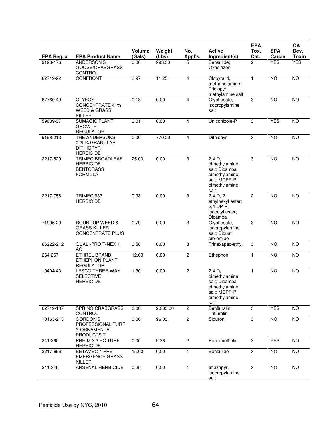|            |                                                                              |                  |                 |                |                                                                                                        | <b>EPA</b>     |                      | CA                   |
|------------|------------------------------------------------------------------------------|------------------|-----------------|----------------|--------------------------------------------------------------------------------------------------------|----------------|----------------------|----------------------|
| EPA Reg. # | <b>EPA Product Name</b>                                                      | Volume<br>(Gals) | Weight<br>(Lbs) | No.<br>Appl's. | <b>Active</b><br>Ingredient(s)                                                                         | Tox.<br>Cat.   | <b>EPA</b><br>Carcin | Dev.<br><b>Toxin</b> |
| 9198-176   | <b>ANDERSON'S</b><br>GOOSE/CRABGRASS<br>CONTROL                              | 0.00             | 993.00          | 5              | Bensulide;<br>Oxadiazon                                                                                | $\overline{c}$ | <b>YES</b>           | <b>YES</b>           |
| 62719-92   | CONFRONT                                                                     | 3.97             | 11.25           | 4              | Clopyralid,<br>triethanolamine;<br>Triclopyr,<br>triethylamine salt                                    | $\mathbf{1}$   | <b>NO</b>            | <b>NO</b>            |
| 67760-49   | <b>GLYFOS</b><br><b>CONCENTRATE 41%</b><br><b>WEED &amp; GRASS</b><br>KILLER | 0.18             | 0.00            | 4              | Glyphosate,<br>isopropylamine<br>salt                                                                  | 3              | <b>NO</b>            | <b>NO</b>            |
| 59639-37   | <b>SUMAGIC PLANT</b><br><b>GROWTH</b><br><b>REGULATOR</b>                    | 0.01             | 0.00            | 4              | Uniconizole-P                                                                                          | 3              | <b>YES</b>           | <b>NO</b>            |
| 9198-213   | THE ANDERSONS<br>0.25% GRANULAR<br><b>DITHIOPYR</b><br><b>HERBICIDE</b>      | 0.00             | 770.00          | 4              | Dithiopyr                                                                                              | $\overline{3}$ | <b>NO</b>            | $\overline{NO}$      |
| 2217-529   | TRIMEC BROADLEAF<br><b>HERBICIDE</b><br><b>BENTGRASS</b><br><b>FORMULA</b>   | 25.00            | 0.00            | $\overline{3}$ | $2,4-D,$<br>dimethylamine<br>salt; Dicamba,<br>dimethylamine<br>salt; MCPP-P,<br>dimethylamine<br>salt | 3              | <b>NO</b>            | <b>NO</b>            |
| 2217-758   | TRIMEC 937<br><b>HERBICIDE</b>                                               | 0.98             | 0.00            | 3              | $2,4-D, 2-$<br>ethylhexyl ester;<br>2,4-DP-P,<br>isooctyl ester;<br>Dicamba                            | $\overline{2}$ | <b>NO</b>            | <b>NO</b>            |
| 71995-29   | ROUNDUP WEED &<br><b>GRASS KILLER</b><br><b>CONCENTRATE PLUS</b>             | 0.79             | 0.00            | 3              | Glyphosate,<br>isopropylamine<br>salt; Diquat<br>dibromide                                             | 3              | <b>NO</b>            | N <sub>O</sub>       |
| 66222-212  | QUALI-PRO T-NEX 1<br>AQ                                                      | 0.58             | 0.00            | 3              | Trinexapac-ethyl                                                                                       | 3              | <b>NO</b>            | <b>NO</b>            |
| 264-267    | <b>ETHREL BRAND</b><br><b>ETHEPHON PLANT</b><br><b>REGULATOR</b>             | 12.60            | 0.00            | $\mathbf{2}$   | Ethephon                                                                                               | 1              | <b>NO</b>            | <b>NO</b>            |
| 10404-43   | <b>LESCO THREE-WAY</b><br><b>SELECTIVE</b><br><b>HERBICIDE</b>               | 1.30             | 0.00            | $\mathbf{2}$   | $2,4-D,$<br>dimethylamine<br>salt; Dicamba,<br>dimethylamine<br>salt; MCPP-P,<br>dimethylamine<br>salt | 1              | N <sub>O</sub>       | <b>NO</b>            |
| 62719-137  | SPRING CRABGRASS<br><b>CONTROL</b>                                           | 0.00             | 2,000.00        | $\overline{2}$ | Benfluralin;<br>Trifluralin                                                                            | 3              | <b>YES</b>           | <b>NO</b>            |
| 10163-213  | <b>GORDON'S</b><br>PROFESSIONAL TURF<br>& ORNAMENTAL<br><b>PRODUCTS T</b>    | 0.00             | 96.00           | $\overline{2}$ | Siduron                                                                                                | $\overline{3}$ | $\overline{10}$      | NO                   |
| 241-360    | PRE-M 3.3 EC TURF<br><b>HERBICIDE</b>                                        | 0.00             | 9.38            | $\overline{c}$ | Pendimethalin                                                                                          | 3              | <b>YES</b>           | <b>NO</b>            |
| 2217-696   | <b>BETAMEC 4 PRE-</b><br><b>EMERGENCE GRASS</b><br>KILLER                    | 15.00            | 0.00            | 1              | Bensulide                                                                                              | $\overline{3}$ | N <sub>O</sub>       | NO                   |
| 241-346    | <b>ARSENAL HERBICIDE</b>                                                     | 0.25             | 0.00            | 1              | Imazapyr,<br>isopropylamine<br>salt                                                                    | 3              | <b>NO</b>            | <b>NO</b>            |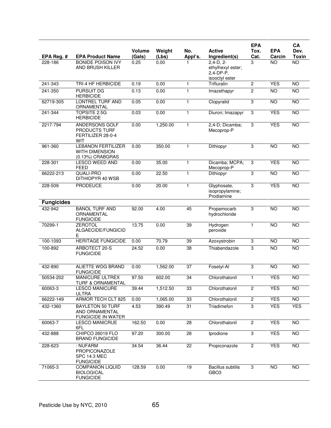|                   |                                                                        |                  |                 |                |                                                                 | <b>EPA</b>     |                      | CA                   |
|-------------------|------------------------------------------------------------------------|------------------|-----------------|----------------|-----------------------------------------------------------------|----------------|----------------------|----------------------|
| EPA Reg. #        | <b>EPA Product Name</b>                                                | Volume<br>(Gals) | Weight<br>(Lbs) | No.<br>Appl's. | <b>Active</b><br>Ingredient(s)                                  | Tox.<br>Cat.   | <b>EPA</b><br>Carcin | Dev.<br><b>Toxin</b> |
| 228-186           | <b>BONIDE POISON IVY</b><br>AND BRUSH KILLER                           | 0.25             | 0.00            |                | $2,4-D, 2-$<br>ethylhexyl ester;<br>2.4-DP-P.<br>isooctyl ester | 3              | <b>NO</b>            | $\overline{NO}$      |
| 241-343           | TRI-4 HF HERBICIDE                                                     | 0.19             | 0.00            | 1              | <b>Trifluralin</b>                                              | 2              | <b>YES</b>           | <b>NO</b>            |
| 241-350           | <b>PURSUIT DG</b><br><b>HERBICIDE</b>                                  | 0.13             | 0.00            | $\mathbf{1}$   | Imazethapyr                                                     | $\overline{2}$ | <b>NO</b>            | NO                   |
| 62719-305         | <b>LONTREL TURF AND</b><br>ORNAMENTAL                                  | 0.05             | 0.00            | $\mathbf{1}$   | Clopyralid                                                      | 3              | <b>NO</b>            | <b>NO</b>            |
| 241-344           | <b>TOPSITE 2.5G</b><br><b>HERBICIDE</b>                                | 0.03             | 0.00            | $\mathbf{1}$   | Diuron; Imazapyr                                                | 3              | <b>YES</b>           | NO                   |
| 2217-794          | ANDERSONS GOLF<br>PRODUCTS TURF<br>FERTILIZER 28-0-4<br>WIT            | 0.00             | 1,250.00        | $\mathbf{1}$   | 2,4-D; Dicamba;<br>Mecoprop-P                                   | 3              | <b>YES</b>           | NO                   |
| 961-360           | <b>LEBANON FERTILIZER</b><br><b>WITH DIMENSION</b><br>(0.13%) CRABGRAS | 0.00             | 350.00          | 1              | Dithiopyr                                                       | 3              | <b>NO</b>            | <b>NO</b>            |
| 228-301           | <b>LESCO WEED AND</b><br><b>FEED</b>                                   | 0.00             | 35.00           | $\mathbf{1}$   | Dicamba; MCPA;<br>Mecoprop-P                                    | 3              | <b>YES</b>           | NO                   |
| 66222-213         | <b>QUALI-PRO</b><br>DITHIOPYR 40 WSB                                   | 0.00             | 22.50           | 1              | Dithiopyr                                                       | 3              | <b>NO</b>            | <b>NO</b>            |
| 228-509           | <b>PRODEUCE</b>                                                        | 0.00             | 20.00           | 1              | Glyphosate,<br>isopropylamine;<br>Prodiamine                    | 3              | <b>YES</b>           | <b>NO</b>            |
| <b>Fungicides</b> |                                                                        |                  |                 |                |                                                                 |                |                      |                      |
| 432-942           | <b>BANOL TURF AND</b><br>ORNAMENTAL<br><b>FUNGICIDE</b>                | 92.00            | 4.00            | 45             | Propamocarb<br>hydrochloride                                    | 3              | <b>NO</b>            | NO                   |
| 70299-1           | <b>ZEROTOL</b><br>ALGAECIDE/FUNGICID<br>Ε                              | 13.75            | 0.00            | 39             | Hydrogen<br>peroxide                                            | 1              | N <sub>O</sub>       | $\overline{10}$      |
| 100-1093          | <b>HERITAGE FUNGICIDE</b>                                              | 0.00             | 70.79           | 39             | Azoxystrobin                                                    | 3              | <b>NO</b>            | $\overline{NO}$      |
| 100-892           | ARBOTECT 20-S<br><b>FUNGICIDE</b>                                      | 24.52            | 0.00            | 38             | Thiabendazole                                                   | 3              | <b>NO</b>            | <b>NO</b>            |
| 432-890           | <b>ALIETTE WDG BRAND</b><br><b>FUNGICIDE</b>                           | 0.00             | 1,562.00        | 37             | Fosetyl-Al                                                      | 3              | <b>NO</b>            | <b>NO</b>            |
| 50534-202         | MANICURE ULTREX<br><b>TURF &amp; ORNAMENTAL</b>                        | 97.50            | 602.00          | 34             | Chlorothalonil                                                  | 1              | <b>YES</b>           | N <sub>O</sub>       |
| 60063-3           | <b>LESCO MANICURE</b><br>ULTRA                                         | 39.44            | 1,512.50        | 33             | Chlorothalonil                                                  | $\overline{2}$ | <b>YES</b>           | NO                   |
| 66222-149         | ARMOR TECH CLT 825                                                     | 0.00             | 1,065.00        | 33             | Chlorothalonil                                                  | $\overline{2}$ | <b>YES</b>           | $\overline{NO}$      |
| 432-1360          | <b>BAYLETON 50 TURF</b><br>AND ORNAMENTAL<br><b>FUNGICIDE IN WATER</b> | 4.53             | 390.49          | 31             | Triadimefon                                                     | 3              | <b>YES</b>           | <b>YES</b>           |
| 60063-7           | <b>LESCO MANICRUE</b><br>6FL                                           | 162.50           | 0.00            | 28             | Chlorothalonil                                                  | $\overline{2}$ | <b>YES</b>           | $\overline{NO}$      |
| 432-888           | CHIPCO 26019 FLO<br><b>BRAND FUNGICIDE</b>                             | 97.20            | 300.00          | 28             | Iprodione                                                       | 3              | <b>YES</b>           | <b>NO</b>            |
| 228-623           | : NUFARM<br>PROPICONAZOLE<br><b>SPC 14.3 MEC</b><br><b>FUNGICIDE</b>   | 34.54            | 36.44           | 22             | Propiconazole                                                   | $\overline{c}$ | <b>YES</b>           | <b>NO</b>            |
| 71065-3           | <b>COMPANION LIQUID</b><br><b>BIOLOGICAL</b><br><b>FUNGICIDE</b>       | 128.59           | 0.00            | 19             | <b>Bacillus</b> subtilis<br>GBO <sub>3</sub>                    | 3              | $\overline{3}$       | NO                   |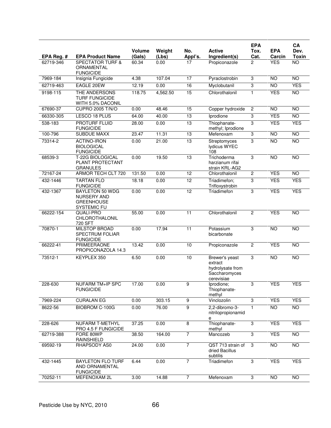|                         |                                                                           |                 |               |                 |                                                                              | <b>EPA</b>     |                      | CA                              |
|-------------------------|---------------------------------------------------------------------------|-----------------|---------------|-----------------|------------------------------------------------------------------------------|----------------|----------------------|---------------------------------|
|                         |                                                                           | <b>Volume</b>   | Weight        | No.             | <b>Active</b>                                                                | Tox.           | <b>EPA</b>           | Dev.                            |
| EPA Reg. #<br>62719-346 | <b>EPA Product Name</b><br><b>SPECTATOR TURF &amp;</b>                    | (Gals)<br>60.34 | (Lbs)<br>0.00 | Appl's.<br>17   | Ingredient(s)<br>Propiconazole                                               | Cat.<br>2      | Carcin<br><b>YES</b> | <b>Toxin</b><br>$\overline{NO}$ |
|                         | ORNAMENTAL<br><b>FUNGICIDE</b>                                            |                 |               |                 |                                                                              |                |                      |                                 |
| 7969-184                | Insignia Fungicide                                                        | 4.38            | 107.04        | $\overline{17}$ | Pyraclostrobin                                                               | 3              | $\overline{10}$      | <b>NO</b>                       |
| 62719-463               | EAGLE 20EW                                                                | 12.19           | 0.00          | 16              | Myclobutanil                                                                 | 3              | <b>NO</b>            | <b>YES</b>                      |
| 9198-115                | THE ANDERSONS<br><b>TURF FUNGICIDE</b><br>WITH 5.0% DACONIL               | 118.75          | 4,562.50      | 15              | Chlorothalonil                                                               | 1              | <b>YES</b>           | <b>NO</b>                       |
| 67690-37                | <b>CUPRO 2005 T/N/O</b>                                                   | 0.00            | 48.46         | 15              | Copper hydroxide                                                             | $\overline{2}$ | <b>NO</b>            | $\overline{10}$                 |
| 66330-305               | LESCO 18 PLUS                                                             | 64.00           | 40.00         | 13              | Iprodione                                                                    | 3              | <b>YES</b>           | <b>NO</b>                       |
| 538-183                 | <b>PROTURF FLUID</b><br><b>FUNGICIDE</b>                                  | 28.00           | 0.00          | 13              | Thiophanate-<br>methyl; Iprodione                                            | 3              | <b>YES</b>           | <b>YES</b>                      |
| 100-796                 | <b>SUBDUE MAXX</b>                                                        | 23.47           | 11.31         | $\overline{13}$ | Mefenoxam                                                                    | 3              | $\overline{10}$      | <b>NO</b>                       |
| $73314 - 2$             | <b>ACTINO-IRON</b><br><b>BIOLOGICAL</b><br><b>FUNGICIDE</b>               | 0.00            | 21.00         | 13              | Streptomyces<br>lydicus WYEC<br>108                                          | 3              | <b>NO</b>            | <b>NO</b>                       |
| 68539-3                 | T-22G BIOLOGICAL<br>PLANT PROTECTANT<br><b>GRANULES</b>                   | 0.00            | 19.50         | 13              | Trichoderma<br>harzianum rifai<br>strain KRL-AG2                             | 3              | <b>NO</b>            | <b>NO</b>                       |
| 72167-24                | ARMOR TECH CLT 720                                                        | 131.50          | 0.00          | $\overline{12}$ | Chlorothalonil                                                               | $\overline{2}$ | <b>YES</b>           | N <sub>O</sub>                  |
| 432-1446                | <b>TARTAN FLO</b><br><b>FUNGICIDE</b>                                     | 18.18           | 0.00          | 12              | Triadimefon;<br>Trifloxystrobin                                              | 3              | <b>YES</b>           | <b>YES</b>                      |
| 432-1367                | <b>BAYLETON 50 WDG</b><br>NURSERY AND<br><b>GREENHOUSE</b><br>SYSTEMIC FU | 0.00            | 0.00          | 12              | Triadimefon                                                                  | 3              | <b>YES</b>           | <b>YES</b>                      |
| 66222-154               | QUALI-PRO<br>CHLOROTHALONIL<br>720 SFT                                    | 55.00           | 0.00          | $\overline{11}$ | Chlorothalonil                                                               | $\overline{2}$ | <b>YES</b>           | $\overline{10}$                 |
| 70870-1                 | <b>MILSTOP BROAD</b><br>SPECTRUM FOLIAR<br><b>FUNGICIDE</b>               | 0.00            | 17.94         | 11              | Potassium<br>bicarbonate                                                     | 3              | <b>NO</b>            | NO                              |
| 66222-41                | <b>PRIMEERAONE</b><br>PROPICONAZOLA 14.3                                  | 13.42           | 0.00          | 10              | Propiconazole                                                                | $\overline{2}$ | <b>YES</b>           | <b>NO</b>                       |
| 73512-1                 | KEYPLEX 350                                                               | 6.50            | 0.00          | 10              | Brewer's yeast<br>extract<br>hydrolysate from<br>Saccharomyces<br>cerevisiae | 3              | <b>NO</b>            | NO                              |
| 228-630                 | <b>NUFARM TM+IP SPC</b><br><b>FUNGICIDE</b>                               | 17.00           | 0.00          | 9               | Iprodione;<br>Thiophanate-<br>methyl                                         | 3              | <b>YES</b>           | <b>YES</b>                      |
| 7969-224                | <b>CURALAN EG</b>                                                         | 0.00            | 303.15        | $\overline{9}$  | Vinclozolin                                                                  | $\overline{3}$ | <b>YES</b>           | <b>YES</b>                      |
| 8622-56                 | BIOBROM C-100G                                                            | 0.00            | 76.00         | $\overline{9}$  | 2,2-dibromo-3-<br>nitrilopropionamid<br>e                                    | 1.             | <b>NO</b>            | <b>NO</b>                       |
| 228-626                 | <b>NUFARM T-METHYL</b><br>PRO 4.5 F FUNGICIDE                             | 37.25           | 0.00          | 8               | Thiophanate-<br>methyl                                                       | 3              | <b>YES</b>           | <b>YES</b>                      |
| 62719-388               | FORE 80WP<br>RAINSHIELD                                                   | 38.50           | 164.00        | $\overline{7}$  | Mancozeb                                                                     | $\overline{3}$ | <b>YES</b>           | $\overline{NO}$                 |
| 69592-19                | RHAPSODY AS0                                                              | 24.00           | 0.00          | $\overline{7}$  | QST 713 strain of<br>dried Bacillus<br>subtilis                              | 3              | NO <sub>1</sub>      | $\overline{NO}$                 |
| 432-1445                | <b>BAYLETON FLO TURF</b><br>AND ORNAMENTAL<br><b>FUNGICIDE</b>            | 6.44            | 0.00          | $\overline{7}$  | Triadimefon                                                                  | $\overline{3}$ | <b>YES</b>           | <b>YES</b>                      |
| 70252-11                | MEFENOXAM 2L                                                              | 3.00            | 14.88         | $\overline{7}$  | Mefenoxam                                                                    | $\overline{3}$ | $\overline{NO}$      | $\overline{NO}$                 |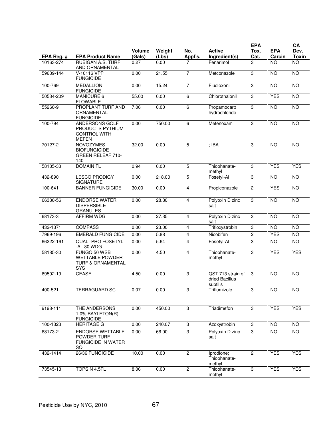|              |                                                                                      |                         |                 |                |                                                 | <b>EPA</b>     |                      | CA                   |
|--------------|--------------------------------------------------------------------------------------|-------------------------|-----------------|----------------|-------------------------------------------------|----------------|----------------------|----------------------|
| EPA Reg. #   | <b>EPA Product Name</b>                                                              | <b>Volume</b><br>(Gals) | Weight<br>(Lbs) | No.<br>Appl's. | <b>Active</b><br>Ingredient(s)                  | Tox.<br>Cat.   | <b>EPA</b><br>Carcin | Dev.<br><b>Toxin</b> |
| 10163-274    | <b>RUBIGAN A.S. TURF</b><br>AND ORNAMENTAL                                           | 0.27                    | 0.00            |                | Fenarimol                                       | 3              | <b>NO</b>            | <b>NO</b>            |
| 59639-144    | V-10116 VPP<br><b>FUNGICIDE</b>                                                      | 0.00                    | 21.55           | 7              | Metconazole                                     | 3              | <b>NO</b>            | <b>NO</b>            |
| 100-769      | <b>MEDALLION</b><br><b>FUNGICIDE</b>                                                 | 0.00                    | 15.24           | 7              | Fludioxonil                                     | 3              | <b>NO</b>            | $\overline{10}$      |
| 50534-209    | MANICURE 6<br><b>FLOWABLE</b>                                                        | 55.00                   | 0.00            | 6              | Chlorothalonil                                  | 3              | <b>YES</b>           | NO                   |
| 55260-9      | PROPLANT TURF AND<br>ORNAMENTAL<br><b>FUNGICIDE</b>                                  | 7.06                    | 0.00            | 6              | Propamocarb<br>hydrochloride                    | 3              | <b>NO</b>            | <b>NO</b>            |
| 100-794      | ANDERSONS GOLF<br>PRODUCTS PYTHIUM<br><b>CONTROL WITH</b><br><b>MEFEN</b>            | 0.00                    | 750.00          | 6              | Mefenoxam                                       | 3              | N <sub>O</sub>       | $\overline{NO}$      |
| 70127-2      | <b>NOVOZYMES</b><br><b>BIOFUNGICIDE</b><br><b>GREEN RELEAF 710-</b><br>140           | 32.00                   | 0.00            | $\overline{5}$ | $;$ IBA                                         | 3              | <b>NO</b>            | <b>NO</b>            |
| 58185-33     | <b>DOMAIN FL</b>                                                                     | 0.94                    | 0.00            | 5              | Thiophanate-<br>methyl                          | 3              | <b>YES</b>           | <b>YES</b>           |
| 432-890      | <b>LESCO PRODIGY</b><br><b>SIGNATURE</b>                                             | 0.00                    | 218.00          | $\overline{5}$ | Fosetyl-Al                                      | 3              | <b>NO</b>            | NO                   |
| 100-641      | <b>BANNER FUNGICIDE</b>                                                              | 30.00                   | 0.00            | 4              | Propiconazole                                   | $\overline{2}$ | <b>YES</b>           | <b>NO</b>            |
| 66330-56     | <b>ENDORSE WATER</b><br><b>DISPERSIBLE</b><br><b>GRANULES</b>                        | 0.00                    | 28.80           | 4              | Polyoxin D zinc<br>salt                         | 3              | <b>NO</b>            | <b>NO</b>            |
| 68173-3      | <b>AFFIRM WDG</b>                                                                    | 0.00                    | 27.35           | 4              | Polyoxin D zinc<br>salt                         | 3              | <b>NO</b>            | $\overline{NO}$      |
| 432-1371     | <b>COMPASS</b>                                                                       | 0.00                    | 23.00           | 4              | Trifloxystrobin                                 | 3              | <b>NO</b>            | <b>NO</b>            |
| 7969-196     | <b>EMERALD FUNGICIDE</b>                                                             | 0.00                    | 5.88            | 4              | Nicobifen                                       | $\overline{c}$ | <b>YES</b>           | <b>NO</b>            |
| 66222-161    | <b>QUALI-PRO FOSETYL</b><br>-AL 80 WDG                                               | 0.00                    | 5.64            | 4              | Fosetyl-Al                                      | $\overline{3}$ | <b>NO</b>            | $\overline{10}$      |
| 58185-30     | FUNGO 50 WSB<br><b>WETTABLE POWDER</b><br><b>TURF &amp; ORNAMENTAL</b><br><b>SYS</b> | 0.00                    | 4.50            | 4              | Thiophanate-<br>methyl                          | 3              | <b>YES</b>           | <b>YES</b>           |
| 69592-19     | <b>CEASE</b>                                                                         | 4.50                    | 0.00            | $\overline{3}$ | QST 713 strain of<br>dried Bacillus<br>subtilis | 3              | <b>NO</b>            | <b>NO</b>            |
| 400-521      | <b>TERRAGUARD SC</b>                                                                 | 0.07                    | 0.00            | 3              | Triflumizole                                    | 3              | <b>NO</b>            | <b>NO</b>            |
| 9198-111     | THE ANDERSONS<br>1.0% BAYLETON(R)<br><b>FUNGICIDE</b>                                | 0.00                    | 450.00          | 3              | Triadimefon                                     | 3              | <b>YES</b>           | <b>YES</b>           |
| 100-1323     | <b>HERITAGE G</b>                                                                    | 0.00                    | 240.07          | 3              | Azoxystrobin                                    | 3              | <b>NO</b>            | <b>NO</b>            |
| 68173-2      | <b>ENDORSE WETTABLE</b><br>POWDER TURF<br><b>FUNGICIDE IN WATER</b><br>SO            | 0.00                    | 66.00           | $\overline{3}$ | Polyoxin D zinc<br>salt                         | 3              | <b>NO</b>            | <b>NO</b>            |
| $432 - 1414$ | 26/36 FUNGICIDE                                                                      | 10.00                   | 0.00            | $\overline{2}$ | Iprodione;<br>Thiophanate-<br>methyl            | $\overline{2}$ | <b>YES</b>           | <b>YES</b>           |
| 73545-13     | TOPSIN 4.5FL                                                                         | 8.06                    | 0.00            | $\overline{2}$ | Thiophanate-<br>methyl                          | $\overline{3}$ | <b>YES</b>           | <b>YES</b>           |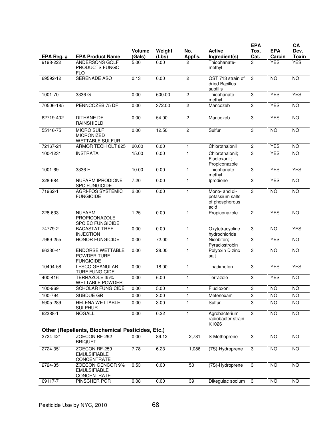|             |                                                                  |                  |                 |                |                                                            | <b>EPA</b>     |                      | CA                   |
|-------------|------------------------------------------------------------------|------------------|-----------------|----------------|------------------------------------------------------------|----------------|----------------------|----------------------|
| EPA Reg. #  | <b>EPA Product Name</b>                                          | Volume<br>(Gals) | Weight<br>(Lbs) | No.<br>Appl's. | <b>Active</b><br>Ingredient(s)                             | Tox.<br>Cat.   | <b>EPA</b><br>Carcin | Dev.<br><b>Toxin</b> |
| 9198-222    | ANDERSONS GOLF<br>PRODUCTS FUNGO<br><b>FLO</b>                   | 5.00             | 0.00            |                | Thiophanate-<br>methyl                                     | 3              | <b>YES</b>           | <b>YES</b>           |
| 69592-12    | <b>SERENADE ASO</b>                                              | 0.13             | 0.00            | $\overline{2}$ | QST 713 strain of<br>dried Bacillus<br>subtilis            | 3              | <b>NO</b>            | <b>NO</b>            |
| $1001 - 70$ | 3336 G                                                           | 0.00             | 600.00          | $\overline{2}$ | Thiophanate-<br>methyl                                     | 3              | <b>YES</b>           | <b>YES</b>           |
| 70506-185   | PENNCOZEB 75 DF                                                  | 0.00             | 372.00          | $\overline{c}$ | Mancozeb                                                   | 3              | <b>YES</b>           | <b>NO</b>            |
| 62719-402   | <b>DITHANE DF</b><br><b>RAINSHIELD</b>                           | 0.00             | 54.00           | $\overline{c}$ | Mancozeb                                                   | 3              | <b>YES</b>           | <b>NO</b>            |
| 55146-75    | <b>MICRO SULF</b><br><b>MICRONIZED</b><br><b>WETTABLE SULFUR</b> | 0.00             | 12.50           | $\overline{2}$ | Sulfur                                                     | 3              | NO                   | $\overline{NO}$      |
| 72167-24    | <b>ARMOR TECH CLT 825</b>                                        | 20.00            | 0.00            | $\mathbf{1}$   | Chlorothalonil                                             | $\overline{2}$ | <b>YES</b>           | $\overline{10}$      |
| 100-1231    | <b>INSTRATA</b>                                                  | 15.00            | 0.00            | 1              | Chlorothalonil:<br>Fludioxonil;<br>Propiconazole           | 3              | <b>YES</b>           | $\overline{NO}$      |
| 1001-69     | 3336 F                                                           | 10.00            | 0.00            | $\mathbf{1}$   | Thiophanate-<br>methyl                                     | 3              | <b>YES</b>           | <b>YES</b>           |
| 228-684     | NUFARM IPRODIONE<br><b>SPC FUNGICIDE</b>                         | 7.20             | 0.00            | $\mathbf{1}$   | Iprodione                                                  | 3              | <b>YES</b>           | NO                   |
| 71962-1     | <b>AGRI-FOS SYSTEMIC</b><br><b>FUNGICIDE</b>                     | 2.00             | 0.00            | 1              | Mono- and di-<br>potassium salts<br>of phosphorous<br>acid | 3              | <b>NO</b>            | <b>NO</b>            |
| 228-633     | <b>NUFARM</b><br>PROPICONAZOLE<br><b>SPC EC FUNGICIDE</b>        | 1.25             | 0.00            | 1              | Propiconazole                                              | $\overline{2}$ | <b>YES</b>           | $\overline{NO}$      |
| 74779-2     | <b>BACASTAT TREE</b><br><b>INJECTION</b>                         | 0.00             | 0.00            | $\mathbf{1}$   | Oxytetracycline<br>hydrochloride                           | 3              | <b>NO</b>            | <b>YES</b>           |
| 7969-255    | <b>HONOR FUNGICIDE</b>                                           | 0.00             | 72.00           | $\mathbf{1}$   | Nicobifen;<br>Pyraclostrobin                               | 3              | <b>YES</b>           | N <sub>O</sub>       |
| 66330-41    | <b>ENDORSE WETTABLE</b><br>POWDER TURF<br><b>FUNGICIDE</b>       | 0.00             | 28.00           | 1              | Polyoxin D zinc<br>salt                                    | 3              | <b>NO</b>            | <b>NO</b>            |
| 10404-58    | <b>LESCO GRANULAR</b><br><b>TURF FUNGICIDE</b>                   | 0.00             | 18.00           | $\mathbf{1}$   | Triadimefon                                                | 3              | <b>YES</b>           | <b>YES</b>           |
| 400-416     | TERRAZOLE 35%<br><b>WETTABLE POWDER</b>                          | 0.00             | 6.00            | $\mathbf{1}$   | Terrazole                                                  | 3              | <b>YES</b>           | <b>NO</b>            |
| 100-969     | SCHOLAR FUNGICIDE                                                | 0.00             | 5.00            | 1              | Fludioxonil                                                | 3              | <b>NO</b>            | <b>NO</b>            |
| 100-794     | SUBDUE GR                                                        | 0.00             | 3.00            | 1              | Mefenoxam                                                  | 3              | NO                   | $\overline{NO}$      |
| 5905-289    | <b>HELENA WETTABLE</b><br><b>SULPHUR</b>                         | 0.00             | 3.00            | 1              | Sulfur                                                     | 3              | NO                   | $\overline{10}$      |
| 62388-1     | <b>NOGALL</b>                                                    | 0.00             | 0.22            | 1              | Agrobacterium<br>radiobacter strain<br>K1026               | 3              | <b>NO</b>            | $\overline{NO}$      |
|             | Other (Repellents, Biochemical Pesticides, Etc.)                 |                  |                 |                |                                                            |                |                      |                      |
| 2724-421    | ZOECON RF-292<br><b>BRIQUET</b>                                  | 0.00             | 89.12           | 2,781          | S-Methoprene                                               | 3              | <b>NO</b>            | $\overline{NO}$      |
| 2724-351    | ZOECON RF-259<br><b>EMULSIFIABLE</b><br>CONCENTRATE              | 7.78             | 6.23            | 1,086          | (7S)-Hydroprene                                            | $\mathbf 3$    | <b>NO</b>            | <b>NO</b>            |
| 2724-351    | ZOECON GENCOR 9%<br><b>EMULSIFIABLE</b><br>CONCENTRATE           | 0.53             | 0.00            | 50             | (7S)-Hydroprene                                            | 3              | <b>NO</b>            | NO                   |
| 69117-7     | PINSCHER PGR                                                     | 0.08             | 0.00            | 39             | Dikegulac sodium                                           | 3              | NO                   | $\overline{10}$      |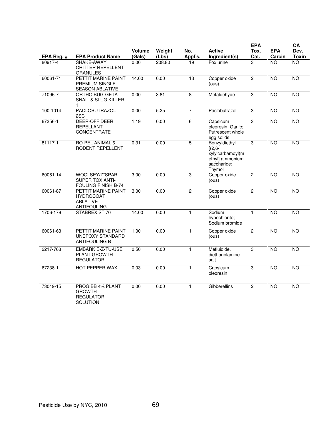|            |                                                                                  | Volume | Weight | No.            | <b>Active</b>                                                                              | <b>EPA</b><br>Tox. | <b>EPA</b>      | CA<br>Dev.      |
|------------|----------------------------------------------------------------------------------|--------|--------|----------------|--------------------------------------------------------------------------------------------|--------------------|-----------------|-----------------|
| EPA Reg. # | <b>EPA Product Name</b>                                                          | (Gals) | (Lbs)  | Appl's.        | Ingredient(s)                                                                              | Cat.               | Carcin          | Toxin           |
| 80917-4    | SHAKE-AWAY<br><b>CRITTER REPELLENT</b><br><b>GRANULES</b>                        | 0.00   | 208.80 | 19             | Fox urine                                                                                  | 3                  | <b>NO</b>       | NO.             |
| 60061-71   | PETTIT MARINE PAINT<br>PREMIUM SINGLE<br><b>SEASON ABLATIVE</b>                  | 14.00  | 0.00   | 13             | Copper oxide<br>(ous)                                                                      | $\overline{2}$     | $\overline{NO}$ | $\overline{10}$ |
| 71096-7    | <b>ORTHO BUG-GETA</b><br>SNAIL & SLUG KILLER<br>1                                | 0.00   | 3.81   | $\overline{8}$ | Metaldehyde                                                                                | $\overline{3}$     | <b>NO</b>       | <b>NO</b>       |
| 100-1014   | <b>PACLOBUTRAZOL</b><br>2SC                                                      | 0.00   | 5.25   | $\overline{7}$ | Paclobutrazol                                                                              | $\overline{3}$     | <b>NO</b>       | <b>NO</b>       |
| 67356-1    | DEER-OFF DEER<br><b>REPELLANT</b><br>CONCENTRATE                                 | 1.19   | 0.00   | $\overline{6}$ | Capsicum<br>oleoresin; Garlic;<br>Putrescent whole<br>egg solids                           | $\overline{3}$     | <b>NO</b>       | <b>NO</b>       |
| 81117-1    | <b>RO-PEL ANIMAL &amp;</b><br>RODENT REPELLENT                                   | 0.31   | 0.00   | 5              | Benzyldiethyl<br>$[(2,6 -$<br>xylylcarbamoyl)m<br>ethyl] ammonium<br>saccharide;<br>Thymol | $\overline{3}$     | <b>NO</b>       | <b>NO</b>       |
| 60061-14   | WOOLSEY/Z*SPAR<br><b>SUPER TOX ANTI-</b><br>FOULING FINISH B-74                  | 3.00   | 0.00   | 3              | Copper oxide<br>(ous)                                                                      | $\overline{2}$     | <b>NO</b>       | <b>NO</b>       |
| 60061-87   | PETTIT MARINE PAINT<br><b>HYDROCOAT</b><br><b>ABLATIVE</b><br><b>ANTIFOULING</b> | 3.00   | 0.00   | $\overline{2}$ | Copper oxide<br>(ous)                                                                      | $\overline{2}$     | <b>NO</b>       | <b>NO</b>       |
| 1706-179   | STABREX ST 70                                                                    | 14.00  | 0.00   | $\mathbf{1}$   | Sodium<br>hypochlorite;<br>Sodium bromide                                                  | $\mathbf{1}$       | <b>NO</b>       | <b>NO</b>       |
| 60061-63   | PETTIT MARINE PAINT<br><b>UNEPOXY STANDARD</b><br><b>ANTIFOULING B</b>           | 1.00   | 0.00   | $\mathbf{1}$   | Copper oxide<br>(ous)                                                                      | $\overline{2}$     | $\overline{NO}$ | $\overline{NO}$ |
| 2217-768   | <b>EMBARK E-Z-TU-USE</b><br><b>PLANT GROWTH</b><br><b>REGULATOR</b>              | 0.50   | 0.00   | $\mathbf{1}$   | Mefluidide,<br>diethanolamine<br>salt                                                      | 3                  | <b>NO</b>       | <b>NO</b>       |
| 67238-1    | HOT PEPPER WAX                                                                   | 0.03   | 0.00   | $\mathbf{1}$   | Capsicum<br>oleoresin                                                                      | 3                  | <b>NO</b>       | <b>NO</b>       |
| 73049-15   | PROGIBB 4% PLANT<br><b>GROWTH</b><br><b>REGULATOR</b><br>SOLUTION                | 0.00   | 0.00   | $\mathbf{1}$   | Gibberellins                                                                               | $\overline{2}$     | NO              | $\overline{10}$ |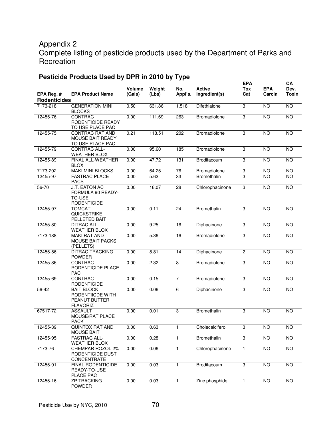# Appendix 2

Complete listing of pesticide products used by the Department of Parks and **Recreation** 

| EPA Reg. #          | <b>EPA Product Name</b>                                                   | Volume<br>(Gals) | Weight<br>(Lbs) | No.<br>Appl's. | <b>Active</b><br>Ingredient(s) | <b>EPA</b><br><b>Tox</b><br>Cat | <b>EPA</b><br>Carcin | CA<br>Dev.<br><b>Toxin</b> |
|---------------------|---------------------------------------------------------------------------|------------------|-----------------|----------------|--------------------------------|---------------------------------|----------------------|----------------------------|
| <b>Rodenticides</b> |                                                                           |                  |                 |                |                                |                                 |                      |                            |
| 7173-218            | <b>GENERATION MINI</b><br><b>BLOCKS</b>                                   | 0.50             | 631.86          | 1,518          | Difethialone                   | 3                               | $\overline{10}$      | <b>NO</b>                  |
| 12455-76            | CONTRAC<br>RODENTICIDE READY<br>TO USE PLACE PAC                          | 0.00             | 111.69          | 263            | Bromadiolone                   | 3                               | <b>NO</b>            | $\overline{NO}$            |
| 12455-75            | CONTRAC RAT AND<br><b>MOUSE BAIT READY</b><br>TO USE PLACE PAC            | 0.21             | 118.51          | 202            | Bromadiolone                   | $\overline{3}$                  | <b>NO</b>            | <b>NO</b>                  |
| 12455-79            | CONTRAC ALL-<br><b>WEATHER BLOX</b>                                       | 0.00             | 95.60           | 185            | Bromadiolone                   | 3                               | <b>NO</b>            | <b>NO</b>                  |
| 12455-89            | FINAL ALL-WEATHER<br><b>BLOX</b>                                          | 0.00             | 47.72           | 131            | Brodifacoum                    | 3                               | <b>NO</b>            | <b>NO</b>                  |
| 7173-202            | <b>MAKI MINI BLOCKS</b>                                                   | 0.00             | 64.25           | 76             | Bromadiolone                   | 3                               | <b>NO</b>            | <b>NO</b>                  |
| 12455-97            | <b>FASTRAC PLACE</b><br><b>PACS</b>                                       | 0.00             | 5.62            | 33             | Bromethalin                    | $\overline{3}$                  | <b>NO</b>            | <b>NO</b>                  |
| $56 - 70$           | <b>J.T. EATON AC</b><br>FORMULA 90 READY-<br>TO-USE<br><b>RODENTICIDE</b> | 0.00             | 16.07           | 28             | Chlorophacinone                | 3                               | <b>NO</b>            | <b>NO</b>                  |
| 12455-97            | <b>TOMCAT</b><br><b>QUICKSTRIKE</b><br>PELLETED BAIT                      | 0.00             | 0.11            | 24             | <b>Bromethalin</b>             | 3                               | <b>NO</b>            | <b>NO</b>                  |
| 12455-80            | <b>DITRAC ALL-</b><br><b>WEATHER BLOX</b>                                 | 0.00             | 9.25            | 16             | Diphacinone                    | 3                               | <b>NO</b>            | <b>NO</b>                  |
| 7173-188            | <b>MAKI RAT AND</b><br><b>MOUSE BAIT PACKS</b><br>(PELLETS)               | 0.00             | 5.36            | 16             | Bromadiolone                   | 3                               | NO                   | $\overline{NO}$            |
| 12455-56            | <b>DITRAC TRACKING</b><br><b>POWDER</b>                                   | 0.00             | 8.81            | 14             | Diphacinone                    | $\overline{2}$                  | NO                   | $\overline{NO}$            |
| 12455-86            | CONTRAC<br>RODENTICIDE PLACE<br><b>PAC</b>                                | 0.00             | 2.32            | $\overline{8}$ | Bromadiolone                   | 3                               | <b>NO</b>            | <b>NO</b>                  |
| 12455-69            | CONTRAC<br><b>RODENTICIDE</b>                                             | 0.00             | 0.15            | $\overline{7}$ | Bromadiolone                   | 3                               | <b>NO</b>            | <b>NO</b>                  |
| 56-42               | <b>BAIT BLOCK</b><br>RODENTIICDE WITH<br>PEANUT BUTTER<br><b>FLAVORIZ</b> | 0.00             | 0.06            | 6              | Diphacinone                    | 3                               | <b>NO</b>            | <b>NO</b>                  |
| 67517-72            | <b>ASSAULT</b><br>MOUSE/RAT PLACE<br><b>PACK</b>                          | 0.00             | 0.01            | 3              | Bromethalin                    | 3                               | <b>NO</b>            | <b>NO</b>                  |
| 12455-39            | <b>QUINTOX RAT AND</b><br><b>MOUSE BAIT</b>                               | 0.00             | 0.63            | 1              | Cholecalciferol                | 3                               | $\overline{10}$      | $\overline{10}$            |
| 12455-95            | <b>FASTRAC ALL-</b><br><b>WEATHER BLOX</b>                                | 0.00             | 0.28            | 1.             | Bromethalin                    | 3                               | <b>NO</b>            | $\overline{NO}$            |
| 7173-76             | CHEMPAR ROZOL 2%<br>RODENTICIDE DUST<br>CONCENTRATE                       | 0.00             | 0.06            | 1              | Chlorophacinone                | $\mathbf{1}$                    | NO <sub>1</sub>      | <b>NO</b>                  |
| 12455-91            | FINAL RODENTICIDE<br>READY-TO-USE<br>PLACE PAC                            | 0.00             | 0.03            | $\mathbf{1}$   | Brodifacoum                    | 3                               | $\overline{N}$       | $\overline{N}$             |
| 12455-16            | <b>ZP TRACKING</b><br><b>POWDER</b>                                       | 0.00             | 0.03            | 1              | Zinc phosphide                 | $\mathbf{1}$                    | <b>NO</b>            | <b>NO</b>                  |

# **Pesticide Products Used by DPR in 2010 by Type**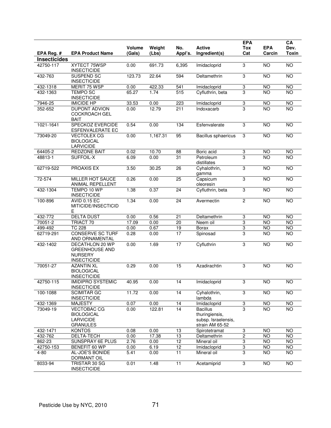|                     |                                                                                  | <b>Volume</b> | Weight   | No.             | <b>Active</b>                                                               | <b>EPA</b><br>Tox | <b>EPA</b>      | CA<br>Dev.      |
|---------------------|----------------------------------------------------------------------------------|---------------|----------|-----------------|-----------------------------------------------------------------------------|-------------------|-----------------|-----------------|
| EPA Reg. #          | <b>EPA Product Name</b>                                                          | (Gals)        | (Lbs)    | Appl's.         | Ingredient(s)                                                               | Cat               | Carcin          | Toxin           |
| <b>Insecticides</b> |                                                                                  |               |          |                 |                                                                             |                   |                 |                 |
| 42750-117           | XYTECT 75WSP<br><b>INSECTICIDE</b>                                               | 0.00          | 691.73   | 6,395           | Imidacloprid                                                                | 3                 | <b>NO</b>       | <b>NO</b>       |
| 432-763             | SUSPEND SC<br><b>INSECTICIDE</b>                                                 | 123.73        | 22.64    | 594             | Deltamethrin                                                                | 3                 | N <sub>O</sub>  | <b>NO</b>       |
| 432-1318            | MERIT 75 WSP                                                                     | 0.00          | 422.33   | 541             | Imidacloprid                                                                | 3                 | NO              | $\overline{NO}$ |
| 432-1363            | <b>TEMPO SC</b><br><b>INSECTICIDE</b>                                            | 65.27         | 1.74     | 515             | Cyfluthrin, beta                                                            | 3                 | <b>NO</b>       | <b>NO</b>       |
| 7946-25             | <b>IMICIDE HP</b>                                                                | 33.53         | 0.00     | 223             | Imidacloprid                                                                | 3                 | <b>NO</b>       | <b>NO</b>       |
| 352-652             | <b>DUPONT ADVION</b><br><b>COCKROACH GEL</b><br><b>BAIT</b>                      | 0.00          | 12.79    | 211             | Indoxacarb                                                                  | 3                 | $\overline{10}$ | <b>NO</b>       |
| 1021-1641           | <b>SPECKOZ EVERCIDE</b><br>ESFENVALERATE EC                                      | 0.54          | 0.00     | 134             | Esfenvalerate                                                               | 3                 | NO              | $\overline{NO}$ |
| 73049-20            | <b>VECTOLEX CG</b><br><b>BIOLOGICAL</b><br><b>LARVICIDE</b>                      | 0.00          | 1,167.31 | 95              | Bacillus sphaericus                                                         | 3                 | <b>NO</b>       | NO              |
| 64405-2             | <b>REDZONE BAIT</b>                                                              | 0.02          | 10.70    | 88              | Boric acid                                                                  | 3                 | <b>NO</b>       | <b>NO</b>       |
| 48813-1             | <b>SUFFOIL-X</b>                                                                 | 6.09          | 0.00     | 31              | Petroleum<br>distillates                                                    | 3                 | <b>NO</b>       | <b>NO</b>       |
| 62719-522           | PROAXIS EX                                                                       | 3.50          | 30.25    | 26              | Cyhalothrin,<br>gamma                                                       | $\overline{3}$    | <b>NO</b>       | <b>NO</b>       |
| 72-574              | <b>MILLER HOT SAUCE</b><br>ANIMAL REPELLENT                                      | 0.26          | 0.00     | 25              | Capsicum<br>oleoresin                                                       | 3                 | NO              | NO              |
| 432-1304            | TEMPO 10 WP<br><b>INSECTICIDE</b>                                                | 1.38          | 0.37     | 24              | Cyfluthrin, beta                                                            | $\overline{3}$    | <b>NO</b>       | <b>NO</b>       |
| 100-896             | <b>AVID 0.15 EC</b><br>MITICIDE/INSECTICID<br>Ε                                  | 1.34          | 0.00     | 24              | Avermectin                                                                  | $\mathbf{2}$      | <b>NO</b>       | $\overline{NO}$ |
| 432-772             | <b>DELTA DUST</b>                                                                | 0.00          | 0.56     | 21              | Deltamethrin                                                                | 3                 | <b>NO</b>       | <b>NO</b>       |
| 70051-2             | TRIACT 70                                                                        | 17.09         | 0.00     | 20              | Neem oil                                                                    | 3                 | <b>NO</b>       | $\overline{NO}$ |
| 499-492             | <b>TC 228</b>                                                                    | 0.00          | 0.67     | 19              | <b>Borax</b>                                                                | 3                 | NO              | $\overline{NO}$ |
| 62719-291           | <b>CONSERVE SC TURF</b><br>AND ORNAMENTAL                                        | 0.28          | 0.00     | 17              | Spinosad                                                                    | 3                 | <b>NO</b>       | <b>NO</b>       |
| 432-1402            | DECATHLON 20 WP<br><b>GREENHOUSE AND</b><br><b>NURSERY</b><br><b>INSECTICIDE</b> | 0.00          | 1.69     | $\overline{17}$ | Cyfluthrin                                                                  | 3                 | NO              | NO              |
| 70051-27            | <b>AZANTIN XL</b><br><b>BIOLOGICAL</b><br><b>INSECTICIDE</b>                     | 0.29          | 0.00     | 15              | Azadirachtin                                                                | 3                 | <b>NO</b>       | <b>NO</b>       |
| 42750-115           | <b>IMIDIPRO SYSTEMIC</b><br><b>INSECTICIDE</b>                                   | 40.95         | 0.00     | 14              | Imidacioprid                                                                | 3                 | <b>NO</b>       | <b>NO</b>       |
| 100-1088            | <b>SCIMITAR GC</b><br><b>INSECTICIDE</b>                                         | 11.72         | 0.00     | 14              | Cyhalothrin,<br>lambda                                                      | 3                 | $\overline{10}$ | <b>NO</b>       |
| 432-1369            | <b>MAJESTY</b>                                                                   | 0.07          | 0.00     | 14              | Imidacloprid                                                                | $\overline{3}$    | <b>NO</b>       | <b>NO</b>       |
| 73049-19            | <b>VECTOBAC CG</b><br><b>BIOLOGICAL</b><br><b>LARVICIDE</b><br><b>GRANULES</b>   | 0.00          | 122.81   | 14              | <b>Bacillus</b><br>thuringiensis,<br>subsp. Israelensis,<br>strain AM 65-52 | 3                 | <b>NO</b>       | <b>NO</b>       |
| 432-1471            | <b>KONTOS</b>                                                                    | 0.08          | 0.00     | 13              | Spirotetramat                                                               | 3                 | NO              | <b>NO</b>       |
| 432-762             | DELTA-TECH                                                                       | 0.00          | 17.38    | 13              | Deltamethrin                                                                | $\overline{2}$    | <b>NO</b>       | <b>NO</b>       |
| 862-23              | SUNSPRAY 6E PLUS                                                                 | 2.76          | 0.00     | 12              | Mineral oil                                                                 | 3                 | <b>NO</b>       | <b>NO</b>       |
| 42750-153           | BENEFIT 60 WP                                                                    | 0.00          | 6.19     | 12              | Imidacloprid                                                                | 3                 | <b>NO</b>       | <b>NO</b>       |
| $4 - 80$            | AL-JOE'S BONIDE<br>DORMANT OIL                                                   | 5.41          | 0.00     | 11              | Mineral oil                                                                 | 3                 | <b>NO</b>       | <b>NO</b>       |
| 8033-94             | TRISTAR 30 SG<br><b>INSECTICIDE</b>                                              | 0.01          | 1.48     | 11              | Acetamiprid                                                                 | 3                 | <b>NO</b>       | <b>NO</b>       |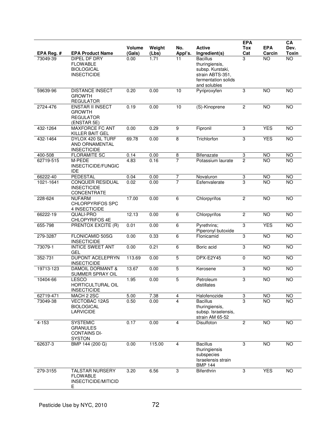| EPA Reg. # | <b>EPA Product Name</b>                                                     | Volume<br>(Gals) | Weight<br>(Lbs) | No.<br>Appl's. | <b>Active</b><br>Ingredient(s)                                                                                   | <b>EPA</b><br><b>Tox</b><br>Cat | <b>EPA</b><br>Carcin | CA<br>Dev.<br><b>Toxin</b> |
|------------|-----------------------------------------------------------------------------|------------------|-----------------|----------------|------------------------------------------------------------------------------------------------------------------|---------------------------------|----------------------|----------------------------|
| 73049-39   | DIPEL DF DRY<br><b>FLOWABLE</b><br><b>BIOLOGICAL</b><br><b>INSECTICIDE</b>  | 0.00             | 1.71            | 11             | <b>Bacillus</b><br>thuringiensis,<br>subsp. Kurstaki,<br>strain ABTS-351,<br>fermentation solids<br>and solubles | 3                               | <b>NO</b>            | <b>NO</b>                  |
| 59639-96   | <b>DISTANCE INSECT</b><br><b>GROWTH</b><br><b>REGULATOR</b>                 | 0.20             | 0.00            | 10             | Pyriproxyfen                                                                                                     | 3                               | <b>NO</b>            | <b>NO</b>                  |
| 2724-476   | <b>ENSTAR II INSECT</b><br><b>GROWTH</b><br><b>REGULATOR</b><br>(ENSTAR 5E) | 0.19             | 0.00            | 10             | (S)-Kinoprene                                                                                                    | 2                               | <b>NO</b>            | <b>NO</b>                  |
| 432-1264   | <b>MAXFORCE FC ANT</b><br>KILLER BAIT GEL                                   | 0.00             | 0.29            | $\overline{9}$ | Fipronil                                                                                                         | 3                               | <b>YES</b>           | $\overline{NO}$            |
| 432-1464   | DYLOX 420 SL TURF<br>AND ORNAMENTAL<br><b>INSECTICIDE</b>                   | 69.78            | 0.00            | $\overline{8}$ | Trichlorfon                                                                                                      | 3                               | <b>YES</b>           | <b>NO</b>                  |
| 400-508    | <b>FLORAMITE SC</b>                                                         | 0.14             | 0.00            | 8              | <b>Bifenazate</b>                                                                                                | 3                               | <b>NO</b>            | <b>NO</b>                  |
| 62719-515  | M-PEDE<br>INSECTICIDE/FUNGIC<br><b>IDE</b>                                  | 4.83             | 0.16            | $\overline{7}$ | Potassium laurate                                                                                                | $\overline{c}$                  | <b>NO</b>            | <b>NO</b>                  |
| 66222-40   | PEDESTAL                                                                    | 0.04             | 0.00            | $\overline{7}$ | Novaluron                                                                                                        | 3                               | <b>NO</b>            | <b>NO</b>                  |
| 1021-1641  | <b>CONQUER RESIDUAL</b><br><b>INSECTICIDE</b><br>CONCENTRATE                | 0.02             | 0.00            | $\overline{7}$ | Esfenvalerate                                                                                                    | 3                               | <b>NO</b>            | <b>NO</b>                  |
| 228-624    | <b>NUFARM</b><br><b>CHLORPYRIFOS SPC</b><br>4 INSECTICIDE                   | 17.00            | 0.00            | 6              | Chlorpyrifos                                                                                                     | $\overline{c}$                  | <b>NO</b>            | <b>NO</b>                  |
| 66222-19   | QUALI-PRO<br><b>CHLOPYRIFOS 4E</b>                                          | 12.13            | 0.00            | 6              | Chlorpyrifos                                                                                                     | $\overline{2}$                  | $\overline{NO}$      | $\overline{NO}$            |
| 655-798    | PRENTOX EXCITE (R)                                                          | 0.01             | 0.00            | 6              | Pyrethrins;<br>Piperonyl butoxide                                                                                | $\overline{3}$                  | <b>YES</b>           | <b>NO</b>                  |
| 279-3287   | FLONICAMID 50SG<br><b>INSECTICIDE</b>                                       | 0.00             | 0.33            | 6              | Flonicamid                                                                                                       | 3                               | N <sub>O</sub>       | $\overline{NO}$            |
| 73079-1    | <b>INTICE SWEET ANT</b><br>GEL                                              | 0.00             | 0.21            | 6              | Boric acid                                                                                                       | 3                               | NO                   | $\overline{NO}$            |
| 352-731    | DUPONT ACELEPRYN<br><b>INSECTICIDE</b>                                      | 113.69           | 0.00            | $\overline{5}$ | DPX-E2Y45                                                                                                        | $\pmb{0}$                       | NO                   | $\overline{NO}$            |
| 19713-123  | <b>DAMOIL DORMANT &amp;</b><br>SUMMER SPRAY OIL                             | 13.67            | 0.00            | 5              | Kerosene                                                                                                         | 3                               | <b>NO</b>            | <b>NO</b>                  |
| 10404-66   | <b>LESCO</b><br>HORTICULTURAL OIL<br><b>INSECTICIDE</b>                     | 1.95             | 0.00            | $\mathbf 5$    | Petroleum<br>distillates                                                                                         | 3                               | <b>NO</b>            | <b>NO</b>                  |
| 62719-471  | MACH 2 2SC                                                                  | 5.00             | 7.38            | 4              | Halofenozide                                                                                                     | $\overline{3}$                  | NO                   | <b>NO</b>                  |
| 73049-38   | VECTOBAC 12AS<br><b>BIOLOGICAL</b><br><b>LARVICIDE</b>                      | 0.50             | 0.00            | 4              | <b>Bacillus</b><br>thuringiensis,<br>subsp. Israelensis,<br>strain AM 65-52                                      | $\overline{a}$                  | <b>NO</b>            | NO.                        |
| $4 - 153$  | <b>SYSTEMIC</b><br><b>GRANULES</b><br><b>CONTAINS DI-</b><br><b>SYSTON</b>  | 0.17             | 0.00            | $\overline{4}$ | Disulfoton                                                                                                       | $\overline{c}$                  | <b>NO</b>            | <b>NO</b>                  |
| 62637-3    | BMP 144 (200 G)                                                             | 0.00             | 115.00          | $\overline{4}$ | <b>Bacillus</b><br>thuringiensis<br>subspecies<br>Israelensis strain<br><b>BMP 144</b>                           | 3                               | <b>NO</b>            | <b>NO</b>                  |
| 279-3155   | <b>TALSTAR NURSERY</b><br><b>FLOWABLE</b><br>INSECTICIDE/MITICID<br>Ε       | 3.20             | 6.56            | 3              | <b>Bifenthrin</b>                                                                                                | 3                               | <b>YES</b>           | <b>NO</b>                  |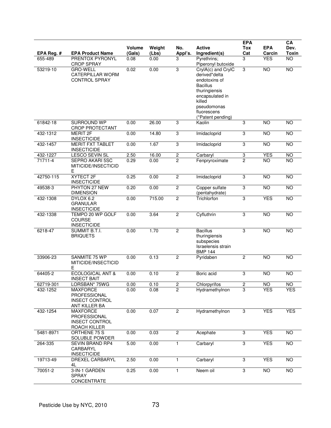| EPA Reg. # | <b>EPA Product Name</b>                                                          | <b>Volume</b><br>(Gals) | Weight<br>(Lbs) | No.<br>Appl's. | Active<br>Ingredient(s)                                                                                                                                                  | <b>EPA</b><br><b>Tox</b><br>Cat | <b>EPA</b><br>Carcin | CA<br>Dev.<br><b>Toxin</b> |
|------------|----------------------------------------------------------------------------------|-------------------------|-----------------|----------------|--------------------------------------------------------------------------------------------------------------------------------------------------------------------------|---------------------------------|----------------------|----------------------------|
| 655-489    | PRENTOX PYRONYL<br><b>CROP SPRAY</b>                                             | 0.08                    | 0.00            | 3              | Pyrethrins;<br>Piperonyl butoxide                                                                                                                                        | 3                               | <b>YES</b>           | NO                         |
| 53219-10   | <b>GRO-WELL</b><br><b>CATERPILLAR WORM</b><br><b>CONTROL SPRAY</b>               | 0.02                    | 0.00            | 3              | CrylA(c) and CrylC<br>derived*delta<br>endotoxins of<br><b>Bacillus</b><br>thuringiensis<br>encapsulated in<br>killed<br>pseudomonas<br>fluorescens<br>(*Patent pending) | 3                               | <b>NO</b>            | <b>NO</b>                  |
| 61842-18   | <b>SURROUND WP</b><br>CROP PROTECTANT                                            | 0.00                    | 26.00           | $\overline{3}$ | Kaolin                                                                                                                                                                   | 3                               | <b>NO</b>            | <b>NO</b>                  |
| 432-1312   | <b>MERIT 2F</b><br><b>INSECTICIDE</b>                                            | 0.00                    | 14.80           | 3              | Imidacloprid                                                                                                                                                             | 3                               | $\overline{NO}$      | NO                         |
| 432-1457   | <b>MERIT FXT TABLET</b><br><b>INSECTICIDE</b>                                    | 0.00                    | 1.67            | 3              | Imidacloprid                                                                                                                                                             | 3                               | <b>NO</b>            | <b>NO</b>                  |
| 432-1227   | <b>LESCO SEVIN SL</b>                                                            | 2.50                    | 16.00           | $\overline{2}$ | Carbaryl                                                                                                                                                                 | $\ensuremath{\mathsf{3}}$       | <b>YES</b>           | NO                         |
| 71711-4    | SEPRO AKARI 5SC<br>MITICIDE/INSECTICID<br>Ε                                      | 0.29                    | 0.00            | $\overline{2}$ | Fenpryroximate                                                                                                                                                           | $\overline{2}$                  | <b>NO</b>            | <b>NO</b>                  |
| 42750-115  | XYTECT 2F<br><b>INSECTICIDE</b>                                                  | 0.25                    | 0.00            | $\overline{2}$ | Imidacloprid                                                                                                                                                             | $\sqrt{3}$                      | NO                   | NO                         |
| 49538-3    | PHYTON 27 NEW<br><b>DIMENSION</b>                                                | 0.20                    | 0.00            | $\overline{2}$ | Copper sulfate<br>(pentahydrate)                                                                                                                                         | 3                               | <b>NO</b>            | <b>NO</b>                  |
| 432-1308   | DYLOX 6.2<br><b>GRANULAR</b><br><b>INSECTICIDE</b>                               | 0.00                    | 715.00          | $\overline{2}$ | Trichlorfon                                                                                                                                                              | 3                               | <b>YES</b>           | NO                         |
| 432-1338   | TEMPO 20 WP GOLF<br>COURSE<br><b>INSECTICIDE</b>                                 | 0.00                    | 3.64            | $\overline{2}$ | Cyfluthrin                                                                                                                                                               | 3                               | <b>NO</b>            | <b>NO</b>                  |
| 6218-47    | SUMMIT B.T.I.<br><b>BRIQUETS</b>                                                 | 0.00                    | 1.70            | $\overline{2}$ | <b>Bacillus</b><br>thuringiensis<br>subspecies<br>Israelensis strain<br><b>BMP 144</b>                                                                                   | 3                               | <b>NO</b>            | NO                         |
| 33906-23   | SANMITE 75 WP<br>MITICIDE/INSECTICID<br>E                                        | 0.00                    | 0.13            | $\mathbf{2}$   | Pyridaben                                                                                                                                                                | 2                               | <b>NO</b>            | <b>NO</b>                  |
| 64405-2    | <b>ECOLOGICAL ANT &amp;</b><br><b>INSECT BAIT</b>                                | 0.00                    | 0.10            | $\mathbf{2}$   | Boric acid                                                                                                                                                               | $\mathbf 3$                     | <b>NO</b>            | <b>NO</b>                  |
| 62719-301  | LORSBAN* 75WG                                                                    | 0.00                    | 0.10            | 2              | Chlorpyrifos                                                                                                                                                             | $\overline{\mathbf{c}}$         | NO <sub>1</sub>      | NO <sub>1</sub>            |
| 432-1252   | <b>MAXFORCE</b><br><b>PROFESSIONAL</b><br><b>INSECT CONTROL</b><br>ANT KILLER BA | 0.00                    | 0.08            | $\overline{2}$ | Hydramethylnon                                                                                                                                                           | 3                               | <b>YES</b>           | <b>YES</b>                 |
| 432-1254   | <b>MAXFORCE</b><br>PROFESSIONAL<br><b>INSECT CONTROL</b><br>ROACH KILLER         | 0.00                    | 0.07            | $\overline{2}$ | Hydramethylnon                                                                                                                                                           | 3                               | <b>YES</b>           | <b>YES</b>                 |
| 5481-8971  | ORTHENE 75 S<br>SOLUBLE POWDER                                                   | 0.00                    | 0.03            | $\mathbf{2}$   | Acephate                                                                                                                                                                 | 3                               | <b>YES</b>           | $\overline{NO}$            |
| 264-335    | <b>SEVIN BRAND RP4</b><br>CARBARYL<br><b>INSECTICIDE</b>                         | 5.00                    | 0.00            | $\mathbf{1}$   | Carbaryl                                                                                                                                                                 | $\overline{3}$                  | <b>YES</b>           | N <sub>O</sub>             |
| 19713-49   | DREXEL CARBARYL<br>4L                                                            | 2.50                    | 0.00            | $\mathbf{1}$   | Carbaryl                                                                                                                                                                 | 3                               | <b>YES</b>           | <b>NO</b>                  |
| 70051-2    | 3-IN-1 GARDEN<br>SPRAY<br>CONCENTRATE                                            | 0.25                    | 0.00            | 1              | Neem oil                                                                                                                                                                 | 3                               | <b>NO</b>            | $\overline{10}$            |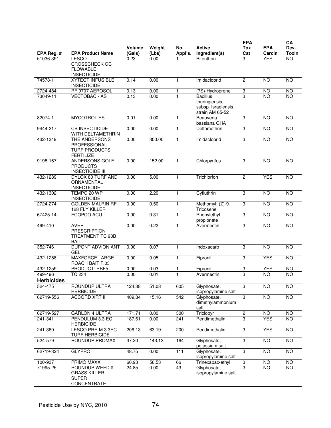| EPA Reg. #        | <b>EPA Product Name</b>                                                       | <b>Volume</b><br>(Gals) | Weight<br>(Lbs) | No.<br>Appl's. | <b>Active</b><br>Ingredient(s)                                              | <b>EPA</b><br>Tox<br>Cat | <b>EPA</b><br>Carcin | CA<br>Dev.<br><b>Toxin</b> |
|-------------------|-------------------------------------------------------------------------------|-------------------------|-----------------|----------------|-----------------------------------------------------------------------------|--------------------------|----------------------|----------------------------|
| 51036-391         | <b>LESCO</b><br><b>CROSSCHECK GC</b><br><b>FLOWABLE</b><br><b>INSECTICIDE</b> | 0.23                    | 0.00            |                | <b>Bifenthrin</b>                                                           | 3                        | <b>YES</b>           | $\overline{NO}$            |
| 74578-1           | <b>XYTECT INFUSIBLE</b><br><b>INSECTICIDE</b>                                 | 0.14                    | 0.00            | $\mathbf{1}$   | Imidacloprid                                                                | 2                        | <b>NO</b>            | <b>NO</b>                  |
| 2724-484          | RF 9707 AEROSOL                                                               | 0.13                    | 0.00            | 1              | (7S)-Hydroprene                                                             | 3                        | <b>NO</b>            | <b>NO</b>                  |
| 73049-11          | <b>VECTOBAC - AS</b>                                                          | 0.13                    | 0.00            |                | <b>Bacillus</b><br>thuringiensis,<br>subsp. Israelensis,<br>strain AM 65-52 | 3                        | $\overline{NO}$      | $\overline{NO}$            |
| 82074-1           | <b>MYCOTROL ES</b>                                                            | 0.01                    | 0.00            | $\mathbf{1}$   | Beauveria<br>bassiana GHA                                                   | 3                        | NO                   | $\overline{NO}$            |
| 9444-217          | <b>CB INSECTICIDE</b><br>WITH DELTAMETHRIN                                    | 0.00                    | 0.00            | 1              | Deltamethrin                                                                | 3                        | <b>NO</b>            | <b>NO</b>                  |
| 432-1349          | THE ANDERSONS<br>PROFESSIONAL<br><b>TURF PRODUCTS</b><br><b>FERTILIZE</b>     | 0.00                    | 300.00          | 1              | Imidacloprid                                                                | 3                        | NO                   | $\overline{NO}$            |
| 9198-167          | <b>ANDERSONS GOLF</b><br><b>PRODUCTS</b><br><b>INSECTICIDE III</b>            | 0.00                    | 152.00          | $\mathbf{1}$   | Chlorpyrifos                                                                | 3                        | <b>NO</b>            | <b>NO</b>                  |
| 432-1289          | DYLOX 80 TURF AND<br>ORNAMENTAL<br><b>INSECTICIDE</b>                         | 0.00                    | 5.00            | $\mathbf{1}$   | Trichlorfon                                                                 | $\overline{c}$           | <b>YES</b>           | $\overline{NO}$            |
| 432-1302          | TEMPO 20 WP<br><b>INSECTICIDE</b>                                             | 0.00                    | 2.20            | $\mathbf{1}$   | Cyfluthrin                                                                  | 3                        | <b>NO</b>            | <b>NO</b>                  |
| 2724-274          | <b>GOLDEN MALRIN RF-</b><br>128 FLY KILLER                                    | 0.00                    | 0.50            | $\mathbf{1}$   | Methomyl; (Z)-9-<br>Tricosene                                               | 3                        | NO                   | $\overline{NO}$            |
| 67425-14          | ECOPCO ACU                                                                    | 0.00                    | 0.31            | $\mathbf{1}$   | Phenylethyl<br>propionate                                                   | $\overline{3}$           | N <sub>O</sub>       | <b>NO</b>                  |
| 499-410           | <b>AVERT</b><br><b>PRESCRIPTION</b><br>TREATMENT TC 93B<br><b>BAIT</b>        | 0.00                    | 0.22            | $\mathbf{1}$   | Avermectin                                                                  | 3                        | <b>NO</b>            | <b>NO</b>                  |
| 352-746           | DUPONT ADVION ANT<br><b>GEL</b>                                               | 0.00                    | 0.07            | 1              | Indoxacarb                                                                  | 3                        | <b>NO</b>            | <b>NO</b>                  |
| 432-1258          | MAXFORCE LARGE<br>ROACH BAIT F.03                                             | 0.00                    | 0.05            | $\mathbf{1}$   | Fipronil                                                                    | 3                        | <b>YES</b>           | $\overline{NO}$            |
| 432-1259          | <b>PRODUCT: RBF5</b>                                                          | 0.00                    | 0.03            | 1              | Fipronil                                                                    | 3                        | <b>YES</b>           | $\overline{NO}$            |
| 499-496           | <b>TC 234</b>                                                                 | 0.00                    | 0.01            | $\mathbf{1}$   | Avermectin                                                                  | 3                        | <b>NO</b>            | $\overline{NO}$            |
| <b>Herbicides</b> |                                                                               |                         |                 |                |                                                                             |                          |                      |                            |
| 524-475           | ROUNDUP ULTRA<br><b>HERBICIDE</b>                                             | 124.38                  | 51.08           | 605            | Glyphosate,<br>isopropylamine salt                                          | 3                        | NO                   | $\overline{NO}$            |
| 62719-556         | <b>ACCORD XRT II</b>                                                          | 409.84                  | 15.16           | 542            | Glyphosate,<br>dimethylammonium<br>salt                                     | $\overline{3}$           | N <sub>O</sub>       | <b>NO</b>                  |
| 62719-527         | <b>GARLON 4 ULTRA</b>                                                         | 171.71                  | 0.00            | 300            | Triclopyr                                                                   | $\sqrt{2}$               | <b>NO</b>            | <b>NO</b>                  |
| $241 - 341$       | PENDULUM 3.3 EC<br><b>HERBICIDE</b>                                           | 187.61                  | 0.00            | 241            | Pendimethalin                                                               | 3                        | <b>YES</b>           | <b>NO</b>                  |
| 241-360           | LESCO PRE-M 3.3EC<br><b>TURF HERBICIDE</b>                                    | 206.13                  | 63.19           | 200            | Pendimethalin                                                               | 3                        | <b>YES</b>           | <b>NO</b>                  |
| 524-579           | ROUNDUP PROMAX                                                                | 37.20                   | 143.13          | 164            | Glyphosate,<br>potassium salt                                               | 3                        | <b>NO</b>            | <b>NO</b>                  |
| 62719-324         | <b>GLYPRO</b>                                                                 | 48.75                   | 0.00            | 111            | Glyphosate,<br>isopropylamine salt                                          | 3                        | NO                   | $\overline{NO}$            |
| 100-937           | PRIMO MAXX                                                                    | 60.93                   | 56.53           | 66             | Trinexapac-ethyl                                                            | 3                        | NO                   | $\overline{10}$            |
| 71995-25          | ROUNDUP WEED &<br><b>GRASS KILLER</b><br><b>SUPER</b><br>CONCENTRATE          | 24.85                   | 0.00            | 43             | Glyphosate,<br>isopropylamine salt                                          | $\overline{3}$           | <b>NO</b>            | <b>NO</b>                  |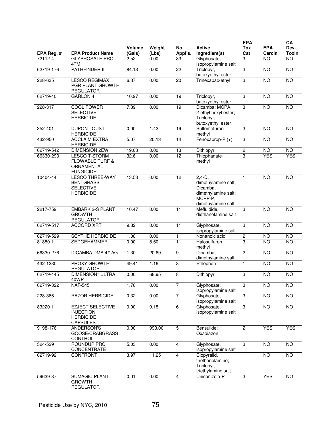| EPA Reg. # | <b>EPA Product Name</b>                                                              | <b>Volume</b><br>(Gals) | Weight<br>(Lbs) | No.<br>Appl's.  | <b>Active</b><br>Ingredient(s)                                                                       | <b>EPA</b><br>Tox<br>Cat | <b>EPA</b><br>Carcin | CA<br>Dev.<br>Toxin |
|------------|--------------------------------------------------------------------------------------|-------------------------|-----------------|-----------------|------------------------------------------------------------------------------------------------------|--------------------------|----------------------|---------------------|
| 72112-4    | <b>GLYPHOSATE PRO</b><br>4TM                                                         | 2.52                    | 0.00            | 33              | Glyphosate,<br>isopropylamine salt                                                                   | 3                        | <b>NO</b>            | NO                  |
| 62719-176  | <b>PATHFINDER II</b>                                                                 | 84.13                   | 0.00            | 22              | Triclopyr,<br>butoxyethyl ester                                                                      | 3                        | <b>NO</b>            | <b>NO</b>           |
| 228-635    | <b>LESCO REGIMAX</b><br>PGR PLANT GROWTH<br><b>REGULATOR</b>                         | 6.37                    | 0.00            | 20              | Trinexapac-ethyl                                                                                     | 3                        | <b>NO</b>            | <b>NO</b>           |
| 62719-40   | <b>GARLON 4</b>                                                                      | 10.97                   | 0.00            | 19              | Triclopyr,<br>butoxyethyl ester                                                                      | 3                        | <b>NO</b>            | $\overline{10}$     |
| 228-317    | COOL POWER<br><b>SELECTIVE</b><br><b>HERBICIDE</b>                                   | 7.39                    | 0.00            | 19              | Dicamba; MCPA,<br>2-ethyl hexyl ester;<br>Triclopyr,<br>butoxyethyl ester                            | 3                        | NO                   | NO                  |
| 352-401    | <b>DUPONT OUST</b><br><b>HERBICIDE</b>                                               | 0.00                    | 1.42            | 19              | Sulfometuron<br>methyl                                                                               | 3                        | <b>NO</b>            | <b>NO</b>           |
| 432-950    | <b>ACCLAIM EXTRA</b><br><b>HERBICIDE</b>                                             | 5.07                    | 20.13           | 14              | Fenoxaprop-P (+)                                                                                     | 3                        | $\overline{NO}$      | NO                  |
| 62719-542  | <b>DIMENSION 2EW</b>                                                                 | 19.03                   | 0.00            | 13              | Dithiopyr                                                                                            | 2                        | <b>NO</b>            | $\overline{10}$     |
| 66330-293  | <b>LESCO T-STORM</b><br><b>FLOWABLE TURF &amp;</b><br>ORNAMENTAL<br><b>FUNGICIDE</b> | 32.61                   | 0.00            | $\overline{12}$ | Thiophanate-<br>methyl                                                                               | 3                        | <b>YES</b>           | <b>YES</b>          |
| 10404-44   | <b>LESCO THREE-WAY</b><br><b>BENTGRASS</b><br><b>SELECTIVE</b><br><b>HERBICIDE</b>   | 13.53                   | 0.00            | 12              | $2,4-D$ ,<br>dimethylamine salt;<br>Dicamba,<br>dimethylamine salt;<br>MCPP-P,<br>dimethylamine salt | 1                        | <b>NO</b>            | <b>NO</b>           |
| 2217-759   | <b>EMBARK 2-S PLANT</b><br><b>GROWTH</b><br><b>REGULATOR</b>                         | 10.47                   | 0.00            | $\overline{11}$ | Mefluidide,<br>diethanolamine salt                                                                   | 3                        | $\overline{NO}$      | <b>NO</b>           |
| 62719-517  | <b>ACCORD XRT</b>                                                                    | 9.82                    | 0.00            | 11              | Glyphosate,<br>isopropylamine salt                                                                   | 3                        | <b>NO</b>            | <b>NO</b>           |
| 62719-529  | <b>SCYTHE HERBICIDE</b>                                                              | 1.06                    | 0.00            | 11              | Nonanoic acid                                                                                        | 2                        | <b>NO</b>            | <b>NO</b>           |
| 81880-1    | <b>SEDGEHAMMER</b>                                                                   | 0.00                    | 8.50            | $\overline{11}$ | Halosulfuron-<br>methyl                                                                              | 3                        | $\overline{NO}$      | $\overline{10}$     |
| 66330-276  | <b>DICAMBA DMA 4# AG</b>                                                             | 1.30                    | 20.69           | $\overline{9}$  | Dicamba,<br>dimethylamine salt                                                                       | $\overline{2}$           | NO                   | N <sub>O</sub>      |
| 432-1230   | <b>PROXY GROWTH</b><br><b>REGULATOR</b>                                              | 49.41                   | 1.16            | 8               | Ethephon                                                                                             | 1                        | <b>NO</b>            | <b>NO</b>           |
| 62719-445  | <b>DIMENSION* ULTRA</b><br>40WP                                                      | 0.00                    | 68.95           | 8               | Dithiopyr                                                                                            | 3                        | $\overline{NO}$      | <b>NO</b>           |
| 62719-322  | <b>NAF-545</b>                                                                       | 1.76                    | 0.00            | $\overline{7}$  | Glyphosate,<br>isopropylamine salt                                                                   | $\overline{3}$           | $\overline{NO}$      | <b>NO</b>           |
| 228-366    | <b>RAZOR HERBICIDE</b>                                                               | 0.32                    | 0.00            | $\overline{7}$  | Glyphosate,<br>isopropylamine salt                                                                   | $\overline{3}$           | <b>NO</b>            | <b>NO</b>           |
| 83220-1    | <b>EZJECT SELECTIVE</b><br><b>INJECTION</b><br><b>HERBICIDE</b><br><b>CAPSULES</b>   | 0.00                    | 9.18            | 6               | Glyphosate,<br>isopropylamine salt                                                                   | 3                        | NO                   | N <sub>O</sub>      |
| 9198-176   | ANDERSON'S<br>GOOSE/CRABGRASS<br><b>CONTROL</b>                                      | 0.00                    | 993.00          | $5\,$           | Bensulide;<br>Oxadiazon                                                                              | $\overline{c}$           | <b>YES</b>           | <b>YES</b>          |
| 524-529    | <b>ROUNDUP PRO</b><br>CONCENTRATE                                                    | 5.03                    | 0.00            | 4               | Glyphosate,<br>isopropylamine salt                                                                   | 3                        | NO                   | <b>NO</b>           |
| 62719-92   | CONFRONT                                                                             | 3.97                    | 11.25           | $\overline{4}$  | Clopyralid,<br>triethanolamine;<br>Triclopyr,<br>triethylamine salt                                  | $\mathbf{1}$             | $\overline{NO}$      | NO                  |
| 59639-37   | <b>SUMAGIC PLANT</b><br><b>GROWTH</b><br><b>REGULATOR</b>                            | 0.01                    | 0.00            | 4               | Uniconizole-P                                                                                        | 3                        | <b>YES</b>           | N <sub>O</sub>      |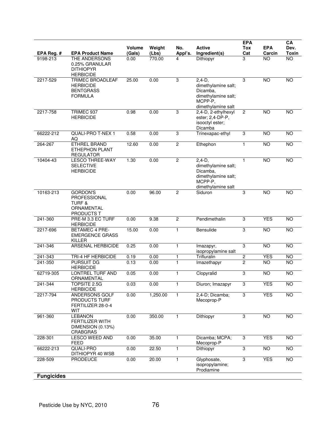| EPA Reg. #         | <b>EPA Product Name</b>                                                           | <b>Volume</b><br>(Gals) | Weight<br>(Lbs) | No.<br>Appl's.    | <b>Active</b><br>Ingredient(s)                                                                        | <b>EPA</b><br>Tox<br>Cat     | <b>EPA</b><br>Carcin    | CA<br>Dev.<br><b>Toxin</b> |
|--------------------|-----------------------------------------------------------------------------------|-------------------------|-----------------|-------------------|-------------------------------------------------------------------------------------------------------|------------------------------|-------------------------|----------------------------|
| 9198-213           | THE ANDERSONS<br>0.25% GRANULAR<br><b>DITHIOPYR</b><br><b>HERBICIDE</b>           | 0.00                    | 770.00          | 4                 | Dithiopyr                                                                                             | 3                            | <b>NO</b>               | $\overline{NO}$            |
| 2217-529           | <b>TRIMEC BROADLEAF</b><br><b>HERBICIDE</b><br><b>BENTGRASS</b><br><b>FORMULA</b> | 25.00                   | 0.00            | 3                 | $2.4 - D.$<br>dimethylamine salt;<br>Dicamba,<br>dimethylamine salt;<br>MCPP-P.<br>dimethylamine salt | 3                            | <b>NO</b>               | <b>NO</b>                  |
| 2217-758           | TRIMEC 937<br><b>HERBICIDE</b>                                                    | 0.98                    | 0.00            | 3                 | 2,4-D, 2-ethylhexyl<br>ester; 2,4-DP-P,<br>isooctyl ester;<br>Dicamba                                 | 2                            | N <sub>O</sub>          | <b>NO</b>                  |
| 66222-212          | <b>QUALI-PRO T-NEX 1</b><br>AQ                                                    | 0.58                    | 0.00            | 3                 | Trinexapac-ethyl                                                                                      | 3                            | NO                      | <b>NO</b>                  |
| 264-267            | <b>ETHREL BRAND</b><br><b>ETHEPHON PLANT</b><br><b>REGULATOR</b>                  | 12.60                   | 0.00            | $\overline{2}$    | Ethephon                                                                                              | $\mathbf{1}$                 | $\overline{10}$         | <b>NO</b>                  |
| 10404-43           | <b>LESCO THREE-WAY</b><br><b>SELECTIVE</b><br><b>HERBICIDE</b>                    | 1.30                    | 0.00            | $\overline{c}$    | $2.4 - D.$<br>dimethylamine salt;<br>Dicamba,<br>dimethylamine salt;<br>MCPP-P,<br>dimethylamine salt | $\mathbf{1}$                 | <b>NO</b>               | $\overline{NO}$            |
| 10163-213          | <b>GORDON'S</b><br>PROFESSIONAL<br><b>TURF &amp;</b><br>ORNAMENTAL<br>PRODUCTS T  | 0.00                    | 96.00           | 2                 | Siduron                                                                                               | 3                            | <b>NO</b>               | <b>NO</b>                  |
| 241-360            | PRE-M 3.3 EC TURF<br><b>HERBICIDE</b>                                             | 0.00                    | 9.38            | $\overline{2}$    | Pendimethalin                                                                                         | 3                            | <b>YES</b>              | <b>NO</b>                  |
| 2217-696           | <b>BETAMEC 4 PRE-</b><br><b>EMERGENCE GRASS</b><br><b>KILLER</b>                  | 15.00                   | 0.00            | $\mathbf{1}$      | Bensulide                                                                                             | 3                            | $\overline{10}$         | <b>NO</b>                  |
| 241-346            | <b>ARSENAL HERBICIDE</b>                                                          | 0.25                    | 0.00            | $\mathbf{1}$      | Imazapyr,<br>isopropylamine salt                                                                      | $\overline{3}$               | <b>NO</b>               | <b>NO</b>                  |
| 241-343<br>241-350 | TRI-4 HF HERBICIDE<br><b>PURSUIT DG</b><br><b>HERBICIDE</b>                       | 0.19<br>0.13            | 0.00<br>0.00    | 1<br>$\mathbf{1}$ | Trifluralin<br>Imazethapyr                                                                            | $\sqrt{2}$<br>$\overline{2}$ | <b>YES</b><br><b>NO</b> | <b>NO</b><br><b>NO</b>     |
| 62719-305          | LONTREL TURF AND<br>ORNAMENTAL                                                    | 0.05                    | 0.00            | 1                 | Clopyralid                                                                                            | 3                            | <b>NO</b>               | <b>NO</b>                  |
| 241-344            | TOPSITE 2.5G<br><b>HERBICIDE</b>                                                  | 0.03                    | 0.00            | 1                 | Diuron; Imazapyr                                                                                      | 3                            | <b>YES</b>              | <b>NO</b>                  |
| 2217-794           | ANDERSONS GOLF<br>PRODUCTS TURF<br>FERTILIZER 28-0-4<br><b>WIT</b>                | 0.00                    | 1,250.00        | 1                 | 2,4-D; Dicamba;<br>Mecoprop-P                                                                         | 3                            | <b>YES</b>              | <b>NO</b>                  |
| 961-360            | <b>LEBANON</b><br><b>FERTILIZER WITH</b><br>DIMENSION (0.13%)<br><b>CRABGRAS</b>  | 0.00                    | 350.00          | 1                 | Dithiopyr                                                                                             | 3                            | N <sub>O</sub>          | <b>NO</b>                  |
| 228-301            | LESCO WEED AND<br><b>FEED</b>                                                     | 0.00                    | 35.00           | $\mathbf{1}$      | Dicamba; MCPA;<br>Mecoprop-P                                                                          | 3                            | <b>YES</b>              | <b>NO</b>                  |
| 66222-213          | <b>QUALI-PRO</b><br>DITHIOPYR 40 WSB                                              | 0.00                    | 22.50           | $\mathbf{1}$      | Dithiopyr                                                                                             | $\overline{3}$               | <b>NO</b>               | <b>NO</b>                  |
| 228-509            | <b>PRODEUCE</b>                                                                   | 0.00                    | 20.00           | 1                 | Glyphosate,<br>isopropylamine;<br>Prodiamine                                                          | $\overline{3}$               | <b>YES</b>              | <b>NO</b>                  |
| <b>Fungicides</b>  |                                                                                   |                         |                 |                   |                                                                                                       |                              |                         |                            |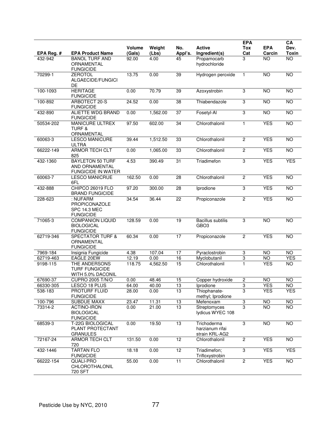| EPA Reg. # | <b>EPA Product Name</b>                                                | Volume<br>(Gals) | Weight<br>(Lbs) | No.<br>Appl's.  | <b>Active</b><br>Ingredient(s)                   | <b>EPA</b><br>Tox<br>Cat | <b>EPA</b><br>Carcin | CA<br>Dev.<br>Toxin |
|------------|------------------------------------------------------------------------|------------------|-----------------|-----------------|--------------------------------------------------|--------------------------|----------------------|---------------------|
| 432-942    | <b>BANOL TURF AND</b><br>ORNAMENTAL<br><b>FUNGICIDE</b>                | 92.00            | 4.00            | 45              | Propamocarb<br>hydrochloride                     | 3                        | $\overline{NO}$      | $\overline{NO}$     |
| 70299-1    | <b>ZEROTOL</b><br>ALGAECIDE/FUNGICI<br>DE                              | 13.75            | 0.00            | 39              | Hydrogen peroxide                                | $\mathbf{1}$             | <b>NO</b>            | <b>NO</b>           |
| 100-1093   | <b>HERITAGE</b><br><b>FUNGICIDE</b>                                    | 0.00             | 70.79           | 39              | Azoxystrobin                                     | 3                        | <b>NO</b>            | NO                  |
| 100-892    | ARBOTECT 20-S<br><b>FUNGICIDE</b>                                      | 24.52            | 0.00            | $\overline{38}$ | Thiabendazole                                    | 3                        | <b>NO</b>            | <b>NO</b>           |
| 432-890    | <b>ALIETTE WDG BRAND</b><br><b>FUNGICIDE</b>                           | 0.00             | 1,562.00        | $\overline{37}$ | Fosetyl-Al                                       | $\overline{3}$           | <b>NO</b>            | <b>NO</b>           |
| 50534-202  | <b>MANICURE ULTREX</b><br><b>TURF &amp;</b><br>ORNAMENTAL              | 97.50            | 602.00          | 34              | Chlorothalonil                                   | $\mathbf{1}$             | <b>YES</b>           | <b>NO</b>           |
| 60063-3    | <b>LESCO MANICURE</b><br><b>ULTRA</b>                                  | 39.44            | 1,512.50        | 33              | Chlorothalonil                                   | $\overline{c}$           | <b>YES</b>           | NO                  |
| 66222-149  | <b>ARMOR TECH CLT</b><br>825                                           | 0.00             | 1,065.00        | 33              | Chlorothalonil                                   | $\overline{c}$           | <b>YES</b>           | <b>NO</b>           |
| 432-1360   | <b>BAYLETON 50 TURF</b><br>AND ORNAMENTAL<br><b>FUNGICIDE IN WATER</b> | 4.53             | 390.49          | $\overline{31}$ | Triadimefon                                      | 3                        | <b>YES</b>           | <b>YES</b>          |
| 60063-7    | <b>LESCO MANICRUE</b><br>6FL                                           | 162.50           | 0.00            | 28              | Chlorothalonil                                   | $\overline{2}$           | <b>YES</b>           | <b>NO</b>           |
| 432-888    | CHIPCO 26019 FLO<br><b>BRAND FUNGICIDE</b>                             | 97.20            | 300.00          | 28              | Iprodione                                        | 3                        | <b>YES</b>           | NO                  |
| 228-623    | : NUFARM<br>PROPICONAZOLE<br>SPC 14.3 MEC<br><b>FUNGICIDE</b>          | 34.54            | 36.44           | 22              | Propiconazole                                    | $\overline{2}$           | <b>YES</b>           | <b>NO</b>           |
| 71065-3    | <b>COMPANION LIQUID</b><br><b>BIOLOGICAL</b><br><b>FUNGICIDE</b>       | 128.59           | 0.00            | $\overline{19}$ | <b>Bacillus subtilis</b><br>GBO <sub>3</sub>     | 3                        | $\overline{NO}$      | N <sub>O</sub>      |
| 62719-346  | <b>SPECTATOR TURF &amp;</b><br>ORNAMENTAL<br><b>FUNGICIDE</b>          | 60.34            | 0.00            | 17              | Propiconazole                                    | $\overline{2}$           | <b>YES</b>           | <b>NO</b>           |
| 7969-184   | Insignia Fungicide                                                     | 4.38             | 107.04          | 17              | Pyraclostrobin                                   | 3                        | <b>NO</b>            | <b>NO</b>           |
| 62719-463  | EAGLE 20EW                                                             | 12.19            | 0.00            | 16              | Myclobutanil                                     | 3                        | <b>NO</b>            | <b>YES</b>          |
| 9198-115   | THE ANDERSONS<br><b>TURF FUNGICIDE</b><br>WITH 5.0% DACONIL            | 118.75           | 4,562.50        | 15              | Chlorothalonil                                   | $\mathbf{1}$             | <b>YES</b>           | <b>NO</b>           |
| 67690-37   | <b>CUPRO 2005 T/N/O</b>                                                | 0.00             | 48.46           | 15              | Copper hydroxide                                 | 2                        | NO                   | NO                  |
| 66330-305  | LESCO 18 PLUS                                                          | 64.00            | 40.00           | 13              | Iprodione                                        | $\overline{3}$           | <b>YES</b>           | <b>NO</b>           |
| 538-183    | PROTURF FLUID<br><b>FUNGICIDE</b>                                      | 28.00            | 0.00            | 13              | Thiophanate-<br>methyl; Iprodione                | 3                        | <b>YES</b>           | <b>YES</b>          |
| 100-796    | <b>SUBDUE MAXX</b>                                                     | 23.47            | 11.31           | 13              | Mefenoxam                                        | 3                        | <b>NO</b>            | NO                  |
| 73314-2    | <b>ACTINO-IRON</b><br><b>BIOLOGICAL</b><br><b>FUNGICIDE</b>            | 0.00             | 21.00           | 13              | Streptomyces<br>lydicus WYEC 108                 | 3                        | <b>NO</b>            | NO                  |
| 68539-3    | T-22G BIOLOGICAL<br>PLANT PROTECTANT<br><b>GRANULES</b>                | 0.00             | 19.50           | 13              | Trichoderma<br>harzianum rifai<br>strain KRL-AG2 | 3                        | <b>NO</b>            | <b>NO</b>           |
| 72167-24   | ARMOR TECH CLT<br>720                                                  | 131.50           | 0.00            | $\overline{12}$ | Chlorothalonil                                   | $\overline{2}$           | <b>YES</b>           | N <sub>O</sub>      |
| 432-1446   | <b>TARTAN FLO</b><br><b>FUNGICIDE</b>                                  | 18.18            | 0.00            | 12              | Triadimefon;<br>Trifloxystrobin                  | $\overline{3}$           | <b>YES</b>           | <b>YES</b>          |
| 66222-154  | QUALI-PRO<br>CHLOROTHALONIL<br>720 SFT                                 | 55.00            | 0.00            | $\overline{11}$ | Chlorothalonil                                   | $\overline{2}$           | <b>YES</b>           | NO                  |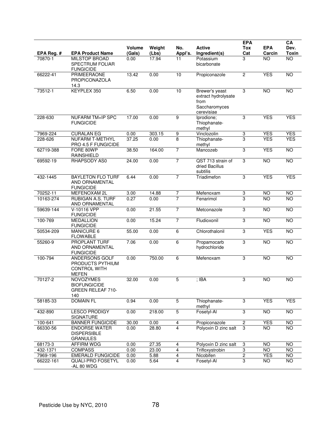|            |                                                                           |                         |                 |                | <b>Active</b>                                                                | <b>EPA</b>                | <b>EPA</b> | CA                   |
|------------|---------------------------------------------------------------------------|-------------------------|-----------------|----------------|------------------------------------------------------------------------------|---------------------------|------------|----------------------|
| EPA Reg. # | <b>EPA Product Name</b>                                                   | <b>Volume</b><br>(Gals) | Weight<br>(Lbs) | No.<br>Appl's. | Ingredient(s)                                                                | <b>Tox</b><br>Cat         | Carcin     | Dev.<br><b>Toxin</b> |
| 70870-1    | <b>MILSTOP BROAD</b><br><b>SPECTRUM FOLIAR</b><br><b>FUNGICIDE</b>        | 0.00                    | 17.94           | 11             | Potassium<br>bicarbonate                                                     | 3                         | <b>NO</b>  | $\overline{NO}$      |
| 66222-41   | <b>PRIMEERAONE</b><br>PROPICONAZOLA<br>14.3                               | 13.42                   | 0.00            | 10             | Propiconazole                                                                | $\overline{2}$            | <b>YES</b> | <b>NO</b>            |
| 73512-1    | KEYPLEX 350                                                               | 6.50                    | 0.00            | 10             | Brewer's yeast<br>extract hydrolysate<br>from<br>Saccharomyces<br>cerevisiae | $\ensuremath{\mathsf{3}}$ | NO         | $\overline{NO}$      |
| 228-630    | <b>NUFARM TM+IP SPC</b><br><b>FUNGICIDE</b>                               | 17.00                   | 0.00            | $\overline{9}$ | Iprodione;<br>Thiophanate-<br>methyl                                         | 3                         | <b>YES</b> | <b>YES</b>           |
| 7969-224   | <b>CURALAN EG</b>                                                         | 0.00                    | 303.15          | 9              | Vinclozolin                                                                  | 3                         | <b>YES</b> | <b>YES</b>           |
| 228-626    | <b>NUFARM T-METHYL</b><br>PRO 4.5 F FUNGICIDE                             | 37.25                   | 0.00            | 8              | Thiophanate-<br>methyl                                                       | 3                         | <b>YES</b> | <b>YES</b>           |
| 62719-388  | FORE 80WP<br><b>RAINSHIELD</b>                                            | 38.50                   | 164.00          | $\overline{7}$ | Mancozeb                                                                     | 3                         | <b>YES</b> | $\overline{NO}$      |
| 69592-19   | RHAPSODY AS0                                                              | 24.00                   | 0.00            | $\overline{7}$ | QST 713 strain of<br>dried Bacillus<br>subtilis                              | 3                         | <b>NO</b>  | <b>NO</b>            |
| 432-1445   | <b>BAYLETON FLO TURF</b><br>AND ORNAMENTAL<br><b>FUNGICIDE</b>            | 6.44                    | 0.00            | $\overline{7}$ | Triadimefon                                                                  | $\overline{3}$            | <b>YES</b> | <b>YES</b>           |
| 70252-11   | MEFENOXAM 2L                                                              | 3.00                    | 14.88           | $\overline{7}$ | Mefenoxam                                                                    | 3                         | <b>NO</b>  | $\overline{10}$      |
| 10163-274  | <b>RUBIGAN A.S. TURF</b><br>AND ORNAMENTAL                                | 0.27                    | 0.00            | $\overline{7}$ | Fenarimol                                                                    | 3                         | <b>NO</b>  | $\overline{NO}$      |
| 59639-144  | V-10116 VPP<br><b>FUNGICIDE</b>                                           | 0.00                    | 21.55           | $\overline{7}$ | Metconazole                                                                  | $\overline{3}$            | <b>NO</b>  | <b>NO</b>            |
| 100-769    | <b>MEDALLION</b><br><b>FUNGICIDE</b>                                      | 0.00                    | 15.24           | $\overline{7}$ | Fludioxonil                                                                  | 3                         | NO         | $\overline{NO}$      |
| 50534-209  | MANICURE 6<br><b>FLOWABLE</b>                                             | 55.00                   | 0.00            | 6              | Chlorothalonil                                                               | $\overline{3}$            | <b>YES</b> | <b>NO</b>            |
| 55260-9    | <b>PROPLANT TURF</b><br>AND ORNAMENTAL<br><b>FUNGICIDE</b>                | 7.06                    | 0.00            | $\overline{6}$ | Propamocarb<br>hydrochloride                                                 | 3                         | NO         | $\overline{NO}$      |
| 100-794    | ANDERSONS GOLF<br>PRODUCTS PYTHIUM<br><b>CONTROL WITH</b><br><b>MEFEN</b> | 0.00                    | 750.00          | 6              | Mefenoxam                                                                    | 3                         | <b>NO</b>  | <b>NO</b>            |
| 70127-2    | <b>NOVOZYMES</b><br><b>BIOFUNGICIDE</b><br>GREEN RELEAF 710-<br>140       | 32.00                   | 0.00            | 5              | $;$ IBA                                                                      | 3                         | <b>NO</b>  | <b>NO</b>            |
| 58185-33   | <b>DOMAIN FL</b>                                                          | 0.94                    | 0.00            | $\overline{5}$ | Thiophanate-<br>methyl                                                       | 3                         | <b>YES</b> | <b>YES</b>           |
| 432-890    | <b>LESCO PRODIGY</b><br><b>SIGNATURE</b>                                  | 0.00                    | 218.00          | 5              | Fosetyl-Al                                                                   | 3                         | <b>NO</b>  | <b>NO</b>            |
| 100-641    | <b>BANNER FUNGICIDE</b>                                                   | 30.00                   | 0.00            | 4              | Propiconazole                                                                | $\overline{2}$            | <b>YES</b> | NO                   |
| 66330-56   | <b>ENDORSE WATER</b><br><b>DISPERSIBLE</b><br><b>GRANULES</b>             | 0.00                    | 28.80           | $\overline{4}$ | Polyoxin D zinc salt                                                         | 3                         | <b>NO</b>  | <b>NO</b>            |
| 68173-3    | AFFIRM WDG                                                                | 0.00                    | 27.35           | 4              | Polyoxin D zinc salt                                                         | 3                         | NO.        | $\overline{10}$      |
| 432-1371   | <b>COMPASS</b>                                                            | 0.00                    | 23.00           | 4              | Trifloxystrobin                                                              | 3                         | <b>NO</b>  | <b>NO</b>            |
| 7969-196   | <b>EMERALD FUNGICIDE</b>                                                  | 0.00                    | 5.88            | $\overline{4}$ | Nicobifen                                                                    | $\overline{2}$            | <b>YES</b> | <b>NO</b>            |
| 66222-161  | <b>QUALI-PRO FOSETYL</b><br>-AL 80 WDG                                    | 0.00                    | 5.64            | $\overline{4}$ | Fosetyl-Al                                                                   | $\overline{3}$            | NO.        | $\overline{NO}$      |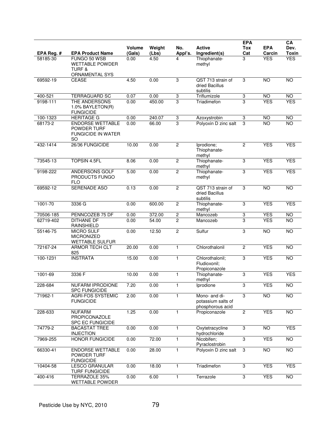| EPA Reg. # | <b>EPA Product Name</b>                                                          | Volume<br>(Gals) | Weight<br>(Lbs) | No.<br>Appl's.          | <b>Active</b><br>Ingredient(s)                          | <b>EPA</b><br><b>Tox</b><br>Cat | <b>EPA</b><br>Carcin | CA<br>Dev.<br><b>Toxin</b> |
|------------|----------------------------------------------------------------------------------|------------------|-----------------|-------------------------|---------------------------------------------------------|---------------------------------|----------------------|----------------------------|
| 58185-30   | FUNGO 50 WSB<br><b>WETTABLE POWDER</b><br><b>TURF &amp;</b><br>ORNAMENTAL SYS    | 0.00             | 4.50            | 4                       | Thiophanate-<br>methyl                                  | 3                               | <b>YES</b>           | <b>YES</b>                 |
| 69592-19   | <b>CEASE</b>                                                                     | 4.50             | 0.00            | 3                       | QST 713 strain of<br>dried Bacillus<br>subtilis         | 3                               | NO                   | NO                         |
| 400-521    | <b>TERRAGUARD SC</b>                                                             | 0.07             | 0.00            | 3                       | Triflumizole                                            | 3                               | <b>NO</b>            | <b>NO</b>                  |
| 9198-111   | THE ANDERSONS<br>1.0% BAYLETON(R)<br><b>FUNGICIDE</b>                            | 0.00             | 450.00          | 3                       | Triadimefon                                             | 3                               | <b>YES</b>           | <b>YES</b>                 |
| 100-1323   | <b>HERITAGE G</b>                                                                | 0.00             | 240.07          | 3                       | Azoxystrobin                                            | $\ensuremath{\mathsf{3}}$       | <b>NO</b>            | <b>NO</b>                  |
| 68173-2    | <b>ENDORSE WETTABLE</b><br>POWDER TURF<br><b>FUNGICIDE IN WATER</b><br><b>SO</b> | 0.00             | 66.00           | 3                       | Polyoxin D zinc salt                                    | $\overline{3}$                  | <b>NO</b>            | <b>NO</b>                  |
| 432-1414   | 26/36 FUNGICIDE                                                                  | 10.00            | 0.00            | $\overline{2}$          | Iprodione;<br>Thiophanate-<br>methyl                    | $\overline{c}$                  | <b>YES</b>           | <b>YES</b>                 |
| 73545-13   | <b>TOPSIN 4.5FL</b>                                                              | 8.06             | 0.00            | $\overline{2}$          | Thiophanate-<br>methyl                                  | 3                               | <b>YES</b>           | <b>YES</b>                 |
| 9198-222   | ANDERSONS GOLF<br>PRODUCTS FUNGO<br><b>FLO</b>                                   | 5.00             | 0.00            | $\overline{2}$          | Thiophanate-<br>methyl                                  | $\overline{3}$                  | <b>YES</b>           | <b>YES</b>                 |
| 69592-12   | <b>SERENADE ASO</b>                                                              | 0.13             | 0.00            | $\overline{2}$          | QST 713 strain of<br>dried Bacillus<br>subtilis         | $\overline{3}$                  | <b>NO</b>            | <b>NO</b>                  |
| 1001-70    | 3336 G                                                                           | 0.00             | 600.00          | $\overline{2}$          | Thiophanate-<br>methyl                                  | 3                               | <b>YES</b>           | <b>YES</b>                 |
| 70506-185  | PENNCOZEB 75 DF                                                                  | 0.00             | 372.00          | $\overline{\mathbf{c}}$ | Mancozeb                                                | 3                               | <b>YES</b>           | NO                         |
| 62719-402  | <b>DITHANE DF</b><br><b>RAINSHIELD</b>                                           | 0.00             | 54.00           | $\overline{2}$          | Mancozeb                                                | $\overline{3}$                  | <b>YES</b>           | $\overline{NO}$            |
| 55146-75   | <b>MICRO SULF</b><br><b>MICRONIZED</b><br><b>WETTABLE SULFUR</b>                 | 0.00             | 12.50           | $\overline{2}$          | Sulfur                                                  | $\overline{3}$                  | <b>NO</b>            | <b>NO</b>                  |
| 72167-24   | <b>ARMOR TECH CLT</b><br>825                                                     | 20.00            | 0.00            | $\mathbf{1}$            | Chlorothalonil                                          | $\overline{c}$                  | <b>YES</b>           | NO                         |
| 100-1231   | <b>INSTRATA</b>                                                                  | 15.00            | 0.00            | $\mathbf{1}$            | Chlorothalonil;<br>Fludioxonil;<br>Propiconazole        | 3                               | <b>YES</b>           | <b>NO</b>                  |
| 1001-69    | 3336 F                                                                           | 10.00            | 0.00            | $\mathbf{1}$            | Thiophanate-<br>methyl                                  | 3                               | <b>YES</b>           | <b>YES</b>                 |
| 228-684    | <b>NUFARM IPRODIONE</b><br><b>SPC FUNGICIDE</b>                                  | 7.20             | 0.00            | 1                       | Iprodione                                               | 3                               | <b>YES</b>           | $\overline{NO}$            |
| 71962-1    | <b>AGRI-FOS SYSTEMIC</b><br><b>FUNGICIDE</b>                                     | 2.00             | 0.00            | 1                       | Mono- and di-<br>potassium salts of<br>phosphorous acid | $\overline{3}$                  | <b>NO</b>            | <b>NO</b>                  |
| 228-633    | <b>NUFARM</b><br>PROPICONAZOLE<br><b>SPC EC FUNGICIDE</b>                        | 1.25             | 0.00            | 1                       | Propiconazole                                           | $\overline{2}$                  | <b>YES</b>           | <b>NO</b>                  |
| 74779-2    | <b>BACASTAT TREE</b><br><b>INJECTION</b>                                         | 0.00             | 0.00            | 1                       | Oxytetracycline<br>hydrochloride                        | 3                               | NO                   | <b>YES</b>                 |
| 7969-255   | <b>HONOR FUNGICIDE</b>                                                           | 0.00             | 72.00           | 1                       | Nicobifen;<br>Pyraclostrobin                            | 3                               | <b>YES</b>           | <b>NO</b>                  |
| 66330-41   | <b>ENDORSE WETTABLE</b><br>POWDER TURF<br><b>FUNGICIDE</b>                       | 0.00             | 28.00           | 1                       | Polyoxin D zinc salt                                    | 3                               | NO                   | <b>NO</b>                  |
| 10404-58   | <b>LESCO GRANULAR</b><br><b>TURF FUNGICIDE</b>                                   | 0.00             | 18.00           | 1                       | Triadimefon                                             | $\overline{3}$                  | <b>YES</b>           | <b>YES</b>                 |
| 400-416    | TERRAZOLE 35%<br><b>WETTABLE POWDER</b>                                          | 0.00             | 6.00            | 1                       | Terrazole                                               | 3                               | <b>YES</b>           | NO                         |